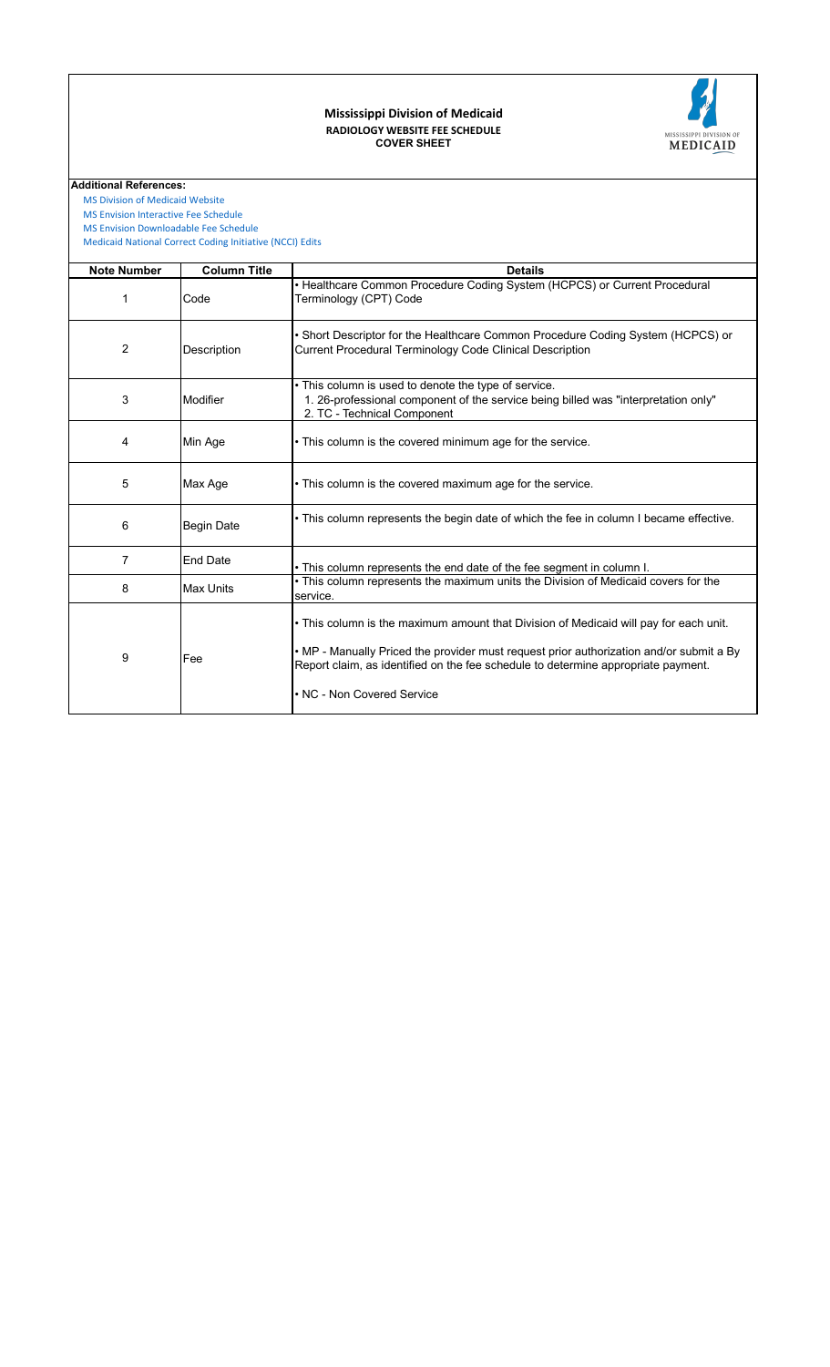#### **COVER SHEET RADIOLOGY WEBSITE FEE SCHEDULE Mississippi Division of Medicaid**



 [MS Division of Medicai](https://medicaid.ms.gov/)d Website

 [MS Envision Interactive](https://www.ms-medicaid.com/msenvision/feeScheduleInquiry.do) Fee Schedule

 [Medicaid National Corr](https://www.medicaid.gov/medicaid/program-integrity/national-correct-coding-initiative/medicaid-ncci-edit-files/index.html)ect Coding Initiative (NCCI) Edits  [MS Envision Download](https://www.ms-medicaid.com/msenvision/AMA_ADA_licenseAgreement.do?strUrl=feeScheduleInquiry)able Fee Schedule

| <b>Note Number</b> | <b>Column Title</b> | <b>Details</b>                                                                                                                                                                                                                                                                                      |
|--------------------|---------------------|-----------------------------------------------------------------------------------------------------------------------------------------------------------------------------------------------------------------------------------------------------------------------------------------------------|
| 1                  | Code                | • Healthcare Common Procedure Coding System (HCPCS) or Current Procedural<br>Terminology (CPT) Code                                                                                                                                                                                                 |
| 2                  | Description         | • Short Descriptor for the Healthcare Common Procedure Coding System (HCPCS) or<br><b>Current Procedural Terminology Code Clinical Description</b>                                                                                                                                                  |
| 3                  | Modifier            | • This column is used to denote the type of service.<br>1. 26-professional component of the service being billed was "interpretation only"<br>2. TC - Technical Component                                                                                                                           |
| 4                  | Min Age             | • This column is the covered minimum age for the service.                                                                                                                                                                                                                                           |
| 5                  | Max Age             | • This column is the covered maximum age for the service.                                                                                                                                                                                                                                           |
| 6                  | <b>Begin Date</b>   | • This column represents the begin date of which the fee in column I became effective.                                                                                                                                                                                                              |
| 7                  | <b>End Date</b>     | • This column represents the end date of the fee segment in column I.                                                                                                                                                                                                                               |
| 8                  | <b>Max Units</b>    | • This column represents the maximum units the Division of Medicaid covers for the<br>service.                                                                                                                                                                                                      |
| 9                  | Fee                 | • This column is the maximum amount that Division of Medicaid will pay for each unit.<br>• MP - Manually Priced the provider must request prior authorization and/or submit a By<br>Report claim, as identified on the fee schedule to determine appropriate payment.<br>• NC - Non Covered Service |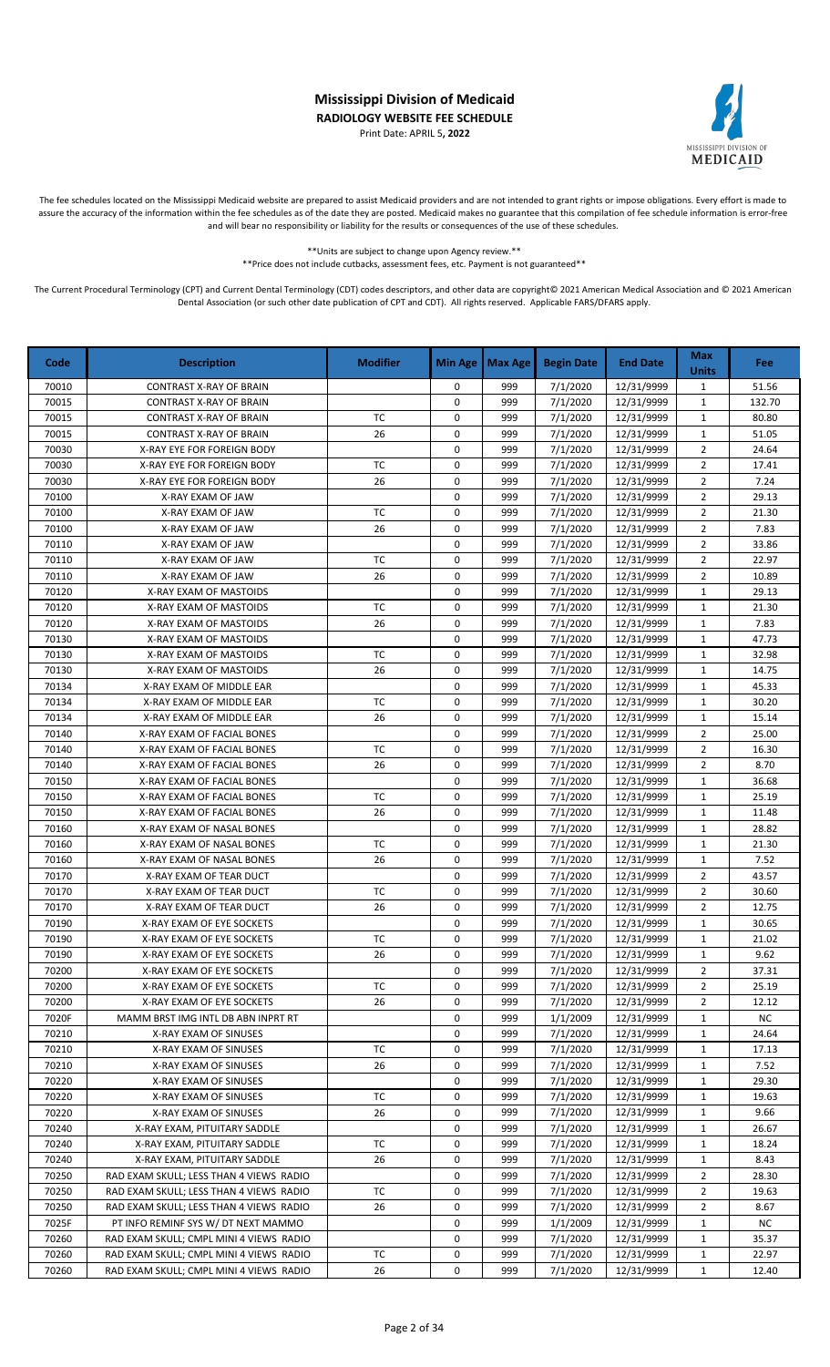Print Date: APRIL 5**, 2022**



The fee schedules located on the Mississippi Medicaid website are prepared to assist Medicaid providers and are not intended to grant rights or impose obligations. Every effort is made to assure the accuracy of the information within the fee schedules as of the date they are posted. Medicaid makes no guarantee that this compilation of fee schedule information is error-free and will bear no responsibility or liability for the results or consequences of the use of these schedules.

\*\*Units are subject to change upon Agency review.\*\*

\*\*Price does not include cutbacks, assessment fees, etc. Payment is not guaranteed\*\*

| Code  | <b>Description</b>                      | <b>Modifier</b> | <b>Min Age</b> | <b>Max Age</b> | <b>Begin Date</b> | <b>End Date</b> | <b>Max</b><br><b>Units</b> | Fee       |
|-------|-----------------------------------------|-----------------|----------------|----------------|-------------------|-----------------|----------------------------|-----------|
| 70010 | <b>CONTRAST X-RAY OF BRAIN</b>          |                 | 0              | 999            | 7/1/2020          | 12/31/9999      | $\mathbf{1}$               | 51.56     |
| 70015 | <b>CONTRAST X-RAY OF BRAIN</b>          |                 | 0              | 999            | 7/1/2020          | 12/31/9999      | $\mathbf{1}$               | 132.70    |
| 70015 | <b>CONTRAST X-RAY OF BRAIN</b>          | <b>TC</b>       | 0              | 999            | 7/1/2020          | 12/31/9999      | $\mathbf{1}$               | 80.80     |
| 70015 | CONTRAST X-RAY OF BRAIN                 | 26              | 0              | 999            | 7/1/2020          | 12/31/9999      | $\mathbf 1$                | 51.05     |
| 70030 | X-RAY EYE FOR FOREIGN BODY              |                 | 0              | 999            | 7/1/2020          | 12/31/9999      | $\overline{2}$             | 24.64     |
| 70030 | X-RAY EYE FOR FOREIGN BODY              | <b>TC</b>       | 0              | 999            | 7/1/2020          | 12/31/9999      | $\overline{2}$             | 17.41     |
| 70030 | X-RAY EYE FOR FOREIGN BODY              | 26              | 0              | 999            | 7/1/2020          | 12/31/9999      | $\overline{2}$             | 7.24      |
| 70100 | X-RAY EXAM OF JAW                       |                 | 0              | 999            | 7/1/2020          | 12/31/9999      | $\overline{2}$             | 29.13     |
| 70100 | X-RAY EXAM OF JAW                       | TC              | 0              | 999            | 7/1/2020          | 12/31/9999      | $\overline{2}$             | 21.30     |
| 70100 | X-RAY EXAM OF JAW                       | 26              | 0              | 999            | 7/1/2020          | 12/31/9999      | $\overline{2}$             | 7.83      |
| 70110 | X-RAY EXAM OF JAW                       |                 | 0              | 999            | 7/1/2020          | 12/31/9999      | $\overline{2}$             | 33.86     |
| 70110 | X-RAY EXAM OF JAW                       | <b>TC</b>       | 0              | 999            | 7/1/2020          | 12/31/9999      | $\overline{2}$             | 22.97     |
| 70110 | X-RAY EXAM OF JAW                       | 26              | 0              | 999            | 7/1/2020          | 12/31/9999      | $\overline{2}$             | 10.89     |
| 70120 | X-RAY EXAM OF MASTOIDS                  |                 | 0              | 999            | 7/1/2020          | 12/31/9999      | $\mathbf 1$                | 29.13     |
| 70120 | X-RAY EXAM OF MASTOIDS                  | <b>TC</b>       | 0              | 999            | 7/1/2020          | 12/31/9999      | $\mathbf{1}$               | 21.30     |
| 70120 | X-RAY EXAM OF MASTOIDS                  | 26              | 0              | 999            | 7/1/2020          | 12/31/9999      | $\mathbf{1}$               | 7.83      |
| 70130 | X-RAY EXAM OF MASTOIDS                  |                 | 0              | 999            | 7/1/2020          | 12/31/9999      | $\mathbf{1}$               | 47.73     |
| 70130 | X-RAY EXAM OF MASTOIDS                  | <b>TC</b>       | 0              | 999            | 7/1/2020          | 12/31/9999      | $\mathbf{1}$               | 32.98     |
| 70130 | X-RAY EXAM OF MASTOIDS                  | 26              | 0              | 999            | 7/1/2020          | 12/31/9999      | $\mathbf{1}$               | 14.75     |
| 70134 | X-RAY EXAM OF MIDDLE EAR                |                 | 0              | 999            | 7/1/2020          | 12/31/9999      | $\mathbf{1}$               | 45.33     |
| 70134 | X-RAY EXAM OF MIDDLE EAR                | <b>TC</b>       | 0              | 999            | 7/1/2020          | 12/31/9999      | $\mathbf{1}$               | 30.20     |
| 70134 | X-RAY EXAM OF MIDDLE EAR                | 26              | 0              | 999            | 7/1/2020          | 12/31/9999      | $\mathbf 1$                | 15.14     |
| 70140 | X-RAY EXAM OF FACIAL BONES              |                 | 0              | 999            | 7/1/2020          | 12/31/9999      | $\overline{2}$             | 25.00     |
| 70140 | X-RAY EXAM OF FACIAL BONES              | TC              | 0              | 999            | 7/1/2020          | 12/31/9999      | $\overline{2}$             | 16.30     |
| 70140 | X-RAY EXAM OF FACIAL BONES              | 26              | 0              | 999            | 7/1/2020          | 12/31/9999      | $\overline{2}$             | 8.70      |
| 70150 | X-RAY EXAM OF FACIAL BONES              |                 | 0              | 999            | 7/1/2020          | 12/31/9999      | $\mathbf{1}$               | 36.68     |
| 70150 | X-RAY EXAM OF FACIAL BONES              | <b>TC</b>       | 0              | 999            | 7/1/2020          | 12/31/9999      | $\mathbf{1}$               | 25.19     |
| 70150 | X-RAY EXAM OF FACIAL BONES              | 26              | 0              | 999            | 7/1/2020          | 12/31/9999      | $\mathbf{1}$               | 11.48     |
| 70160 | X-RAY EXAM OF NASAL BONES               |                 | 0              | 999            | 7/1/2020          | 12/31/9999      | $\mathbf{1}$               | 28.82     |
| 70160 | X-RAY EXAM OF NASAL BONES               | TC              | 0              | 999            | 7/1/2020          | 12/31/9999      | $\mathbf{1}$               | 21.30     |
| 70160 | X-RAY EXAM OF NASAL BONES               | 26              | 0              | 999            | 7/1/2020          | 12/31/9999      | $\mathbf 1$                | 7.52      |
| 70170 | X-RAY EXAM OF TEAR DUCT                 |                 | 0              | 999            | 7/1/2020          | 12/31/9999      | $\overline{2}$             | 43.57     |
| 70170 | X-RAY EXAM OF TEAR DUCT                 | <b>TC</b>       | 0              | 999            | 7/1/2020          | 12/31/9999      | $\overline{2}$             | 30.60     |
| 70170 | X-RAY EXAM OF TEAR DUCT                 | 26              | 0              | 999            | 7/1/2020          | 12/31/9999      | $\overline{2}$             | 12.75     |
| 70190 | X-RAY EXAM OF EYE SOCKETS               |                 | 0              | 999            | 7/1/2020          | 12/31/9999      | $\mathbf{1}$               | 30.65     |
| 70190 | X-RAY EXAM OF EYE SOCKETS               | <b>TC</b>       | 0              | 999            | 7/1/2020          | 12/31/9999      | $\mathbf{1}$               | 21.02     |
| 70190 | X-RAY EXAM OF EYE SOCKETS               | 26              | 0              | 999            | 7/1/2020          | 12/31/9999      | 1                          | 9.62      |
| 70200 | X-RAY EXAM OF EYE SOCKETS               |                 | 0              | 999            | 7/1/2020          | 12/31/9999      | 2                          | 37.31     |
| 70200 | X-RAY EXAM OF EYE SOCKETS               | ТC              | 0              | 999            | 7/1/2020          | 12/31/9999      | $\overline{2}$             | 25.19     |
| 70200 | X-RAY EXAM OF EYE SOCKETS               | 26              | 0              | 999            | 7/1/2020          | 12/31/9999      | 2                          | 12.12     |
| 7020F | MAMM BRST IMG INTL DB ABN INPRT RT      |                 | 0              | 999            | 1/1/2009          | 12/31/9999      | $\mathbf{1}$               | <b>NC</b> |
| 70210 | X-RAY EXAM OF SINUSES                   |                 | 0              | 999            | 7/1/2020          | 12/31/9999      | 1                          | 24.64     |
| 70210 | X-RAY EXAM OF SINUSES                   | ТC              | 0              | 999            | 7/1/2020          | 12/31/9999      | $\mathbf{1}$               | 17.13     |
| 70210 | X-RAY EXAM OF SINUSES                   | 26              | 0              | 999            | 7/1/2020          | 12/31/9999      | $\mathbf{1}$               | 7.52      |
| 70220 | X-RAY EXAM OF SINUSES                   |                 | 0              | 999            | 7/1/2020          | 12/31/9999      | $\mathbf{1}$               | 29.30     |
| 70220 | X-RAY EXAM OF SINUSES                   | ТC              | 0              | 999            | 7/1/2020          | 12/31/9999      | 1                          | 19.63     |
| 70220 | X-RAY EXAM OF SINUSES                   | 26              | 0              | 999            | 7/1/2020          | 12/31/9999      | $\mathbf{1}$               | 9.66      |
| 70240 | X-RAY EXAM, PITUITARY SADDLE            |                 | 0              | 999            | 7/1/2020          | 12/31/9999      | $\mathbf{1}$               | 26.67     |
| 70240 | X-RAY EXAM, PITUITARY SADDLE            | TC              | 0              | 999            | 7/1/2020          | 12/31/9999      | $\mathbf{1}$               | 18.24     |
| 70240 | X-RAY EXAM, PITUITARY SADDLE            | 26              | 0              | 999            | 7/1/2020          | 12/31/9999      | $\mathbf{1}$               | 8.43      |
| 70250 | RAD EXAM SKULL; LESS THAN 4 VIEWS RADIO |                 | 0              | 999            | 7/1/2020          | 12/31/9999      | $\overline{2}$             | 28.30     |
| 70250 | RAD EXAM SKULL; LESS THAN 4 VIEWS RADIO | TC              | 0              | 999            | 7/1/2020          | 12/31/9999      | $\overline{2}$             | 19.63     |
| 70250 | RAD EXAM SKULL; LESS THAN 4 VIEWS RADIO | 26              | 0              | 999            | 7/1/2020          | 12/31/9999      | $\overline{2}$             | 8.67      |
| 7025F | PT INFO REMINF SYS W/ DT NEXT MAMMO     |                 | 0              | 999            | 1/1/2009          | 12/31/9999      | $\mathbf{1}$               | <b>NC</b> |
| 70260 | RAD EXAM SKULL; CMPL MINI 4 VIEWS RADIO |                 | 0              | 999            | 7/1/2020          | 12/31/9999      | 1                          | 35.37     |
| 70260 | RAD EXAM SKULL; CMPL MINI 4 VIEWS RADIO | ТC              | 0              | 999            | 7/1/2020          | 12/31/9999      | $\mathbf{1}$               | 22.97     |
| 70260 | RAD EXAM SKULL; CMPL MINI 4 VIEWS RADIO | 26              | 0              | 999            | 7/1/2020          | 12/31/9999      | $\mathbf{1}$               | 12.40     |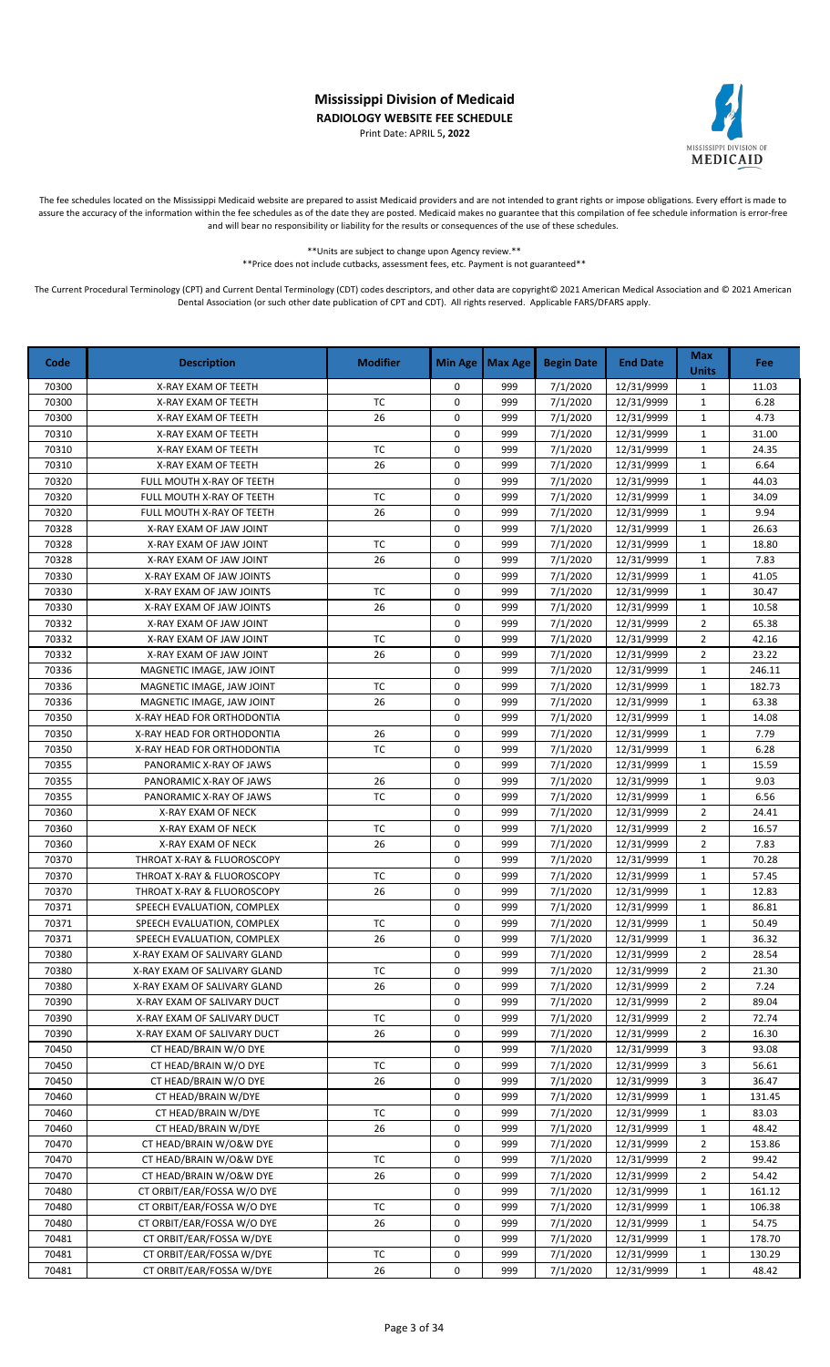Print Date: APRIL 5**, 2022**



The fee schedules located on the Mississippi Medicaid website are prepared to assist Medicaid providers and are not intended to grant rights or impose obligations. Every effort is made to assure the accuracy of the information within the fee schedules as of the date they are posted. Medicaid makes no guarantee that this compilation of fee schedule information is error-free and will bear no responsibility or liability for the results or consequences of the use of these schedules.

> \*\*Units are subject to change upon Agency review.\*\* \*\*Price does not include cutbacks, assessment fees, etc. Payment is not guaranteed\*\*

| Code  | <b>Description</b>           | <b>Modifier</b> | <b>Min Age</b> | <b>Max Age</b> | <b>Begin Date</b> | <b>End Date</b> | <b>Max</b><br><b>Units</b> | Fee    |
|-------|------------------------------|-----------------|----------------|----------------|-------------------|-----------------|----------------------------|--------|
| 70300 | X-RAY EXAM OF TEETH          |                 | 0              | 999            | 7/1/2020          | 12/31/9999      | $\mathbf{1}$               | 11.03  |
| 70300 | X-RAY EXAM OF TEETH          | TC              | 0              | 999            | 7/1/2020          | 12/31/9999      | $\mathbf 1$                | 6.28   |
| 70300 | X-RAY EXAM OF TEETH          | 26              | 0              | 999            | 7/1/2020          | 12/31/9999      | $\mathbf{1}$               | 4.73   |
| 70310 | X-RAY EXAM OF TEETH          |                 | 0              | 999            | 7/1/2020          | 12/31/9999      | $\mathbf{1}$               | 31.00  |
| 70310 | X-RAY EXAM OF TEETH          | <b>TC</b>       | 0              | 999            | 7/1/2020          | 12/31/9999      | $\mathbf{1}$               | 24.35  |
| 70310 | X-RAY EXAM OF TEETH          | 26              | 0              | 999            | 7/1/2020          | 12/31/9999      | $\mathbf{1}$               | 6.64   |
| 70320 | FULL MOUTH X-RAY OF TEETH    |                 | 0              | 999            | 7/1/2020          | 12/31/9999      | $\mathbf{1}$               | 44.03  |
| 70320 | FULL MOUTH X-RAY OF TEETH    | <b>TC</b>       | 0              | 999            | 7/1/2020          | 12/31/9999      | $\mathbf{1}$               | 34.09  |
| 70320 | FULL MOUTH X-RAY OF TEETH    | 26              | 0              | 999            | 7/1/2020          | 12/31/9999      | $\mathbf{1}$               | 9.94   |
| 70328 | X-RAY EXAM OF JAW JOINT      |                 | 0              | 999            | 7/1/2020          | 12/31/9999      | $\mathbf{1}$               | 26.63  |
| 70328 | X-RAY EXAM OF JAW JOINT      | <b>TC</b>       | 0              | 999            | 7/1/2020          | 12/31/9999      | $\mathbf{1}$               | 18.80  |
| 70328 | X-RAY EXAM OF JAW JOINT      | 26              | 0              | 999            | 7/1/2020          | 12/31/9999      | $\mathbf 1$                | 7.83   |
| 70330 | X-RAY EXAM OF JAW JOINTS     |                 | 0              | 999            | 7/1/2020          | 12/31/9999      | $\mathbf{1}$               | 41.05  |
| 70330 | X-RAY EXAM OF JAW JOINTS     | <b>TC</b>       | 0              | 999            | 7/1/2020          | 12/31/9999      | $\mathbf{1}$               | 30.47  |
| 70330 | X-RAY EXAM OF JAW JOINTS     | 26              | 0              | 999            | 7/1/2020          | 12/31/9999      | $\mathbf{1}$               | 10.58  |
| 70332 | X-RAY EXAM OF JAW JOINT      |                 | 0              | 999            | 7/1/2020          | 12/31/9999      | $\overline{2}$             | 65.38  |
| 70332 | X-RAY EXAM OF JAW JOINT      | <b>TC</b>       | 0              | 999            | 7/1/2020          | 12/31/9999      | $\overline{2}$             | 42.16  |
| 70332 | X-RAY EXAM OF JAW JOINT      | 26              | 0              | 999            | 7/1/2020          | 12/31/9999      | $\overline{2}$             | 23.22  |
| 70336 | MAGNETIC IMAGE, JAW JOINT    |                 | 0              | 999            | 7/1/2020          | 12/31/9999      | $\mathbf{1}$               | 246.11 |
| 70336 | MAGNETIC IMAGE. JAW JOINT    | <b>TC</b>       | 0              | 999            | 7/1/2020          | 12/31/9999      | $\mathbf{1}$               | 182.73 |
| 70336 | MAGNETIC IMAGE, JAW JOINT    | 26              | 0              | 999            | 7/1/2020          | 12/31/9999      | $\mathbf{1}$               | 63.38  |
| 70350 | X-RAY HEAD FOR ORTHODONTIA   |                 | 0              | 999            | 7/1/2020          | 12/31/9999      | $\mathbf{1}$               | 14.08  |
| 70350 | X-RAY HEAD FOR ORTHODONTIA   | 26              | 0              | 999            | 7/1/2020          | 12/31/9999      | $\mathbf{1}$               | 7.79   |
| 70350 | X-RAY HEAD FOR ORTHODONTIA   | <b>TC</b>       | 0              | 999            | 7/1/2020          | 12/31/9999      | $\mathbf{1}$               | 6.28   |
| 70355 | PANORAMIC X-RAY OF JAWS      |                 | 0              | 999            | 7/1/2020          | 12/31/9999      | $\mathbf{1}$               | 15.59  |
| 70355 | PANORAMIC X-RAY OF JAWS      | 26              | 0              | 999            | 7/1/2020          | 12/31/9999      | $\mathbf{1}$               | 9.03   |
| 70355 | PANORAMIC X-RAY OF JAWS      | TC              | 0              | 999            | 7/1/2020          | 12/31/9999      | $\mathbf{1}$               | 6.56   |
| 70360 | X-RAY EXAM OF NECK           |                 | 0              | 999            | 7/1/2020          | 12/31/9999      | $\overline{2}$             | 24.41  |
| 70360 | X-RAY EXAM OF NECK           | <b>TC</b>       | 0              | 999            | 7/1/2020          | 12/31/9999      | $\overline{2}$             | 16.57  |
| 70360 | X-RAY EXAM OF NECK           | 26              | 0              | 999            | 7/1/2020          | 12/31/9999      | $\overline{2}$             | 7.83   |
| 70370 | THROAT X-RAY & FLUOROSCOPY   |                 | 0              | 999            | 7/1/2020          | 12/31/9999      | $\mathbf{1}$               | 70.28  |
| 70370 | THROAT X-RAY & FLUOROSCOPY   | <b>TC</b>       | 0              | 999            | 7/1/2020          | 12/31/9999      | $\mathbf{1}$               | 57.45  |
| 70370 | THROAT X-RAY & FLUOROSCOPY   | 26              | 0              | 999            | 7/1/2020          | 12/31/9999      | $\mathbf{1}$               | 12.83  |
| 70371 | SPEECH EVALUATION, COMPLEX   |                 | 0              | 999            | 7/1/2020          | 12/31/9999      | $\mathbf{1}$               | 86.81  |
| 70371 | SPEECH EVALUATION, COMPLEX   | <b>TC</b>       | 0              | 999            | 7/1/2020          | 12/31/9999      | $\mathbf{1}$               | 50.49  |
| 70371 | SPEECH EVALUATION, COMPLEX   | 26              | 0              | 999            | 7/1/2020          | 12/31/9999      | $\mathbf{1}$               | 36.32  |
| 70380 | X-RAY EXAM OF SALIVARY GLAND |                 | 0              | 999            | 7/1/2020          | 12/31/9999      | $\overline{2}$             | 28.54  |
| 70380 | X-RAY EXAM OF SALIVARY GLAND | ТC              | 0              | 999            | 7/1/2020          | 12/31/9999      | $\overline{2}$             | 21.30  |
| 70380 | X-RAY EXAM OF SALIVARY GLAND | 26              | 0              | 999            | 7/1/2020          | 12/31/9999      | 2                          | 7.24   |
| 70390 | X-RAY EXAM OF SALIVARY DUCT  |                 | 0              | 999            | 7/1/2020          | 12/31/9999      | $\overline{2}$             | 89.04  |
| 70390 | X-RAY EXAM OF SALIVARY DUCT  | <b>TC</b>       | 0              | 999            | 7/1/2020          | 12/31/9999      | $\overline{2}$             | 72.74  |
| 70390 | X-RAY EXAM OF SALIVARY DUCT  | 26              | 0              | 999            | 7/1/2020          | 12/31/9999      | 2                          | 16.30  |
| 70450 | CT HEAD/BRAIN W/O DYE        |                 | 0              | 999            | 7/1/2020          | 12/31/9999      | 3                          | 93.08  |
| 70450 | CT HEAD/BRAIN W/O DYE        | ТC              | 0              | 999            | 7/1/2020          | 12/31/9999      | 3                          | 56.61  |
| 70450 | CT HEAD/BRAIN W/O DYE        | 26              | 0              | 999            | 7/1/2020          | 12/31/9999      | 3                          | 36.47  |
| 70460 | CT HEAD/BRAIN W/DYE          |                 | 0              | 999            | 7/1/2020          | 12/31/9999      | $\mathbf{1}$               | 131.45 |
| 70460 | CT HEAD/BRAIN W/DYE          | <b>TC</b>       | 0              | 999            | 7/1/2020          | 12/31/9999      | $\mathbf{1}$               | 83.03  |
| 70460 | CT HEAD/BRAIN W/DYE          | 26              | 0              | 999            | 7/1/2020          | 12/31/9999      | $\mathbf{1}$               | 48.42  |
| 70470 | CT HEAD/BRAIN W/O&W DYE      |                 | 0              | 999            | 7/1/2020          | 12/31/9999      | $\overline{2}$             | 153.86 |
| 70470 | CT HEAD/BRAIN W/O&W DYE      | <b>TC</b>       | 0              | 999            | 7/1/2020          | 12/31/9999      | 2                          | 99.42  |
| 70470 | CT HEAD/BRAIN W/O&W DYE      | 26              | 0              | 999            | 7/1/2020          | 12/31/9999      | $\overline{2}$             | 54.42  |
| 70480 | CT ORBIT/EAR/FOSSA W/O DYE   |                 | 0              | 999            | 7/1/2020          | 12/31/9999      | $\mathbf{1}$               | 161.12 |
| 70480 | CT ORBIT/EAR/FOSSA W/O DYE   | TC              | 0              | 999            | 7/1/2020          | 12/31/9999      | $\mathbf{1}$               | 106.38 |
| 70480 | CT ORBIT/EAR/FOSSA W/O DYE   | 26              | 0              | 999            | 7/1/2020          | 12/31/9999      | $\mathbf{1}$               | 54.75  |
| 70481 | CT ORBIT/EAR/FOSSA W/DYE     |                 | 0              | 999            | 7/1/2020          | 12/31/9999      | $\mathbf{1}$               | 178.70 |
| 70481 | CT ORBIT/EAR/FOSSA W/DYE     | TC              | 0              | 999            | 7/1/2020          | 12/31/9999      | $\mathbf{1}$               | 130.29 |
| 70481 | CT ORBIT/EAR/FOSSA W/DYE     | 26              | 0              | 999            | 7/1/2020          | 12/31/9999      | $\mathbf{1}$               | 48.42  |
|       |                              |                 |                |                |                   |                 |                            |        |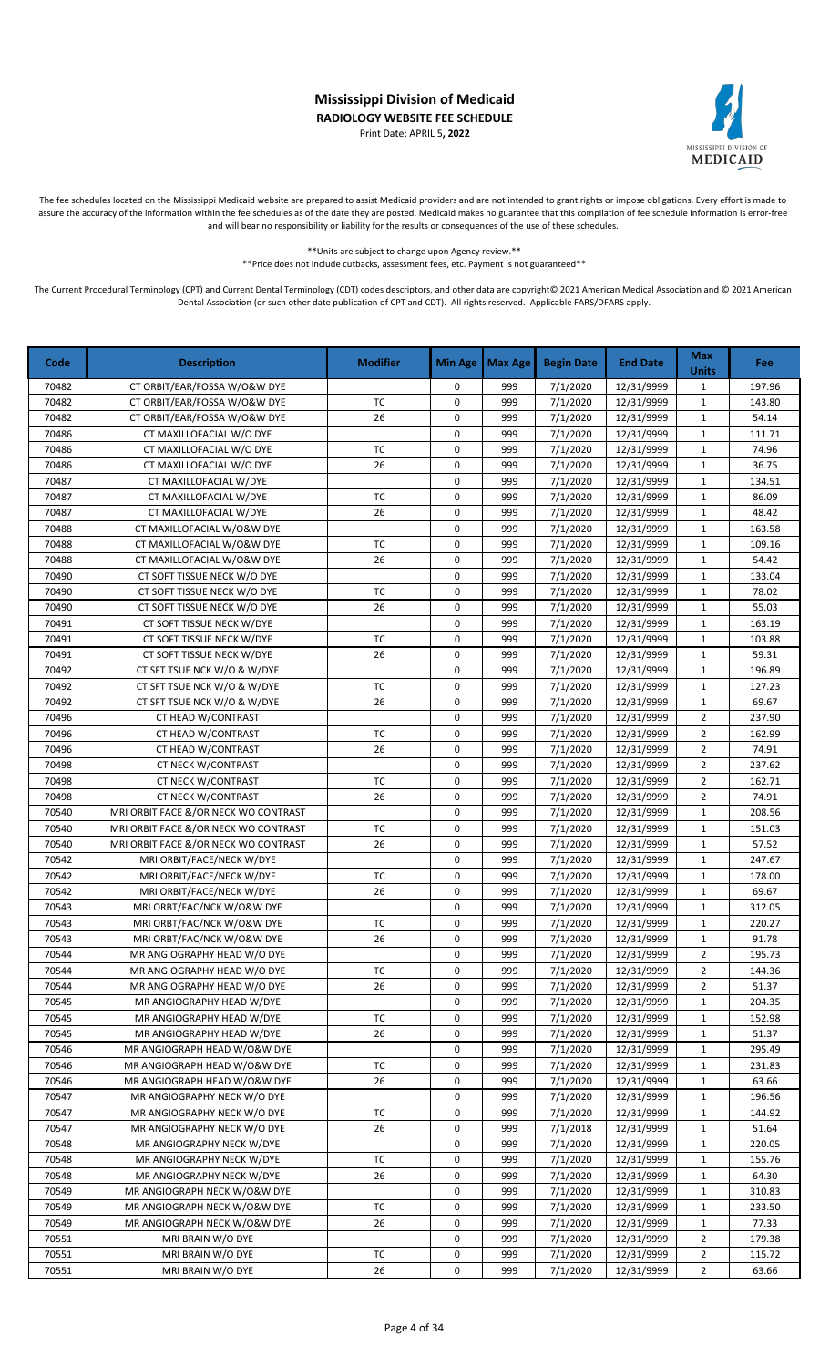Print Date: APRIL 5**, 2022**



The fee schedules located on the Mississippi Medicaid website are prepared to assist Medicaid providers and are not intended to grant rights or impose obligations. Every effort is made to assure the accuracy of the information within the fee schedules as of the date they are posted. Medicaid makes no guarantee that this compilation of fee schedule information is error-free and will bear no responsibility or liability for the results or consequences of the use of these schedules.

> \*\*Units are subject to change upon Agency review.\*\* \*\*Price does not include cutbacks, assessment fees, etc. Payment is not guaranteed\*\*

| Code  | <b>Description</b>                   | <b>Modifier</b> | <b>Min Age</b> | Max Age | <b>Begin Date</b> | <b>End Date</b> | <b>Max</b><br><b>Units</b> | Fee    |
|-------|--------------------------------------|-----------------|----------------|---------|-------------------|-----------------|----------------------------|--------|
| 70482 | CT ORBIT/EAR/FOSSA W/O&W DYE         |                 | 0              | 999     | 7/1/2020          | 12/31/9999      | $\mathbf{1}$               | 197.96 |
| 70482 | CT ORBIT/EAR/FOSSA W/O&W DYE         | TC              | 0              | 999     | 7/1/2020          | 12/31/9999      | $\mathbf{1}$               | 143.80 |
| 70482 | CT ORBIT/EAR/FOSSA W/O&W DYE         | 26              | 0              | 999     | 7/1/2020          | 12/31/9999      | $\mathbf{1}$               | 54.14  |
| 70486 | CT MAXILLOFACIAL W/O DYE             |                 | 0              | 999     | 7/1/2020          | 12/31/9999      | 1                          | 111.71 |
| 70486 | CT MAXILLOFACIAL W/O DYE             | TC              | 0              | 999     | 7/1/2020          | 12/31/9999      | $\mathbf{1}$               | 74.96  |
| 70486 | CT MAXILLOFACIAL W/O DYE             | 26              | 0              | 999     | 7/1/2020          | 12/31/9999      | $\mathbf{1}$               | 36.75  |
| 70487 | CT MAXILLOFACIAL W/DYE               |                 | 0              | 999     | 7/1/2020          | 12/31/9999      | $\mathbf{1}$               | 134.51 |
| 70487 | CT MAXILLOFACIAL W/DYE               | <b>TC</b>       | 0              | 999     | 7/1/2020          | 12/31/9999      | $\mathbf{1}$               | 86.09  |
| 70487 | CT MAXILLOFACIAL W/DYE               | 26              | 0              | 999     | 7/1/2020          | 12/31/9999      | $\mathbf{1}$               | 48.42  |
| 70488 | CT MAXILLOFACIAL W/O&W DYE           |                 | 0              | 999     | 7/1/2020          | 12/31/9999      | $\mathbf{1}$               | 163.58 |
| 70488 | CT MAXILLOFACIAL W/O&W DYE           | <b>TC</b>       | 0              | 999     | 7/1/2020          | 12/31/9999      | $\mathbf{1}$               | 109.16 |
| 70488 | CT MAXILLOFACIAL W/O&W DYE           | 26              | 0              | 999     | 7/1/2020          | 12/31/9999      | $\mathbf{1}$               | 54.42  |
| 70490 | CT SOFT TISSUE NECK W/O DYE          |                 | 0              | 999     | 7/1/2020          | 12/31/9999      | $\mathbf 1$                | 133.04 |
| 70490 | CT SOFT TISSUE NECK W/O DYE          | TC              | 0              | 999     | 7/1/2020          | 12/31/9999      | $\mathbf{1}$               | 78.02  |
| 70490 | CT SOFT TISSUE NECK W/O DYE          | 26              | 0              | 999     | 7/1/2020          | 12/31/9999      | $\mathbf{1}$               | 55.03  |
| 70491 | CT SOFT TISSUE NECK W/DYE            |                 | 0              | 999     | 7/1/2020          | 12/31/9999      | $\mathbf{1}$               | 163.19 |
| 70491 | CT SOFT TISSUE NECK W/DYE            | TC              | 0              | 999     | 7/1/2020          | 12/31/9999      | $\mathbf 1$                | 103.88 |
| 70491 | CT SOFT TISSUE NECK W/DYE            | 26              | 0              | 999     | 7/1/2020          | 12/31/9999      | $\mathbf{1}$               | 59.31  |
| 70492 | CT SFT TSUE NCK W/O & W/DYE          |                 | 0              | 999     | 7/1/2020          | 12/31/9999      | $\mathbf 1$                | 196.89 |
| 70492 | CT SFT TSUE NCK W/O & W/DYE          | TC              | 0              | 999     | 7/1/2020          | 12/31/9999      | $\mathbf{1}$               | 127.23 |
| 70492 | CT SFT TSUE NCK W/O & W/DYE          | 26              | 0              | 999     | 7/1/2020          | 12/31/9999      | $\mathbf{1}$               | 69.67  |
| 70496 | CT HEAD W/CONTRAST                   |                 | 0              | 999     | 7/1/2020          | 12/31/9999      | $\overline{2}$             | 237.90 |
| 70496 | CT HEAD W/CONTRAST                   | TC              | 0              | 999     | 7/1/2020          | 12/31/9999      | $\overline{2}$             | 162.99 |
| 70496 | CT HEAD W/CONTRAST                   | 26              | $\mathbf 0$    | 999     | 7/1/2020          | 12/31/9999      | $\overline{2}$             | 74.91  |
| 70498 | CT NECK W/CONTRAST                   |                 | 0              | 999     | 7/1/2020          | 12/31/9999      | $\overline{2}$             | 237.62 |
| 70498 | CT NECK W/CONTRAST                   | <b>TC</b>       | 0              | 999     | 7/1/2020          | 12/31/9999      | $\overline{2}$             | 162.71 |
| 70498 | CT NECK W/CONTRAST                   | 26              | 0              | 999     | 7/1/2020          | 12/31/9999      | $\overline{2}$             | 74.91  |
| 70540 | MRI ORBIT FACE &/OR NECK WO CONTRAST |                 | 0              | 999     | 7/1/2020          | 12/31/9999      | $\mathbf{1}$               | 208.56 |
| 70540 | MRI ORBIT FACE &/OR NECK WO CONTRAST | TC              | 0              | 999     | 7/1/2020          | 12/31/9999      | $\mathbf{1}$               | 151.03 |
| 70540 | MRI ORBIT FACE &/OR NECK WO CONTRAST | 26              | 0              | 999     | 7/1/2020          | 12/31/9999      | $\mathbf 1$                | 57.52  |
| 70542 | MRI ORBIT/FACE/NECK W/DYE            |                 | 0              | 999     | 7/1/2020          | 12/31/9999      | $\mathbf{1}$               | 247.67 |
| 70542 | MRI ORBIT/FACE/NECK W/DYE            | <b>TC</b>       | 0              | 999     | 7/1/2020          | 12/31/9999      | $\mathbf{1}$               | 178.00 |
| 70542 | MRI ORBIT/FACE/NECK W/DYE            | 26              | 0              | 999     | 7/1/2020          | 12/31/9999      | $\mathbf{1}$               | 69.67  |
| 70543 | MRI ORBT/FAC/NCK W/O&W DYE           |                 | 0              | 999     | 7/1/2020          | 12/31/9999      | $\mathbf{1}$               | 312.05 |
| 70543 | MRI ORBT/FAC/NCK W/O&W DYE           | TC              | 0              | 999     | 7/1/2020          | 12/31/9999      | $\mathbf{1}$               | 220.27 |
| 70543 | MRI ORBT/FAC/NCK W/O&W DYE           | 26              | 0              | 999     | 7/1/2020          | 12/31/9999      | $\mathbf{1}$               | 91.78  |
| 70544 | MR ANGIOGRAPHY HEAD W/O DYE          |                 | 0              | 999     | 7/1/2020          | 12/31/9999      | 2                          | 195.73 |
| 70544 | MR ANGIOGRAPHY HEAD W/O DYE          | ТC              | 0              | 999     | 7/1/2020          | 12/31/9999      | $\overline{2}$             | 144.36 |
| 70544 | MR ANGIOGRAPHY HEAD W/O DYE          | 26              | 0              | 999     | 7/1/2020          | 12/31/9999      | $\overline{2}$             | 51.37  |
| 70545 | MR ANGIOGRAPHY HEAD W/DYE            |                 | 0              | 999     | 7/1/2020          | 12/31/9999      | $\mathbf{1}$               | 204.35 |
| 70545 | MR ANGIOGRAPHY HEAD W/DYE            | TC              | 0              | 999     | 7/1/2020          | 12/31/9999      | $\mathbf{1}$               | 152.98 |
| 70545 | MR ANGIOGRAPHY HEAD W/DYE            | 26              | 0              | 999     | 7/1/2020          | 12/31/9999      | $\mathbf{1}$               | 51.37  |
| 70546 | MR ANGIOGRAPH HEAD W/O&W DYE         |                 | 0              | 999     | 7/1/2020          | 12/31/9999      | $\mathbf{1}$               | 295.49 |
| 70546 | MR ANGIOGRAPH HEAD W/O&W DYE         | TC              | 0              | 999     | 7/1/2020          | 12/31/9999      | $\mathbf{1}$               | 231.83 |
| 70546 | MR ANGIOGRAPH HEAD W/O&W DYE         | 26              | 0              | 999     | 7/1/2020          | 12/31/9999      | 1                          | 63.66  |
| 70547 | MR ANGIOGRAPHY NECK W/O DYE          |                 | 0              | 999     | 7/1/2020          | 12/31/9999      | $\mathbf{1}$               | 196.56 |
| 70547 | MR ANGIOGRAPHY NECK W/O DYE          | ТC              | 0              | 999     | 7/1/2020          | 12/31/9999      | $\mathbf{1}$               | 144.92 |
| 70547 | MR ANGIOGRAPHY NECK W/O DYE          | 26              | 0              | 999     | 7/1/2018          | 12/31/9999      | $\mathbf{1}$               | 51.64  |
| 70548 | MR ANGIOGRAPHY NECK W/DYE            |                 | 0              | 999     | 7/1/2020          | 12/31/9999      | $\mathbf{1}$               | 220.05 |
| 70548 | MR ANGIOGRAPHY NECK W/DYE            | ТC              | 0              | 999     | 7/1/2020          | 12/31/9999      | $\mathbf{1}$               | 155.76 |
| 70548 | MR ANGIOGRAPHY NECK W/DYE            | 26              | 0              | 999     | 7/1/2020          | 12/31/9999      | $\mathbf{1}$               | 64.30  |
| 70549 | MR ANGIOGRAPH NECK W/O&W DYE         |                 | 0              | 999     | 7/1/2020          | 12/31/9999      | 1                          | 310.83 |
| 70549 | MR ANGIOGRAPH NECK W/O&W DYE         | TC              | 0              | 999     | 7/1/2020          | 12/31/9999      | 1                          | 233.50 |
| 70549 | MR ANGIOGRAPH NECK W/O&W DYE         | 26              | 0              | 999     | 7/1/2020          | 12/31/9999      | $\mathbf{1}$               | 77.33  |
| 70551 | MRI BRAIN W/O DYE                    |                 | 0              | 999     | 7/1/2020          | 12/31/9999      | $\overline{2}$             | 179.38 |
| 70551 | MRI BRAIN W/O DYE                    | ТC              | 0              | 999     | 7/1/2020          | 12/31/9999      | $\overline{2}$             | 115.72 |
| 70551 | MRI BRAIN W/O DYE                    | 26              | 0              | 999     | 7/1/2020          | 12/31/9999      | $\overline{2}$             | 63.66  |
|       |                                      |                 |                |         |                   |                 |                            |        |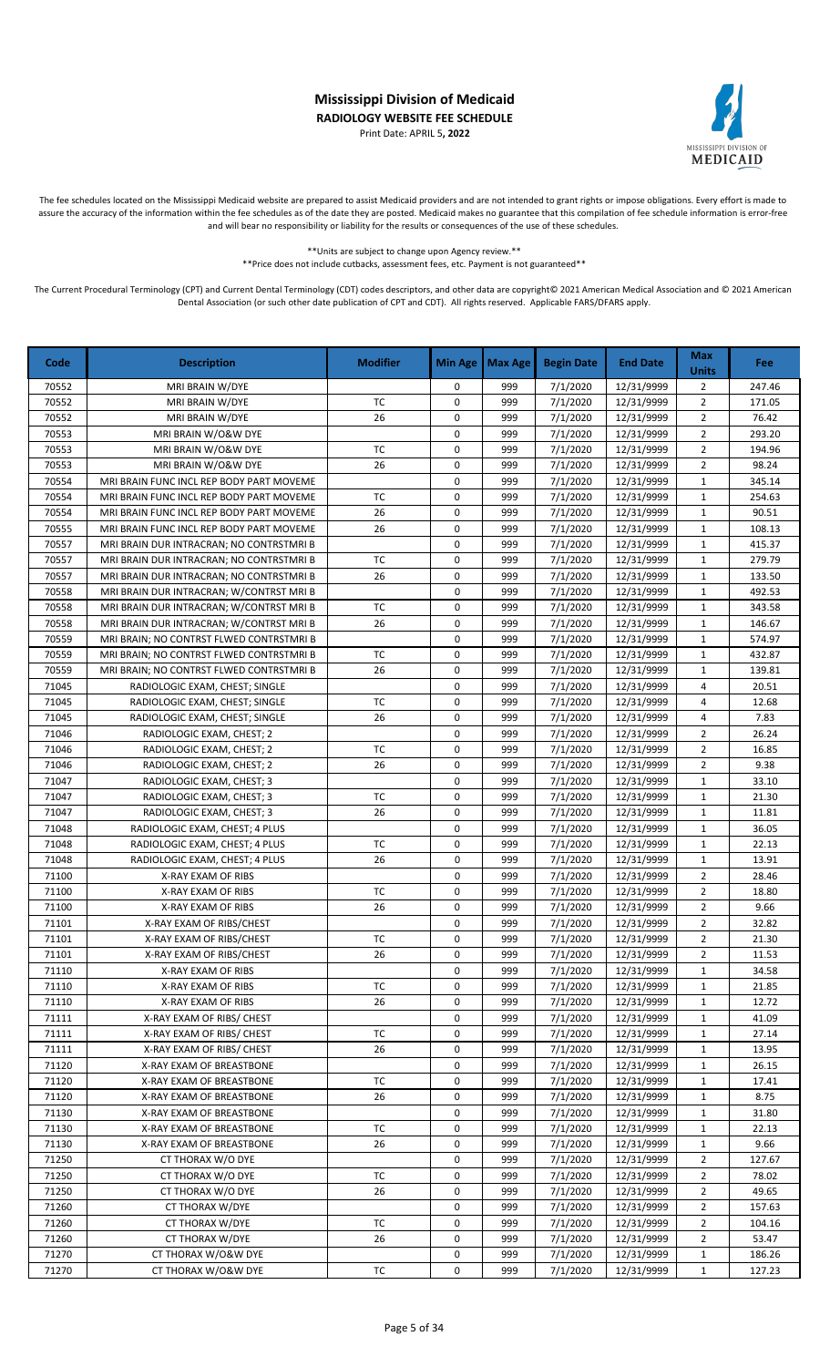Print Date: APRIL 5**, 2022**



The fee schedules located on the Mississippi Medicaid website are prepared to assist Medicaid providers and are not intended to grant rights or impose obligations. Every effort is made to assure the accuracy of the information within the fee schedules as of the date they are posted. Medicaid makes no guarantee that this compilation of fee schedule information is error-free and will bear no responsibility or liability for the results or consequences of the use of these schedules.

> \*\*Units are subject to change upon Agency review.\*\* \*\*Price does not include cutbacks, assessment fees, etc. Payment is not guaranteed\*\*

| Code  | <b>Description</b>                       | <b>Modifier</b> | <b>Min Age</b> | <b>Max Age</b> | <b>Begin Date</b> | <b>End Date</b> | <b>Max</b><br><b>Units</b> | <b>Fee</b> |
|-------|------------------------------------------|-----------------|----------------|----------------|-------------------|-----------------|----------------------------|------------|
| 70552 | MRI BRAIN W/DYE                          |                 | 0              | 999            | 7/1/2020          | 12/31/9999      | $\overline{2}$             | 247.46     |
| 70552 | MRI BRAIN W/DYE                          | <b>TC</b>       | 0              | 999            | 7/1/2020          | 12/31/9999      | $\overline{2}$             | 171.05     |
| 70552 | MRI BRAIN W/DYE                          | 26              | $\pmb{0}$      | 999            | 7/1/2020          | 12/31/9999      | $\sqrt{2}$                 | 76.42      |
| 70553 | MRI BRAIN W/O&W DYE                      |                 | 0              | 999            | 7/1/2020          | 12/31/9999      | $\overline{2}$             | 293.20     |
| 70553 | MRI BRAIN W/O&W DYE                      | TC              | 0              | 999            | 7/1/2020          | 12/31/9999      | $\overline{2}$             | 194.96     |
| 70553 | MRI BRAIN W/O&W DYE                      | 26              | 0              | 999            | 7/1/2020          | 12/31/9999      | $\overline{2}$             | 98.24      |
| 70554 | MRI BRAIN FUNC INCL REP BODY PART MOVEME |                 | $\mathbf 0$    | 999            | 7/1/2020          | 12/31/9999      | $\mathbf 1$                | 345.14     |
| 70554 | MRI BRAIN FUNC INCL REP BODY PART MOVEME | TC              | 0              | 999            | 7/1/2020          | 12/31/9999      | $\mathbf{1}$               | 254.63     |
| 70554 | MRI BRAIN FUNC INCL REP BODY PART MOVEME | 26              | $\pmb{0}$      | 999            | 7/1/2020          | 12/31/9999      | $\mathbf{1}$               | 90.51      |
| 70555 | MRI BRAIN FUNC INCL REP BODY PART MOVEME | 26              | $\pmb{0}$      | 999            | 7/1/2020          | 12/31/9999      | $\mathbf{1}$               | 108.13     |
| 70557 | MRI BRAIN DUR INTRACRAN; NO CONTRSTMRI B |                 | 0              | 999            | 7/1/2020          | 12/31/9999      | $\mathbf 1$                | 415.37     |
| 70557 | MRI BRAIN DUR INTRACRAN; NO CONTRSTMRI B | TC              | $\pmb{0}$      | 999            | 7/1/2020          | 12/31/9999      | $\mathbf{1}$               | 279.79     |
| 70557 | MRI BRAIN DUR INTRACRAN; NO CONTRSTMRI B | 26              | $\pmb{0}$      | 999            | 7/1/2020          | 12/31/9999      | $\mathbf{1}$               | 133.50     |
| 70558 | MRI BRAIN DUR INTRACRAN; W/CONTRST MRI B |                 | 0              | 999            | 7/1/2020          | 12/31/9999      | $\mathbf{1}$               | 492.53     |
| 70558 | MRI BRAIN DUR INTRACRAN; W/CONTRST MRI B | <b>TC</b>       | 0              | 999            | 7/1/2020          | 12/31/9999      | $\mathbf 1$                | 343.58     |
| 70558 | MRI BRAIN DUR INTRACRAN; W/CONTRST MRI B | 26              | $\pmb{0}$      | 999            | 7/1/2020          | 12/31/9999      | $\mathbf{1}$               | 146.67     |
| 70559 | MRI BRAIN; NO CONTRST FLWED CONTRSTMRI B |                 | $\pmb{0}$      | 999            | 7/1/2020          | 12/31/9999      | $\mathbf 1$                | 574.97     |
| 70559 | MRI BRAIN; NO CONTRST FLWED CONTRSTMRI B | TC              | 0              | 999            | 7/1/2020          | 12/31/9999      | $\mathbf{1}$               | 432.87     |
| 70559 | MRI BRAIN; NO CONTRST FLWED CONTRSTMRI B | 26              | $\mathbf 0$    | 999            | 7/1/2020          | 12/31/9999      | $\mathbf 1$                | 139.81     |
| 71045 | RADIOLOGIC EXAM, CHEST; SINGLE           |                 | 0              | 999            | 7/1/2020          | 12/31/9999      | $\overline{4}$             | 20.51      |
| 71045 | RADIOLOGIC EXAM, CHEST; SINGLE           | TC              | 0              | 999            | 7/1/2020          | 12/31/9999      | $\overline{4}$             | 12.68      |
| 71045 | RADIOLOGIC EXAM, CHEST; SINGLE           | 26              | $\pmb{0}$      | 999            | 7/1/2020          | 12/31/9999      | 4                          | 7.83       |
| 71046 | RADIOLOGIC EXAM, CHEST; 2                |                 | 0              | 999            | 7/1/2020          | 12/31/9999      | $\overline{2}$             | 26.24      |
| 71046 | RADIOLOGIC EXAM, CHEST; 2                | <b>TC</b>       | 0              | 999            | 7/1/2020          | 12/31/9999      | $\overline{2}$             | 16.85      |
| 71046 | RADIOLOGIC EXAM, CHEST; 2                | 26              | $\mathbf 0$    | 999            | 7/1/2020          | 12/31/9999      | $\overline{2}$             | 9.38       |
| 71047 | RADIOLOGIC EXAM, CHEST; 3                |                 | $\pmb{0}$      | 999            | 7/1/2020          | 12/31/9999      | $\mathbf{1}$               | 33.10      |
| 71047 | RADIOLOGIC EXAM, CHEST; 3                | TC              | 0              | 999            | 7/1/2020          | 12/31/9999      | $\mathbf{1}$               | 21.30      |
| 71047 | RADIOLOGIC EXAM, CHEST; 3                | 26              | $\pmb{0}$      | 999            | 7/1/2020          | 12/31/9999      | $\mathbf{1}$               | 11.81      |
| 71048 | RADIOLOGIC EXAM, CHEST; 4 PLUS           |                 | 0              | 999            | 7/1/2020          | 12/31/9999      | $\mathbf{1}$               | 36.05      |
| 71048 | RADIOLOGIC EXAM, CHEST; 4 PLUS           | TC              | $\pmb{0}$      | 999            | 7/1/2020          | 12/31/9999      | $\mathbf{1}$               | 22.13      |
| 71048 | RADIOLOGIC EXAM, CHEST; 4 PLUS           | 26              | 0              | 999            | 7/1/2020          | 12/31/9999      | $\mathbf{1}$               | 13.91      |
| 71100 | X-RAY EXAM OF RIBS                       |                 | 0              | 999            | 7/1/2020          | 12/31/9999      | $\overline{2}$             | 28.46      |
| 71100 | X-RAY EXAM OF RIBS                       | TC              | 0              | 999            | 7/1/2020          | 12/31/9999      | $\overline{2}$             | 18.80      |
| 71100 | X-RAY EXAM OF RIBS                       | 26              | $\pmb{0}$      | 999            | 7/1/2020          | 12/31/9999      | $\overline{2}$             | 9.66       |
| 71101 | X-RAY EXAM OF RIBS/CHEST                 |                 | 0              | 999            | 7/1/2020          | 12/31/9999      | $\overline{2}$             | 32.82      |
| 71101 | X-RAY EXAM OF RIBS/CHEST                 | <b>TC</b>       | 0              | 999            | 7/1/2020          | 12/31/9999      | $\overline{2}$             | 21.30      |
| 71101 | X-RAY EXAM OF RIBS/CHEST                 | 26              | 0              | 999            | 7/1/2020          | 12/31/9999      | $\overline{2}$             | 11.53      |
| 71110 | X-RAY EXAM OF RIBS                       |                 | 0              | 999            | 7/1/2020          | 12/31/9999      | 1                          | 34.58      |
| 71110 | X-RAY EXAM OF RIBS                       | ТC              | 0              | 999            | 7/1/2020          | 12/31/9999      | 1                          | 21.85      |
| 71110 | X-RAY EXAM OF RIBS                       | 26              | 0              | 999            | 7/1/2020          | 12/31/9999      | 1                          | 12.72      |
| 71111 | X-RAY EXAM OF RIBS/ CHEST                |                 | 0              | 999            | 7/1/2020          | 12/31/9999      | 1                          | 41.09      |
| 71111 | X-RAY EXAM OF RIBS/ CHEST                | TC              | 0              | 999            | 7/1/2020          | 12/31/9999      | 1                          | 27.14      |
| 71111 | X-RAY EXAM OF RIBS/ CHEST                | 26              | 0              | 999            | 7/1/2020          | 12/31/9999      | 1                          | 13.95      |
| 71120 | X-RAY EXAM OF BREASTBONE                 |                 | 0              | 999            | 7/1/2020          | 12/31/9999      | $\mathbf{1}$               | 26.15      |
| 71120 | X-RAY EXAM OF BREASTBONE                 | тс              | 0              | 999            | 7/1/2020          | 12/31/9999      | 1                          | 17.41      |
| 71120 | X-RAY EXAM OF BREASTBONE                 | 26              | 0              | 999            | 7/1/2020          | 12/31/9999      | 1                          | 8.75       |
| 71130 | X-RAY EXAM OF BREASTBONE                 |                 | 0              | 999            | 7/1/2020          | 12/31/9999      | 1                          | 31.80      |
| 71130 | X-RAY EXAM OF BREASTBONE                 | ТC              | 0              | 999            | 7/1/2020          | 12/31/9999      | $\mathbf{1}$               | 22.13      |
| 71130 | X-RAY EXAM OF BREASTBONE                 | 26              | 0              | 999            | 7/1/2020          | 12/31/9999      | $\mathbf{1}$               | 9.66       |
| 71250 | CT THORAX W/O DYE                        |                 | 0              | 999            | 7/1/2020          | 12/31/9999      | $\overline{2}$             | 127.67     |
| 71250 | CT THORAX W/O DYE                        | ТC              | 0              | 999            | 7/1/2020          | 12/31/9999      | $\overline{2}$             | 78.02      |
| 71250 | CT THORAX W/O DYE                        | 26              | 0              | 999            | 7/1/2020          | 12/31/9999      | $\overline{2}$             | 49.65      |
| 71260 | CT THORAX W/DYE                          |                 | 0              | 999            | 7/1/2020          | 12/31/9999      | $\overline{2}$             | 157.63     |
| 71260 | CT THORAX W/DYE                          | ТC              | 0              | 999            | 7/1/2020          | 12/31/9999      | $\overline{2}$             | 104.16     |
| 71260 | CT THORAX W/DYE                          | 26              | 0              | 999            | 7/1/2020          | 12/31/9999      | $\overline{2}$             | 53.47      |
| 71270 | CT THORAX W/O&W DYE                      |                 | 0              | 999            | 7/1/2020          | 12/31/9999      | $\mathbf{1}$               | 186.26     |
| 71270 | CT THORAX W/O&W DYE                      | TC              | 0              | 999            | 7/1/2020          | 12/31/9999      | $\mathbf{1}$               | 127.23     |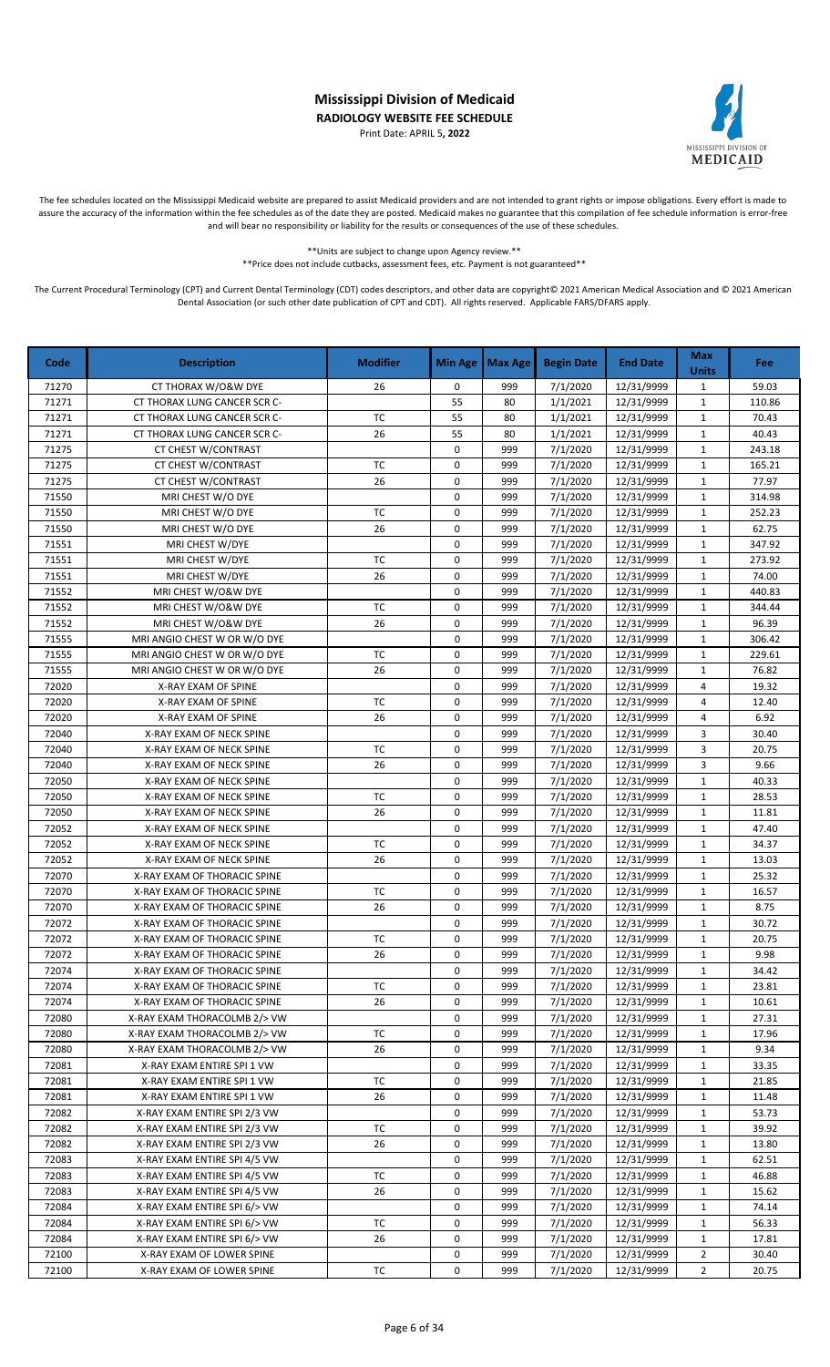Print Date: APRIL 5**, 2022**



The fee schedules located on the Mississippi Medicaid website are prepared to assist Medicaid providers and are not intended to grant rights or impose obligations. Every effort is made to assure the accuracy of the information within the fee schedules as of the date they are posted. Medicaid makes no guarantee that this compilation of fee schedule information is error-free and will bear no responsibility or liability for the results or consequences of the use of these schedules.

> \*\*Units are subject to change upon Agency review.\*\* \*\*Price does not include cutbacks, assessment fees, etc. Payment is not guaranteed\*\*

| Code  | <b>Description</b>           | <b>Modifier</b> | <b>Min Age</b> | <b>Max Age</b> | <b>Begin Date</b> | <b>End Date</b> | <b>Max</b><br><b>Units</b> | Fee    |
|-------|------------------------------|-----------------|----------------|----------------|-------------------|-----------------|----------------------------|--------|
| 71270 | CT THORAX W/O&W DYE          | 26              | 0              | 999            | 7/1/2020          | 12/31/9999      | $\mathbf{1}$               | 59.03  |
| 71271 | CT THORAX LUNG CANCER SCR C- |                 | 55             | 80             | 1/1/2021          | 12/31/9999      | $\mathbf 1$                | 110.86 |
| 71271 | CT THORAX LUNG CANCER SCR C- | TC              | 55             | 80             | 1/1/2021          | 12/31/9999      | $\mathbf{1}$               | 70.43  |
| 71271 | CT THORAX LUNG CANCER SCR C- | 26              | 55             | 80             | 1/1/2021          | 12/31/9999      | $\mathbf{1}$               | 40.43  |
| 71275 | CT CHEST W/CONTRAST          |                 | 0              | 999            | 7/1/2020          | 12/31/9999      | $\mathbf{1}$               | 243.18 |
| 71275 | CT CHEST W/CONTRAST          | <b>TC</b>       | 0              | 999            | 7/1/2020          | 12/31/9999      | $\mathbf{1}$               | 165.21 |
| 71275 | CT CHEST W/CONTRAST          | 26              | 0              | 999            | 7/1/2020          | 12/31/9999      | $\mathbf{1}$               | 77.97  |
| 71550 | MRI CHEST W/O DYE            |                 | 0              | 999            | 7/1/2020          | 12/31/9999      | $\mathbf{1}$               | 314.98 |
| 71550 | MRI CHEST W/O DYE            | TC              | 0              | 999            | 7/1/2020          | 12/31/9999      | $\mathbf{1}$               | 252.23 |
| 71550 | MRI CHEST W/O DYE            | 26              | 0              | 999            | 7/1/2020          | 12/31/9999      | $\mathbf{1}$               | 62.75  |
| 71551 | MRI CHEST W/DYE              |                 | 0              | 999            | 7/1/2020          | 12/31/9999      | $\mathbf{1}$               | 347.92 |
| 71551 | MRI CHEST W/DYE              | TC              | 0              | 999            | 7/1/2020          | 12/31/9999      | $\mathbf 1$                | 273.92 |
| 71551 | MRI CHEST W/DYE              | 26              | $\mathbf 0$    | 999            | 7/1/2020          | 12/31/9999      | $\mathbf{1}$               | 74.00  |
| 71552 | MRI CHEST W/O&W DYE          |                 | 0              | 999            | 7/1/2020          | 12/31/9999      | $\mathbf{1}$               | 440.83 |
| 71552 | MRI CHEST W/O&W DYE          | <b>TC</b>       | 0              | 999            | 7/1/2020          | 12/31/9999      | $\mathbf{1}$               | 344.44 |
| 71552 | MRI CHEST W/O&W DYE          | 26              | 0              | 999            | 7/1/2020          | 12/31/9999      | $\mathbf{1}$               | 96.39  |
| 71555 | MRI ANGIO CHEST W OR W/O DYE |                 | 0              | 999            | 7/1/2020          | 12/31/9999      | $\mathbf{1}$               | 306.42 |
| 71555 | MRI ANGIO CHEST W OR W/O DYE | <b>TC</b>       | 0              | 999            | 7/1/2020          | 12/31/9999      | $\mathbf{1}$               | 229.61 |
| 71555 | MRI ANGIO CHEST W OR W/O DYE | 26              | 0              | 999            | 7/1/2020          | 12/31/9999      | $\mathbf{1}$               | 76.82  |
| 72020 | X-RAY EXAM OF SPINE          |                 | 0              | 999            | 7/1/2020          | 12/31/9999      | 4                          | 19.32  |
| 72020 | X-RAY EXAM OF SPINE          | <b>TC</b>       | 0              | 999            | 7/1/2020          | 12/31/9999      | 4                          | 12.40  |
| 72020 | X-RAY EXAM OF SPINE          | 26              | 0              | 999            | 7/1/2020          | 12/31/9999      | 4                          | 6.92   |
| 72040 | X-RAY EXAM OF NECK SPINE     |                 | 0              | 999            | 7/1/2020          | 12/31/9999      | 3                          | 30.40  |
| 72040 | X-RAY EXAM OF NECK SPINE     | <b>TC</b>       | 0              | 999            | 7/1/2020          | 12/31/9999      | 3                          | 20.75  |
| 72040 | X-RAY EXAM OF NECK SPINE     | 26              | 0              | 999            | 7/1/2020          | 12/31/9999      | 3                          | 9.66   |
| 72050 | X-RAY EXAM OF NECK SPINE     |                 | 0              | 999            | 7/1/2020          | 12/31/9999      | $\mathbf{1}$               | 40.33  |
| 72050 | X-RAY EXAM OF NECK SPINE     | <b>TC</b>       | 0              | 999            | 7/1/2020          | 12/31/9999      | $\mathbf{1}$               | 28.53  |
| 72050 | X-RAY EXAM OF NECK SPINE     | 26              | 0              | 999            | 7/1/2020          | 12/31/9999      | $\mathbf{1}$               | 11.81  |
| 72052 | X-RAY EXAM OF NECK SPINE     |                 | 0              | 999            | 7/1/2020          | 12/31/9999      | $\mathbf 1$                | 47.40  |
| 72052 | X-RAY EXAM OF NECK SPINE     | ТC              | 0              | 999            | 7/1/2020          | 12/31/9999      | $\mathbf{1}$               | 34.37  |
| 72052 | X-RAY EXAM OF NECK SPINE     | 26              | 0              | 999            | 7/1/2020          | 12/31/9999      | $\mathbf{1}$               | 13.03  |
| 72070 | X-RAY EXAM OF THORACIC SPINE |                 | 0              | 999            | 7/1/2020          | 12/31/9999      | $\mathbf{1}$               | 25.32  |
| 72070 | X-RAY EXAM OF THORACIC SPINE | <b>TC</b>       | 0              | 999            | 7/1/2020          | 12/31/9999      | $\mathbf{1}$               | 16.57  |
| 72070 | X-RAY EXAM OF THORACIC SPINE | 26              | 0              | 999            | 7/1/2020          | 12/31/9999      | $\mathbf{1}$               | 8.75   |
| 72072 | X-RAY EXAM OF THORACIC SPINE |                 | 0              | 999            | 7/1/2020          | 12/31/9999      | $\mathbf{1}$               | 30.72  |
| 72072 | X-RAY EXAM OF THORACIC SPINE | <b>TC</b>       | 0              | 999            | 7/1/2020          | 12/31/9999      | $\mathbf{1}$               | 20.75  |
| 72072 | X-RAY EXAM OF THORACIC SPINE | 26              | 0              | 999            | 7/1/2020          | 12/31/9999      | 1                          | 9.98   |
| 72074 | X-RAY EXAM OF THORACIC SPINE |                 | 0              | 999            | 7/1/2020          | 12/31/9999      | $\mathbf{1}$               | 34.42  |
| 72074 | X-RAY EXAM OF THORACIC SPINE | ТC              | 0              | 999            | 7/1/2020          | 12/31/9999      | $\mathbf{1}$               | 23.81  |
| 72074 | X-RAY EXAM OF THORACIC SPINE | 26              | 0              | 999            | 7/1/2020          | 12/31/9999      | $\mathbf{1}$               | 10.61  |
| 72080 | X-RAY EXAM THORACOLMB 2/> VW |                 | 0              | 999            | 7/1/2020          | 12/31/9999      | $\mathbf{1}$               | 27.31  |
| 72080 | X-RAY EXAM THORACOLMB 2/> VW | ТC              | 0              | 999            | 7/1/2020          | 12/31/9999      | $\mathbf{1}$               | 17.96  |
| 72080 | X-RAY EXAM THORACOLMB 2/> VW | 26              | 0              | 999            | 7/1/2020          | 12/31/9999      | $\mathbf{1}$               | 9.34   |
| 72081 | X-RAY EXAM ENTIRE SPI 1 VW   |                 | 0              | 999            | 7/1/2020          | 12/31/9999      | 1                          | 33.35  |
| 72081 | X-RAY EXAM ENTIRE SPI 1 VW   | ТC              | 0              | 999            | 7/1/2020          | 12/31/9999      | $\mathbf{1}$               | 21.85  |
| 72081 | X-RAY EXAM ENTIRE SPI 1 VW   | 26              | 0              | 999            | 7/1/2020          | 12/31/9999      | $\mathbf{1}$               | 11.48  |
| 72082 | X-RAY EXAM ENTIRE SPI 2/3 VW |                 | 0              | 999            | 7/1/2020          | 12/31/9999      | $\mathbf{1}$               | 53.73  |
| 72082 | X-RAY EXAM ENTIRE SPI 2/3 VW | ТC              | 0              | 999            | 7/1/2020          | 12/31/9999      | $\mathbf{1}$               | 39.92  |
| 72082 | X-RAY EXAM ENTIRE SPI 2/3 VW | 26              | 0              | 999            | 7/1/2020          | 12/31/9999      | $\mathbf{1}$               | 13.80  |
| 72083 | X-RAY EXAM ENTIRE SPI 4/5 VW |                 | 0              | 999            | 7/1/2020          | 12/31/9999      | $\mathbf{1}$               | 62.51  |
| 72083 | X-RAY EXAM ENTIRE SPI 4/5 VW | тc              | 0              | 999            | 7/1/2020          | 12/31/9999      | $\mathbf{1}$               | 46.88  |
| 72083 | X-RAY EXAM ENTIRE SPI 4/5 VW | 26              | 0              | 999            | 7/1/2020          | 12/31/9999      | $\mathbf{1}$               | 15.62  |
| 72084 | X-RAY EXAM ENTIRE SPI 6/> VW |                 | 0              | 999            | 7/1/2020          | 12/31/9999      | $\mathbf{1}$               | 74.14  |
| 72084 | X-RAY EXAM ENTIRE SPI 6/> VW | TC              | 0              | 999            | 7/1/2020          | 12/31/9999      | $\mathbf{1}$               | 56.33  |
| 72084 | X-RAY EXAM ENTIRE SPI 6/> VW | 26              | 0              | 999            | 7/1/2020          | 12/31/9999      | $\mathbf{1}$               | 17.81  |
| 72100 | X-RAY EXAM OF LOWER SPINE    |                 | 0              | 999            | 7/1/2020          | 12/31/9999      | $\overline{2}$             | 30.40  |
| 72100 | X-RAY EXAM OF LOWER SPINE    | ТC              | 0              | 999            | 7/1/2020          | 12/31/9999      | $\overline{2}$             | 20.75  |
|       |                              |                 |                |                |                   |                 |                            |        |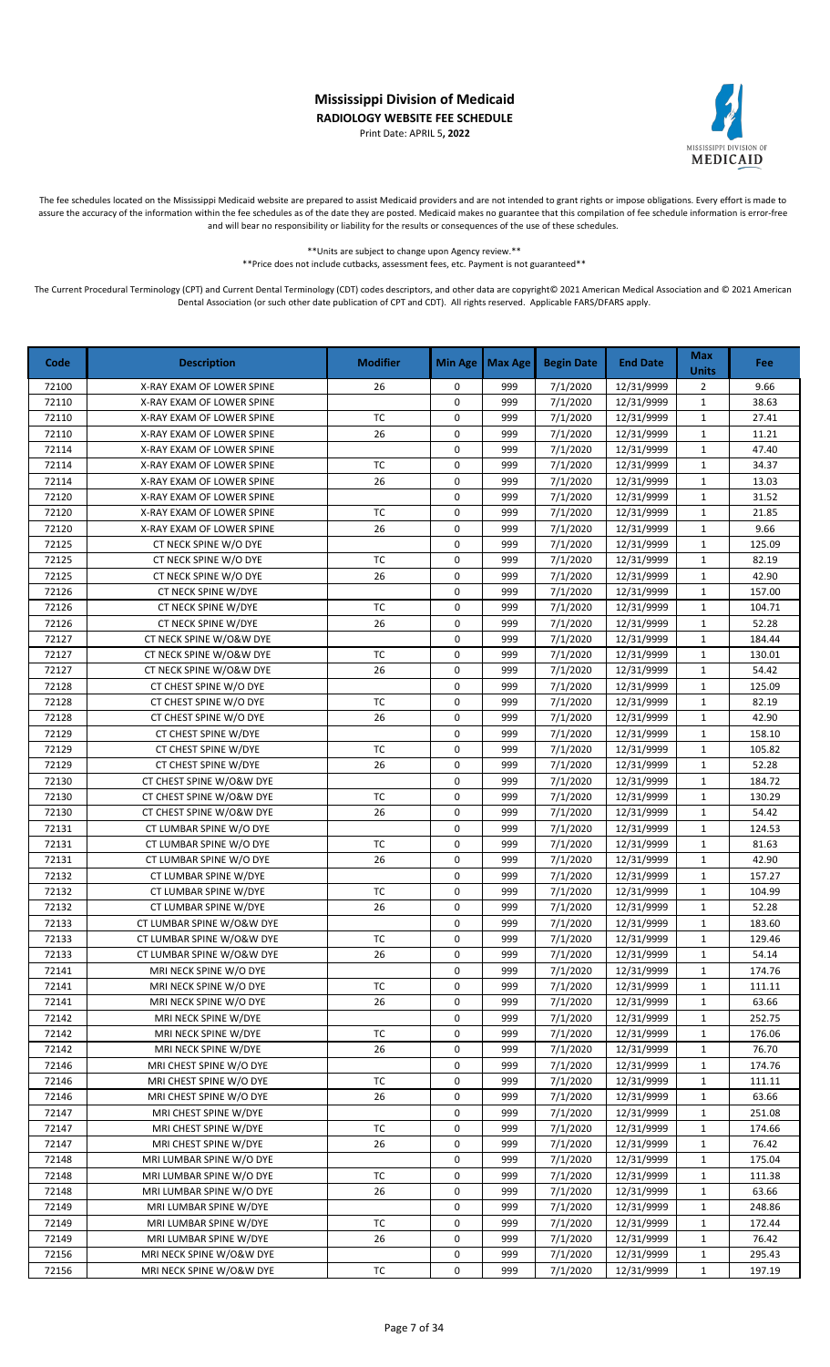Print Date: APRIL 5**, 2022**



The fee schedules located on the Mississippi Medicaid website are prepared to assist Medicaid providers and are not intended to grant rights or impose obligations. Every effort is made to assure the accuracy of the information within the fee schedules as of the date they are posted. Medicaid makes no guarantee that this compilation of fee schedule information is error-free and will bear no responsibility or liability for the results or consequences of the use of these schedules.

\*\*Units are subject to change upon Agency review.\*\*

\*\*Price does not include cutbacks, assessment fees, etc. Payment is not guaranteed\*\*

| Code  | <b>Description</b>        | <b>Modifier</b> | <b>Min Age</b> | <b>Max Age</b> | <b>Begin Date</b>     | <b>End Date</b> | <b>Max</b><br><b>Units</b> | Fee    |
|-------|---------------------------|-----------------|----------------|----------------|-----------------------|-----------------|----------------------------|--------|
| 72100 | X-RAY EXAM OF LOWER SPINE | 26              | 0              | 999            | 7/1/2020              | 12/31/9999      | $\overline{2}$             | 9.66   |
| 72110 | X-RAY EXAM OF LOWER SPINE |                 | 0              | 999            | $\frac{1}{7}$ /1/2020 | 12/31/9999      | $\mathbf{1}$               | 38.63  |
| 72110 | X-RAY EXAM OF LOWER SPINE | <b>TC</b>       | 0              | 999            | 7/1/2020              | 12/31/9999      | $\mathbf{1}$               | 27.41  |
| 72110 | X-RAY EXAM OF LOWER SPINE | 26              | 0              | 999            | 7/1/2020              | 12/31/9999      | $\mathbf 1$                | 11.21  |
| 72114 | X-RAY EXAM OF LOWER SPINE |                 | 0              | 999            | 7/1/2020              | 12/31/9999      | $\mathbf{1}$               | 47.40  |
| 72114 | X-RAY EXAM OF LOWER SPINE | <b>TC</b>       | 0              | 999            | 7/1/2020              | 12/31/9999      | $\mathbf{1}$               | 34.37  |
| 72114 | X-RAY EXAM OF LOWER SPINE | 26              | 0              | 999            | 7/1/2020              | 12/31/9999      | $\mathbf{1}$               | 13.03  |
| 72120 | X-RAY EXAM OF LOWER SPINE |                 | 0              | 999            | 7/1/2020              | 12/31/9999      | $\mathbf{1}$               | 31.52  |
| 72120 | X-RAY EXAM OF LOWER SPINE | <b>TC</b>       | 0              | 999            | 7/1/2020              | 12/31/9999      | $\mathbf{1}$               | 21.85  |
| 72120 | X-RAY EXAM OF LOWER SPINE | 26              | 0              | 999            | 7/1/2020              | 12/31/9999      | $\mathbf{1}$               | 9.66   |
| 72125 | CT NECK SPINE W/O DYE     |                 | 0              | 999            | 7/1/2020              | 12/31/9999      | $\mathbf{1}$               | 125.09 |
| 72125 | CT NECK SPINE W/O DYE     | TC              | 0              | 999            | 7/1/2020              | 12/31/9999      | $\mathbf{1}$               | 82.19  |
| 72125 | CT NECK SPINE W/O DYE     | 26              | 0              | 999            | 7/1/2020              | 12/31/9999      | $\mathbf{1}$               | 42.90  |
| 72126 | CT NECK SPINE W/DYE       |                 | 0              | 999            | 7/1/2020              | 12/31/9999      | $\mathbf 1$                | 157.00 |
| 72126 | CT NECK SPINE W/DYE       | <b>TC</b>       | 0              | 999            | 7/1/2020              | 12/31/9999      | $\mathbf 1$                | 104.71 |
| 72126 | CT NECK SPINE W/DYE       | 26              | 0              | 999            | 7/1/2020              | 12/31/9999      | $\mathbf 1$                | 52.28  |
| 72127 | CT NECK SPINE W/O&W DYE   |                 | 0              | 999            | 7/1/2020              | 12/31/9999      | $\mathbf{1}$               | 184.44 |
| 72127 | CT NECK SPINE W/O&W DYE   | <b>TC</b>       | 0              | 999            | 7/1/2020              | 12/31/9999      | $\mathbf{1}$               | 130.01 |
| 72127 | CT NECK SPINE W/O&W DYE   | 26              | 0              | 999            | 7/1/2020              | 12/31/9999      | $\mathbf{1}$               | 54.42  |
| 72128 | CT CHEST SPINE W/O DYE    |                 | 0              | 999            | 7/1/2020              | 12/31/9999      | $\mathbf 1$                | 125.09 |
| 72128 | CT CHEST SPINE W/O DYE    | <b>TC</b>       | 0              | 999            | 7/1/2020              | 12/31/9999      | $\mathbf{1}$               | 82.19  |
| 72128 | CT CHEST SPINE W/O DYE    | 26              | 0              | 999            | 7/1/2020              | 12/31/9999      | $\mathbf 1$                | 42.90  |
| 72129 | CT CHEST SPINE W/DYE      |                 | 0              | 999            | 7/1/2020              | 12/31/9999      | $\mathbf{1}$               | 158.10 |
| 72129 | CT CHEST SPINE W/DYE      | <b>TC</b>       | 0              | 999            | 7/1/2020              | 12/31/9999      | $\mathbf 1$                | 105.82 |
| 72129 | CT CHEST SPINE W/DYE      | 26              | 0              | 999            | 7/1/2020              | 12/31/9999      | $\mathbf 1$                | 52.28  |
| 72130 | CT CHEST SPINE W/O&W DYE  |                 | 0              | 999            | 7/1/2020              | 12/31/9999      | $\mathbf 1$                | 184.72 |
| 72130 | CT CHEST SPINE W/O&W DYE  | <b>TC</b>       | 0              | 999            | 7/1/2020              | 12/31/9999      | $\mathbf 1$                | 130.29 |
| 72130 | CT CHEST SPINE W/O&W DYE  | 26              | 0              | 999            | 7/1/2020              | 12/31/9999      | $\mathbf{1}$               | 54.42  |
| 72131 | CT LUMBAR SPINE W/O DYE   |                 | 0              | 999            | 7/1/2020              | 12/31/9999      | $\mathbf{1}$               | 124.53 |
| 72131 | CT LUMBAR SPINE W/O DYE   | <b>TC</b>       | 0              | 999            | 7/1/2020              | 12/31/9999      | $\mathbf{1}$               | 81.63  |
| 72131 | CT LUMBAR SPINE W/O DYE   | 26              | 0              | 999            | 7/1/2020              | 12/31/9999      | $\mathbf 1$                | 42.90  |
| 72132 | CT LUMBAR SPINE W/DYE     |                 | 0              | 999            | 7/1/2020              | 12/31/9999      | $\mathbf{1}$               | 157.27 |
| 72132 | CT LUMBAR SPINE W/DYE     | <b>TC</b>       | 0              | 999            | 7/1/2020              | 12/31/9999      | $\mathbf{1}$               | 104.99 |
| 72132 | CT LUMBAR SPINE W/DYE     | 26              | 0              | 999            | 7/1/2020              | 12/31/9999      | $\mathbf{1}$               | 52.28  |
| 72133 | CT LUMBAR SPINE W/O&W DYE |                 | 0              | 999            | 7/1/2020              | 12/31/9999      | $\mathbf{1}$               | 183.60 |
| 72133 | CT LUMBAR SPINE W/O&W DYE | <b>TC</b>       | 0              | 999            | 7/1/2020              | 12/31/9999      | $\mathbf{1}$               | 129.46 |
| 72133 | CT LUMBAR SPINE W/O&W DYE | 26              | 0              | 999            | 7/1/2020              | 12/31/9999      | 1                          | 54.14  |
| 72141 | MRI NECK SPINE W/O DYE    |                 | 0              | 999            | 7/1/2020              | 12/31/9999      | $\mathbf{1}$               | 174.76 |
| 72141 | MRI NECK SPINE W/O DYE    | ТC              | 0              | 999            | 7/1/2020              | 12/31/9999      | $\mathbf{1}$               | 111.11 |
| 72141 | MRI NECK SPINE W/O DYE    | 26              | 0              | 999            | 7/1/2020              | 12/31/9999      | $\mathbf{1}$               | 63.66  |
| 72142 | MRI NECK SPINE W/DYE      |                 | 0              | 999            | 7/1/2020              | 12/31/9999      | $\mathbf{1}$               | 252.75 |
| 72142 | MRI NECK SPINE W/DYE      | TC              | 0              | 999            | 7/1/2020              | 12/31/9999      | $\mathbf{1}$               | 176.06 |
| 72142 | MRI NECK SPINE W/DYE      | 26              | 0              | 999            | 7/1/2020              | 12/31/9999      | $\mathbf{1}$               | 76.70  |
| 72146 | MRI CHEST SPINE W/O DYE   |                 | 0              | 999            | 7/1/2020              | 12/31/9999      | $\mathbf{1}$               | 174.76 |
| 72146 | MRI CHEST SPINE W/O DYE   | <b>TC</b>       | 0              | 999            | 7/1/2020              | 12/31/9999      | $\mathbf{1}$               | 111.11 |
| 72146 | MRI CHEST SPINE W/O DYE   | 26              | 0              | 999            | 7/1/2020              | 12/31/9999      | $\mathbf{1}$               | 63.66  |
| 72147 | MRI CHEST SPINE W/DYE     |                 | 0              | 999            | 7/1/2020              | 12/31/9999      | $\mathbf{1}$               | 251.08 |
| 72147 | MRI CHEST SPINE W/DYE     | ТC              | 0              | 999            | 7/1/2020              | 12/31/9999      | $\mathbf{1}$               | 174.66 |
| 72147 | MRI CHEST SPINE W/DYE     | 26              | 0              | 999            | 7/1/2020              | 12/31/9999      | $\mathbf{1}$               | 76.42  |
| 72148 | MRI LUMBAR SPINE W/O DYE  |                 | 0              | 999            | 7/1/2020              | 12/31/9999      | $\mathbf{1}$               | 175.04 |
| 72148 | MRI LUMBAR SPINE W/O DYE  | TC              | 0              | 999            | 7/1/2020              | 12/31/9999      | $\mathbf{1}$               | 111.38 |
| 72148 | MRI LUMBAR SPINE W/O DYE  | 26              | 0              | 999            | 7/1/2020              | 12/31/9999      | $\mathbf{1}$               | 63.66  |
| 72149 | MRI LUMBAR SPINE W/DYE    |                 | 0              | 999            | 7/1/2020              | 12/31/9999      | $\mathbf{1}$               | 248.86 |
| 72149 | MRI LUMBAR SPINE W/DYE    | <b>TC</b>       | 0              | 999            | 7/1/2020              | 12/31/9999      | $\mathbf{1}$               | 172.44 |
| 72149 | MRI LUMBAR SPINE W/DYE    | 26              | 0              | 999            | 7/1/2020              | 12/31/9999      | $\mathbf{1}$               | 76.42  |
| 72156 | MRI NECK SPINE W/O&W DYE  |                 | 0              | 999            | 7/1/2020              | 12/31/9999      | $\mathbf{1}$               | 295.43 |
| 72156 | MRI NECK SPINE W/O&W DYE  | TC              | 0              | 999            | 7/1/2020              | 12/31/9999      | $\mathbf{1}$               | 197.19 |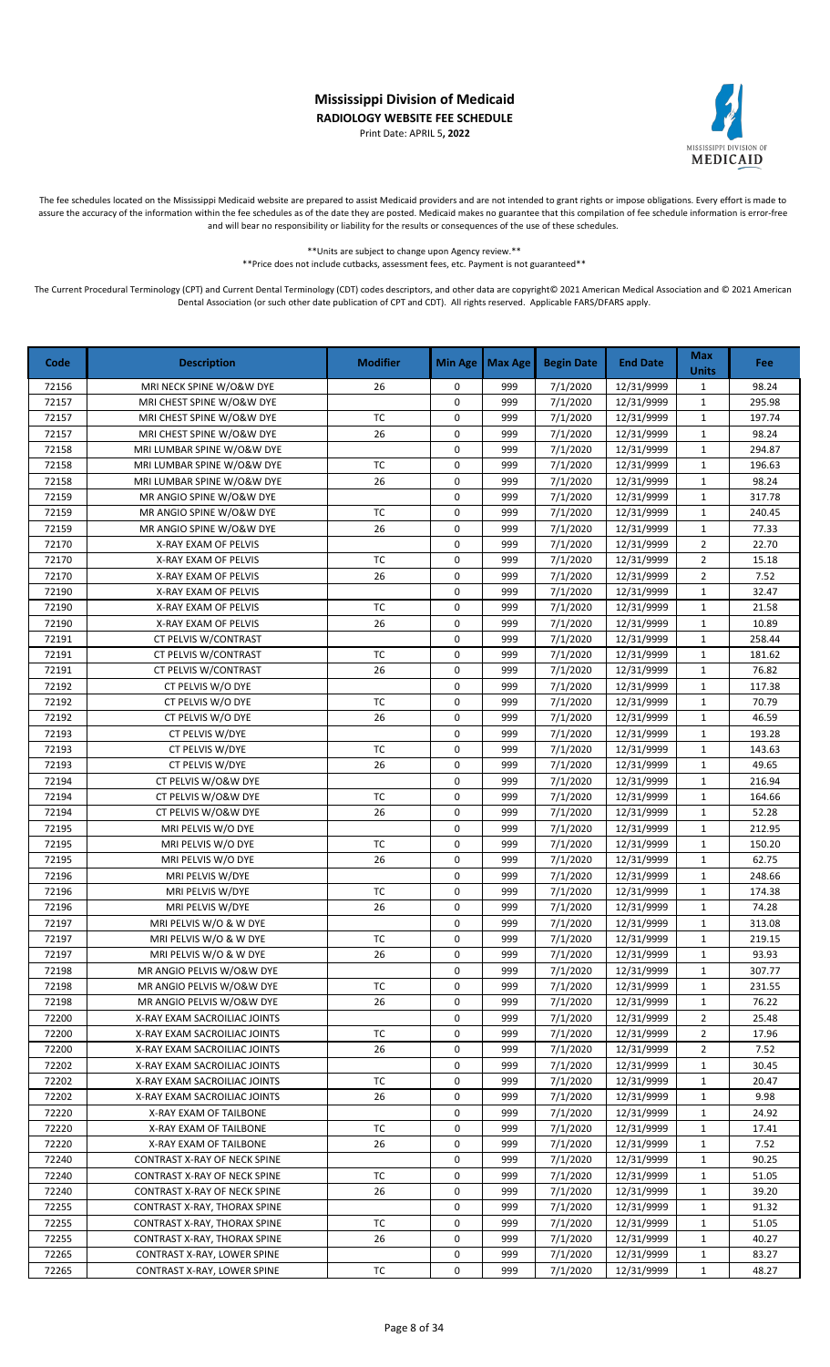Print Date: APRIL 5**, 2022**



The fee schedules located on the Mississippi Medicaid website are prepared to assist Medicaid providers and are not intended to grant rights or impose obligations. Every effort is made to assure the accuracy of the information within the fee schedules as of the date they are posted. Medicaid makes no guarantee that this compilation of fee schedule information is error-free and will bear no responsibility or liability for the results or consequences of the use of these schedules.

> \*\*Units are subject to change upon Agency review.\*\* \*\*Price does not include cutbacks, assessment fees, etc. Payment is not guaranteed\*\*

| Code  | <b>Description</b>           | <b>Modifier</b> | <b>Min Age</b> | <b>Max Age</b> | <b>Begin Date</b>     | <b>End Date</b> | <b>Max</b><br><b>Units</b> | Fee    |
|-------|------------------------------|-----------------|----------------|----------------|-----------------------|-----------------|----------------------------|--------|
| 72156 | MRI NECK SPINE W/O&W DYE     | 26              | 0              | 999            | 7/1/2020              | 12/31/9999      | $\mathbf{1}$               | 98.24  |
| 72157 | MRI CHEST SPINE W/O&W DYE    |                 | 0              | 999            | $\frac{1}{7}$ /1/2020 | 12/31/9999      | $\mathbf 1$                | 295.98 |
| 72157 | MRI CHEST SPINE W/O&W DYE    | TC              | 0              | 999            | 7/1/2020              | 12/31/9999      | $\mathbf{1}$               | 197.74 |
| 72157 | MRI CHEST SPINE W/O&W DYE    | 26              | 0              | 999            | 7/1/2020              | 12/31/9999      | $\mathbf 1$                | 98.24  |
| 72158 | MRI LUMBAR SPINE W/O&W DYE   |                 | 0              | 999            | 7/1/2020              | 12/31/9999      | $\mathbf{1}$               | 294.87 |
| 72158 | MRI LUMBAR SPINE W/O&W DYE   | TC              | 0              | 999            | 7/1/2020              | 12/31/9999      | $\mathbf{1}$               | 196.63 |
| 72158 | MRI LUMBAR SPINE W/O&W DYE   | 26              | 0              | 999            | 7/1/2020              | 12/31/9999      | $\mathbf{1}$               | 98.24  |
| 72159 | MR ANGIO SPINE W/O&W DYE     |                 | 0              | 999            | 7/1/2020              | 12/31/9999      | $\mathbf{1}$               | 317.78 |
| 72159 | MR ANGIO SPINE W/O&W DYE     | TC              | 0              | 999            | 7/1/2020              | 12/31/9999      | $\mathbf{1}$               | 240.45 |
| 72159 | MR ANGIO SPINE W/O&W DYE     | 26              | 0              | 999            | 7/1/2020              | 12/31/9999      | $\mathbf{1}$               | 77.33  |
| 72170 | X-RAY EXAM OF PELVIS         |                 | 0              | 999            | 7/1/2020              | 12/31/9999      | $\overline{2}$             | 22.70  |
| 72170 | X-RAY EXAM OF PELVIS         | TC              | 0              | 999            | 7/1/2020              | 12/31/9999      | $\overline{2}$             | 15.18  |
| 72170 | X-RAY EXAM OF PELVIS         | 26              | 0              | 999            | 7/1/2020              | 12/31/9999      | $\overline{2}$             | 7.52   |
| 72190 | X-RAY EXAM OF PELVIS         |                 | 0              | 999            | 7/1/2020              | 12/31/9999      | $\mathbf 1$                | 32.47  |
| 72190 | X-RAY EXAM OF PELVIS         | TC              | $\pmb{0}$      | 999            | 7/1/2020              | 12/31/9999      | $\mathbf{1}$               | 21.58  |
| 72190 | X-RAY EXAM OF PELVIS         | 26              | $\pmb{0}$      | 999            | 7/1/2020              | 12/31/9999      | $\mathbf 1$                | 10.89  |
| 72191 | CT PELVIS W/CONTRAST         |                 | 0              | 999            | 7/1/2020              | 12/31/9999      | $\mathbf 1$                | 258.44 |
| 72191 | CT PELVIS W/CONTRAST         | <b>TC</b>       | 0              | 999            | 7/1/2020              | 12/31/9999      | $\mathbf 1$                | 181.62 |
| 72191 | CT PELVIS W/CONTRAST         | 26              | 0              | 999            | 7/1/2020              | 12/31/9999      | $\mathbf 1$                | 76.82  |
| 72192 | CT PELVIS W/O DYE            |                 | 0              | 999            | 7/1/2020              | 12/31/9999      | $\mathbf 1$                | 117.38 |
| 72192 | CT PELVIS W/O DYE            | TC              | 0              | 999            | 7/1/2020              | 12/31/9999      | 1                          | 70.79  |
| 72192 | CT PELVIS W/O DYE            | 26              | $\mathbf 0$    | 999            | 7/1/2020              | 12/31/9999      | $\mathbf{1}$               | 46.59  |
| 72193 | CT PELVIS W/DYE              |                 | 0              | 999            | 7/1/2020              | 12/31/9999      | $\mathbf{1}$               | 193.28 |
| 72193 | CT PELVIS W/DYE              | TC              | 0              | 999            | 7/1/2020              | 12/31/9999      | $\mathbf{1}$               | 143.63 |
| 72193 | CT PELVIS W/DYE              | 26              | 0              | 999            | 7/1/2020              | 12/31/9999      | $\mathbf 1$                | 49.65  |
| 72194 | CT PELVIS W/O&W DYE          |                 | 0              | 999            | 7/1/2020              | 12/31/9999      | $\mathbf{1}$               | 216.94 |
| 72194 | CT PELVIS W/O&W DYE          | <b>TC</b>       | 0              | 999            | 7/1/2020              | 12/31/9999      | $\mathbf{1}$               | 164.66 |
| 72194 | CT PELVIS W/O&W DYE          | 26              | 0              | 999            | 7/1/2020              | 12/31/9999      | $\mathbf{1}$               | 52.28  |
| 72195 | MRI PELVIS W/O DYE           |                 | 0              | 999            | 7/1/2020              | 12/31/9999      | $\mathbf{1}$               | 212.95 |
| 72195 | MRI PELVIS W/O DYE           | TC              | 0              | 999            | 7/1/2020              | 12/31/9999      | $\mathbf{1}$               | 150.20 |
| 72195 | MRI PELVIS W/O DYE           | 26              | 0              | 999            | 7/1/2020              | 12/31/9999      | $\mathbf 1$                | 62.75  |
| 72196 | MRI PELVIS W/DYE             |                 | 0              | 999            | 7/1/2020              | 12/31/9999      | $\mathbf{1}$               | 248.66 |
| 72196 | MRI PELVIS W/DYE             | <b>TC</b>       | 0              | 999            | 7/1/2020              | 12/31/9999      | $\mathbf{1}$               | 174.38 |
| 72196 | MRI PELVIS W/DYE             | 26              | 0              | 999            | 7/1/2020              | 12/31/9999      | $\mathbf{1}$               | 74.28  |
| 72197 | MRI PELVIS W/O & W DYE       |                 | 0              | 999            | 7/1/2020              | 12/31/9999      | $\mathbf{1}$               | 313.08 |
| 72197 | MRI PELVIS W/O & W DYE       | TC              | 0              | 999            | 7/1/2020              | 12/31/9999      | $\mathbf{1}$               | 219.15 |
| 72197 | MRI PELVIS W/O & W DYE       | 26              | 0              | 999            | 7/1/2020              | 12/31/9999      | 1                          | 93.93  |
| 72198 | MR ANGIO PELVIS W/O&W DYE    |                 | 0              | 999            | 7/1/2020              | 12/31/9999      | 1                          | 307.77 |
| 72198 | MR ANGIO PELVIS W/O&W DYE    | ТC              | 0              | 999            | 7/1/2020              | 12/31/9999      | 1                          | 231.55 |
| 72198 | MR ANGIO PELVIS W/O&W DYE    | 26              | 0              | 999            | 7/1/2020              | 12/31/9999      | $\mathbf{1}$               | 76.22  |
| 72200 | X-RAY EXAM SACROILIAC JOINTS |                 | 0              | 999            | 7/1/2020              | 12/31/9999      | 2                          | 25.48  |
| 72200 | X-RAY EXAM SACROILIAC JOINTS | ТC              | 0              | 999            | 7/1/2020              | 12/31/9999      | $\overline{2}$             | 17.96  |
| 72200 | X-RAY EXAM SACROILIAC JOINTS | 26              | 0              | 999            | 7/1/2020              | 12/31/9999      | $\overline{2}$             | 7.52   |
| 72202 | X-RAY EXAM SACROILIAC JOINTS |                 | 0              | 999            | 7/1/2020              | 12/31/9999      | 1                          | 30.45  |
| 72202 | X-RAY EXAM SACROILIAC JOINTS | TC              | 0              | 999            | 7/1/2020              | 12/31/9999      | 1                          | 20.47  |
| 72202 | X-RAY EXAM SACROILIAC JOINTS | 26              | 0              | 999            | 7/1/2020              | 12/31/9999      | 1                          | 9.98   |
| 72220 | X-RAY EXAM OF TAILBONE       |                 | 0              | 999            | 7/1/2020              | 12/31/9999      | $\mathbf{1}$               | 24.92  |
| 72220 | X-RAY EXAM OF TAILBONE       | тс              | 0              | 999            | 7/1/2020              | 12/31/9999      | 1                          | 17.41  |
| 72220 | X-RAY EXAM OF TAILBONE       | 26              | 0              | 999            | 7/1/2020              | 12/31/9999      | 1                          | 7.52   |
| 72240 | CONTRAST X-RAY OF NECK SPINE |                 | 0              | 999            | 7/1/2020              | 12/31/9999      | $\mathbf{1}$               | 90.25  |
| 72240 | CONTRAST X-RAY OF NECK SPINE | ТC              | 0              | 999            | 7/1/2020              | 12/31/9999      | 1                          | 51.05  |
| 72240 | CONTRAST X-RAY OF NECK SPINE | 26              | 0              | 999            | 7/1/2020              | 12/31/9999      | $\mathbf{1}$               | 39.20  |
| 72255 | CONTRAST X-RAY, THORAX SPINE |                 | 0              | 999            | 7/1/2020              | 12/31/9999      | 1                          | 91.32  |
| 72255 | CONTRAST X-RAY, THORAX SPINE | ТC              | 0              | 999            | 7/1/2020              | 12/31/9999      | 1                          | 51.05  |
| 72255 | CONTRAST X-RAY, THORAX SPINE | 26              | 0              | 999            | 7/1/2020              | 12/31/9999      | 1                          | 40.27  |
| 72265 | CONTRAST X-RAY, LOWER SPINE  |                 | 0              | 999            | 7/1/2020              | 12/31/9999      | $\mathbf{1}$               | 83.27  |
| 72265 | CONTRAST X-RAY, LOWER SPINE  | тс              | 0              | 999            | 7/1/2020              | 12/31/9999      | 1                          | 48.27  |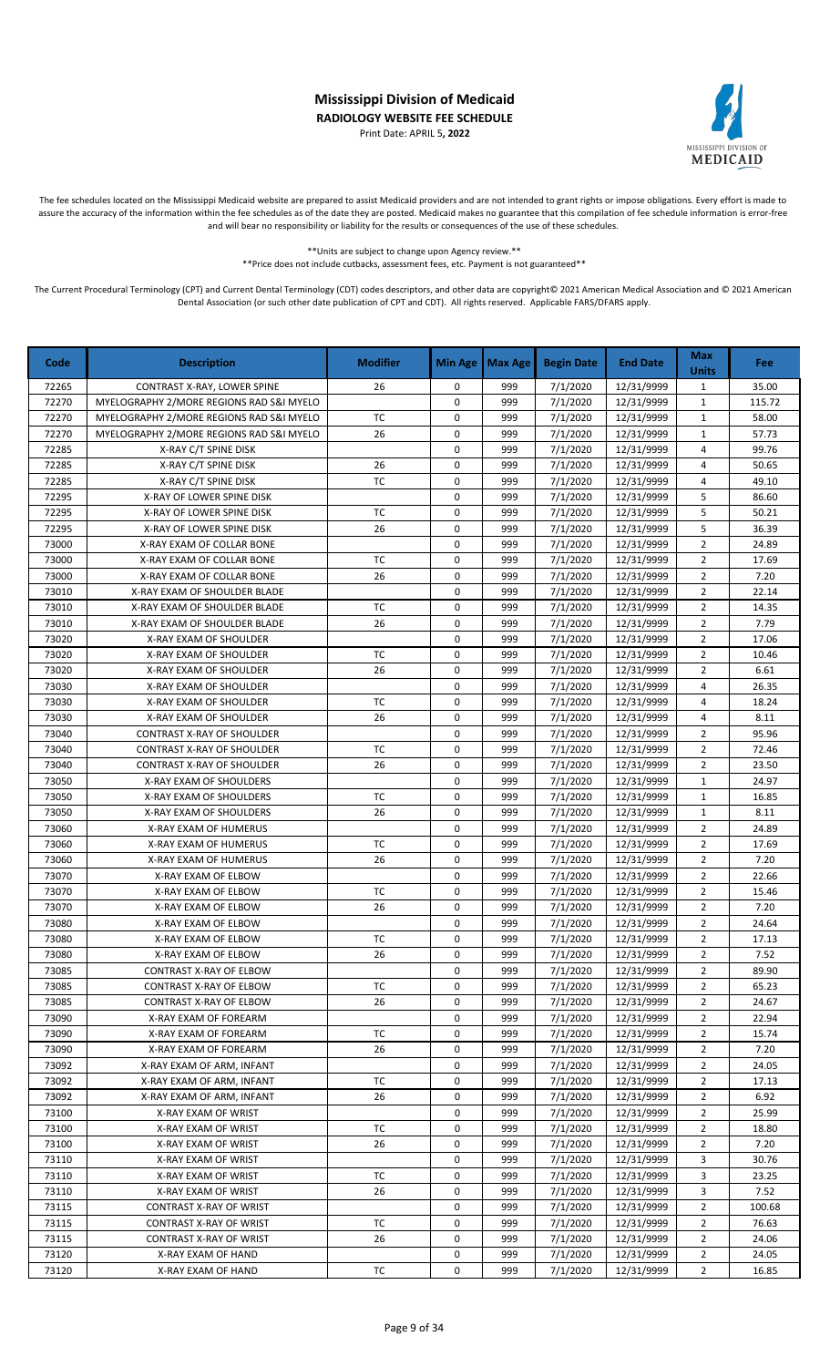Print Date: APRIL 5**, 2022**



The fee schedules located on the Mississippi Medicaid website are prepared to assist Medicaid providers and are not intended to grant rights or impose obligations. Every effort is made to assure the accuracy of the information within the fee schedules as of the date they are posted. Medicaid makes no guarantee that this compilation of fee schedule information is error-free and will bear no responsibility or liability for the results or consequences of the use of these schedules.

> \*\*Units are subject to change upon Agency review.\*\* \*\*Price does not include cutbacks, assessment fees, etc. Payment is not guaranteed\*\*

| Code  | <b>Description</b>                       | <b>Modifier</b> | <b>Min Age</b> | Max Age | <b>Begin Date</b> | <b>End Date</b> | <b>Max</b><br><b>Units</b> | <b>Fee</b> |
|-------|------------------------------------------|-----------------|----------------|---------|-------------------|-----------------|----------------------------|------------|
| 72265 | CONTRAST X-RAY, LOWER SPINE              | 26              | 0              | 999     | 7/1/2020          | 12/31/9999      | $\mathbf{1}$               | 35.00      |
| 72270 | MYELOGRAPHY 2/MORE REGIONS RAD S&I MYELO |                 | 0              | 999     | 7/1/2020          | 12/31/9999      | $\mathbf{1}$               | 115.72     |
| 72270 | MYELOGRAPHY 2/MORE REGIONS RAD S&I MYELO | <b>TC</b>       | 0              | 999     | 7/1/2020          | 12/31/9999      | $\mathbf{1}$               | 58.00      |
| 72270 | MYELOGRAPHY 2/MORE REGIONS RAD S&I MYELO | 26              | 0              | 999     | 7/1/2020          | 12/31/9999      | $\mathbf{1}$               | 57.73      |
| 72285 | X-RAY C/T SPINE DISK                     |                 | 0              | 999     | 7/1/2020          | 12/31/9999      | 4                          | 99.76      |
| 72285 | X-RAY C/T SPINE DISK                     | 26              | 0              | 999     | 7/1/2020          | 12/31/9999      | 4                          | 50.65      |
| 72285 | X-RAY C/T SPINE DISK                     | <b>TC</b>       | 0              | 999     | 7/1/2020          | 12/31/9999      | 4                          | 49.10      |
| 72295 | X-RAY OF LOWER SPINE DISK                |                 | 0              | 999     | 7/1/2020          | 12/31/9999      | 5                          | 86.60      |
| 72295 | X-RAY OF LOWER SPINE DISK                | TC              | 0              | 999     | 7/1/2020          | 12/31/9999      | 5                          | 50.21      |
| 72295 | X-RAY OF LOWER SPINE DISK                | 26              | 0              | 999     | 7/1/2020          | 12/31/9999      | 5                          | 36.39      |
| 73000 | X-RAY EXAM OF COLLAR BONE                |                 | 0              | 999     | 7/1/2020          | 12/31/9999      | $\overline{2}$             | 24.89      |
| 73000 | X-RAY EXAM OF COLLAR BONE                | <b>TC</b>       | 0              | 999     | 7/1/2020          | 12/31/9999      | $\overline{2}$             | 17.69      |
| 73000 | X-RAY EXAM OF COLLAR BONE                | 26              | 0              | 999     | 7/1/2020          | 12/31/9999      | $\overline{2}$             | 7.20       |
| 73010 | X-RAY EXAM OF SHOULDER BLADE             |                 | 0              | 999     | 7/1/2020          | 12/31/9999      | $\overline{2}$             | 22.14      |
| 73010 | X-RAY EXAM OF SHOULDER BLADE             | TC              | 0              | 999     | 7/1/2020          | 12/31/9999      | $\overline{2}$             | 14.35      |
| 73010 | X-RAY EXAM OF SHOULDER BLADE             | 26              | 0              | 999     | 7/1/2020          | 12/31/9999      | $\overline{2}$             | 7.79       |
| 73020 | X-RAY EXAM OF SHOULDER                   |                 | 0              | 999     | 7/1/2020          | 12/31/9999      | $\overline{2}$             | 17.06      |
| 73020 | X-RAY EXAM OF SHOULDER                   | <b>TC</b>       | 0              | 999     | 7/1/2020          | 12/31/9999      | $\overline{2}$             | 10.46      |
| 73020 | X-RAY EXAM OF SHOULDER                   | 26              | 0              | 999     | 7/1/2020          | 12/31/9999      | $\overline{2}$             | 6.61       |
| 73030 | X-RAY EXAM OF SHOULDER                   |                 | 0              | 999     | 7/1/2020          | 12/31/9999      | 4                          | 26.35      |
| 73030 | X-RAY EXAM OF SHOULDER                   | TC              | 0              | 999     | 7/1/2020          | 12/31/9999      | 4                          | 18.24      |
| 73030 | X-RAY EXAM OF SHOULDER                   | 26              | 0              | 999     | 7/1/2020          | 12/31/9999      | 4                          | 8.11       |
| 73040 | <b>CONTRAST X-RAY OF SHOULDER</b>        |                 | 0              | 999     | 7/1/2020          | 12/31/9999      | $\overline{2}$             | 95.96      |
| 73040 | CONTRAST X-RAY OF SHOULDER               | <b>TC</b>       | 0              | 999     | 7/1/2020          | 12/31/9999      | $\overline{2}$             | 72.46      |
| 73040 | CONTRAST X-RAY OF SHOULDER               | 26              | 0              | 999     | 7/1/2020          | 12/31/9999      | $\overline{2}$             | 23.50      |
| 73050 | X-RAY EXAM OF SHOULDERS                  |                 | 0              | 999     | 7/1/2020          | 12/31/9999      | $\mathbf{1}$               | 24.97      |
| 73050 | X-RAY EXAM OF SHOULDERS                  | <b>TC</b>       | 0              | 999     | 7/1/2020          | 12/31/9999      | $\mathbf{1}$               | 16.85      |
| 73050 | X-RAY EXAM OF SHOULDERS                  | 26              | 0              | 999     | 7/1/2020          | 12/31/9999      | $\mathbf{1}$               | 8.11       |
| 73060 | X-RAY EXAM OF HUMERUS                    |                 | 0              | 999     | 7/1/2020          | 12/31/9999      | $\overline{2}$             | 24.89      |
| 73060 | X-RAY EXAM OF HUMERUS                    | <b>TC</b>       | 0              | 999     | 7/1/2020          | 12/31/9999      | $\overline{2}$             | 17.69      |
| 73060 | X-RAY EXAM OF HUMERUS                    | 26              | 0              | 999     | 7/1/2020          | 12/31/9999      | $\overline{2}$             | 7.20       |
| 73070 | X-RAY EXAM OF ELBOW                      |                 | $\mathbf 0$    | 999     | 7/1/2020          | 12/31/9999      | $\overline{2}$             | 22.66      |
| 73070 | X-RAY EXAM OF ELBOW                      | <b>TC</b>       | 0              | 999     | 7/1/2020          | 12/31/9999      | $\overline{2}$             | 15.46      |
| 73070 | X-RAY EXAM OF ELBOW                      | 26              | 0              | 999     | 7/1/2020          | 12/31/9999      | $\overline{2}$             | 7.20       |
| 73080 | X-RAY EXAM OF ELBOW                      |                 | 0              | 999     | 7/1/2020          | 12/31/9999      | $\overline{2}$             | 24.64      |
| 73080 | X-RAY EXAM OF ELBOW                      | <b>TC</b>       | 0              | 999     | 7/1/2020          | 12/31/9999      | $\overline{2}$             | 17.13      |
| 73080 | X-RAY EXAM OF ELBOW                      | 26              | 0              | 999     | 7/1/2020          | 12/31/9999      | 2                          | 7.52       |
| 73085 | CONTRAST X-RAY OF ELBOW                  |                 | 0              | 999     | 7/1/2020          | 12/31/9999      | 2                          | 89.90      |
| 73085 | CONTRAST X-RAY OF ELBOW                  | ТC              | 0              | 999     | 7/1/2020          | 12/31/9999      | $\overline{2}$             | 65.23      |
| 73085 | CONTRAST X-RAY OF ELBOW                  | 26              | 0              | 999     | 7/1/2020          | 12/31/9999      | $\overline{2}$             | 24.67      |
| 73090 | X-RAY EXAM OF FOREARM                    |                 | 0              | 999     | 7/1/2020          | 12/31/9999      | 2                          | 22.94      |
| 73090 | X-RAY EXAM OF FOREARM                    | ТC              | 0              | 999     | 7/1/2020          | 12/31/9999      | 2                          | 15.74      |
| 73090 | X-RAY EXAM OF FOREARM                    | 26              | 0              | 999     | 7/1/2020          | 12/31/9999      | $\overline{2}$             | 7.20       |
| 73092 | X-RAY EXAM OF ARM, INFANT                |                 | 0              | 999     | 7/1/2020          | 12/31/9999      | 2                          | 24.05      |
| 73092 | X-RAY EXAM OF ARM, INFANT                | TC              | 0              | 999     | 7/1/2020          | 12/31/9999      | 2                          | 17.13      |
| 73092 | X-RAY EXAM OF ARM, INFANT                | 26              | 0              | 999     | 7/1/2020          | 12/31/9999      | 2                          | 6.92       |
| 73100 | X-RAY EXAM OF WRIST                      |                 | 0              | 999     | 7/1/2020          | 12/31/9999      | $\overline{2}$             | 25.99      |
| 73100 | X-RAY EXAM OF WRIST                      | ТC              | 0              | 999     | 7/1/2020          | 12/31/9999      | $\overline{2}$             | 18.80      |
| 73100 | X-RAY EXAM OF WRIST                      | 26              | 0              | 999     | 7/1/2020          | 12/31/9999      | 2                          | 7.20       |
| 73110 | X-RAY EXAM OF WRIST                      |                 | 0              | 999     | 7/1/2020          | 12/31/9999      | 3                          | 30.76      |
| 73110 | X-RAY EXAM OF WRIST                      | ТC              | 0              | 999     | 7/1/2020          | 12/31/9999      | 3                          | 23.25      |
| 73110 | X-RAY EXAM OF WRIST                      | 26              | 0              | 999     | 7/1/2020          | 12/31/9999      | 3                          | 7.52       |
| 73115 | CONTRAST X-RAY OF WRIST                  |                 | 0              | 999     | 7/1/2020          | 12/31/9999      | 2                          | 100.68     |
| 73115 | CONTRAST X-RAY OF WRIST                  | ТC              | 0              | 999     | 7/1/2020          | 12/31/9999      | $\overline{2}$             | 76.63      |
| 73115 | CONTRAST X-RAY OF WRIST                  | 26              | 0              | 999     | 7/1/2020          | 12/31/9999      | 2                          | 24.06      |
| 73120 | X-RAY EXAM OF HAND                       |                 | 0              | 999     | 7/1/2020          | 12/31/9999      | $\overline{2}$             | 24.05      |
| 73120 | X-RAY EXAM OF HAND                       | ТC              | 0              | 999     | 7/1/2020          | 12/31/9999      | $\overline{2}$             | 16.85      |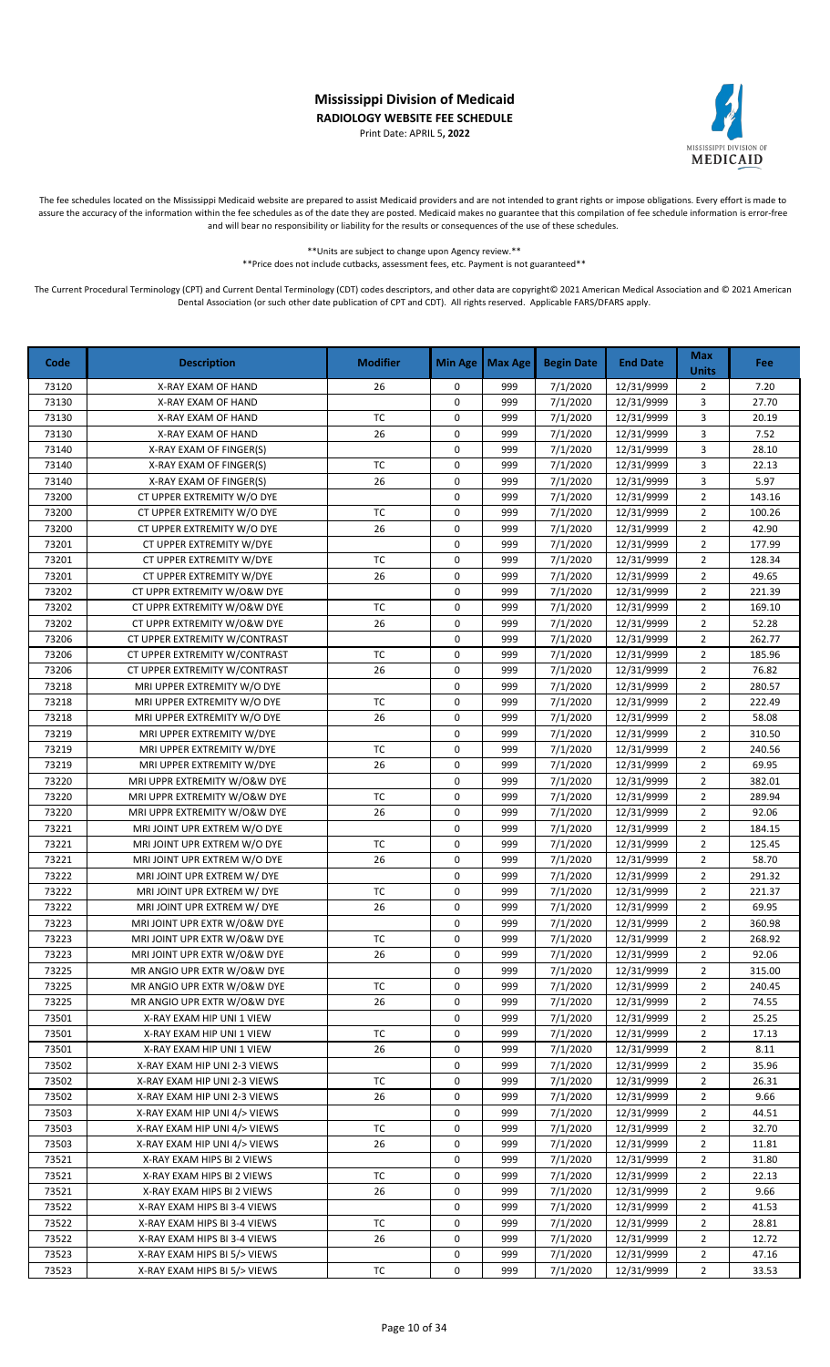Print Date: APRIL 5**, 2022**



The fee schedules located on the Mississippi Medicaid website are prepared to assist Medicaid providers and are not intended to grant rights or impose obligations. Every effort is made to assure the accuracy of the information within the fee schedules as of the date they are posted. Medicaid makes no guarantee that this compilation of fee schedule information is error-free and will bear no responsibility or liability for the results or consequences of the use of these schedules.

> \*\*Units are subject to change upon Agency review.\*\* \*\*Price does not include cutbacks, assessment fees, etc. Payment is not guaranteed\*\*

| Code  | <b>Description</b>            | <b>Modifier</b>        | <b>Min Age</b> | <b>Max Age</b> | <b>Begin Date</b> | <b>End Date</b> | <b>Max</b><br><b>Units</b> | Fee    |
|-------|-------------------------------|------------------------|----------------|----------------|-------------------|-----------------|----------------------------|--------|
| 73120 | X-RAY EXAM OF HAND            | 26                     | 0              | 999            | 7/1/2020          | 12/31/9999      | $\overline{2}$             | 7.20   |
| 73130 | X-RAY EXAM OF HAND            |                        | 0              | 999            | 7/1/2020          | 12/31/9999      | 3                          | 27.70  |
| 73130 | X-RAY EXAM OF HAND            | TC                     | 0              | 999            | 7/1/2020          | 12/31/9999      | 3                          | 20.19  |
| 73130 | X-RAY EXAM OF HAND            | 26                     | 0              | 999            | 7/1/2020          | 12/31/9999      | 3                          | 7.52   |
| 73140 | X-RAY EXAM OF FINGER(S)       |                        | 0              | 999            | 7/1/2020          | 12/31/9999      | 3                          | 28.10  |
| 73140 | X-RAY EXAM OF FINGER(S)       | $\mathsf{T}\mathsf{C}$ | 0              | 999            | 7/1/2020          | 12/31/9999      | 3                          | 22.13  |
| 73140 | X-RAY EXAM OF FINGER(S)       | 26                     | 0              | 999            | 7/1/2020          | 12/31/9999      | 3                          | 5.97   |
| 73200 | CT UPPER EXTREMITY W/O DYE    |                        | 0              | 999            | 7/1/2020          | 12/31/9999      | $\overline{2}$             | 143.16 |
| 73200 | CT UPPER EXTREMITY W/O DYE    | <b>TC</b>              | 0              | 999            | 7/1/2020          | 12/31/9999      | $\overline{2}$             | 100.26 |
| 73200 | CT UPPER EXTREMITY W/O DYE    | 26                     | 0              | 999            | 7/1/2020          | 12/31/9999      | $\overline{2}$             | 42.90  |
| 73201 | CT UPPER EXTREMITY W/DYE      |                        | 0              | 999            | 7/1/2020          | 12/31/9999      | $\overline{2}$             | 177.99 |
| 73201 | CT UPPER EXTREMITY W/DYE      | <b>TC</b>              | $\mathsf 0$    | 999            | 7/1/2020          | 12/31/9999      | $\overline{2}$             | 128.34 |
| 73201 | CT UPPER EXTREMITY W/DYE      | 26                     | 0              | 999            | 7/1/2020          | 12/31/9999      | $\overline{2}$             | 49.65  |
| 73202 | CT UPPR EXTREMITY W/O&W DYE   |                        | 0              | 999            | 7/1/2020          | 12/31/9999      | $\overline{2}$             | 221.39 |
| 73202 | CT UPPR EXTREMITY W/O&W DYE   | $\mathsf{T}\mathsf{C}$ | 0              | 999            | 7/1/2020          | 12/31/9999      | $\overline{2}$             | 169.10 |
| 73202 | CT UPPR EXTREMITY W/O&W DYE   | 26                     | 0              | 999            | 7/1/2020          | 12/31/9999      | $\overline{2}$             | 52.28  |
| 73206 | CT UPPER EXTREMITY W/CONTRAST |                        | 0              | 999            | 7/1/2020          | 12/31/9999      | $\overline{2}$             | 262.77 |
| 73206 | CT UPPER EXTREMITY W/CONTRAST | <b>TC</b>              | 0              | 999            | 7/1/2020          | 12/31/9999      | $\overline{2}$             | 185.96 |
| 73206 | CT UPPER EXTREMITY W/CONTRAST | 26                     | 0              | 999            | 7/1/2020          | 12/31/9999      | $\overline{2}$             | 76.82  |
| 73218 | MRI UPPER EXTREMITY W/O DYE   |                        | 0              | 999            | 7/1/2020          | 12/31/9999      | $\overline{2}$             | 280.57 |
| 73218 | MRI UPPER EXTREMITY W/O DYE   | <b>TC</b>              | 0              | 999            | 7/1/2020          | 12/31/9999      | $\overline{2}$             | 222.49 |
| 73218 | MRI UPPER EXTREMITY W/O DYE   | 26                     | 0              | 999            | 7/1/2020          | 12/31/9999      | $\overline{2}$             | 58.08  |
| 73219 | MRI UPPER EXTREMITY W/DYE     |                        | 0              | 999            | 7/1/2020          | 12/31/9999      | $\overline{2}$             | 310.50 |
| 73219 | MRI UPPER EXTREMITY W/DYE     | <b>TC</b>              | 0              | 999            | 7/1/2020          | 12/31/9999      | $\overline{2}$             | 240.56 |
| 73219 | MRI UPPER EXTREMITY W/DYE     | 26                     | 0              | 999            | 7/1/2020          | 12/31/9999      | $\overline{2}$             | 69.95  |
| 73220 | MRI UPPR EXTREMITY W/O&W DYE  |                        | 0              | 999            | 7/1/2020          | 12/31/9999      | $\overline{2}$             | 382.01 |
| 73220 | MRI UPPR EXTREMITY W/O&W DYE  | <b>TC</b>              | 0              | 999            | 7/1/2020          | 12/31/9999      | $\overline{2}$             | 289.94 |
| 73220 | MRI UPPR EXTREMITY W/O&W DYE  | 26                     | 0              | 999            | 7/1/2020          | 12/31/9999      | $\overline{2}$             | 92.06  |
| 73221 | MRI JOINT UPR EXTREM W/O DYE  |                        | 0              | 999            | 7/1/2020          | 12/31/9999      | $\overline{2}$             | 184.15 |
| 73221 | MRI JOINT UPR EXTREM W/O DYE  | TC                     | 0              | 999            | 7/1/2020          | 12/31/9999      | $\overline{2}$             | 125.45 |
| 73221 | MRI JOINT UPR EXTREM W/O DYE  | 26                     | 0              | 999            | 7/1/2020          | 12/31/9999      | $\overline{2}$             | 58.70  |
| 73222 | MRI JOINT UPR EXTREM W/ DYE   |                        | 0              | 999            | 7/1/2020          | 12/31/9999      | $\overline{2}$             | 291.32 |
| 73222 | MRI JOINT UPR EXTREM W/ DYE   | <b>TC</b>              | 0              | 999            | 7/1/2020          | 12/31/9999      | $\overline{2}$             | 221.37 |
| 73222 | MRI JOINT UPR EXTREM W/ DYE   | 26                     | 0              | 999            | 7/1/2020          | 12/31/9999      | $\overline{2}$             | 69.95  |
| 73223 | MRI JOINT UPR EXTR W/O&W DYE  |                        | 0              | 999            | 7/1/2020          | 12/31/9999      | $\overline{2}$             | 360.98 |
| 73223 | MRI JOINT UPR EXTR W/O&W DYE  | <b>TC</b>              | 0              | 999            | 7/1/2020          | 12/31/9999      | $\overline{2}$             | 268.92 |
| 73223 | MRI JOINT UPR EXTR W/O&W DYE  | 26                     | 0              | 999            | 7/1/2020          | 12/31/9999      | $\overline{2}$             | 92.06  |
| 73225 | MR ANGIO UPR EXTR W/O&W DYE   |                        | 0              | 999            | 7/1/2020          | 12/31/9999      | $\overline{2}$             | 315.00 |
| 73225 | MR ANGIO UPR EXTR W/O&W DYE   | TC                     | 0              | 999            | 7/1/2020          | 12/31/9999      | 2                          | 240.45 |
| 73225 | MR ANGIO UPR EXTR W/O&W DYE   | 26                     | 0              | 999            | 7/1/2020          | 12/31/9999      | 2                          | 74.55  |
| 73501 | X-RAY EXAM HIP UNI 1 VIEW     |                        | 0              | 999            | 7/1/2020          | 12/31/9999      | $\overline{2}$             | 25.25  |
| 73501 | X-RAY EXAM HIP UNI 1 VIEW     | ТC                     | 0              | 999            | 7/1/2020          | 12/31/9999      | 2                          | 17.13  |
| 73501 | X-RAY EXAM HIP UNI 1 VIEW     | 26                     | 0              | 999            | 7/1/2020          | 12/31/9999      | $\overline{2}$             | 8.11   |
| 73502 | X-RAY EXAM HIP UNI 2-3 VIEWS  |                        | 0              | 999            | 7/1/2020          | 12/31/9999      | 2                          | 35.96  |
| 73502 | X-RAY EXAM HIP UNI 2-3 VIEWS  | ТC                     | 0              | 999            | 7/1/2020          | 12/31/9999      | $\overline{2}$             | 26.31  |
| 73502 | X-RAY EXAM HIP UNI 2-3 VIEWS  | 26                     | 0              | 999            | 7/1/2020          | 12/31/9999      | $\overline{2}$             | 9.66   |
| 73503 | X-RAY EXAM HIP UNI 4/> VIEWS  |                        | 0              | 999            | 7/1/2020          | 12/31/9999      | 2                          | 44.51  |
| 73503 | X-RAY EXAM HIP UNI 4/> VIEWS  | ТC                     | 0              | 999            | 7/1/2020          | 12/31/9999      | $\overline{2}$             | 32.70  |
| 73503 | X-RAY EXAM HIP UNI 4/> VIEWS  | 26                     | 0              | 999            | 7/1/2020          | 12/31/9999      | $\overline{2}$             | 11.81  |
| 73521 | X-RAY EXAM HIPS BI 2 VIEWS    |                        | 0              | 999            | 7/1/2020          | 12/31/9999      | 2                          | 31.80  |
| 73521 | X-RAY EXAM HIPS BI 2 VIEWS    | TC                     | 0              | 999            | 7/1/2020          | 12/31/9999      | $\overline{2}$             | 22.13  |
| 73521 | X-RAY EXAM HIPS BI 2 VIEWS    | 26                     | 0              | 999            | 7/1/2020          | 12/31/9999      | $\overline{2}$             | 9.66   |
| 73522 | X-RAY EXAM HIPS BI 3-4 VIEWS  |                        | 0              | 999            | 7/1/2020          | 12/31/9999      | $\overline{2}$             | 41.53  |
| 73522 | X-RAY EXAM HIPS BI 3-4 VIEWS  | TC                     | 0              | 999            | 7/1/2020          | 12/31/9999      | $\overline{2}$             | 28.81  |
| 73522 | X-RAY EXAM HIPS BI 3-4 VIEWS  | 26                     | 0              | 999            | 7/1/2020          | 12/31/9999      | $\overline{2}$             | 12.72  |
| 73523 | X-RAY EXAM HIPS BI 5/> VIEWS  |                        | 0              | 999            | 7/1/2020          | 12/31/9999      | $\overline{2}$             | 47.16  |
| 73523 | X-RAY EXAM HIPS BI 5/> VIEWS  | ТC                     | 0              | 999            | 7/1/2020          | 12/31/9999      | $\overline{2}$             | 33.53  |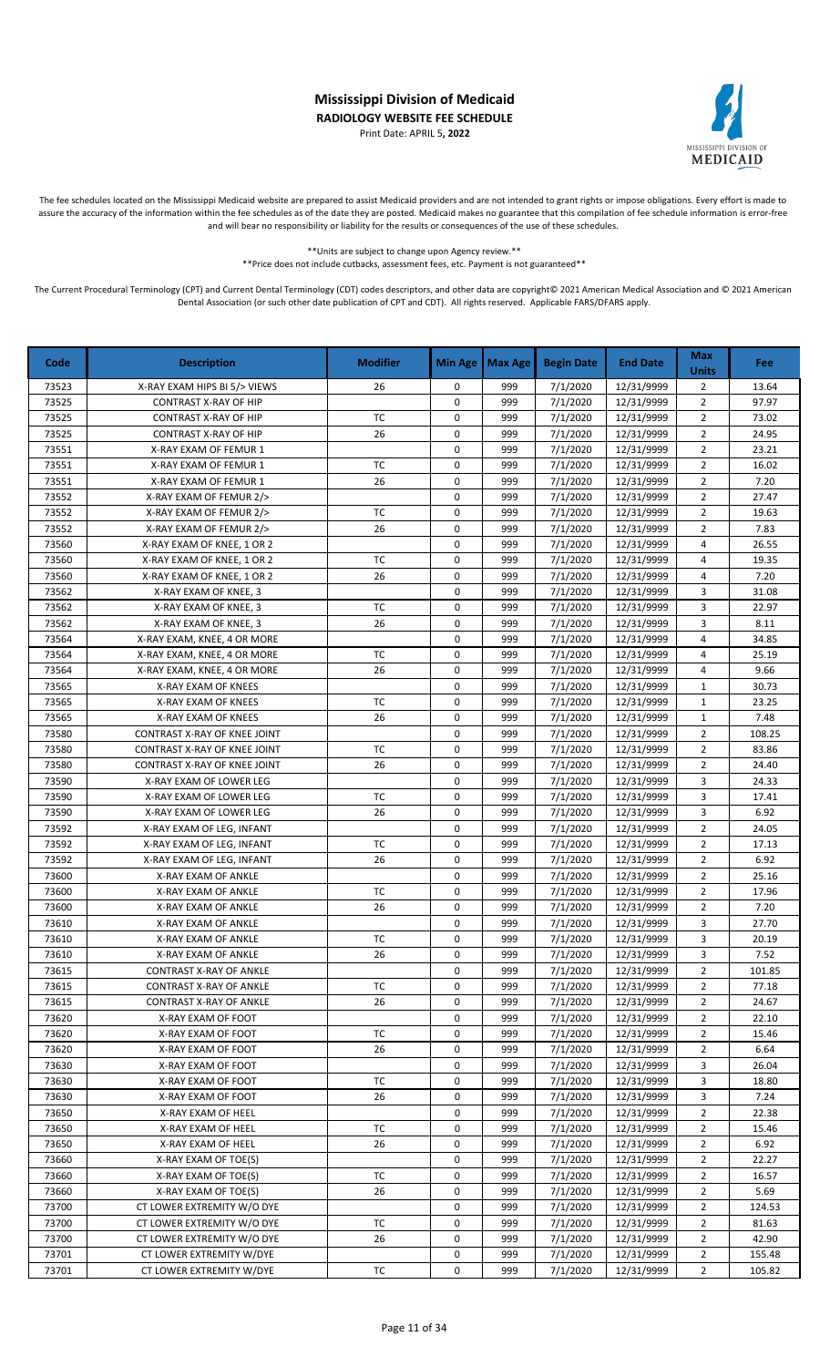Print Date: APRIL 5**, 2022**



The fee schedules located on the Mississippi Medicaid website are prepared to assist Medicaid providers and are not intended to grant rights or impose obligations. Every effort is made to assure the accuracy of the information within the fee schedules as of the date they are posted. Medicaid makes no guarantee that this compilation of fee schedule information is error-free and will bear no responsibility or liability for the results or consequences of the use of these schedules.

> \*\*Units are subject to change upon Agency review.\*\* \*\*Price does not include cutbacks, assessment fees, etc. Payment is not guaranteed\*\*

| Code           | <b>Description</b>                             | <b>Modifier</b> | <b>Min Age</b> | <b>Max Age</b> | <b>Begin Date</b>    | <b>End Date</b>          | <b>Max</b><br><b>Units</b> | Fee           |
|----------------|------------------------------------------------|-----------------|----------------|----------------|----------------------|--------------------------|----------------------------|---------------|
| 73523          | X-RAY EXAM HIPS BI 5/> VIEWS                   | 26              | 0              | 999            | 7/1/2020             | 12/31/9999               | 2                          | 13.64         |
| 73525          | <b>CONTRAST X-RAY OF HIP</b>                   |                 | 0              | 999            | 7/1/2020             | 12/31/9999               | $\overline{2}$             | 97.97         |
| 73525          | <b>CONTRAST X-RAY OF HIP</b>                   | TC              | 0              | 999            | 7/1/2020             | 12/31/9999               | $\overline{2}$             | 73.02         |
| 73525          | <b>CONTRAST X-RAY OF HIP</b>                   | 26              | 0              | 999            | 7/1/2020             | 12/31/9999               | $\overline{2}$             | 24.95         |
| 73551          | X-RAY EXAM OF FEMUR 1                          |                 | 0              | 999            | 7/1/2020             | 12/31/9999               | $\overline{2}$             | 23.21         |
| 73551          | X-RAY EXAM OF FEMUR 1                          | TC              | $\mathbf 0$    | 999            | 7/1/2020             | 12/31/9999               | $\overline{2}$             | 16.02         |
| 73551          | X-RAY EXAM OF FEMUR 1                          | 26              | 0              | 999            | 7/1/2020             | 12/31/9999               | $\overline{2}$             | 7.20          |
| 73552          | X-RAY EXAM OF FEMUR 2/>                        |                 | 0              | 999            | 7/1/2020             | 12/31/9999               | $\overline{2}$             | 27.47         |
| 73552          | X-RAY EXAM OF FEMUR 2/>                        | TC              | 0              | 999            | 7/1/2020             | 12/31/9999               | $\overline{2}$             | 19.63         |
| 73552          | X-RAY EXAM OF FEMUR 2/>                        | 26              | 0              | 999            | 7/1/2020             | 12/31/9999               | $\overline{2}$             | 7.83          |
| 73560          | X-RAY EXAM OF KNEE, 1 OR 2                     |                 | $\pmb{0}$      | 999            | 7/1/2020             | 12/31/9999               | $\overline{4}$             | 26.55         |
| 73560          | X-RAY EXAM OF KNEE, 1 OR 2                     | <b>TC</b>       | $\pmb{0}$      | 999            | 7/1/2020             | 12/31/9999               | $\overline{4}$             | 19.35         |
| 73560<br>73562 | X-RAY EXAM OF KNEE, 1 OR 2                     | 26              | 0<br>0         | 999<br>999     | 7/1/2020<br>7/1/2020 | 12/31/9999<br>12/31/9999 | 4                          | 7.20<br>31.08 |
|                | X-RAY EXAM OF KNEE, 3                          | ТC              | $\pmb{0}$      | 999            |                      |                          | 3<br>3                     |               |
| 73562<br>73562 | X-RAY EXAM OF KNEE, 3<br>X-RAY EXAM OF KNEE, 3 | 26              | $\pmb{0}$      | 999            | 7/1/2020<br>7/1/2020 | 12/31/9999<br>12/31/9999 | 3                          | 22.97<br>8.11 |
| 73564          | X-RAY EXAM, KNEE, 4 OR MORE                    |                 | 0              | 999            | 7/1/2020             | 12/31/9999               | 4                          | 34.85         |
| 73564          | X-RAY EXAM, KNEE, 4 OR MORE                    | <b>TC</b>       | 0              | 999            | 7/1/2020             | 12/31/9999               | $\overline{4}$             | 25.19         |
| 73564          | X-RAY EXAM, KNEE, 4 OR MORE                    | 26              | 0              | 999            | 7/1/2020             | 12/31/9999               | $\overline{4}$             | 9.66          |
| 73565          | X-RAY EXAM OF KNEES                            |                 | 0              | 999            | 7/1/2020             | 12/31/9999               | $\mathbf{1}$               | 30.73         |
| 73565          | X-RAY EXAM OF KNEES                            | TC              | 0              | 999            | 7/1/2020             | 12/31/9999               | 1                          | 23.25         |
| 73565          | X-RAY EXAM OF KNEES                            | 26              | 0              | 999            | 7/1/2020             | 12/31/9999               | $\mathbf{1}$               | 7.48          |
| 73580          | CONTRAST X-RAY OF KNEE JOINT                   |                 | 0              | 999            | 7/1/2020             | 12/31/9999               | $\overline{2}$             | 108.25        |
| 73580          | CONTRAST X-RAY OF KNEE JOINT                   | TC              | 0              | 999            | 7/1/2020             | 12/31/9999               | $\overline{2}$             | 83.86         |
| 73580          | CONTRAST X-RAY OF KNEE JOINT                   | 26              | 0              | 999            | 7/1/2020             | 12/31/9999               | $\overline{2}$             | 24.40         |
| 73590          | X-RAY EXAM OF LOWER LEG                        |                 | 0              | 999            | 7/1/2020             | 12/31/9999               | 3                          | 24.33         |
| 73590          | X-RAY EXAM OF LOWER LEG                        | TC              | 0              | 999            | 7/1/2020             | 12/31/9999               | 3                          | 17.41         |
| 73590          | X-RAY EXAM OF LOWER LEG                        | 26              | $\mathbf 0$    | 999            | 7/1/2020             | 12/31/9999               | 3                          | 6.92          |
| 73592          | X-RAY EXAM OF LEG, INFANT                      |                 | $\pmb{0}$      | 999            | 7/1/2020             | 12/31/9999               | $\overline{2}$             | 24.05         |
| 73592          | X-RAY EXAM OF LEG, INFANT                      | TC              | 0              | 999            | 7/1/2020             | 12/31/9999               | $\overline{2}$             | 17.13         |
| 73592          | X-RAY EXAM OF LEG, INFANT                      | 26              | 0              | 999            | 7/1/2020             | 12/31/9999               | $\overline{2}$             | 6.92          |
| 73600          | X-RAY EXAM OF ANKLE                            |                 | 0              | 999            | 7/1/2020             | 12/31/9999               | $\overline{2}$             | 25.16         |
| 73600          | X-RAY EXAM OF ANKLE                            | <b>TC</b>       | 0              | 999            | 7/1/2020             | 12/31/9999               | $\overline{2}$             | 17.96         |
| 73600          | X-RAY EXAM OF ANKLE                            | 26              | 0              | 999            | 7/1/2020             | 12/31/9999               | $\overline{2}$             | 7.20          |
| 73610          | X-RAY EXAM OF ANKLE                            |                 | 0              | 999            | 7/1/2020             | 12/31/9999               | 3                          | 27.70         |
| 73610          | X-RAY EXAM OF ANKLE                            | <b>TC</b>       | 0              | 999            | 7/1/2020             | 12/31/9999               | 3                          | 20.19         |
| 73610          | X-RAY EXAM OF ANKLE                            | 26              | 0              | 999            | 7/1/2020             | 12/31/9999               | 3                          | 7.52          |
| 73615          | <b>CONTRAST X-RAY OF ANKLE</b>                 |                 | 0              | 999            | 7/1/2020             | 12/31/9999               | $\overline{2}$             | 101.85        |
| 73615          | <b>CONTRAST X-RAY OF ANKLE</b>                 | ТC              | 0              | 999            | 7/1/2020             | 12/31/9999               | $\overline{2}$             | 77.18         |
| 73615          | CONTRAST X-RAY OF ANKLE                        | 26              | 0              | 999            | 7/1/2020             | 12/31/9999               | $\overline{2}$             | 24.67         |
| 73620          | X-RAY EXAM OF FOOT                             |                 | 0              | 999            | 7/1/2020             | 12/31/9999               | $\overline{2}$             | 22.10         |
| 73620          | X-RAY EXAM OF FOOT                             | ТC              | 0              | 999            | 7/1/2020             | 12/31/9999               | $\overline{2}$             | 15.46         |
| 73620          | X-RAY EXAM OF FOOT                             | 26              | 0              | 999            | 7/1/2020             | 12/31/9999               | $\overline{2}$             | 6.64          |
| 73630          | X-RAY EXAM OF FOOT                             |                 | 0              | 999            | 7/1/2020             | 12/31/9999               | 3                          | 26.04         |
| 73630          | X-RAY EXAM OF FOOT                             | TC              | 0              | 999            | 7/1/2020             | 12/31/9999               | 3                          | 18.80         |
| 73630          | X-RAY EXAM OF FOOT                             | 26              | 0              | 999            | 7/1/2020             | 12/31/9999               | 3                          | 7.24          |
| 73650          | X-RAY EXAM OF HEEL                             |                 | 0              | 999            | 7/1/2020             | 12/31/9999               | $\overline{2}$             | 22.38         |
| 73650          | X-RAY EXAM OF HEEL                             | ТC              | 0              | 999            | 7/1/2020             | 12/31/9999               | $\overline{2}$             | 15.46         |
| 73650          | X-RAY EXAM OF HEEL                             | 26              | 0              | 999            | 7/1/2020             | 12/31/9999               | $\overline{2}$             | 6.92          |
| 73660          | X-RAY EXAM OF TOE(S)                           |                 | 0              | 999            | 7/1/2020             | 12/31/9999               | $\overline{2}$             | 22.27         |
| 73660          | X-RAY EXAM OF TOE(S)                           | ТC              | 0              | 999            | 7/1/2020             | 12/31/9999               | $\overline{2}$             | 16.57         |
| 73660          | X-RAY EXAM OF TOE(S)                           | 26              | 0              | 999            | 7/1/2020             | 12/31/9999               | $\overline{2}$             | 5.69          |
| 73700          | CT LOWER EXTREMITY W/O DYE                     |                 | 0              | 999            | 7/1/2020             | 12/31/9999               | $\overline{2}$             | 124.53        |
| 73700          | CT LOWER EXTREMITY W/O DYE                     | TC              | 0              | 999            | 7/1/2020             | 12/31/9999               | $\overline{2}$             | 81.63         |
| 73700          | CT LOWER EXTREMITY W/O DYE                     | 26              | 0              | 999            | 7/1/2020             | 12/31/9999               | 2                          | 42.90         |
| 73701          | CT LOWER EXTREMITY W/DYE                       |                 | 0              | 999            | 7/1/2020             | 12/31/9999               | $\overline{2}$             | 155.48        |
| 73701          | CT LOWER EXTREMITY W/DYE                       | тс              | 0              | 999            | 7/1/2020             | 12/31/9999               | $\overline{2}$             | 105.82        |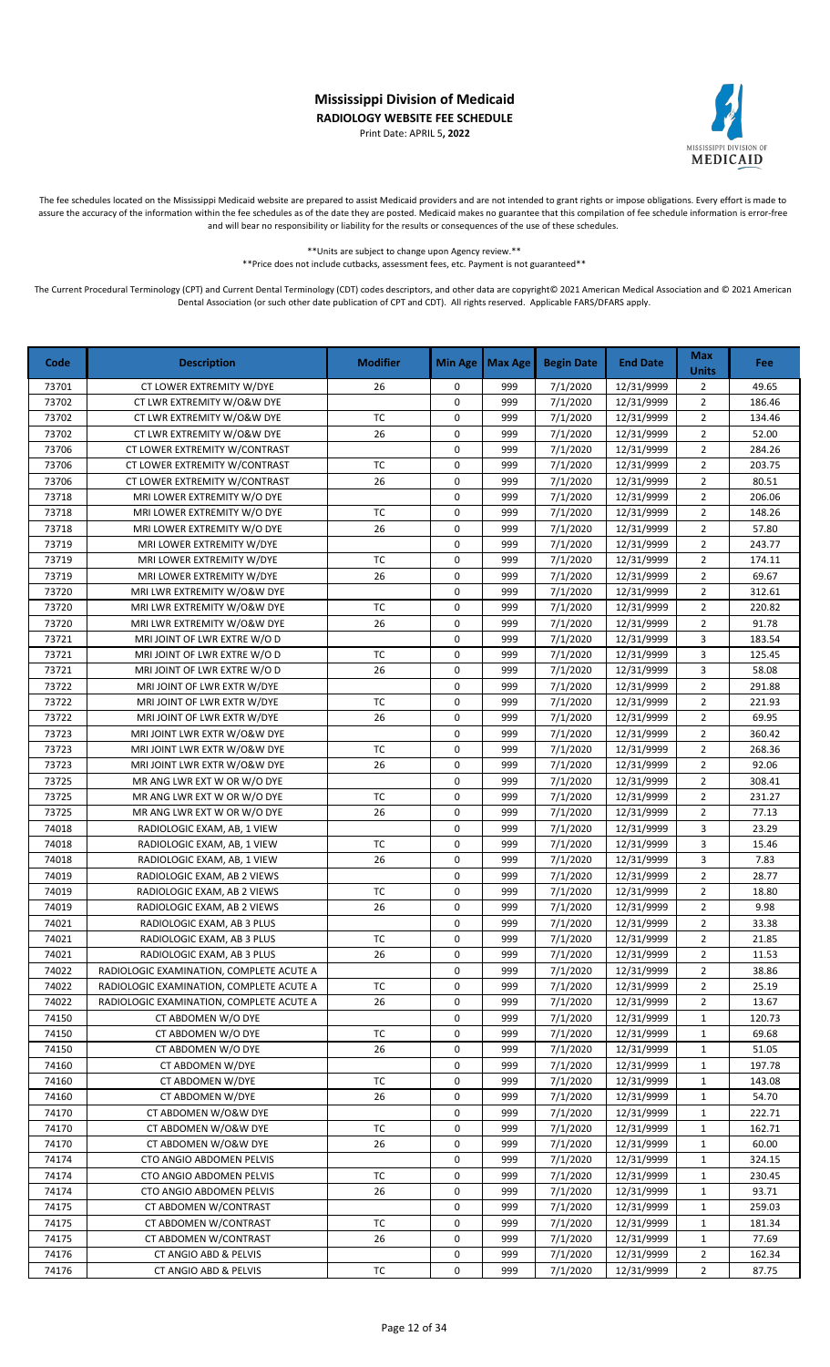Print Date: APRIL 5**, 2022**



The fee schedules located on the Mississippi Medicaid website are prepared to assist Medicaid providers and are not intended to grant rights or impose obligations. Every effort is made to assure the accuracy of the information within the fee schedules as of the date they are posted. Medicaid makes no guarantee that this compilation of fee schedule information is error-free and will bear no responsibility or liability for the results or consequences of the use of these schedules.

> \*\*Units are subject to change upon Agency review.\*\* \*\*Price does not include cutbacks, assessment fees, etc. Payment is not guaranteed\*\*

| 999<br>7/1/2020<br>12/31/9999<br>73701<br>CT LOWER EXTREMITY W/DYE<br>26<br>0<br>2<br>49.65<br>$\overline{2}$<br>73702<br>CT LWR EXTREMITY W/O&W DYE<br>0<br>999<br>7/1/2020<br>12/31/9999<br>186.46<br>73702<br>TC<br>0<br>999<br>7/1/2020<br>12/31/9999<br>$\overline{2}$<br>134.46<br>CT LWR EXTREMITY W/O&W DYE<br>73702<br>26<br>0<br>999<br>7/1/2020<br>12/31/9999<br>$\overline{2}$<br>52.00<br>CT LWR EXTREMITY W/O&W DYE<br>73706<br>999<br>7/1/2020<br>12/31/9999<br>$\overline{2}$<br>284.26<br>CT LOWER EXTREMITY W/CONTRAST<br>0<br>73706<br>TC<br>0<br>999<br>12/31/9999<br>$\overline{2}$<br>203.75<br>CT LOWER EXTREMITY W/CONTRAST<br>7/1/2020<br>$\overline{2}$<br>73706<br>CT LOWER EXTREMITY W/CONTRAST<br>26<br>0<br>999<br>7/1/2020<br>12/31/9999<br>80.51<br>0<br>$\overline{2}$<br>73718<br>999<br>7/1/2020<br>12/31/9999<br>206.06<br>MRI LOWER EXTREMITY W/O DYE<br><b>TC</b><br>73718<br>0<br>$\overline{2}$<br>148.26<br>999<br>7/1/2020<br>12/31/9999<br>MRI LOWER EXTREMITY W/O DYE<br>$\overline{2}$<br>73718<br>26<br>0<br>999<br>7/1/2020<br>12/31/9999<br>57.80<br>MRI LOWER EXTREMITY W/O DYE<br>73719<br>0<br>999<br>7/1/2020<br>12/31/9999<br>$\overline{2}$<br>243.77<br>MRI LOWER EXTREMITY W/DYE<br>73719<br><b>TC</b><br>0<br>$\overline{2}$<br>999<br>7/1/2020<br>12/31/9999<br>MRI LOWER EXTREMITY W/DYE<br>174.11<br>0<br>73719<br>26<br>999<br>7/1/2020<br>12/31/9999<br>$\overline{2}$<br>69.67<br>MRI LOWER EXTREMITY W/DYE<br>$\overline{2}$<br>73720<br>0<br>999<br>7/1/2020<br>12/31/9999<br>312.61<br>MRI LWR EXTREMITY W/O&W DYE<br>$\overline{2}$<br>TC<br>0<br>999<br>7/1/2020<br>73720<br>MRI LWR EXTREMITY W/O&W DYE<br>12/31/9999<br>220.82<br>$\overline{2}$<br>26<br>0<br>7/1/2020<br>73720<br>MRI LWR EXTREMITY W/O&W DYE<br>999<br>12/31/9999<br>91.78<br>73721<br>MRI JOINT OF LWR EXTRE W/O D<br>0<br>999<br>7/1/2020<br>12/31/9999<br>3<br>183.54<br>3<br>73721<br>MRI JOINT OF LWR EXTRE W/O D<br>TC<br>0<br>999<br>7/1/2020<br>12/31/9999<br>125.45<br>3<br>73721<br>MRI JOINT OF LWR EXTRE W/O D<br>26<br>0<br>999<br>7/1/2020<br>12/31/9999<br>58.08<br>$\overline{2}$<br>73722<br>0<br>999<br>7/1/2020<br>12/31/9999<br>291.88<br>MRI JOINT OF LWR EXTR W/DYE<br>73722<br>TC<br>999<br>$\overline{2}$<br>0<br>7/1/2020<br>12/31/9999<br>221.93<br>MRI JOINT OF LWR EXTR W/DYE<br>73722<br>26<br>0<br>999<br>$\overline{2}$<br>69.95<br>MRI JOINT OF LWR EXTR W/DYE<br>7/1/2020<br>12/31/9999<br>0<br>$\overline{2}$<br>73723<br>MRI JOINT LWR EXTR W/O&W DYE<br>999<br>7/1/2020<br>12/31/9999<br>360.42<br>TC<br>0<br>$\overline{2}$<br>73723<br>MRI JOINT LWR EXTR W/O&W DYE<br>7/1/2020<br>12/31/9999<br>268.36<br>999<br>26<br>$\overline{2}$<br>73723<br>0<br>7/1/2020<br>92.06<br>MRI JOINT LWR EXTR W/O&W DYE<br>999<br>12/31/9999<br>73725<br>0<br>999<br>12/31/9999<br>$\overline{2}$<br>MR ANG LWR EXT W OR W/O DYE<br>7/1/2020<br>308.41<br><b>TC</b><br>$\overline{2}$<br>73725<br>0<br>999<br>7/1/2020<br>12/31/9999<br>231.27<br>MR ANG LWR EXT W OR W/O DYE<br>$\overline{2}$<br>73725<br>26<br>0<br>7/1/2020<br>MR ANG LWR EXT W OR W/O DYE<br>999<br>12/31/9999<br>77.13<br>74018<br>0<br>999<br>7/1/2020<br>12/31/9999<br>3<br>RADIOLOGIC EXAM, AB, 1 VIEW<br>23.29<br>74018<br>TC<br>0<br>999<br>7/1/2020<br>3<br>15.46<br>12/31/9999<br>RADIOLOGIC EXAM, AB, 1 VIEW<br>3<br>74018<br>26<br>0<br>999<br>7/1/2020<br>12/31/9999<br>7.83<br>RADIOLOGIC EXAM, AB, 1 VIEW<br>$\overline{2}$<br>0<br>74019<br>999<br>7/1/2020<br>12/31/9999<br>28.77<br>RADIOLOGIC EXAM, AB 2 VIEWS<br><b>TC</b><br>$\overline{2}$<br>0<br>74019<br>999<br>7/1/2020<br>12/31/9999<br>18.80<br>RADIOLOGIC EXAM, AB 2 VIEWS<br>74019<br>0<br>7/1/2020<br>$\overline{2}$<br>9.98<br>26<br>999<br>12/31/9999<br>RADIOLOGIC EXAM, AB 2 VIEWS<br>74021<br>0<br>999<br>7/1/2020<br>12/31/9999<br>$\overline{2}$<br>33.38<br>RADIOLOGIC EXAM, AB 3 PLUS<br>0<br>$\overline{2}$<br>74021<br>TC<br>999<br>7/1/2020<br>12/31/9999<br>21.85<br>RADIOLOGIC EXAM, AB 3 PLUS<br>7/1/2020<br>12/31/9999<br>11.53<br>74021<br>999<br>RADIOLOGIC EXAM, AB 3 PLUS<br>26<br>0<br>2<br>74022<br>0<br>999<br>7/1/2020<br>12/31/9999<br>38.86<br>RADIOLOGIC EXAMINATION, COMPLETE ACUTE A<br>2<br>74022<br>RADIOLOGIC EXAMINATION, COMPLETE ACUTE A<br>ТC<br>0<br>999<br>7/1/2020<br>12/31/9999<br>$\overline{2}$<br>25.19<br>74022<br>RADIOLOGIC EXAMINATION, COMPLETE ACUTE A<br>26<br>0<br>999<br>7/1/2020<br>12/31/9999<br>$\overline{2}$<br>13.67<br>74150<br>0<br>7/1/2020<br>12/31/9999<br>CT ABDOMEN W/O DYE<br>999<br>$\mathbf{1}$<br>120.73<br>TC<br>74150<br>0<br>7/1/2020<br>12/31/9999<br>69.68<br>CT ABDOMEN W/O DYE<br>999<br>1<br>74150<br>CT ABDOMEN W/O DYE<br>26<br>0<br>999<br>7/1/2020<br>12/31/9999<br>51.05<br>1<br>74160<br>CT ABDOMEN W/DYE<br>0<br>999<br>7/1/2020<br>12/31/9999<br>197.78<br>1<br>TC<br>0<br>74160<br>CT ABDOMEN W/DYE<br>999<br>7/1/2020<br>12/31/9999<br>143.08<br>1<br>74160<br>26<br>0<br>999<br>7/1/2020<br>54.70<br>CT ABDOMEN W/DYE<br>12/31/9999<br>1<br>74170<br>CT ABDOMEN W/O&W DYE<br>0<br>999<br>7/1/2020<br>12/31/9999<br>$\mathbf{1}$<br>222.71<br>74170<br>CT ABDOMEN W/O&W DYE<br>ТC<br>0<br>999<br>7/1/2020<br>12/31/9999<br>$\mathbf{1}$<br>162.71<br>CT ABDOMEN W/O&W DYE<br>26<br>0<br>7/1/2020<br>12/31/9999<br>74170<br>999<br>1<br>60.00<br>7/1/2020<br>74174<br>CTO ANGIO ABDOMEN PELVIS<br>0<br>999<br>12/31/9999<br>$\mathbf{1}$<br>324.15<br>7/1/2020<br>74174<br>CTO ANGIO ABDOMEN PELVIS<br>ТC<br>0<br>999<br>12/31/9999<br>230.45<br>1<br>74174<br>CTO ANGIO ABDOMEN PELVIS<br>26<br>0<br>999<br>7/1/2020<br>12/31/9999<br>93.71<br>1<br>7/1/2020<br>259.03<br>74175<br>CT ABDOMEN W/CONTRAST<br>0<br>999<br>12/31/9999<br>1<br>74175<br>TC<br>CT ABDOMEN W/CONTRAST<br>0<br>999<br>7/1/2020<br>12/31/9999<br>181.34<br>1<br>74175<br>CT ABDOMEN W/CONTRAST<br>999<br>7/1/2020<br>12/31/9999<br>77.69<br>26<br>0<br>1<br>74176<br>CT ANGIO ABD & PELVIS<br>0<br>999<br>7/1/2020<br>12/31/9999<br>$\overline{2}$<br>162.34<br>74176<br>TC<br>0<br>999<br>7/1/2020<br>12/31/9999<br>$\overline{2}$<br>87.75<br>CT ANGIO ABD & PELVIS | Code | <b>Description</b> | <b>Modifier</b> | <b>Min Age</b> | <b>Max Age</b> | <b>Begin Date</b> | <b>End Date</b> | <b>Max</b><br><b>Units</b> | Fee |
|---------------------------------------------------------------------------------------------------------------------------------------------------------------------------------------------------------------------------------------------------------------------------------------------------------------------------------------------------------------------------------------------------------------------------------------------------------------------------------------------------------------------------------------------------------------------------------------------------------------------------------------------------------------------------------------------------------------------------------------------------------------------------------------------------------------------------------------------------------------------------------------------------------------------------------------------------------------------------------------------------------------------------------------------------------------------------------------------------------------------------------------------------------------------------------------------------------------------------------------------------------------------------------------------------------------------------------------------------------------------------------------------------------------------------------------------------------------------------------------------------------------------------------------------------------------------------------------------------------------------------------------------------------------------------------------------------------------------------------------------------------------------------------------------------------------------------------------------------------------------------------------------------------------------------------------------------------------------------------------------------------------------------------------------------------------------------------------------------------------------------------------------------------------------------------------------------------------------------------------------------------------------------------------------------------------------------------------------------------------------------------------------------------------------------------------------------------------------------------------------------------------------------------------------------------------------------------------------------------------------------------------------------------------------------------------------------------------------------------------------------------------------------------------------------------------------------------------------------------------------------------------------------------------------------------------------------------------------------------------------------------------------------------------------------------------------------------------------------------------------------------------------------------------------------------------------------------------------------------------------------------------------------------------------------------------------------------------------------------------------------------------------------------------------------------------------------------------------------------------------------------------------------------------------------------------------------------------------------------------------------------------------------------------------------------------------------------------------------------------------------------------------------------------------------------------------------------------------------------------------------------------------------------------------------------------------------------------------------------------------------------------------------------------------------------------------------------------------------------------------------------------------------------------------------------------------------------------------------------------------------------------------------------------------------------------------------------------------------------------------------------------------------------------------------------------------------------------------------------------------------------------------------------------------------------------------------------------------------------------------------------------------------------------------------------------------------------------------------------------------------------------------------------------------------------------------------------------------------------------------------------------------------------------------------------------------------------------------------------------------------------------------------------------------------------------------------------------------------------------------------------------------------------------------------------------------------------------------------------------------------------------------------------------------------------------------------------------------------------------------------------------------------------------------------------------------------------------------------------------------------------------------------------------------------------------------------------------------------------------------------------------------------------------------------------------------------------------------------------------------------------------------------------------------------------------------------------------------------------------------------------------------------------------------------------------------------------------------------------------------------------------------------------------------------------------------------------------------------------------------------------------------------------|------|--------------------|-----------------|----------------|----------------|-------------------|-----------------|----------------------------|-----|
|                                                                                                                                                                                                                                                                                                                                                                                                                                                                                                                                                                                                                                                                                                                                                                                                                                                                                                                                                                                                                                                                                                                                                                                                                                                                                                                                                                                                                                                                                                                                                                                                                                                                                                                                                                                                                                                                                                                                                                                                                                                                                                                                                                                                                                                                                                                                                                                                                                                                                                                                                                                                                                                                                                                                                                                                                                                                                                                                                                                                                                                                                                                                                                                                                                                                                                                                                                                                                                                                                                                                                                                                                                                                                                                                                                                                                                                                                                                                                                                                                                                                                                                                                                                                                                                                                                                                                                                                                                                                                                                                                                                                                                                                                                                                                                                                                                                                                                                                                                                                                                                                                                                                                                                                                                                                                                                                                                                                                                                                                                                                                                                                                                                                                                                                                                                                                                                                                                                                                                                                                                                                                                                                                         |      |                    |                 |                |                |                   |                 |                            |     |
|                                                                                                                                                                                                                                                                                                                                                                                                                                                                                                                                                                                                                                                                                                                                                                                                                                                                                                                                                                                                                                                                                                                                                                                                                                                                                                                                                                                                                                                                                                                                                                                                                                                                                                                                                                                                                                                                                                                                                                                                                                                                                                                                                                                                                                                                                                                                                                                                                                                                                                                                                                                                                                                                                                                                                                                                                                                                                                                                                                                                                                                                                                                                                                                                                                                                                                                                                                                                                                                                                                                                                                                                                                                                                                                                                                                                                                                                                                                                                                                                                                                                                                                                                                                                                                                                                                                                                                                                                                                                                                                                                                                                                                                                                                                                                                                                                                                                                                                                                                                                                                                                                                                                                                                                                                                                                                                                                                                                                                                                                                                                                                                                                                                                                                                                                                                                                                                                                                                                                                                                                                                                                                                                                         |      |                    |                 |                |                |                   |                 |                            |     |
|                                                                                                                                                                                                                                                                                                                                                                                                                                                                                                                                                                                                                                                                                                                                                                                                                                                                                                                                                                                                                                                                                                                                                                                                                                                                                                                                                                                                                                                                                                                                                                                                                                                                                                                                                                                                                                                                                                                                                                                                                                                                                                                                                                                                                                                                                                                                                                                                                                                                                                                                                                                                                                                                                                                                                                                                                                                                                                                                                                                                                                                                                                                                                                                                                                                                                                                                                                                                                                                                                                                                                                                                                                                                                                                                                                                                                                                                                                                                                                                                                                                                                                                                                                                                                                                                                                                                                                                                                                                                                                                                                                                                                                                                                                                                                                                                                                                                                                                                                                                                                                                                                                                                                                                                                                                                                                                                                                                                                                                                                                                                                                                                                                                                                                                                                                                                                                                                                                                                                                                                                                                                                                                                                         |      |                    |                 |                |                |                   |                 |                            |     |
|                                                                                                                                                                                                                                                                                                                                                                                                                                                                                                                                                                                                                                                                                                                                                                                                                                                                                                                                                                                                                                                                                                                                                                                                                                                                                                                                                                                                                                                                                                                                                                                                                                                                                                                                                                                                                                                                                                                                                                                                                                                                                                                                                                                                                                                                                                                                                                                                                                                                                                                                                                                                                                                                                                                                                                                                                                                                                                                                                                                                                                                                                                                                                                                                                                                                                                                                                                                                                                                                                                                                                                                                                                                                                                                                                                                                                                                                                                                                                                                                                                                                                                                                                                                                                                                                                                                                                                                                                                                                                                                                                                                                                                                                                                                                                                                                                                                                                                                                                                                                                                                                                                                                                                                                                                                                                                                                                                                                                                                                                                                                                                                                                                                                                                                                                                                                                                                                                                                                                                                                                                                                                                                                                         |      |                    |                 |                |                |                   |                 |                            |     |
|                                                                                                                                                                                                                                                                                                                                                                                                                                                                                                                                                                                                                                                                                                                                                                                                                                                                                                                                                                                                                                                                                                                                                                                                                                                                                                                                                                                                                                                                                                                                                                                                                                                                                                                                                                                                                                                                                                                                                                                                                                                                                                                                                                                                                                                                                                                                                                                                                                                                                                                                                                                                                                                                                                                                                                                                                                                                                                                                                                                                                                                                                                                                                                                                                                                                                                                                                                                                                                                                                                                                                                                                                                                                                                                                                                                                                                                                                                                                                                                                                                                                                                                                                                                                                                                                                                                                                                                                                                                                                                                                                                                                                                                                                                                                                                                                                                                                                                                                                                                                                                                                                                                                                                                                                                                                                                                                                                                                                                                                                                                                                                                                                                                                                                                                                                                                                                                                                                                                                                                                                                                                                                                                                         |      |                    |                 |                |                |                   |                 |                            |     |
|                                                                                                                                                                                                                                                                                                                                                                                                                                                                                                                                                                                                                                                                                                                                                                                                                                                                                                                                                                                                                                                                                                                                                                                                                                                                                                                                                                                                                                                                                                                                                                                                                                                                                                                                                                                                                                                                                                                                                                                                                                                                                                                                                                                                                                                                                                                                                                                                                                                                                                                                                                                                                                                                                                                                                                                                                                                                                                                                                                                                                                                                                                                                                                                                                                                                                                                                                                                                                                                                                                                                                                                                                                                                                                                                                                                                                                                                                                                                                                                                                                                                                                                                                                                                                                                                                                                                                                                                                                                                                                                                                                                                                                                                                                                                                                                                                                                                                                                                                                                                                                                                                                                                                                                                                                                                                                                                                                                                                                                                                                                                                                                                                                                                                                                                                                                                                                                                                                                                                                                                                                                                                                                                                         |      |                    |                 |                |                |                   |                 |                            |     |
|                                                                                                                                                                                                                                                                                                                                                                                                                                                                                                                                                                                                                                                                                                                                                                                                                                                                                                                                                                                                                                                                                                                                                                                                                                                                                                                                                                                                                                                                                                                                                                                                                                                                                                                                                                                                                                                                                                                                                                                                                                                                                                                                                                                                                                                                                                                                                                                                                                                                                                                                                                                                                                                                                                                                                                                                                                                                                                                                                                                                                                                                                                                                                                                                                                                                                                                                                                                                                                                                                                                                                                                                                                                                                                                                                                                                                                                                                                                                                                                                                                                                                                                                                                                                                                                                                                                                                                                                                                                                                                                                                                                                                                                                                                                                                                                                                                                                                                                                                                                                                                                                                                                                                                                                                                                                                                                                                                                                                                                                                                                                                                                                                                                                                                                                                                                                                                                                                                                                                                                                                                                                                                                                                         |      |                    |                 |                |                |                   |                 |                            |     |
|                                                                                                                                                                                                                                                                                                                                                                                                                                                                                                                                                                                                                                                                                                                                                                                                                                                                                                                                                                                                                                                                                                                                                                                                                                                                                                                                                                                                                                                                                                                                                                                                                                                                                                                                                                                                                                                                                                                                                                                                                                                                                                                                                                                                                                                                                                                                                                                                                                                                                                                                                                                                                                                                                                                                                                                                                                                                                                                                                                                                                                                                                                                                                                                                                                                                                                                                                                                                                                                                                                                                                                                                                                                                                                                                                                                                                                                                                                                                                                                                                                                                                                                                                                                                                                                                                                                                                                                                                                                                                                                                                                                                                                                                                                                                                                                                                                                                                                                                                                                                                                                                                                                                                                                                                                                                                                                                                                                                                                                                                                                                                                                                                                                                                                                                                                                                                                                                                                                                                                                                                                                                                                                                                         |      |                    |                 |                |                |                   |                 |                            |     |
|                                                                                                                                                                                                                                                                                                                                                                                                                                                                                                                                                                                                                                                                                                                                                                                                                                                                                                                                                                                                                                                                                                                                                                                                                                                                                                                                                                                                                                                                                                                                                                                                                                                                                                                                                                                                                                                                                                                                                                                                                                                                                                                                                                                                                                                                                                                                                                                                                                                                                                                                                                                                                                                                                                                                                                                                                                                                                                                                                                                                                                                                                                                                                                                                                                                                                                                                                                                                                                                                                                                                                                                                                                                                                                                                                                                                                                                                                                                                                                                                                                                                                                                                                                                                                                                                                                                                                                                                                                                                                                                                                                                                                                                                                                                                                                                                                                                                                                                                                                                                                                                                                                                                                                                                                                                                                                                                                                                                                                                                                                                                                                                                                                                                                                                                                                                                                                                                                                                                                                                                                                                                                                                                                         |      |                    |                 |                |                |                   |                 |                            |     |
|                                                                                                                                                                                                                                                                                                                                                                                                                                                                                                                                                                                                                                                                                                                                                                                                                                                                                                                                                                                                                                                                                                                                                                                                                                                                                                                                                                                                                                                                                                                                                                                                                                                                                                                                                                                                                                                                                                                                                                                                                                                                                                                                                                                                                                                                                                                                                                                                                                                                                                                                                                                                                                                                                                                                                                                                                                                                                                                                                                                                                                                                                                                                                                                                                                                                                                                                                                                                                                                                                                                                                                                                                                                                                                                                                                                                                                                                                                                                                                                                                                                                                                                                                                                                                                                                                                                                                                                                                                                                                                                                                                                                                                                                                                                                                                                                                                                                                                                                                                                                                                                                                                                                                                                                                                                                                                                                                                                                                                                                                                                                                                                                                                                                                                                                                                                                                                                                                                                                                                                                                                                                                                                                                         |      |                    |                 |                |                |                   |                 |                            |     |
|                                                                                                                                                                                                                                                                                                                                                                                                                                                                                                                                                                                                                                                                                                                                                                                                                                                                                                                                                                                                                                                                                                                                                                                                                                                                                                                                                                                                                                                                                                                                                                                                                                                                                                                                                                                                                                                                                                                                                                                                                                                                                                                                                                                                                                                                                                                                                                                                                                                                                                                                                                                                                                                                                                                                                                                                                                                                                                                                                                                                                                                                                                                                                                                                                                                                                                                                                                                                                                                                                                                                                                                                                                                                                                                                                                                                                                                                                                                                                                                                                                                                                                                                                                                                                                                                                                                                                                                                                                                                                                                                                                                                                                                                                                                                                                                                                                                                                                                                                                                                                                                                                                                                                                                                                                                                                                                                                                                                                                                                                                                                                                                                                                                                                                                                                                                                                                                                                                                                                                                                                                                                                                                                                         |      |                    |                 |                |                |                   |                 |                            |     |
|                                                                                                                                                                                                                                                                                                                                                                                                                                                                                                                                                                                                                                                                                                                                                                                                                                                                                                                                                                                                                                                                                                                                                                                                                                                                                                                                                                                                                                                                                                                                                                                                                                                                                                                                                                                                                                                                                                                                                                                                                                                                                                                                                                                                                                                                                                                                                                                                                                                                                                                                                                                                                                                                                                                                                                                                                                                                                                                                                                                                                                                                                                                                                                                                                                                                                                                                                                                                                                                                                                                                                                                                                                                                                                                                                                                                                                                                                                                                                                                                                                                                                                                                                                                                                                                                                                                                                                                                                                                                                                                                                                                                                                                                                                                                                                                                                                                                                                                                                                                                                                                                                                                                                                                                                                                                                                                                                                                                                                                                                                                                                                                                                                                                                                                                                                                                                                                                                                                                                                                                                                                                                                                                                         |      |                    |                 |                |                |                   |                 |                            |     |
|                                                                                                                                                                                                                                                                                                                                                                                                                                                                                                                                                                                                                                                                                                                                                                                                                                                                                                                                                                                                                                                                                                                                                                                                                                                                                                                                                                                                                                                                                                                                                                                                                                                                                                                                                                                                                                                                                                                                                                                                                                                                                                                                                                                                                                                                                                                                                                                                                                                                                                                                                                                                                                                                                                                                                                                                                                                                                                                                                                                                                                                                                                                                                                                                                                                                                                                                                                                                                                                                                                                                                                                                                                                                                                                                                                                                                                                                                                                                                                                                                                                                                                                                                                                                                                                                                                                                                                                                                                                                                                                                                                                                                                                                                                                                                                                                                                                                                                                                                                                                                                                                                                                                                                                                                                                                                                                                                                                                                                                                                                                                                                                                                                                                                                                                                                                                                                                                                                                                                                                                                                                                                                                                                         |      |                    |                 |                |                |                   |                 |                            |     |
|                                                                                                                                                                                                                                                                                                                                                                                                                                                                                                                                                                                                                                                                                                                                                                                                                                                                                                                                                                                                                                                                                                                                                                                                                                                                                                                                                                                                                                                                                                                                                                                                                                                                                                                                                                                                                                                                                                                                                                                                                                                                                                                                                                                                                                                                                                                                                                                                                                                                                                                                                                                                                                                                                                                                                                                                                                                                                                                                                                                                                                                                                                                                                                                                                                                                                                                                                                                                                                                                                                                                                                                                                                                                                                                                                                                                                                                                                                                                                                                                                                                                                                                                                                                                                                                                                                                                                                                                                                                                                                                                                                                                                                                                                                                                                                                                                                                                                                                                                                                                                                                                                                                                                                                                                                                                                                                                                                                                                                                                                                                                                                                                                                                                                                                                                                                                                                                                                                                                                                                                                                                                                                                                                         |      |                    |                 |                |                |                   |                 |                            |     |
|                                                                                                                                                                                                                                                                                                                                                                                                                                                                                                                                                                                                                                                                                                                                                                                                                                                                                                                                                                                                                                                                                                                                                                                                                                                                                                                                                                                                                                                                                                                                                                                                                                                                                                                                                                                                                                                                                                                                                                                                                                                                                                                                                                                                                                                                                                                                                                                                                                                                                                                                                                                                                                                                                                                                                                                                                                                                                                                                                                                                                                                                                                                                                                                                                                                                                                                                                                                                                                                                                                                                                                                                                                                                                                                                                                                                                                                                                                                                                                                                                                                                                                                                                                                                                                                                                                                                                                                                                                                                                                                                                                                                                                                                                                                                                                                                                                                                                                                                                                                                                                                                                                                                                                                                                                                                                                                                                                                                                                                                                                                                                                                                                                                                                                                                                                                                                                                                                                                                                                                                                                                                                                                                                         |      |                    |                 |                |                |                   |                 |                            |     |
|                                                                                                                                                                                                                                                                                                                                                                                                                                                                                                                                                                                                                                                                                                                                                                                                                                                                                                                                                                                                                                                                                                                                                                                                                                                                                                                                                                                                                                                                                                                                                                                                                                                                                                                                                                                                                                                                                                                                                                                                                                                                                                                                                                                                                                                                                                                                                                                                                                                                                                                                                                                                                                                                                                                                                                                                                                                                                                                                                                                                                                                                                                                                                                                                                                                                                                                                                                                                                                                                                                                                                                                                                                                                                                                                                                                                                                                                                                                                                                                                                                                                                                                                                                                                                                                                                                                                                                                                                                                                                                                                                                                                                                                                                                                                                                                                                                                                                                                                                                                                                                                                                                                                                                                                                                                                                                                                                                                                                                                                                                                                                                                                                                                                                                                                                                                                                                                                                                                                                                                                                                                                                                                                                         |      |                    |                 |                |                |                   |                 |                            |     |
|                                                                                                                                                                                                                                                                                                                                                                                                                                                                                                                                                                                                                                                                                                                                                                                                                                                                                                                                                                                                                                                                                                                                                                                                                                                                                                                                                                                                                                                                                                                                                                                                                                                                                                                                                                                                                                                                                                                                                                                                                                                                                                                                                                                                                                                                                                                                                                                                                                                                                                                                                                                                                                                                                                                                                                                                                                                                                                                                                                                                                                                                                                                                                                                                                                                                                                                                                                                                                                                                                                                                                                                                                                                                                                                                                                                                                                                                                                                                                                                                                                                                                                                                                                                                                                                                                                                                                                                                                                                                                                                                                                                                                                                                                                                                                                                                                                                                                                                                                                                                                                                                                                                                                                                                                                                                                                                                                                                                                                                                                                                                                                                                                                                                                                                                                                                                                                                                                                                                                                                                                                                                                                                                                         |      |                    |                 |                |                |                   |                 |                            |     |
|                                                                                                                                                                                                                                                                                                                                                                                                                                                                                                                                                                                                                                                                                                                                                                                                                                                                                                                                                                                                                                                                                                                                                                                                                                                                                                                                                                                                                                                                                                                                                                                                                                                                                                                                                                                                                                                                                                                                                                                                                                                                                                                                                                                                                                                                                                                                                                                                                                                                                                                                                                                                                                                                                                                                                                                                                                                                                                                                                                                                                                                                                                                                                                                                                                                                                                                                                                                                                                                                                                                                                                                                                                                                                                                                                                                                                                                                                                                                                                                                                                                                                                                                                                                                                                                                                                                                                                                                                                                                                                                                                                                                                                                                                                                                                                                                                                                                                                                                                                                                                                                                                                                                                                                                                                                                                                                                                                                                                                                                                                                                                                                                                                                                                                                                                                                                                                                                                                                                                                                                                                                                                                                                                         |      |                    |                 |                |                |                   |                 |                            |     |
|                                                                                                                                                                                                                                                                                                                                                                                                                                                                                                                                                                                                                                                                                                                                                                                                                                                                                                                                                                                                                                                                                                                                                                                                                                                                                                                                                                                                                                                                                                                                                                                                                                                                                                                                                                                                                                                                                                                                                                                                                                                                                                                                                                                                                                                                                                                                                                                                                                                                                                                                                                                                                                                                                                                                                                                                                                                                                                                                                                                                                                                                                                                                                                                                                                                                                                                                                                                                                                                                                                                                                                                                                                                                                                                                                                                                                                                                                                                                                                                                                                                                                                                                                                                                                                                                                                                                                                                                                                                                                                                                                                                                                                                                                                                                                                                                                                                                                                                                                                                                                                                                                                                                                                                                                                                                                                                                                                                                                                                                                                                                                                                                                                                                                                                                                                                                                                                                                                                                                                                                                                                                                                                                                         |      |                    |                 |                |                |                   |                 |                            |     |
|                                                                                                                                                                                                                                                                                                                                                                                                                                                                                                                                                                                                                                                                                                                                                                                                                                                                                                                                                                                                                                                                                                                                                                                                                                                                                                                                                                                                                                                                                                                                                                                                                                                                                                                                                                                                                                                                                                                                                                                                                                                                                                                                                                                                                                                                                                                                                                                                                                                                                                                                                                                                                                                                                                                                                                                                                                                                                                                                                                                                                                                                                                                                                                                                                                                                                                                                                                                                                                                                                                                                                                                                                                                                                                                                                                                                                                                                                                                                                                                                                                                                                                                                                                                                                                                                                                                                                                                                                                                                                                                                                                                                                                                                                                                                                                                                                                                                                                                                                                                                                                                                                                                                                                                                                                                                                                                                                                                                                                                                                                                                                                                                                                                                                                                                                                                                                                                                                                                                                                                                                                                                                                                                                         |      |                    |                 |                |                |                   |                 |                            |     |
|                                                                                                                                                                                                                                                                                                                                                                                                                                                                                                                                                                                                                                                                                                                                                                                                                                                                                                                                                                                                                                                                                                                                                                                                                                                                                                                                                                                                                                                                                                                                                                                                                                                                                                                                                                                                                                                                                                                                                                                                                                                                                                                                                                                                                                                                                                                                                                                                                                                                                                                                                                                                                                                                                                                                                                                                                                                                                                                                                                                                                                                                                                                                                                                                                                                                                                                                                                                                                                                                                                                                                                                                                                                                                                                                                                                                                                                                                                                                                                                                                                                                                                                                                                                                                                                                                                                                                                                                                                                                                                                                                                                                                                                                                                                                                                                                                                                                                                                                                                                                                                                                                                                                                                                                                                                                                                                                                                                                                                                                                                                                                                                                                                                                                                                                                                                                                                                                                                                                                                                                                                                                                                                                                         |      |                    |                 |                |                |                   |                 |                            |     |
|                                                                                                                                                                                                                                                                                                                                                                                                                                                                                                                                                                                                                                                                                                                                                                                                                                                                                                                                                                                                                                                                                                                                                                                                                                                                                                                                                                                                                                                                                                                                                                                                                                                                                                                                                                                                                                                                                                                                                                                                                                                                                                                                                                                                                                                                                                                                                                                                                                                                                                                                                                                                                                                                                                                                                                                                                                                                                                                                                                                                                                                                                                                                                                                                                                                                                                                                                                                                                                                                                                                                                                                                                                                                                                                                                                                                                                                                                                                                                                                                                                                                                                                                                                                                                                                                                                                                                                                                                                                                                                                                                                                                                                                                                                                                                                                                                                                                                                                                                                                                                                                                                                                                                                                                                                                                                                                                                                                                                                                                                                                                                                                                                                                                                                                                                                                                                                                                                                                                                                                                                                                                                                                                                         |      |                    |                 |                |                |                   |                 |                            |     |
|                                                                                                                                                                                                                                                                                                                                                                                                                                                                                                                                                                                                                                                                                                                                                                                                                                                                                                                                                                                                                                                                                                                                                                                                                                                                                                                                                                                                                                                                                                                                                                                                                                                                                                                                                                                                                                                                                                                                                                                                                                                                                                                                                                                                                                                                                                                                                                                                                                                                                                                                                                                                                                                                                                                                                                                                                                                                                                                                                                                                                                                                                                                                                                                                                                                                                                                                                                                                                                                                                                                                                                                                                                                                                                                                                                                                                                                                                                                                                                                                                                                                                                                                                                                                                                                                                                                                                                                                                                                                                                                                                                                                                                                                                                                                                                                                                                                                                                                                                                                                                                                                                                                                                                                                                                                                                                                                                                                                                                                                                                                                                                                                                                                                                                                                                                                                                                                                                                                                                                                                                                                                                                                                                         |      |                    |                 |                |                |                   |                 |                            |     |
|                                                                                                                                                                                                                                                                                                                                                                                                                                                                                                                                                                                                                                                                                                                                                                                                                                                                                                                                                                                                                                                                                                                                                                                                                                                                                                                                                                                                                                                                                                                                                                                                                                                                                                                                                                                                                                                                                                                                                                                                                                                                                                                                                                                                                                                                                                                                                                                                                                                                                                                                                                                                                                                                                                                                                                                                                                                                                                                                                                                                                                                                                                                                                                                                                                                                                                                                                                                                                                                                                                                                                                                                                                                                                                                                                                                                                                                                                                                                                                                                                                                                                                                                                                                                                                                                                                                                                                                                                                                                                                                                                                                                                                                                                                                                                                                                                                                                                                                                                                                                                                                                                                                                                                                                                                                                                                                                                                                                                                                                                                                                                                                                                                                                                                                                                                                                                                                                                                                                                                                                                                                                                                                                                         |      |                    |                 |                |                |                   |                 |                            |     |
|                                                                                                                                                                                                                                                                                                                                                                                                                                                                                                                                                                                                                                                                                                                                                                                                                                                                                                                                                                                                                                                                                                                                                                                                                                                                                                                                                                                                                                                                                                                                                                                                                                                                                                                                                                                                                                                                                                                                                                                                                                                                                                                                                                                                                                                                                                                                                                                                                                                                                                                                                                                                                                                                                                                                                                                                                                                                                                                                                                                                                                                                                                                                                                                                                                                                                                                                                                                                                                                                                                                                                                                                                                                                                                                                                                                                                                                                                                                                                                                                                                                                                                                                                                                                                                                                                                                                                                                                                                                                                                                                                                                                                                                                                                                                                                                                                                                                                                                                                                                                                                                                                                                                                                                                                                                                                                                                                                                                                                                                                                                                                                                                                                                                                                                                                                                                                                                                                                                                                                                                                                                                                                                                                         |      |                    |                 |                |                |                   |                 |                            |     |
|                                                                                                                                                                                                                                                                                                                                                                                                                                                                                                                                                                                                                                                                                                                                                                                                                                                                                                                                                                                                                                                                                                                                                                                                                                                                                                                                                                                                                                                                                                                                                                                                                                                                                                                                                                                                                                                                                                                                                                                                                                                                                                                                                                                                                                                                                                                                                                                                                                                                                                                                                                                                                                                                                                                                                                                                                                                                                                                                                                                                                                                                                                                                                                                                                                                                                                                                                                                                                                                                                                                                                                                                                                                                                                                                                                                                                                                                                                                                                                                                                                                                                                                                                                                                                                                                                                                                                                                                                                                                                                                                                                                                                                                                                                                                                                                                                                                                                                                                                                                                                                                                                                                                                                                                                                                                                                                                                                                                                                                                                                                                                                                                                                                                                                                                                                                                                                                                                                                                                                                                                                                                                                                                                         |      |                    |                 |                |                |                   |                 |                            |     |
|                                                                                                                                                                                                                                                                                                                                                                                                                                                                                                                                                                                                                                                                                                                                                                                                                                                                                                                                                                                                                                                                                                                                                                                                                                                                                                                                                                                                                                                                                                                                                                                                                                                                                                                                                                                                                                                                                                                                                                                                                                                                                                                                                                                                                                                                                                                                                                                                                                                                                                                                                                                                                                                                                                                                                                                                                                                                                                                                                                                                                                                                                                                                                                                                                                                                                                                                                                                                                                                                                                                                                                                                                                                                                                                                                                                                                                                                                                                                                                                                                                                                                                                                                                                                                                                                                                                                                                                                                                                                                                                                                                                                                                                                                                                                                                                                                                                                                                                                                                                                                                                                                                                                                                                                                                                                                                                                                                                                                                                                                                                                                                                                                                                                                                                                                                                                                                                                                                                                                                                                                                                                                                                                                         |      |                    |                 |                |                |                   |                 |                            |     |
|                                                                                                                                                                                                                                                                                                                                                                                                                                                                                                                                                                                                                                                                                                                                                                                                                                                                                                                                                                                                                                                                                                                                                                                                                                                                                                                                                                                                                                                                                                                                                                                                                                                                                                                                                                                                                                                                                                                                                                                                                                                                                                                                                                                                                                                                                                                                                                                                                                                                                                                                                                                                                                                                                                                                                                                                                                                                                                                                                                                                                                                                                                                                                                                                                                                                                                                                                                                                                                                                                                                                                                                                                                                                                                                                                                                                                                                                                                                                                                                                                                                                                                                                                                                                                                                                                                                                                                                                                                                                                                                                                                                                                                                                                                                                                                                                                                                                                                                                                                                                                                                                                                                                                                                                                                                                                                                                                                                                                                                                                                                                                                                                                                                                                                                                                                                                                                                                                                                                                                                                                                                                                                                                                         |      |                    |                 |                |                |                   |                 |                            |     |
|                                                                                                                                                                                                                                                                                                                                                                                                                                                                                                                                                                                                                                                                                                                                                                                                                                                                                                                                                                                                                                                                                                                                                                                                                                                                                                                                                                                                                                                                                                                                                                                                                                                                                                                                                                                                                                                                                                                                                                                                                                                                                                                                                                                                                                                                                                                                                                                                                                                                                                                                                                                                                                                                                                                                                                                                                                                                                                                                                                                                                                                                                                                                                                                                                                                                                                                                                                                                                                                                                                                                                                                                                                                                                                                                                                                                                                                                                                                                                                                                                                                                                                                                                                                                                                                                                                                                                                                                                                                                                                                                                                                                                                                                                                                                                                                                                                                                                                                                                                                                                                                                                                                                                                                                                                                                                                                                                                                                                                                                                                                                                                                                                                                                                                                                                                                                                                                                                                                                                                                                                                                                                                                                                         |      |                    |                 |                |                |                   |                 |                            |     |
|                                                                                                                                                                                                                                                                                                                                                                                                                                                                                                                                                                                                                                                                                                                                                                                                                                                                                                                                                                                                                                                                                                                                                                                                                                                                                                                                                                                                                                                                                                                                                                                                                                                                                                                                                                                                                                                                                                                                                                                                                                                                                                                                                                                                                                                                                                                                                                                                                                                                                                                                                                                                                                                                                                                                                                                                                                                                                                                                                                                                                                                                                                                                                                                                                                                                                                                                                                                                                                                                                                                                                                                                                                                                                                                                                                                                                                                                                                                                                                                                                                                                                                                                                                                                                                                                                                                                                                                                                                                                                                                                                                                                                                                                                                                                                                                                                                                                                                                                                                                                                                                                                                                                                                                                                                                                                                                                                                                                                                                                                                                                                                                                                                                                                                                                                                                                                                                                                                                                                                                                                                                                                                                                                         |      |                    |                 |                |                |                   |                 |                            |     |
|                                                                                                                                                                                                                                                                                                                                                                                                                                                                                                                                                                                                                                                                                                                                                                                                                                                                                                                                                                                                                                                                                                                                                                                                                                                                                                                                                                                                                                                                                                                                                                                                                                                                                                                                                                                                                                                                                                                                                                                                                                                                                                                                                                                                                                                                                                                                                                                                                                                                                                                                                                                                                                                                                                                                                                                                                                                                                                                                                                                                                                                                                                                                                                                                                                                                                                                                                                                                                                                                                                                                                                                                                                                                                                                                                                                                                                                                                                                                                                                                                                                                                                                                                                                                                                                                                                                                                                                                                                                                                                                                                                                                                                                                                                                                                                                                                                                                                                                                                                                                                                                                                                                                                                                                                                                                                                                                                                                                                                                                                                                                                                                                                                                                                                                                                                                                                                                                                                                                                                                                                                                                                                                                                         |      |                    |                 |                |                |                   |                 |                            |     |
|                                                                                                                                                                                                                                                                                                                                                                                                                                                                                                                                                                                                                                                                                                                                                                                                                                                                                                                                                                                                                                                                                                                                                                                                                                                                                                                                                                                                                                                                                                                                                                                                                                                                                                                                                                                                                                                                                                                                                                                                                                                                                                                                                                                                                                                                                                                                                                                                                                                                                                                                                                                                                                                                                                                                                                                                                                                                                                                                                                                                                                                                                                                                                                                                                                                                                                                                                                                                                                                                                                                                                                                                                                                                                                                                                                                                                                                                                                                                                                                                                                                                                                                                                                                                                                                                                                                                                                                                                                                                                                                                                                                                                                                                                                                                                                                                                                                                                                                                                                                                                                                                                                                                                                                                                                                                                                                                                                                                                                                                                                                                                                                                                                                                                                                                                                                                                                                                                                                                                                                                                                                                                                                                                         |      |                    |                 |                |                |                   |                 |                            |     |
|                                                                                                                                                                                                                                                                                                                                                                                                                                                                                                                                                                                                                                                                                                                                                                                                                                                                                                                                                                                                                                                                                                                                                                                                                                                                                                                                                                                                                                                                                                                                                                                                                                                                                                                                                                                                                                                                                                                                                                                                                                                                                                                                                                                                                                                                                                                                                                                                                                                                                                                                                                                                                                                                                                                                                                                                                                                                                                                                                                                                                                                                                                                                                                                                                                                                                                                                                                                                                                                                                                                                                                                                                                                                                                                                                                                                                                                                                                                                                                                                                                                                                                                                                                                                                                                                                                                                                                                                                                                                                                                                                                                                                                                                                                                                                                                                                                                                                                                                                                                                                                                                                                                                                                                                                                                                                                                                                                                                                                                                                                                                                                                                                                                                                                                                                                                                                                                                                                                                                                                                                                                                                                                                                         |      |                    |                 |                |                |                   |                 |                            |     |
|                                                                                                                                                                                                                                                                                                                                                                                                                                                                                                                                                                                                                                                                                                                                                                                                                                                                                                                                                                                                                                                                                                                                                                                                                                                                                                                                                                                                                                                                                                                                                                                                                                                                                                                                                                                                                                                                                                                                                                                                                                                                                                                                                                                                                                                                                                                                                                                                                                                                                                                                                                                                                                                                                                                                                                                                                                                                                                                                                                                                                                                                                                                                                                                                                                                                                                                                                                                                                                                                                                                                                                                                                                                                                                                                                                                                                                                                                                                                                                                                                                                                                                                                                                                                                                                                                                                                                                                                                                                                                                                                                                                                                                                                                                                                                                                                                                                                                                                                                                                                                                                                                                                                                                                                                                                                                                                                                                                                                                                                                                                                                                                                                                                                                                                                                                                                                                                                                                                                                                                                                                                                                                                                                         |      |                    |                 |                |                |                   |                 |                            |     |
|                                                                                                                                                                                                                                                                                                                                                                                                                                                                                                                                                                                                                                                                                                                                                                                                                                                                                                                                                                                                                                                                                                                                                                                                                                                                                                                                                                                                                                                                                                                                                                                                                                                                                                                                                                                                                                                                                                                                                                                                                                                                                                                                                                                                                                                                                                                                                                                                                                                                                                                                                                                                                                                                                                                                                                                                                                                                                                                                                                                                                                                                                                                                                                                                                                                                                                                                                                                                                                                                                                                                                                                                                                                                                                                                                                                                                                                                                                                                                                                                                                                                                                                                                                                                                                                                                                                                                                                                                                                                                                                                                                                                                                                                                                                                                                                                                                                                                                                                                                                                                                                                                                                                                                                                                                                                                                                                                                                                                                                                                                                                                                                                                                                                                                                                                                                                                                                                                                                                                                                                                                                                                                                                                         |      |                    |                 |                |                |                   |                 |                            |     |
|                                                                                                                                                                                                                                                                                                                                                                                                                                                                                                                                                                                                                                                                                                                                                                                                                                                                                                                                                                                                                                                                                                                                                                                                                                                                                                                                                                                                                                                                                                                                                                                                                                                                                                                                                                                                                                                                                                                                                                                                                                                                                                                                                                                                                                                                                                                                                                                                                                                                                                                                                                                                                                                                                                                                                                                                                                                                                                                                                                                                                                                                                                                                                                                                                                                                                                                                                                                                                                                                                                                                                                                                                                                                                                                                                                                                                                                                                                                                                                                                                                                                                                                                                                                                                                                                                                                                                                                                                                                                                                                                                                                                                                                                                                                                                                                                                                                                                                                                                                                                                                                                                                                                                                                                                                                                                                                                                                                                                                                                                                                                                                                                                                                                                                                                                                                                                                                                                                                                                                                                                                                                                                                                                         |      |                    |                 |                |                |                   |                 |                            |     |
|                                                                                                                                                                                                                                                                                                                                                                                                                                                                                                                                                                                                                                                                                                                                                                                                                                                                                                                                                                                                                                                                                                                                                                                                                                                                                                                                                                                                                                                                                                                                                                                                                                                                                                                                                                                                                                                                                                                                                                                                                                                                                                                                                                                                                                                                                                                                                                                                                                                                                                                                                                                                                                                                                                                                                                                                                                                                                                                                                                                                                                                                                                                                                                                                                                                                                                                                                                                                                                                                                                                                                                                                                                                                                                                                                                                                                                                                                                                                                                                                                                                                                                                                                                                                                                                                                                                                                                                                                                                                                                                                                                                                                                                                                                                                                                                                                                                                                                                                                                                                                                                                                                                                                                                                                                                                                                                                                                                                                                                                                                                                                                                                                                                                                                                                                                                                                                                                                                                                                                                                                                                                                                                                                         |      |                    |                 |                |                |                   |                 |                            |     |
|                                                                                                                                                                                                                                                                                                                                                                                                                                                                                                                                                                                                                                                                                                                                                                                                                                                                                                                                                                                                                                                                                                                                                                                                                                                                                                                                                                                                                                                                                                                                                                                                                                                                                                                                                                                                                                                                                                                                                                                                                                                                                                                                                                                                                                                                                                                                                                                                                                                                                                                                                                                                                                                                                                                                                                                                                                                                                                                                                                                                                                                                                                                                                                                                                                                                                                                                                                                                                                                                                                                                                                                                                                                                                                                                                                                                                                                                                                                                                                                                                                                                                                                                                                                                                                                                                                                                                                                                                                                                                                                                                                                                                                                                                                                                                                                                                                                                                                                                                                                                                                                                                                                                                                                                                                                                                                                                                                                                                                                                                                                                                                                                                                                                                                                                                                                                                                                                                                                                                                                                                                                                                                                                                         |      |                    |                 |                |                |                   |                 |                            |     |
|                                                                                                                                                                                                                                                                                                                                                                                                                                                                                                                                                                                                                                                                                                                                                                                                                                                                                                                                                                                                                                                                                                                                                                                                                                                                                                                                                                                                                                                                                                                                                                                                                                                                                                                                                                                                                                                                                                                                                                                                                                                                                                                                                                                                                                                                                                                                                                                                                                                                                                                                                                                                                                                                                                                                                                                                                                                                                                                                                                                                                                                                                                                                                                                                                                                                                                                                                                                                                                                                                                                                                                                                                                                                                                                                                                                                                                                                                                                                                                                                                                                                                                                                                                                                                                                                                                                                                                                                                                                                                                                                                                                                                                                                                                                                                                                                                                                                                                                                                                                                                                                                                                                                                                                                                                                                                                                                                                                                                                                                                                                                                                                                                                                                                                                                                                                                                                                                                                                                                                                                                                                                                                                                                         |      |                    |                 |                |                |                   |                 |                            |     |
|                                                                                                                                                                                                                                                                                                                                                                                                                                                                                                                                                                                                                                                                                                                                                                                                                                                                                                                                                                                                                                                                                                                                                                                                                                                                                                                                                                                                                                                                                                                                                                                                                                                                                                                                                                                                                                                                                                                                                                                                                                                                                                                                                                                                                                                                                                                                                                                                                                                                                                                                                                                                                                                                                                                                                                                                                                                                                                                                                                                                                                                                                                                                                                                                                                                                                                                                                                                                                                                                                                                                                                                                                                                                                                                                                                                                                                                                                                                                                                                                                                                                                                                                                                                                                                                                                                                                                                                                                                                                                                                                                                                                                                                                                                                                                                                                                                                                                                                                                                                                                                                                                                                                                                                                                                                                                                                                                                                                                                                                                                                                                                                                                                                                                                                                                                                                                                                                                                                                                                                                                                                                                                                                                         |      |                    |                 |                |                |                   |                 |                            |     |
|                                                                                                                                                                                                                                                                                                                                                                                                                                                                                                                                                                                                                                                                                                                                                                                                                                                                                                                                                                                                                                                                                                                                                                                                                                                                                                                                                                                                                                                                                                                                                                                                                                                                                                                                                                                                                                                                                                                                                                                                                                                                                                                                                                                                                                                                                                                                                                                                                                                                                                                                                                                                                                                                                                                                                                                                                                                                                                                                                                                                                                                                                                                                                                                                                                                                                                                                                                                                                                                                                                                                                                                                                                                                                                                                                                                                                                                                                                                                                                                                                                                                                                                                                                                                                                                                                                                                                                                                                                                                                                                                                                                                                                                                                                                                                                                                                                                                                                                                                                                                                                                                                                                                                                                                                                                                                                                                                                                                                                                                                                                                                                                                                                                                                                                                                                                                                                                                                                                                                                                                                                                                                                                                                         |      |                    |                 |                |                |                   |                 |                            |     |
|                                                                                                                                                                                                                                                                                                                                                                                                                                                                                                                                                                                                                                                                                                                                                                                                                                                                                                                                                                                                                                                                                                                                                                                                                                                                                                                                                                                                                                                                                                                                                                                                                                                                                                                                                                                                                                                                                                                                                                                                                                                                                                                                                                                                                                                                                                                                                                                                                                                                                                                                                                                                                                                                                                                                                                                                                                                                                                                                                                                                                                                                                                                                                                                                                                                                                                                                                                                                                                                                                                                                                                                                                                                                                                                                                                                                                                                                                                                                                                                                                                                                                                                                                                                                                                                                                                                                                                                                                                                                                                                                                                                                                                                                                                                                                                                                                                                                                                                                                                                                                                                                                                                                                                                                                                                                                                                                                                                                                                                                                                                                                                                                                                                                                                                                                                                                                                                                                                                                                                                                                                                                                                                                                         |      |                    |                 |                |                |                   |                 |                            |     |
|                                                                                                                                                                                                                                                                                                                                                                                                                                                                                                                                                                                                                                                                                                                                                                                                                                                                                                                                                                                                                                                                                                                                                                                                                                                                                                                                                                                                                                                                                                                                                                                                                                                                                                                                                                                                                                                                                                                                                                                                                                                                                                                                                                                                                                                                                                                                                                                                                                                                                                                                                                                                                                                                                                                                                                                                                                                                                                                                                                                                                                                                                                                                                                                                                                                                                                                                                                                                                                                                                                                                                                                                                                                                                                                                                                                                                                                                                                                                                                                                                                                                                                                                                                                                                                                                                                                                                                                                                                                                                                                                                                                                                                                                                                                                                                                                                                                                                                                                                                                                                                                                                                                                                                                                                                                                                                                                                                                                                                                                                                                                                                                                                                                                                                                                                                                                                                                                                                                                                                                                                                                                                                                                                         |      |                    |                 |                |                |                   |                 |                            |     |
|                                                                                                                                                                                                                                                                                                                                                                                                                                                                                                                                                                                                                                                                                                                                                                                                                                                                                                                                                                                                                                                                                                                                                                                                                                                                                                                                                                                                                                                                                                                                                                                                                                                                                                                                                                                                                                                                                                                                                                                                                                                                                                                                                                                                                                                                                                                                                                                                                                                                                                                                                                                                                                                                                                                                                                                                                                                                                                                                                                                                                                                                                                                                                                                                                                                                                                                                                                                                                                                                                                                                                                                                                                                                                                                                                                                                                                                                                                                                                                                                                                                                                                                                                                                                                                                                                                                                                                                                                                                                                                                                                                                                                                                                                                                                                                                                                                                                                                                                                                                                                                                                                                                                                                                                                                                                                                                                                                                                                                                                                                                                                                                                                                                                                                                                                                                                                                                                                                                                                                                                                                                                                                                                                         |      |                    |                 |                |                |                   |                 |                            |     |
|                                                                                                                                                                                                                                                                                                                                                                                                                                                                                                                                                                                                                                                                                                                                                                                                                                                                                                                                                                                                                                                                                                                                                                                                                                                                                                                                                                                                                                                                                                                                                                                                                                                                                                                                                                                                                                                                                                                                                                                                                                                                                                                                                                                                                                                                                                                                                                                                                                                                                                                                                                                                                                                                                                                                                                                                                                                                                                                                                                                                                                                                                                                                                                                                                                                                                                                                                                                                                                                                                                                                                                                                                                                                                                                                                                                                                                                                                                                                                                                                                                                                                                                                                                                                                                                                                                                                                                                                                                                                                                                                                                                                                                                                                                                                                                                                                                                                                                                                                                                                                                                                                                                                                                                                                                                                                                                                                                                                                                                                                                                                                                                                                                                                                                                                                                                                                                                                                                                                                                                                                                                                                                                                                         |      |                    |                 |                |                |                   |                 |                            |     |
|                                                                                                                                                                                                                                                                                                                                                                                                                                                                                                                                                                                                                                                                                                                                                                                                                                                                                                                                                                                                                                                                                                                                                                                                                                                                                                                                                                                                                                                                                                                                                                                                                                                                                                                                                                                                                                                                                                                                                                                                                                                                                                                                                                                                                                                                                                                                                                                                                                                                                                                                                                                                                                                                                                                                                                                                                                                                                                                                                                                                                                                                                                                                                                                                                                                                                                                                                                                                                                                                                                                                                                                                                                                                                                                                                                                                                                                                                                                                                                                                                                                                                                                                                                                                                                                                                                                                                                                                                                                                                                                                                                                                                                                                                                                                                                                                                                                                                                                                                                                                                                                                                                                                                                                                                                                                                                                                                                                                                                                                                                                                                                                                                                                                                                                                                                                                                                                                                                                                                                                                                                                                                                                                                         |      |                    |                 |                |                |                   |                 |                            |     |
|                                                                                                                                                                                                                                                                                                                                                                                                                                                                                                                                                                                                                                                                                                                                                                                                                                                                                                                                                                                                                                                                                                                                                                                                                                                                                                                                                                                                                                                                                                                                                                                                                                                                                                                                                                                                                                                                                                                                                                                                                                                                                                                                                                                                                                                                                                                                                                                                                                                                                                                                                                                                                                                                                                                                                                                                                                                                                                                                                                                                                                                                                                                                                                                                                                                                                                                                                                                                                                                                                                                                                                                                                                                                                                                                                                                                                                                                                                                                                                                                                                                                                                                                                                                                                                                                                                                                                                                                                                                                                                                                                                                                                                                                                                                                                                                                                                                                                                                                                                                                                                                                                                                                                                                                                                                                                                                                                                                                                                                                                                                                                                                                                                                                                                                                                                                                                                                                                                                                                                                                                                                                                                                                                         |      |                    |                 |                |                |                   |                 |                            |     |
|                                                                                                                                                                                                                                                                                                                                                                                                                                                                                                                                                                                                                                                                                                                                                                                                                                                                                                                                                                                                                                                                                                                                                                                                                                                                                                                                                                                                                                                                                                                                                                                                                                                                                                                                                                                                                                                                                                                                                                                                                                                                                                                                                                                                                                                                                                                                                                                                                                                                                                                                                                                                                                                                                                                                                                                                                                                                                                                                                                                                                                                                                                                                                                                                                                                                                                                                                                                                                                                                                                                                                                                                                                                                                                                                                                                                                                                                                                                                                                                                                                                                                                                                                                                                                                                                                                                                                                                                                                                                                                                                                                                                                                                                                                                                                                                                                                                                                                                                                                                                                                                                                                                                                                                                                                                                                                                                                                                                                                                                                                                                                                                                                                                                                                                                                                                                                                                                                                                                                                                                                                                                                                                                                         |      |                    |                 |                |                |                   |                 |                            |     |
|                                                                                                                                                                                                                                                                                                                                                                                                                                                                                                                                                                                                                                                                                                                                                                                                                                                                                                                                                                                                                                                                                                                                                                                                                                                                                                                                                                                                                                                                                                                                                                                                                                                                                                                                                                                                                                                                                                                                                                                                                                                                                                                                                                                                                                                                                                                                                                                                                                                                                                                                                                                                                                                                                                                                                                                                                                                                                                                                                                                                                                                                                                                                                                                                                                                                                                                                                                                                                                                                                                                                                                                                                                                                                                                                                                                                                                                                                                                                                                                                                                                                                                                                                                                                                                                                                                                                                                                                                                                                                                                                                                                                                                                                                                                                                                                                                                                                                                                                                                                                                                                                                                                                                                                                                                                                                                                                                                                                                                                                                                                                                                                                                                                                                                                                                                                                                                                                                                                                                                                                                                                                                                                                                         |      |                    |                 |                |                |                   |                 |                            |     |
|                                                                                                                                                                                                                                                                                                                                                                                                                                                                                                                                                                                                                                                                                                                                                                                                                                                                                                                                                                                                                                                                                                                                                                                                                                                                                                                                                                                                                                                                                                                                                                                                                                                                                                                                                                                                                                                                                                                                                                                                                                                                                                                                                                                                                                                                                                                                                                                                                                                                                                                                                                                                                                                                                                                                                                                                                                                                                                                                                                                                                                                                                                                                                                                                                                                                                                                                                                                                                                                                                                                                                                                                                                                                                                                                                                                                                                                                                                                                                                                                                                                                                                                                                                                                                                                                                                                                                                                                                                                                                                                                                                                                                                                                                                                                                                                                                                                                                                                                                                                                                                                                                                                                                                                                                                                                                                                                                                                                                                                                                                                                                                                                                                                                                                                                                                                                                                                                                                                                                                                                                                                                                                                                                         |      |                    |                 |                |                |                   |                 |                            |     |
|                                                                                                                                                                                                                                                                                                                                                                                                                                                                                                                                                                                                                                                                                                                                                                                                                                                                                                                                                                                                                                                                                                                                                                                                                                                                                                                                                                                                                                                                                                                                                                                                                                                                                                                                                                                                                                                                                                                                                                                                                                                                                                                                                                                                                                                                                                                                                                                                                                                                                                                                                                                                                                                                                                                                                                                                                                                                                                                                                                                                                                                                                                                                                                                                                                                                                                                                                                                                                                                                                                                                                                                                                                                                                                                                                                                                                                                                                                                                                                                                                                                                                                                                                                                                                                                                                                                                                                                                                                                                                                                                                                                                                                                                                                                                                                                                                                                                                                                                                                                                                                                                                                                                                                                                                                                                                                                                                                                                                                                                                                                                                                                                                                                                                                                                                                                                                                                                                                                                                                                                                                                                                                                                                         |      |                    |                 |                |                |                   |                 |                            |     |
|                                                                                                                                                                                                                                                                                                                                                                                                                                                                                                                                                                                                                                                                                                                                                                                                                                                                                                                                                                                                                                                                                                                                                                                                                                                                                                                                                                                                                                                                                                                                                                                                                                                                                                                                                                                                                                                                                                                                                                                                                                                                                                                                                                                                                                                                                                                                                                                                                                                                                                                                                                                                                                                                                                                                                                                                                                                                                                                                                                                                                                                                                                                                                                                                                                                                                                                                                                                                                                                                                                                                                                                                                                                                                                                                                                                                                                                                                                                                                                                                                                                                                                                                                                                                                                                                                                                                                                                                                                                                                                                                                                                                                                                                                                                                                                                                                                                                                                                                                                                                                                                                                                                                                                                                                                                                                                                                                                                                                                                                                                                                                                                                                                                                                                                                                                                                                                                                                                                                                                                                                                                                                                                                                         |      |                    |                 |                |                |                   |                 |                            |     |
|                                                                                                                                                                                                                                                                                                                                                                                                                                                                                                                                                                                                                                                                                                                                                                                                                                                                                                                                                                                                                                                                                                                                                                                                                                                                                                                                                                                                                                                                                                                                                                                                                                                                                                                                                                                                                                                                                                                                                                                                                                                                                                                                                                                                                                                                                                                                                                                                                                                                                                                                                                                                                                                                                                                                                                                                                                                                                                                                                                                                                                                                                                                                                                                                                                                                                                                                                                                                                                                                                                                                                                                                                                                                                                                                                                                                                                                                                                                                                                                                                                                                                                                                                                                                                                                                                                                                                                                                                                                                                                                                                                                                                                                                                                                                                                                                                                                                                                                                                                                                                                                                                                                                                                                                                                                                                                                                                                                                                                                                                                                                                                                                                                                                                                                                                                                                                                                                                                                                                                                                                                                                                                                                                         |      |                    |                 |                |                |                   |                 |                            |     |
|                                                                                                                                                                                                                                                                                                                                                                                                                                                                                                                                                                                                                                                                                                                                                                                                                                                                                                                                                                                                                                                                                                                                                                                                                                                                                                                                                                                                                                                                                                                                                                                                                                                                                                                                                                                                                                                                                                                                                                                                                                                                                                                                                                                                                                                                                                                                                                                                                                                                                                                                                                                                                                                                                                                                                                                                                                                                                                                                                                                                                                                                                                                                                                                                                                                                                                                                                                                                                                                                                                                                                                                                                                                                                                                                                                                                                                                                                                                                                                                                                                                                                                                                                                                                                                                                                                                                                                                                                                                                                                                                                                                                                                                                                                                                                                                                                                                                                                                                                                                                                                                                                                                                                                                                                                                                                                                                                                                                                                                                                                                                                                                                                                                                                                                                                                                                                                                                                                                                                                                                                                                                                                                                                         |      |                    |                 |                |                |                   |                 |                            |     |
|                                                                                                                                                                                                                                                                                                                                                                                                                                                                                                                                                                                                                                                                                                                                                                                                                                                                                                                                                                                                                                                                                                                                                                                                                                                                                                                                                                                                                                                                                                                                                                                                                                                                                                                                                                                                                                                                                                                                                                                                                                                                                                                                                                                                                                                                                                                                                                                                                                                                                                                                                                                                                                                                                                                                                                                                                                                                                                                                                                                                                                                                                                                                                                                                                                                                                                                                                                                                                                                                                                                                                                                                                                                                                                                                                                                                                                                                                                                                                                                                                                                                                                                                                                                                                                                                                                                                                                                                                                                                                                                                                                                                                                                                                                                                                                                                                                                                                                                                                                                                                                                                                                                                                                                                                                                                                                                                                                                                                                                                                                                                                                                                                                                                                                                                                                                                                                                                                                                                                                                                                                                                                                                                                         |      |                    |                 |                |                |                   |                 |                            |     |
|                                                                                                                                                                                                                                                                                                                                                                                                                                                                                                                                                                                                                                                                                                                                                                                                                                                                                                                                                                                                                                                                                                                                                                                                                                                                                                                                                                                                                                                                                                                                                                                                                                                                                                                                                                                                                                                                                                                                                                                                                                                                                                                                                                                                                                                                                                                                                                                                                                                                                                                                                                                                                                                                                                                                                                                                                                                                                                                                                                                                                                                                                                                                                                                                                                                                                                                                                                                                                                                                                                                                                                                                                                                                                                                                                                                                                                                                                                                                                                                                                                                                                                                                                                                                                                                                                                                                                                                                                                                                                                                                                                                                                                                                                                                                                                                                                                                                                                                                                                                                                                                                                                                                                                                                                                                                                                                                                                                                                                                                                                                                                                                                                                                                                                                                                                                                                                                                                                                                                                                                                                                                                                                                                         |      |                    |                 |                |                |                   |                 |                            |     |
|                                                                                                                                                                                                                                                                                                                                                                                                                                                                                                                                                                                                                                                                                                                                                                                                                                                                                                                                                                                                                                                                                                                                                                                                                                                                                                                                                                                                                                                                                                                                                                                                                                                                                                                                                                                                                                                                                                                                                                                                                                                                                                                                                                                                                                                                                                                                                                                                                                                                                                                                                                                                                                                                                                                                                                                                                                                                                                                                                                                                                                                                                                                                                                                                                                                                                                                                                                                                                                                                                                                                                                                                                                                                                                                                                                                                                                                                                                                                                                                                                                                                                                                                                                                                                                                                                                                                                                                                                                                                                                                                                                                                                                                                                                                                                                                                                                                                                                                                                                                                                                                                                                                                                                                                                                                                                                                                                                                                                                                                                                                                                                                                                                                                                                                                                                                                                                                                                                                                                                                                                                                                                                                                                         |      |                    |                 |                |                |                   |                 |                            |     |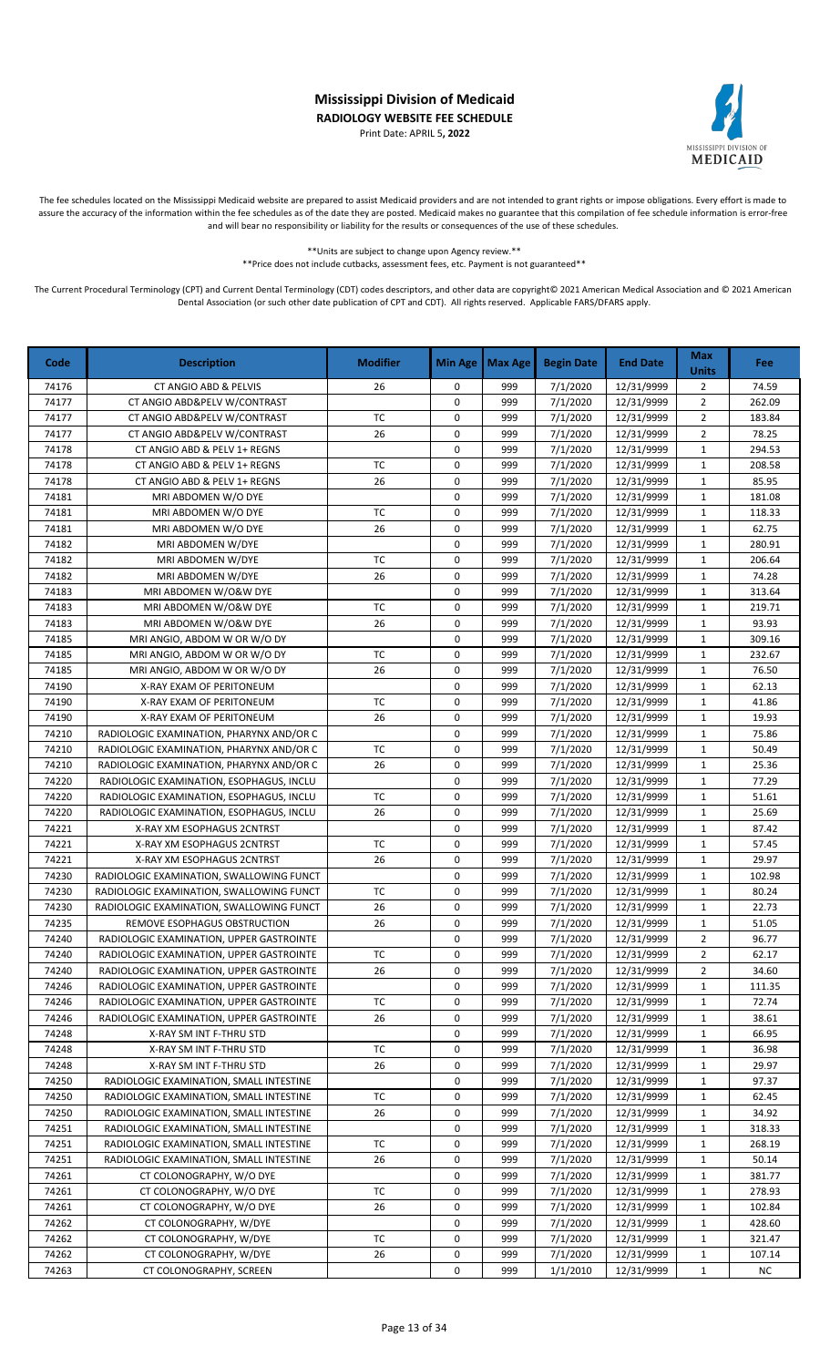Print Date: APRIL 5**, 2022**



The fee schedules located on the Mississippi Medicaid website are prepared to assist Medicaid providers and are not intended to grant rights or impose obligations. Every effort is made to assure the accuracy of the information within the fee schedules as of the date they are posted. Medicaid makes no guarantee that this compilation of fee schedule information is error-free and will bear no responsibility or liability for the results or consequences of the use of these schedules.

> \*\*Units are subject to change upon Agency review.\*\* \*\*Price does not include cutbacks, assessment fees, etc. Payment is not guaranteed\*\*

| Code  | <b>Description</b>                       | <b>Modifier</b> | <b>Min Age</b> | Max Age | <b>Begin Date</b> | <b>End Date</b> | <b>Max</b><br><b>Units</b> | Fee       |
|-------|------------------------------------------|-----------------|----------------|---------|-------------------|-----------------|----------------------------|-----------|
| 74176 | CT ANGIO ABD & PELVIS                    | 26              | 0              | 999     | 7/1/2020          | 12/31/9999      | $\overline{2}$             | 74.59     |
| 74177 | CT ANGIO ABD&PELV W/CONTRAST             |                 | 0              | 999     | 7/1/2020          | 12/31/9999      | $\overline{2}$             | 262.09    |
| 74177 | CT ANGIO ABD&PELV W/CONTRAST             | <b>TC</b>       | 0              | 999     | 7/1/2020          | 12/31/9999      | $\overline{2}$             | 183.84    |
| 74177 | CT ANGIO ABD&PELV W/CONTRAST             | 26              | 0              | 999     | 7/1/2020          | 12/31/9999      | $\overline{2}$             | 78.25     |
| 74178 | CT ANGIO ABD & PELV 1+ REGNS             |                 | 0              | 999     | 7/1/2020          | 12/31/9999      | $\mathbf 1$                | 294.53    |
| 74178 | CT ANGIO ABD & PELV 1+ REGNS             | <b>TC</b>       | 0              | 999     | 7/1/2020          | 12/31/9999      | $\mathbf 1$                | 208.58    |
| 74178 | CT ANGIO ABD & PELV 1+ REGNS             | 26              | 0              | 999     | 7/1/2020          | 12/31/9999      | $\mathbf 1$                | 85.95     |
| 74181 | MRI ABDOMEN W/O DYE                      |                 | 0              | 999     | 7/1/2020          | 12/31/9999      | $\mathbf 1$                | 181.08    |
| 74181 | MRI ABDOMEN W/O DYE                      | <b>TC</b>       | 0              | 999     | 7/1/2020          | 12/31/9999      | $\mathbf 1$                | 118.33    |
| 74181 | MRI ABDOMEN W/O DYE                      | 26              | 0              | 999     | 7/1/2020          | 12/31/9999      | $\mathbf 1$                | 62.75     |
| 74182 | MRI ABDOMEN W/DYE                        |                 | 0              | 999     | 7/1/2020          | 12/31/9999      | $\mathbf 1$                | 280.91    |
| 74182 | MRI ABDOMEN W/DYE                        | TC              | 0              | 999     | 7/1/2020          | 12/31/9999      | $\mathbf{1}$               | 206.64    |
| 74182 | MRI ABDOMEN W/DYE                        | 26              | $\mathbf 0$    | 999     | 7/1/2020          | 12/31/9999      | $\mathbf 1$                | 74.28     |
| 74183 | MRI ABDOMEN W/O&W DYE                    |                 | 0              | 999     | 7/1/2020          | 12/31/9999      | $\mathbf 1$                | 313.64    |
| 74183 | MRI ABDOMEN W/O&W DYE                    | <b>TC</b>       | 0              | 999     | 7/1/2020          | 12/31/9999      | $\mathbf 1$                | 219.71    |
| 74183 | MRI ABDOMEN W/O&W DYE                    | 26              | 0              | 999     | 7/1/2020          | 12/31/9999      | $\mathbf{1}$               | 93.93     |
| 74185 | MRI ANGIO, ABDOM W OR W/O DY             |                 | 0              | 999     | 7/1/2020          | 12/31/9999      | $\mathbf{1}$               | 309.16    |
| 74185 | MRI ANGIO, ABDOM W OR W/O DY             | <b>TC</b>       | 0              | 999     | 7/1/2020          | 12/31/9999      | $\mathbf{1}$               | 232.67    |
| 74185 | MRI ANGIO, ABDOM W OR W/O DY             | 26              | 0              | 999     | 7/1/2020          | 12/31/9999      | $\mathbf 1$                | 76.50     |
| 74190 | X-RAY EXAM OF PERITONEUM                 |                 | 0              | 999     | 7/1/2020          | 12/31/9999      | $\mathbf{1}$               | 62.13     |
| 74190 | X-RAY EXAM OF PERITONEUM                 | <b>TC</b>       | 0              | 999     | 7/1/2020          | 12/31/9999      | $\mathbf 1$                | 41.86     |
| 74190 | X-RAY EXAM OF PERITONEUM                 | 26              | 0              | 999     | 7/1/2020          | 12/31/9999      | $\mathbf{1}$               | 19.93     |
| 74210 | RADIOLOGIC EXAMINATION, PHARYNX AND/OR C |                 | 0              | 999     | 7/1/2020          | 12/31/9999      | $\mathbf 1$                | 75.86     |
| 74210 | RADIOLOGIC EXAMINATION, PHARYNX AND/OR C | <b>TC</b>       | 0              | 999     | 7/1/2020          | 12/31/9999      | $\mathbf 1$                | 50.49     |
| 74210 | RADIOLOGIC EXAMINATION, PHARYNX AND/OR C | 26              | 0              | 999     | 7/1/2020          | 12/31/9999      | $\mathbf 1$                | 25.36     |
| 74220 | RADIOLOGIC EXAMINATION, ESOPHAGUS, INCLU |                 | 0              | 999     | 7/1/2020          | 12/31/9999      | $\mathbf 1$                | 77.29     |
| 74220 | RADIOLOGIC EXAMINATION, ESOPHAGUS, INCLU | <b>TC</b>       | 0              | 999     | 7/1/2020          | 12/31/9999      | $\mathbf{1}$               | 51.61     |
| 74220 | RADIOLOGIC EXAMINATION, ESOPHAGUS, INCLU | 26              | 0              | 999     | 7/1/2020          | 12/31/9999      | $\mathbf{1}$               | 25.69     |
| 74221 | X-RAY XM ESOPHAGUS 2CNTRST               |                 | 0              | 999     | 7/1/2020          | 12/31/9999      | $\mathbf{1}$               | 87.42     |
| 74221 | X-RAY XM ESOPHAGUS 2CNTRST               | <b>TC</b>       | 0              | 999     | 7/1/2020          | 12/31/9999      | $\mathbf 1$                | 57.45     |
| 74221 | X-RAY XM ESOPHAGUS 2CNTRST               | 26              | 0              | 999     | 7/1/2020          | 12/31/9999      | $\mathbf{1}$               | 29.97     |
| 74230 | RADIOLOGIC EXAMINATION, SWALLOWING FUNCT |                 | 0              | 999     | 7/1/2020          | 12/31/9999      | $\mathbf{1}$               | 102.98    |
| 74230 | RADIOLOGIC EXAMINATION, SWALLOWING FUNCT | <b>TC</b>       | 0              | 999     | 7/1/2020          | 12/31/9999      | $\mathbf{1}$               | 80.24     |
| 74230 | RADIOLOGIC EXAMINATION, SWALLOWING FUNCT | 26              | 0              | 999     | 7/1/2020          | 12/31/9999      | $\mathbf{1}$               | 22.73     |
| 74235 | REMOVE ESOPHAGUS OBSTRUCTION             | 26              | 0              | 999     | 7/1/2020          | 12/31/9999      | $\mathbf{1}$               | 51.05     |
| 74240 | RADIOLOGIC EXAMINATION, UPPER GASTROINTE |                 | 0              | 999     | 7/1/2020          | 12/31/9999      | $\overline{2}$             | 96.77     |
| 74240 | RADIOLOGIC EXAMINATION, UPPER GASTROINTE | TC              | 0              | 999     | 7/1/2020          | 12/31/9999      | 2                          | 62.17     |
| 74240 | RADIOLOGIC EXAMINATION, UPPER GASTROINTE | 26              | 0              | 999     | 7/1/2020          | 12/31/9999      | $\overline{2}$             | 34.60     |
| 74246 | RADIOLOGIC EXAMINATION, UPPER GASTROINTE |                 | 0              | 999     | 7/1/2020          | 12/31/9999      | $\mathbf{1}$               | 111.35    |
| 74246 | RADIOLOGIC EXAMINATION, UPPER GASTROINTE | TC              | 0              | 999     | 7/1/2020          | 12/31/9999      | $\mathbf{1}$               | 72.74     |
| 74246 | RADIOLOGIC EXAMINATION, UPPER GASTROINTE | 26              | 0              | 999     | 7/1/2020          | 12/31/9999      | $\mathbf{1}$               | 38.61     |
| 74248 | X-RAY SM INT F-THRU STD                  |                 | 0              | 999     | 7/1/2020          | 12/31/9999      | $\mathbf{1}$               | 66.95     |
| 74248 | X-RAY SM INT F-THRU STD                  | TC              | 0              | 999     | 7/1/2020          | 12/31/9999      | $\mathbf{1}$               | 36.98     |
| 74248 | X-RAY SM INT F-THRU STD                  | 26              | 0              | 999     | 7/1/2020          | 12/31/9999      | $\mathbf{1}$               | 29.97     |
| 74250 | RADIOLOGIC EXAMINATION, SMALL INTESTINE  |                 | 0              | 999     | 7/1/2020          | 12/31/9999      | $\mathbf{1}$               | 97.37     |
| 74250 | RADIOLOGIC EXAMINATION, SMALL INTESTINE  | ТC              | 0              | 999     | 7/1/2020          | 12/31/9999      | $\mathbf{1}$               | 62.45     |
| 74250 | RADIOLOGIC EXAMINATION, SMALL INTESTINE  | 26              | 0              | 999     | 7/1/2020          | 12/31/9999      | $\mathbf{1}$               | 34.92     |
| 74251 | RADIOLOGIC EXAMINATION, SMALL INTESTINE  |                 | 0              | 999     | 7/1/2020          | 12/31/9999      | 1                          | 318.33    |
| 74251 | RADIOLOGIC EXAMINATION, SMALL INTESTINE  | <b>TC</b>       | 0              | 999     | 7/1/2020          | 12/31/9999      | $\mathbf{1}$               | 268.19    |
| 74251 | RADIOLOGIC EXAMINATION, SMALL INTESTINE  | 26              | 0              | 999     | 7/1/2020          | 12/31/9999      | $\mathbf{1}$               | 50.14     |
| 74261 | CT COLONOGRAPHY, W/O DYE                 |                 | 0              | 999     | 7/1/2020          | 12/31/9999      | $\mathbf{1}$               | 381.77    |
| 74261 | CT COLONOGRAPHY, W/O DYE                 | TC              | 0              | 999     | 7/1/2020          | 12/31/9999      | $\mathbf{1}$               | 278.93    |
| 74261 | CT COLONOGRAPHY, W/O DYE                 | 26              | 0              | 999     | 7/1/2020          | 12/31/9999      | $\mathbf{1}$               | 102.84    |
| 74262 | CT COLONOGRAPHY, W/DYE                   |                 | 0              | 999     | 7/1/2020          | 12/31/9999      | $\mathbf{1}$               | 428.60    |
| 74262 | CT COLONOGRAPHY, W/DYE                   | TC              | 0              | 999     | 7/1/2020          | 12/31/9999      | $\mathbf{1}$               | 321.47    |
| 74262 | CT COLONOGRAPHY, W/DYE                   | 26              | 0              | 999     | 7/1/2020          | 12/31/9999      | $\mathbf{1}$               | 107.14    |
| 74263 | CT COLONOGRAPHY, SCREEN                  |                 | 0              | 999     | 1/1/2010          | 12/31/9999      | $\mathbf{1}$               | <b>NC</b> |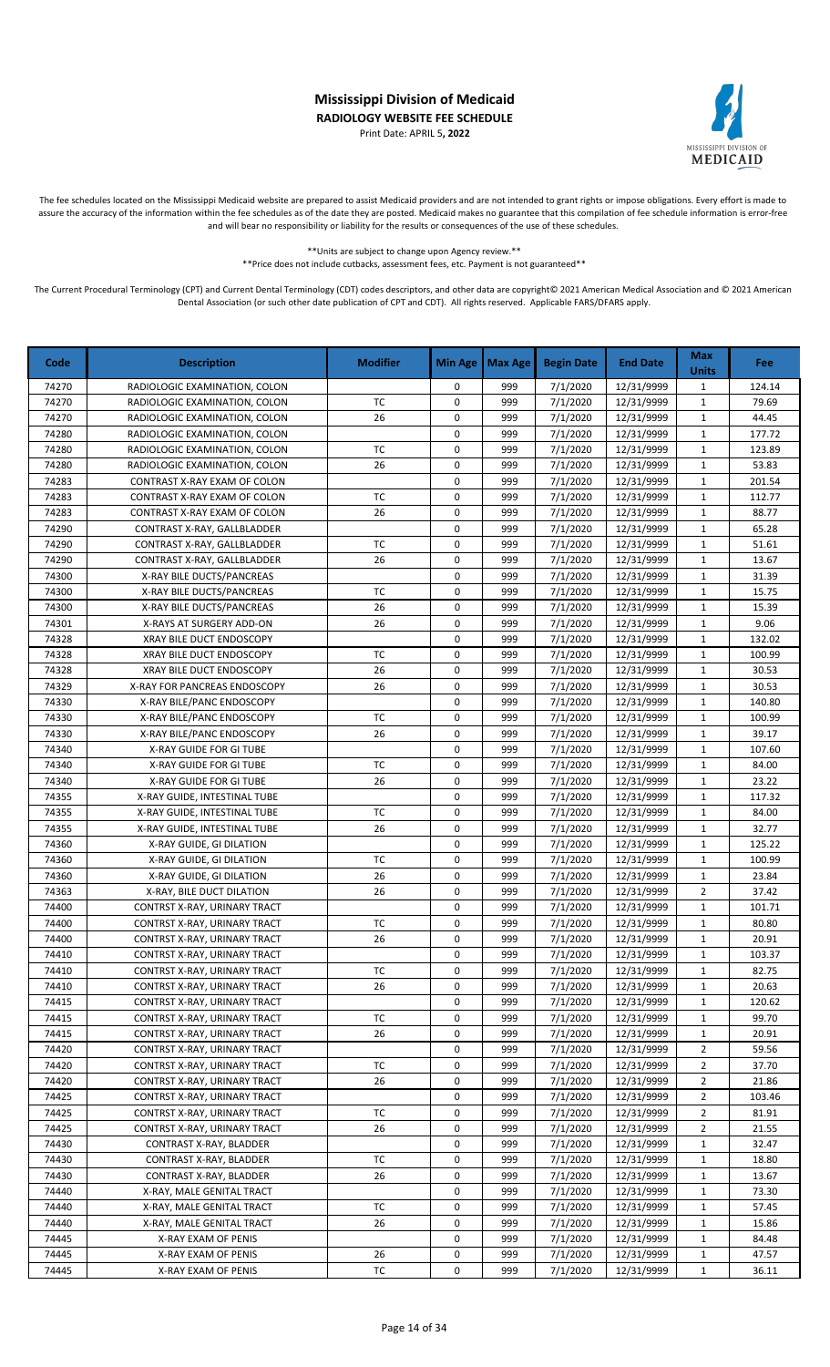Print Date: APRIL 5**, 2022**



The fee schedules located on the Mississippi Medicaid website are prepared to assist Medicaid providers and are not intended to grant rights or impose obligations. Every effort is made to assure the accuracy of the information within the fee schedules as of the date they are posted. Medicaid makes no guarantee that this compilation of fee schedule information is error-free and will bear no responsibility or liability for the results or consequences of the use of these schedules.

\*\*Units are subject to change upon Agency review.\*\*

\*\*Price does not include cutbacks, assessment fees, etc. Payment is not guaranteed\*\*

| Code           | <b>Description</b>                                           | <b>Modifier</b> | <b>Min Age</b> | <b>Max Age</b> | <b>Begin Date</b>    | <b>End Date</b>          | <b>Max</b><br><b>Units</b>  | <b>Fee</b>     |
|----------------|--------------------------------------------------------------|-----------------|----------------|----------------|----------------------|--------------------------|-----------------------------|----------------|
| 74270          | RADIOLOGIC EXAMINATION, COLON                                |                 | 0              | 999            | 7/1/2020             | 12/31/9999               | 1                           | 124.14         |
| 74270          | RADIOLOGIC EXAMINATION, COLON                                | <b>TC</b>       | 0              | 999            | 7/1/2020             | 12/31/9999               | $\mathbf{1}$                | 79.69          |
| 74270          | RADIOLOGIC EXAMINATION, COLON                                | 26              | 0              | 999            | 7/1/2020             | 12/31/9999               | $\mathbf{1}$                | 44.45          |
| 74280          | RADIOLOGIC EXAMINATION, COLON                                |                 | 0              | 999            | 7/1/2020             | 12/31/9999               | $\mathbf{1}$                | 177.72         |
| 74280          | RADIOLOGIC EXAMINATION, COLON                                | <b>TC</b>       | 0              | 999            | 7/1/2020             | 12/31/9999               | $\mathbf{1}$                | 123.89         |
| 74280          | RADIOLOGIC EXAMINATION, COLON                                | 26              | 0              | 999            | 7/1/2020             | 12/31/9999               | $\mathbf{1}$                | 53.83          |
| 74283          | CONTRAST X-RAY EXAM OF COLON                                 |                 | 0              | 999            | 7/1/2020             | 12/31/9999               | $\mathbf{1}$                | 201.54         |
| 74283          | CONTRAST X-RAY EXAM OF COLON                                 | ТC              | 0              | 999            | 7/1/2020             | 12/31/9999               | $\mathbf{1}$                | 112.77         |
| 74283          | CONTRAST X-RAY EXAM OF COLON                                 | 26              | 0              | 999            | 7/1/2020             | 12/31/9999               | $\mathbf{1}$                | 88.77          |
| 74290          | CONTRAST X-RAY, GALLBLADDER                                  |                 | 0              | 999            | 7/1/2020             | 12/31/9999               | $\mathbf{1}$                | 65.28          |
| 74290          | CONTRAST X-RAY, GALLBLADDER                                  | <b>TC</b>       | 0              | 999            | 7/1/2020             | 12/31/9999               | $\mathbf{1}$                | 51.61          |
| 74290          | CONTRAST X-RAY, GALLBLADDER                                  | 26              | 0              | 999            | 7/1/2020             | 12/31/9999               | $\mathbf{1}$                | 13.67          |
| 74300          | X-RAY BILE DUCTS/PANCREAS                                    |                 | 0              | 999            | 7/1/2020             | 12/31/9999               | $\mathbf{1}$                | 31.39          |
| 74300          | X-RAY BILE DUCTS/PANCREAS                                    | ТC              | 0              | 999            | 7/1/2020             | 12/31/9999               | $\mathbf{1}$                | 15.75          |
| 74300          | X-RAY BILE DUCTS/PANCREAS                                    | 26              | 0              | 999            | 7/1/2020             | 12/31/9999               | $\mathbf 1$                 | 15.39          |
| 74301          | X-RAYS AT SURGERY ADD-ON                                     | 26              | 0              | 999            | 7/1/2020             | 12/31/9999               | $\mathbf{1}$                | 9.06           |
| 74328          | XRAY BILE DUCT ENDOSCOPY                                     |                 | 0              | 999            | 7/1/2020             | 12/31/9999               | $\mathbf{1}$                | 132.02         |
| 74328          | XRAY BILE DUCT ENDOSCOPY                                     | <b>TC</b>       | 0              | 999            | 7/1/2020             | 12/31/9999               | $\mathbf{1}$                | 100.99         |
| 74328          | XRAY BILE DUCT ENDOSCOPY                                     | 26              | 0              | 999            | 7/1/2020             | 12/31/9999               | $\mathbf{1}$                | 30.53          |
| 74329          | X-RAY FOR PANCREAS ENDOSCOPY                                 | 26              | 0              | 999            | 7/1/2020             | 12/31/9999               | $\mathbf{1}$                | 30.53          |
| 74330          | X-RAY BILE/PANC ENDOSCOPY                                    |                 | 0              | 999            | 7/1/2020             | 12/31/9999               | $\mathbf 1$                 | 140.80         |
| 74330          | X-RAY BILE/PANC ENDOSCOPY                                    | <b>TC</b>       | 0              | 999            | 7/1/2020             | 12/31/9999               | $\mathbf{1}$                | 100.99         |
| 74330          | X-RAY BILE/PANC ENDOSCOPY                                    | 26              | 0              | 999            | 7/1/2020             | 12/31/9999               | $\mathbf{1}$                | 39.17          |
| 74340          | X-RAY GUIDE FOR GI TUBE                                      |                 | 0              | 999            | 7/1/2020             | 12/31/9999               | $\mathbf{1}$                | 107.60         |
| 74340          | X-RAY GUIDE FOR GI TUBE                                      | <b>TC</b>       | 0              | 999            | 7/1/2020             | 12/31/9999               | $\mathbf{1}$                | 84.00          |
| 74340          | X-RAY GUIDE FOR GI TUBE                                      | 26              | 0              | 999            | 7/1/2020             | 12/31/9999               | $\mathbf{1}$                | 23.22          |
| 74355          | X-RAY GUIDE, INTESTINAL TUBE                                 |                 | 0              | 999            | 7/1/2020             | 12/31/9999               | $\mathbf{1}$                | 117.32         |
| 74355          | X-RAY GUIDE, INTESTINAL TUBE                                 | <b>TC</b>       | 0              | 999            | 7/1/2020             | 12/31/9999               | $\mathbf{1}$                | 84.00          |
| 74355          | X-RAY GUIDE, INTESTINAL TUBE                                 | 26              | 0              | 999            | 7/1/2020             | 12/31/9999               | $\mathbf{1}$                | 32.77          |
| 74360          | X-RAY GUIDE, GI DILATION                                     |                 | 0              | 999            | 7/1/2020             | 12/31/9999               | $\mathbf{1}$                | 125.22         |
| 74360          | X-RAY GUIDE, GI DILATION                                     | <b>TC</b>       | 0              | 999            | 7/1/2020             | 12/31/9999               | $\mathbf{1}$                | 100.99         |
| 74360          | X-RAY GUIDE, GI DILATION                                     | 26              | 0              | 999            | 7/1/2020             | 12/31/9999               | $\mathbf 1$                 | 23.84          |
| 74363          | X-RAY, BILE DUCT DILATION                                    | 26              | 0<br>0         | 999            | 7/1/2020             | 12/31/9999               | $\overline{2}$              | 37.42          |
| 74400          | CONTRST X-RAY, URINARY TRACT                                 | <b>TC</b>       | 0              | 999            | 7/1/2020             | 12/31/9999               | $\mathbf{1}$                | 101.71         |
| 74400<br>74400 | CONTRST X-RAY, URINARY TRACT<br>CONTRST X-RAY, URINARY TRACT | 26              | 0              | 999<br>999     | 7/1/2020<br>7/1/2020 | 12/31/9999<br>12/31/9999 | $\mathbf{1}$<br>$\mathbf 1$ | 80.80<br>20.91 |
| 74410          | CONTRST X-RAY, URINARY TRACT                                 |                 | 0              | 999            | 7/1/2020             | 12/31/9999               | 1                           | 103.37         |
| 74410          | CONTRST X-RAY, URINARY TRACT                                 | TC              | 0              | 999            | 7/1/2020             | 12/31/9999               | 1                           | 82.75          |
| 74410          | CONTRST X-RAY, URINARY TRACT                                 | 26              | 0              | 999            | 7/1/2020             | 12/31/9999               | 1                           | 20.63          |
| 74415          | CONTRST X-RAY, URINARY TRACT                                 |                 | 0              | 999            | 7/1/2020             | 12/31/9999               | $\mathbf{1}$                | 120.62         |
| 74415          | CONTRST X-RAY, URINARY TRACT                                 | TC              | 0              | 999            | 7/1/2020             | 12/31/9999               | $\mathbf{1}$                | 99.70          |
| 74415          | CONTRST X-RAY, URINARY TRACT                                 | 26              | 0              | 999            | 7/1/2020             | 12/31/9999               | $\mathbf{1}$                | 20.91          |
| 74420          | CONTRST X-RAY, URINARY TRACT                                 |                 | 0              | 999            | 7/1/2020             | 12/31/9999               | 2                           | 59.56          |
| 74420          | CONTRST X-RAY, URINARY TRACT                                 | TC              | 0              | 999            | 7/1/2020             | 12/31/9999               | $\overline{2}$              | 37.70          |
| 74420          | CONTRST X-RAY, URINARY TRACT                                 | 26              | 0              | 999            | 7/1/2020             | 12/31/9999               | 2                           | 21.86          |
| 74425          | CONTRST X-RAY, URINARY TRACT                                 |                 | 0              | 999            | 7/1/2020             | 12/31/9999               | 2                           | 103.46         |
| 74425          | CONTRST X-RAY, URINARY TRACT                                 | ТC              | 0              | 999            | 7/1/2020             | 12/31/9999               | 2                           | 81.91          |
| 74425          | CONTRST X-RAY, URINARY TRACT                                 | 26              | 0              | 999            | 7/1/2020             | 12/31/9999               | $\overline{2}$              | 21.55          |
| 74430          | CONTRAST X-RAY, BLADDER                                      |                 | 0              | 999            | 7/1/2020             | 12/31/9999               | $\mathbf{1}$                | 32.47          |
| 74430          | CONTRAST X-RAY, BLADDER                                      | TC              | 0              | 999            | 7/1/2020             | 12/31/9999               | $\mathbf{1}$                | 18.80          |
| 74430          | CONTRAST X-RAY, BLADDER                                      | 26              | 0              | 999            | 7/1/2020             | 12/31/9999               | $\mathbf{1}$                | 13.67          |
| 74440          | X-RAY, MALE GENITAL TRACT                                    |                 | 0              | 999            | 7/1/2020             | 12/31/9999               | $\mathbf{1}$                | 73.30          |
| 74440          | X-RAY, MALE GENITAL TRACT                                    | TC              | 0              | 999            | 7/1/2020             | 12/31/9999               | $\mathbf{1}$                | 57.45          |
| 74440          | X-RAY, MALE GENITAL TRACT                                    | 26              | 0              | 999            | 7/1/2020             | 12/31/9999               | $\mathbf{1}$                | 15.86          |
| 74445          | X-RAY EXAM OF PENIS                                          |                 | 0              | 999            | 7/1/2020             | 12/31/9999               | $\mathbf{1}$                | 84.48          |
| 74445          | X-RAY EXAM OF PENIS                                          | 26              | 0              | 999            | 7/1/2020             | 12/31/9999               | 1                           | 47.57          |
| 74445          | X-RAY EXAM OF PENIS                                          | TC              | 0              | 999            | 7/1/2020             | 12/31/9999               | $\mathbf{1}$                | 36.11          |
|                |                                                              |                 |                |                |                      |                          |                             |                |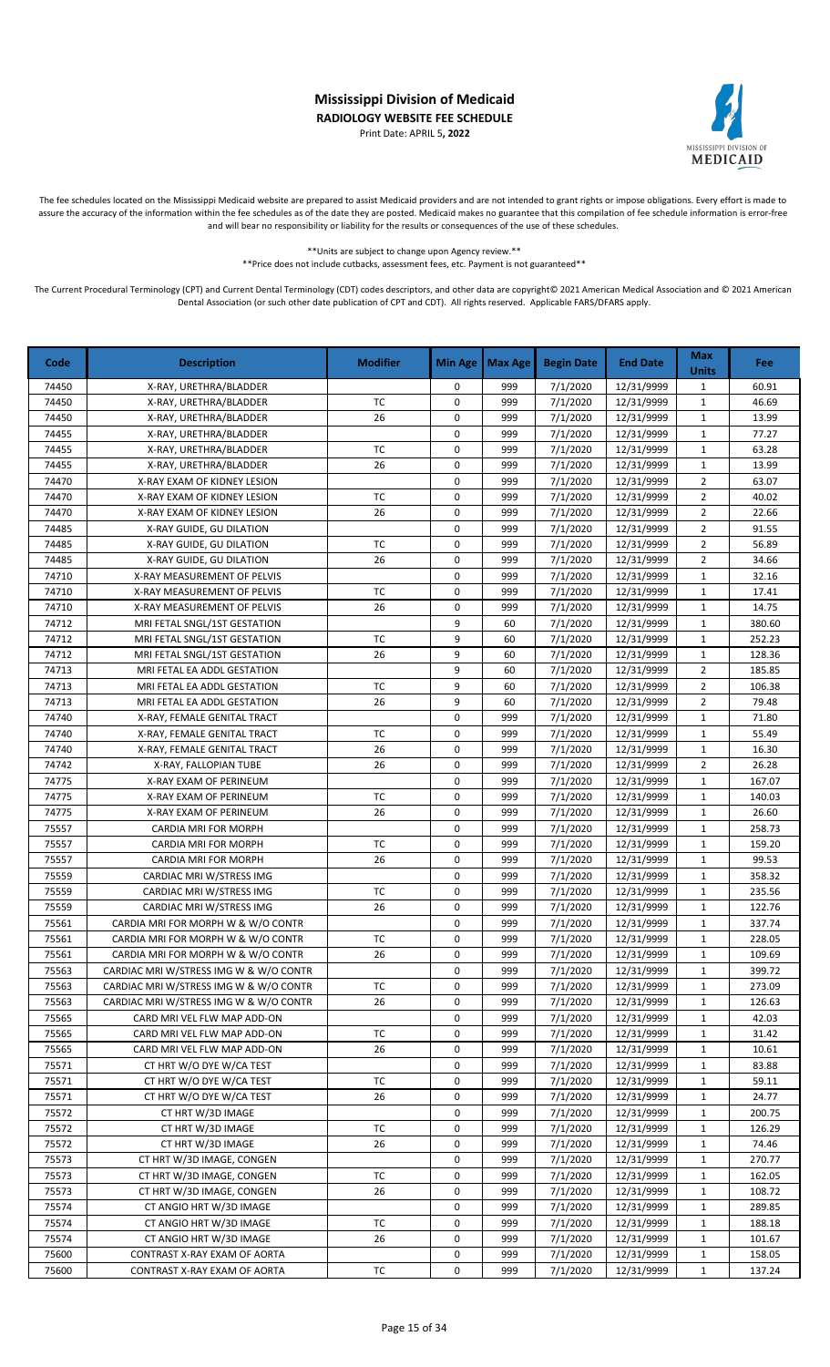Print Date: APRIL 5**, 2022**



The fee schedules located on the Mississippi Medicaid website are prepared to assist Medicaid providers and are not intended to grant rights or impose obligations. Every effort is made to assure the accuracy of the information within the fee schedules as of the date they are posted. Medicaid makes no guarantee that this compilation of fee schedule information is error-free and will bear no responsibility or liability for the results or consequences of the use of these schedules.

> \*\*Units are subject to change upon Agency review.\*\* \*\*Price does not include cutbacks, assessment fees, etc. Payment is not guaranteed\*\*

| Code  | <b>Description</b>                     | <b>Modifier</b> | <b>Min Age</b> | <b>Max Age</b> | <b>Begin Date</b> | <b>End Date</b> | <b>Max</b><br><b>Units</b> | Fee    |
|-------|----------------------------------------|-----------------|----------------|----------------|-------------------|-----------------|----------------------------|--------|
| 74450 | X-RAY, URETHRA/BLADDER                 |                 | 0              | 999            | 7/1/2020          | 12/31/9999      | $\mathbf{1}$               | 60.91  |
| 74450 | X-RAY, URETHRA/BLADDER                 | TC              | 0              | 999            | 7/1/2020          | 12/31/9999      | $\mathbf 1$                | 46.69  |
| 74450 | X-RAY, URETHRA/BLADDER                 | 26              | 0              | 999            | 7/1/2020          | 12/31/9999      | $\mathbf{1}$               | 13.99  |
| 74455 | X-RAY, URETHRA/BLADDER                 |                 | 0              | 999            | 7/1/2020          | 12/31/9999      | $\mathbf{1}$               | 77.27  |
| 74455 | X-RAY, URETHRA/BLADDER                 | <b>TC</b>       | 0              | 999            | 7/1/2020          | 12/31/9999      | $\mathbf{1}$               | 63.28  |
| 74455 | X-RAY, URETHRA/BLADDER                 | 26              | 0              | 999            | 7/1/2020          | 12/31/9999      | $\mathbf{1}$               | 13.99  |
| 74470 | X-RAY EXAM OF KIDNEY LESION            |                 | 0              | 999            | 7/1/2020          | 12/31/9999      | $\overline{2}$             | 63.07  |
| 74470 | X-RAY EXAM OF KIDNEY LESION            | <b>TC</b>       | 0              | 999            | 7/1/2020          | 12/31/9999      | $\overline{2}$             | 40.02  |
| 74470 | X-RAY EXAM OF KIDNEY LESION            | 26              | 0              | 999            | 7/1/2020          | 12/31/9999      | $\overline{2}$             | 22.66  |
| 74485 | X-RAY GUIDE, GU DILATION               |                 | 0              | 999            | 7/1/2020          | 12/31/9999      | $\overline{2}$             | 91.55  |
| 74485 | X-RAY GUIDE, GU DILATION               | <b>TC</b>       | 0              | 999            | 7/1/2020          | 12/31/9999      | $\overline{2}$             | 56.89  |
| 74485 | X-RAY GUIDE, GU DILATION               | 26              | $\pmb{0}$      | 999            | 7/1/2020          | 12/31/9999      | $\overline{2}$             | 34.66  |
| 74710 | X-RAY MEASUREMENT OF PELVIS            |                 | 0              | 999            | 7/1/2020          | 12/31/9999      | $\mathbf{1}$               | 32.16  |
| 74710 | X-RAY MEASUREMENT OF PELVIS            | <b>TC</b>       | 0              | 999            | 7/1/2020          | 12/31/9999      | $\mathbf 1$                | 17.41  |
| 74710 | X-RAY MEASUREMENT OF PELVIS            | 26              | 0              | 999            | 7/1/2020          | 12/31/9999      | $\mathbf{1}$               | 14.75  |
| 74712 | MRI FETAL SNGL/1ST GESTATION           |                 | 9              | 60             | 7/1/2020          | 12/31/9999      | $\mathbf{1}$               | 380.60 |
| 74712 | MRI FETAL SNGL/1ST GESTATION           | <b>TC</b>       | 9              | 60             | 7/1/2020          | 12/31/9999      | $\mathbf{1}$               | 252.23 |
| 74712 | MRI FETAL SNGL/1ST GESTATION           | 26              | 9              | 60             | 7/1/2020          | 12/31/9999      | $\mathbf 1$                | 128.36 |
| 74713 | MRI FETAL EA ADDL GESTATION            |                 | 9              | 60             | 7/1/2020          | 12/31/9999      | $\overline{2}$             | 185.85 |
| 74713 | MRI FETAL EA ADDL GESTATION            | <b>TC</b>       | 9              | 60             | 7/1/2020          | 12/31/9999      | $\overline{2}$             | 106.38 |
| 74713 | MRI FETAL EA ADDL GESTATION            | 26              | 9              | 60             | 7/1/2020          | 12/31/9999      | $\overline{2}$             | 79.48  |
| 74740 | X-RAY, FEMALE GENITAL TRACT            |                 | 0              | 999            | 7/1/2020          | 12/31/9999      | $\mathbf{1}$               | 71.80  |
| 74740 | X-RAY, FEMALE GENITAL TRACT            | <b>TC</b>       | 0              | 999            | 7/1/2020          | 12/31/9999      | $\mathbf{1}$               | 55.49  |
| 74740 | X-RAY, FEMALE GENITAL TRACT            | 26              | 0              | 999            | 7/1/2020          | 12/31/9999      | $\mathbf{1}$               | 16.30  |
| 74742 | X-RAY, FALLOPIAN TUBE                  | 26              | 0              | 999            | 7/1/2020          | 12/31/9999      | $\overline{2}$             | 26.28  |
| 74775 | X-RAY EXAM OF PERINEUM                 |                 | 0              | 999            | 7/1/2020          | 12/31/9999      | $\mathbf{1}$               | 167.07 |
| 74775 | X-RAY EXAM OF PERINEUM                 | <b>TC</b>       | 0              | 999            | 7/1/2020          | 12/31/9999      | $\mathbf{1}$               | 140.03 |
| 74775 | X-RAY EXAM OF PERINEUM                 | 26              | 0              | 999            | 7/1/2020          | 12/31/9999      | $\mathbf{1}$               | 26.60  |
| 75557 | <b>CARDIA MRI FOR MORPH</b>            |                 | 0              | 999            | 7/1/2020          | 12/31/9999      | $\mathbf 1$                | 258.73 |
| 75557 | CARDIA MRI FOR MORPH                   | ТC              | 0              | 999            | 7/1/2020          | 12/31/9999      | $\mathbf{1}$               | 159.20 |
| 75557 | CARDIA MRI FOR MORPH                   | 26              | 0              | 999            | 7/1/2020          | 12/31/9999      | $\mathbf{1}$               | 99.53  |
| 75559 | CARDIAC MRI W/STRESS IMG               |                 | 0              | 999            | 7/1/2020          | 12/31/9999      | $\mathbf{1}$               | 358.32 |
| 75559 | CARDIAC MRI W/STRESS IMG               | <b>TC</b>       | 0              | 999            | 7/1/2020          | 12/31/9999      | $\mathbf{1}$               | 235.56 |
| 75559 | CARDIAC MRI W/STRESS IMG               | 26              | 0              | 999            | 7/1/2020          | 12/31/9999      | $\mathbf{1}$               | 122.76 |
| 75561 | CARDIA MRI FOR MORPH W & W/O CONTR     |                 | 0              | 999            | 7/1/2020          | 12/31/9999      | $\mathbf{1}$               | 337.74 |
| 75561 | CARDIA MRI FOR MORPH W & W/O CONTR     | TC              | 0              | 999            | 7/1/2020          | 12/31/9999      | $\mathbf{1}$               | 228.05 |
| 75561 | CARDIA MRI FOR MORPH W & W/O CONTR     | 26              | 0              | 999            | 7/1/2020          | 12/31/9999      | 1                          | 109.69 |
| 75563 | CARDIAC MRI W/STRESS IMG W & W/O CONTR |                 | 0              | 999            | 7/1/2020          | 12/31/9999      | $\mathbf{1}$               | 399.72 |
| 75563 | CARDIAC MRI W/STRESS IMG W & W/O CONTR | TC              | 0              | 999            | 7/1/2020          | 12/31/9999      | $\mathbf{1}$               | 273.09 |
| 75563 | CARDIAC MRI W/STRESS IMG W & W/O CONTR | 26              | 0              | 999            | 7/1/2020          | 12/31/9999      | $\mathbf{1}$               | 126.63 |
| 75565 | CARD MRI VEL FLW MAP ADD-ON            |                 | 0              | 999            | 7/1/2020          | 12/31/9999      | $\mathbf{1}$               | 42.03  |
| 75565 | CARD MRI VEL FLW MAP ADD-ON            | ТC              | 0              | 999            | 7/1/2020          | 12/31/9999      | $\mathbf{1}$               | 31.42  |
| 75565 | CARD MRI VEL FLW MAP ADD-ON            | 26              | 0              | 999            | 7/1/2020          | 12/31/9999      | $\mathbf{1}$               | 10.61  |
| 75571 | CT HRT W/O DYE W/CA TEST               |                 | 0              | 999            | 7/1/2020          | 12/31/9999      | 1                          | 83.88  |
| 75571 | CT HRT W/O DYE W/CA TEST               | ТC              | 0              | 999            | 7/1/2020          | 12/31/9999      | $\mathbf{1}$               | 59.11  |
| 75571 | CT HRT W/O DYE W/CA TEST               | 26              | 0              | 999            | 7/1/2020          | 12/31/9999      | $\mathbf{1}$               | 24.77  |
| 75572 | CT HRT W/3D IMAGE                      |                 | 0              | 999            | 7/1/2020          | 12/31/9999      | $\mathbf{1}$               | 200.75 |
| 75572 | CT HRT W/3D IMAGE                      | ТC              | 0              | 999            | 7/1/2020          | 12/31/9999      | $\mathbf{1}$               | 126.29 |
| 75572 | CT HRT W/3D IMAGE                      | 26              | 0              | 999            | 7/1/2020          | 12/31/9999      | $\mathbf{1}$               | 74.46  |
| 75573 | CT HRT W/3D IMAGE, CONGEN              |                 | 0              | 999            | 7/1/2020          | 12/31/9999      | $\mathbf{1}$               | 270.77 |
| 75573 | CT HRT W/3D IMAGE, CONGEN              | TC              | 0              | 999            | 7/1/2020          | 12/31/9999      | $\mathbf{1}$               | 162.05 |
| 75573 | CT HRT W/3D IMAGE, CONGEN              | 26              | 0              | 999            | 7/1/2020          | 12/31/9999      | $\mathbf{1}$               | 108.72 |
| 75574 | CT ANGIO HRT W/3D IMAGE                |                 | 0              | 999            | 7/1/2020          | 12/31/9999      | $\mathbf{1}$               | 289.85 |
| 75574 | CT ANGIO HRT W/3D IMAGE                | TC              | 0              | 999            | 7/1/2020          | 12/31/9999      | $\mathbf{1}$               | 188.18 |
| 75574 | CT ANGIO HRT W/3D IMAGE                | 26              | 0              | 999            | 7/1/2020          | 12/31/9999      | $\mathbf{1}$               | 101.67 |
| 75600 | CONTRAST X-RAY EXAM OF AORTA           |                 | 0              | 999            | 7/1/2020          | 12/31/9999      | $\mathbf{1}$               | 158.05 |
| 75600 |                                        | TC              | 0              |                |                   |                 |                            |        |
|       | CONTRAST X-RAY EXAM OF AORTA           |                 |                | 999            | 7/1/2020          | 12/31/9999      | $\mathbf{1}$               | 137.24 |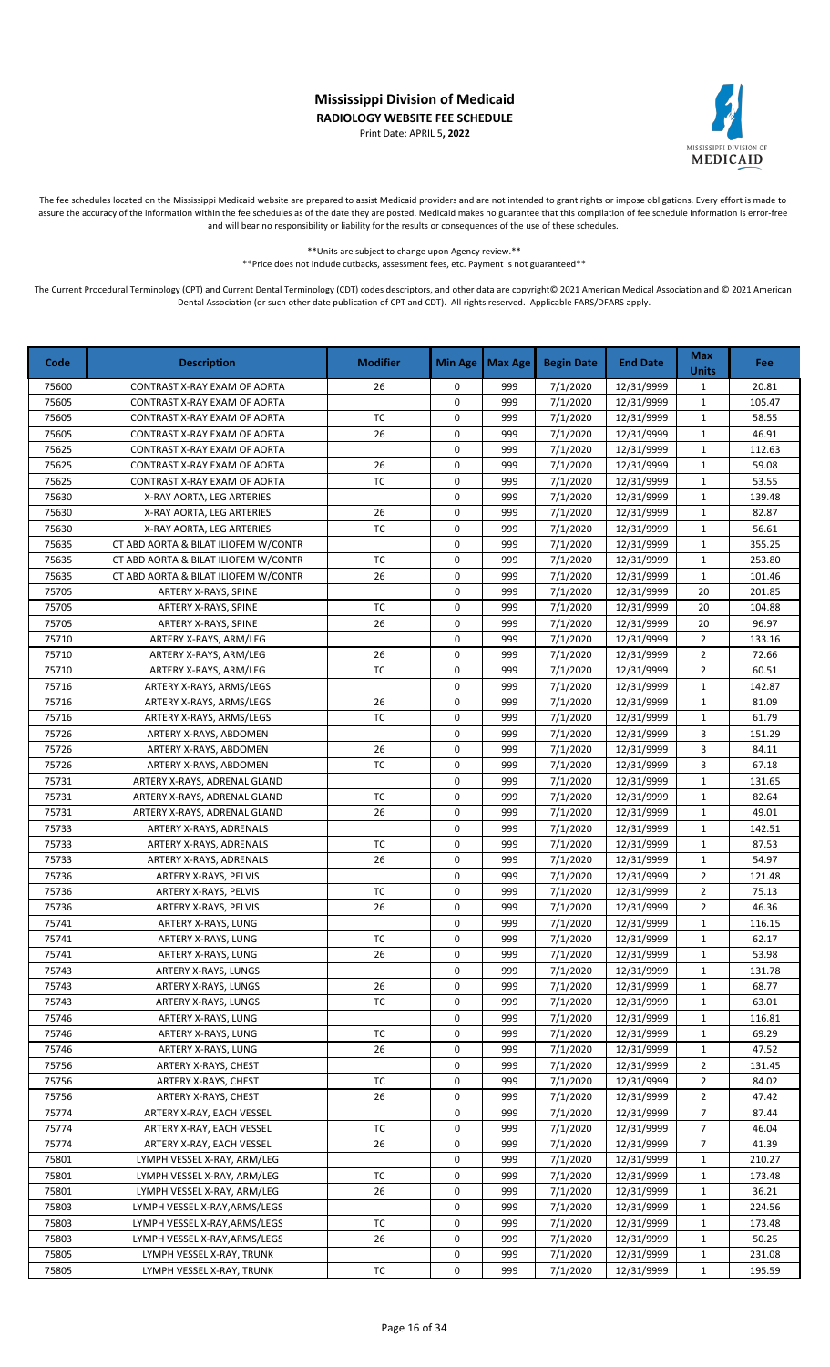Print Date: APRIL 5**, 2022**



The fee schedules located on the Mississippi Medicaid website are prepared to assist Medicaid providers and are not intended to grant rights or impose obligations. Every effort is made to assure the accuracy of the information within the fee schedules as of the date they are posted. Medicaid makes no guarantee that this compilation of fee schedule information is error-free and will bear no responsibility or liability for the results or consequences of the use of these schedules.

> \*\*Units are subject to change upon Agency review.\*\* \*\*Price does not include cutbacks, assessment fees, etc. Payment is not guaranteed\*\*

| Code  | <b>Description</b>                   | <b>Modifier</b> | <b>Min Age</b> | Max Age | <b>Begin Date</b> | <b>End Date</b> | <b>Max</b><br><b>Units</b> | <b>Fee</b> |
|-------|--------------------------------------|-----------------|----------------|---------|-------------------|-----------------|----------------------------|------------|
| 75600 | CONTRAST X-RAY EXAM OF AORTA         | 26              | 0              | 999     | 7/1/2020          | 12/31/9999      | $\mathbf{1}$               | 20.81      |
| 75605 | CONTRAST X-RAY EXAM OF AORTA         |                 | 0              | 999     | 7/1/2020          | 12/31/9999      | $\mathbf{1}$               | 105.47     |
| 75605 | CONTRAST X-RAY EXAM OF AORTA         | <b>TC</b>       | 0              | 999     | 7/1/2020          | 12/31/9999      | $\mathbf{1}$               | 58.55      |
| 75605 | CONTRAST X-RAY EXAM OF AORTA         | 26              | 0              | 999     | 7/1/2020          | 12/31/9999      | $\mathbf{1}$               | 46.91      |
| 75625 | CONTRAST X-RAY EXAM OF AORTA         |                 | 0              | 999     | 7/1/2020          | 12/31/9999      | $\mathbf{1}$               | 112.63     |
| 75625 | CONTRAST X-RAY EXAM OF AORTA         | 26              | 0              | 999     | 7/1/2020          | 12/31/9999      | $\mathbf{1}$               | 59.08      |
| 75625 | CONTRAST X-RAY EXAM OF AORTA         | TC              | 0              | 999     | 7/1/2020          | 12/31/9999      | $\mathbf{1}$               | 53.55      |
| 75630 | X-RAY AORTA, LEG ARTERIES            |                 | 0              | 999     | 7/1/2020          | 12/31/9999      | $\mathbf{1}$               | 139.48     |
| 75630 | X-RAY AORTA, LEG ARTERIES            | 26              | 0              | 999     | 7/1/2020          | 12/31/9999      | $\mathbf{1}$               | 82.87      |
| 75630 | X-RAY AORTA, LEG ARTERIES            | <b>TC</b>       | 0              | 999     | 7/1/2020          | 12/31/9999      | $\mathbf{1}$               | 56.61      |
| 75635 | CT ABD AORTA & BILAT ILIOFEM W/CONTR |                 | 0              | 999     | 7/1/2020          | 12/31/9999      | $\mathbf{1}$               | 355.25     |
| 75635 | CT ABD AORTA & BILAT ILIOFEM W/CONTR | <b>TC</b>       | 0              | 999     | 7/1/2020          | 12/31/9999      | $\mathbf{1}$               | 253.80     |
| 75635 | CT ABD AORTA & BILAT ILIOFEM W/CONTR | 26              | 0              | 999     | 7/1/2020          | 12/31/9999      | $\mathbf{1}$               | 101.46     |
| 75705 | ARTERY X-RAYS, SPINE                 |                 | 0              | 999     | 7/1/2020          | 12/31/9999      | 20                         | 201.85     |
| 75705 | ARTERY X-RAYS, SPINE                 | ТC              | 0              | 999     | 7/1/2020          | 12/31/9999      | 20                         | 104.88     |
| 75705 | ARTERY X-RAYS, SPINE                 | 26              | 0              | 999     | 7/1/2020          | 12/31/9999      | 20                         | 96.97      |
| 75710 | ARTERY X-RAYS, ARM/LEG               |                 | 0              | 999     | 7/1/2020          | 12/31/9999      | $\overline{2}$             | 133.16     |
| 75710 | ARTERY X-RAYS, ARM/LEG               | 26              | 0              | 999     | 7/1/2020          | 12/31/9999      | $\overline{2}$             | 72.66      |
| 75710 | ARTERY X-RAYS, ARM/LEG               | <b>TC</b>       | 0              | 999     | 7/1/2020          | 12/31/9999      | $\overline{2}$             | 60.51      |
| 75716 | ARTERY X-RAYS, ARMS/LEGS             |                 | 0              | 999     | 7/1/2020          | 12/31/9999      | $\mathbf 1$                | 142.87     |
| 75716 | ARTERY X-RAYS, ARMS/LEGS             | 26              | 0              | 999     | 7/1/2020          | 12/31/9999      | $\mathbf{1}$               | 81.09      |
| 75716 | ARTERY X-RAYS, ARMS/LEGS             | <b>TC</b>       | 0              | 999     | 7/1/2020          | 12/31/9999      | $\mathbf{1}$               | 61.79      |
| 75726 | ARTERY X-RAYS, ABDOMEN               |                 | 0              | 999     | 7/1/2020          | 12/31/9999      | 3                          | 151.29     |
| 75726 | ARTERY X-RAYS, ABDOMEN               | 26              | 0              | 999     | 7/1/2020          | 12/31/9999      | 3                          | 84.11      |
| 75726 | ARTERY X-RAYS, ABDOMEN               | <b>TC</b>       | 0              | 999     | 7/1/2020          | 12/31/9999      | 3                          | 67.18      |
| 75731 | ARTERY X-RAYS, ADRENAL GLAND         |                 | 0              | 999     | 7/1/2020          | 12/31/9999      | $\mathbf{1}$               | 131.65     |
| 75731 | ARTERY X-RAYS, ADRENAL GLAND         | <b>TC</b>       | 0              | 999     | 7/1/2020          | 12/31/9999      | $\mathbf{1}$               | 82.64      |
| 75731 | ARTERY X-RAYS, ADRENAL GLAND         | 26              | 0              | 999     | 7/1/2020          | 12/31/9999      | $\mathbf{1}$               | 49.01      |
| 75733 | ARTERY X-RAYS, ADRENALS              |                 | 0              | 999     | 7/1/2020          | 12/31/9999      | $\mathbf{1}$               | 142.51     |
| 75733 | ARTERY X-RAYS, ADRENALS              | <b>TC</b>       | 0              | 999     | 7/1/2020          | 12/31/9999      | $\mathbf{1}$               | 87.53      |
| 75733 | ARTERY X-RAYS, ADRENALS              | 26              | 0              | 999     | 7/1/2020          | 12/31/9999      | $\mathbf 1$                | 54.97      |
| 75736 | ARTERY X-RAYS, PELVIS                |                 | 0              | 999     | 7/1/2020          | 12/31/9999      | $\overline{2}$             | 121.48     |
| 75736 | ARTERY X-RAYS, PELVIS                | <b>TC</b>       | 0              | 999     | 7/1/2020          | 12/31/9999      | $\overline{2}$             | 75.13      |
| 75736 | ARTERY X-RAYS, PELVIS                | 26              | 0              | 999     | 7/1/2020          | 12/31/9999      | $\overline{2}$             | 46.36      |
| 75741 | ARTERY X-RAYS, LUNG                  |                 | 0              | 999     | 7/1/2020          | 12/31/9999      | $\mathbf{1}$               | 116.15     |
| 75741 | ARTERY X-RAYS, LUNG                  | <b>TC</b>       | 0              | 999     | 7/1/2020          | 12/31/9999      | $\mathbf{1}$               | 62.17      |
| 75741 | ARTERY X-RAYS, LUNG                  | 26              | 0              | 999     | 7/1/2020          | 12/31/9999      | 1                          | 53.98      |
| 75743 | ARTERY X-RAYS, LUNGS                 |                 | 0              | 999     | 7/1/2020          | 12/31/9999      | $\mathbf{1}$               | 131.78     |
| 75743 | ARTERY X-RAYS, LUNGS                 | 26              | 0              | 999     | 7/1/2020          | 12/31/9999      | $\mathbf{1}$               | 68.77      |
| 75743 | ARTERY X-RAYS, LUNGS                 | TC              | 0              | 999     | 7/1/2020          | 12/31/9999      | $\mathbf{1}$               | 63.01      |
| 75746 | ARTERY X-RAYS, LUNG                  |                 | 0              | 999     | 7/1/2020          | 12/31/9999      | $\mathbf{1}$               | 116.81     |
| 75746 | ARTERY X-RAYS, LUNG                  | ТC              | 0              | 999     | 7/1/2020          | 12/31/9999      | $\mathbf{1}$               | 69.29      |
| 75746 | ARTERY X-RAYS, LUNG                  | 26              | 0              | 999     | 7/1/2020          | 12/31/9999      | $\mathbf{1}$               | 47.52      |
| 75756 | ARTERY X-RAYS, CHEST                 |                 | 0              | 999     | 7/1/2020          | 12/31/9999      | 2                          | 131.45     |
| 75756 | ARTERY X-RAYS, CHEST                 | ТC              | 0              | 999     | 7/1/2020          | 12/31/9999      | $\overline{2}$             | 84.02      |
| 75756 | ARTERY X-RAYS, CHEST                 | 26              | 0              | 999     | 7/1/2020          | 12/31/9999      | $\overline{2}$             | 47.42      |
| 75774 | ARTERY X-RAY, EACH VESSEL            |                 | 0              | 999     | 7/1/2020          | 12/31/9999      | $\overline{7}$             | 87.44      |
| 75774 | ARTERY X-RAY, EACH VESSEL            | ТC              | 0              | 999     | 7/1/2020          | 12/31/9999      | $\overline{7}$             | 46.04      |
| 75774 | ARTERY X-RAY, EACH VESSEL            | 26              | 0              | 999     | 7/1/2020          | 12/31/9999      | $\overline{7}$             | 41.39      |
| 75801 | LYMPH VESSEL X-RAY, ARM/LEG          |                 | 0              | 999     | 7/1/2020          | 12/31/9999      | $\mathbf{1}$               | 210.27     |
| 75801 | LYMPH VESSEL X-RAY, ARM/LEG          | TC              | 0              | 999     | 7/1/2020          | 12/31/9999      | $\mathbf{1}$               | 173.48     |
| 75801 | LYMPH VESSEL X-RAY, ARM/LEG          | 26              | 0              | 999     | 7/1/2020          | 12/31/9999      | $\mathbf{1}$               | 36.21      |
| 75803 | LYMPH VESSEL X-RAY, ARMS/LEGS        |                 | 0              | 999     | 7/1/2020          | 12/31/9999      | $\mathbf{1}$               | 224.56     |
| 75803 | LYMPH VESSEL X-RAY, ARMS/LEGS        | ТC              | 0              | 999     | 7/1/2020          | 12/31/9999      | $\mathbf{1}$               | 173.48     |
| 75803 | LYMPH VESSEL X-RAY, ARMS/LEGS        | 26              | 0              | 999     | 7/1/2020          | 12/31/9999      | 1                          | 50.25      |
| 75805 | LYMPH VESSEL X-RAY, TRUNK            |                 | 0              | 999     | 7/1/2020          | 12/31/9999      | $\mathbf{1}$               | 231.08     |
| 75805 | LYMPH VESSEL X-RAY, TRUNK            | ТC              | 0              | 999     | 7/1/2020          | 12/31/9999      | $\mathbf{1}$               | 195.59     |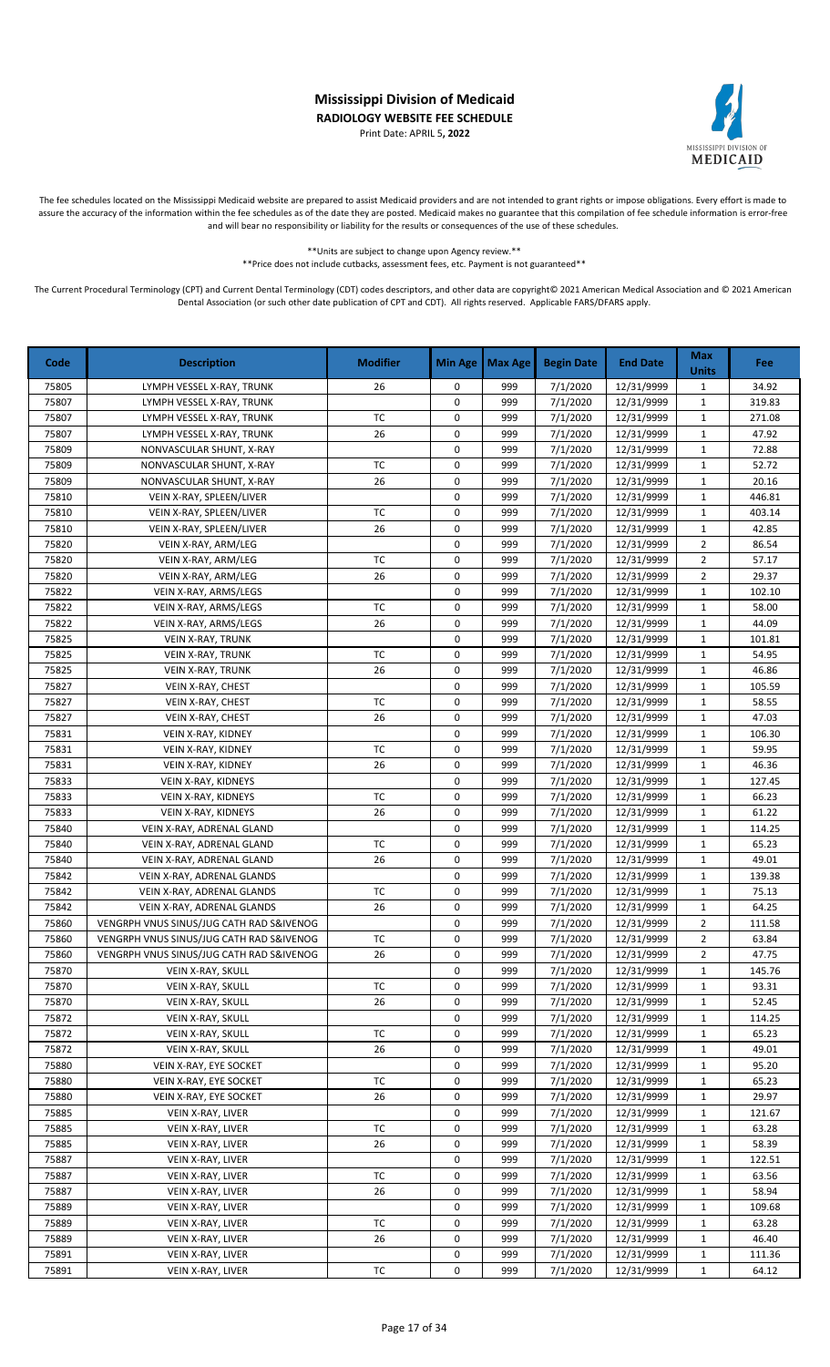Print Date: APRIL 5**, 2022**



The fee schedules located on the Mississippi Medicaid website are prepared to assist Medicaid providers and are not intended to grant rights or impose obligations. Every effort is made to assure the accuracy of the information within the fee schedules as of the date they are posted. Medicaid makes no guarantee that this compilation of fee schedule information is error-free and will bear no responsibility or liability for the results or consequences of the use of these schedules.

> \*\*Units are subject to change upon Agency review.\*\* \*\*Price does not include cutbacks, assessment fees, etc. Payment is not guaranteed\*\*

| Code           | <b>Description</b>                             | <b>Modifier</b> | <b>Min Age</b>   | <b>Max Age</b> | <b>Begin Date</b>    | <b>End Date</b>          | <b>Max</b><br><b>Units</b>  | <b>Fee</b>      |
|----------------|------------------------------------------------|-----------------|------------------|----------------|----------------------|--------------------------|-----------------------------|-----------------|
| 75805          | LYMPH VESSEL X-RAY, TRUNK                      | 26              | 0                | 999            | 7/1/2020             | 12/31/9999               | $\mathbf{1}$                | 34.92           |
| 75807          | LYMPH VESSEL X-RAY, TRUNK                      |                 | 0                | 999            | 7/1/2020             | 12/31/9999               | $\mathbf 1$                 | 319.83          |
| 75807          | LYMPH VESSEL X-RAY, TRUNK                      | TC              | 0                | 999            | 7/1/2020             | 12/31/9999               | $\mathbf{1}$                | 271.08          |
| 75807          | LYMPH VESSEL X-RAY, TRUNK                      | 26              | 0                | 999            | 7/1/2020             | 12/31/9999               | $\mathbf{1}$                | 47.92           |
| 75809          | NONVASCULAR SHUNT, X-RAY                       |                 | 0                | 999            | 7/1/2020             | 12/31/9999               | 1                           | 72.88           |
| 75809          | NONVASCULAR SHUNT, X-RAY                       | TC              | 0                | 999            | 7/1/2020             | 12/31/9999               | $\mathbf{1}$                | 52.72           |
| 75809          | NONVASCULAR SHUNT, X-RAY                       | 26              | 0                | 999            | 7/1/2020             | 12/31/9999               | $\mathbf{1}$                | 20.16           |
| 75810          | VEIN X-RAY, SPLEEN/LIVER                       |                 | 0                | 999            | 7/1/2020             | 12/31/9999               | $\mathbf{1}$                | 446.81          |
| 75810          | VEIN X-RAY, SPLEEN/LIVER                       | TC              | 0                | 999            | 7/1/2020             | 12/31/9999               | $\mathbf{1}$                | 403.14          |
| 75810          | VEIN X-RAY, SPLEEN/LIVER                       | 26              | 0                | 999            | 7/1/2020             | 12/31/9999               | $\mathbf{1}$                | 42.85           |
| 75820          | VEIN X-RAY, ARM/LEG                            |                 | $\mathsf 0$      | 999            | 7/1/2020             | 12/31/9999               | $\overline{2}$              | 86.54           |
| 75820          | VEIN X-RAY, ARM/LEG                            | <b>TC</b>       | $\mathsf 0$      | 999            | 7/1/2020             | 12/31/9999               | $\overline{2}$              | 57.17           |
| 75820          | VEIN X-RAY, ARM/LEG                            | 26              | 0                | 999            | 7/1/2020             | 12/31/9999               | $\overline{2}$              | 29.37           |
| 75822          | VEIN X-RAY, ARMS/LEGS                          |                 | 0<br>$\mathsf 0$ | 999<br>999     | 7/1/2020             | 12/31/9999               | $\mathbf 1$                 | 102.10          |
| 75822          | VEIN X-RAY, ARMS/LEGS<br>VEIN X-RAY, ARMS/LEGS | ТC<br>26        | $\mathsf 0$      | 999            | 7/1/2020<br>7/1/2020 | 12/31/9999               | $\mathbf{1}$                | 58.00           |
| 75822<br>75825 | VEIN X-RAY, TRUNK                              |                 | 0                | 999            | 7/1/2020             | 12/31/9999<br>12/31/9999 | $\mathbf{1}$<br>$\mathbf 1$ | 44.09<br>101.81 |
| 75825          | <b>VEIN X-RAY, TRUNK</b>                       | <b>TC</b>       | 0                | 999            | 7/1/2020             | 12/31/9999               | $\mathbf 1$                 | 54.95           |
| 75825          | <b>VEIN X-RAY, TRUNK</b>                       | 26              | 0                | 999            | 7/1/2020             | 12/31/9999               | $\mathbf{1}$                | 46.86           |
| 75827          | VEIN X-RAY, CHEST                              |                 | 0                | 999            | 7/1/2020             | 12/31/9999               | $\mathbf 1$                 | 105.59          |
| 75827          | VEIN X-RAY, CHEST                              | TC              | 0                | 999            | 7/1/2020             | 12/31/9999               | 1                           | 58.55           |
| 75827          | VEIN X-RAY, CHEST                              | 26              | 0                | 999            | 7/1/2020             | 12/31/9999               | $\mathbf 1$                 | 47.03           |
| 75831          | VEIN X-RAY, KIDNEY                             |                 | 0                | 999            | 7/1/2020             | 12/31/9999               | $\mathbf{1}$                | 106.30          |
| 75831          | VEIN X-RAY, KIDNEY                             | TC              | 0                | 999            | 7/1/2020             | 12/31/9999               | $\mathbf 1$                 | 59.95           |
| 75831          | <b>VEIN X-RAY, KIDNEY</b>                      | 26              | 0                | 999            | 7/1/2020             | 12/31/9999               | $\mathbf 1$                 | 46.36           |
| 75833          | VEIN X-RAY, KIDNEYS                            |                 | 0                | 999            | 7/1/2020             | 12/31/9999               | $\mathbf 1$                 | 127.45          |
| 75833          | VEIN X-RAY, KIDNEYS                            | <b>TC</b>       | 0                | 999            | 7/1/2020             | 12/31/9999               | $\mathbf 1$                 | 66.23           |
| 75833          | VEIN X-RAY, KIDNEYS                            | 26              | 0                | 999            | 7/1/2020             | 12/31/9999               | $\mathbf{1}$                | 61.22           |
| 75840          | VEIN X-RAY, ADRENAL GLAND                      |                 | 0                | 999            | 7/1/2020             | 12/31/9999               | $\mathbf{1}$                | 114.25          |
| 75840          | VEIN X-RAY, ADRENAL GLAND                      | TC              | 0                | 999            | 7/1/2020             | 12/31/9999               | $\mathbf 1$                 | 65.23           |
| 75840          | VEIN X-RAY, ADRENAL GLAND                      | 26              | 0                | 999            | 7/1/2020             | 12/31/9999               | $\mathbf 1$                 | 49.01           |
| 75842          | VEIN X-RAY, ADRENAL GLANDS                     |                 | 0                | 999            | 7/1/2020             | 12/31/9999               | $\mathbf{1}$                | 139.38          |
| 75842          | VEIN X-RAY, ADRENAL GLANDS                     | <b>TC</b>       | 0                | 999            | 7/1/2020             | 12/31/9999               | $\mathbf 1$                 | 75.13           |
| 75842          | VEIN X-RAY, ADRENAL GLANDS                     | 26              | 0                | 999            | 7/1/2020             | 12/31/9999               | $\mathbf{1}$                | 64.25           |
| 75860          | VENGRPH VNUS SINUS/JUG CATH RAD S&IVENOG       |                 | 0                | 999            | 7/1/2020             | 12/31/9999               | $\overline{2}$              | 111.58          |
| 75860          | VENGRPH VNUS SINUS/JUG CATH RAD S&IVENOG       | TC              | 0                | 999            | 7/1/2020             | 12/31/9999               | $\overline{2}$              | 63.84           |
| 75860          | VENGRPH VNUS SINUS/JUG CATH RAD S&IVENOG       | 26              | 0                | 999            | 7/1/2020             | 12/31/9999               | 2                           | 47.75           |
| 75870          | VEIN X-RAY, SKULL                              |                 | 0                | 999            | 7/1/2020             | 12/31/9999               | 1                           | 145.76          |
| 75870          | VEIN X-RAY, SKULL                              | ТC              | 0                | 999            | 7/1/2020             | 12/31/9999               | $\mathbf{1}$                | 93.31           |
| 75870          | VEIN X-RAY, SKULL                              | 26              | 0                | 999            | 7/1/2020             | 12/31/9999               | $\mathbf{1}$                | 52.45           |
| 75872          | VEIN X-RAY, SKULL                              |                 | 0                | 999            | 7/1/2020             | 12/31/9999               | 1                           | 114.25          |
| 75872          | VEIN X-RAY, SKULL                              | ТC              | 0                | 999            | 7/1/2020             | 12/31/9999               | 1                           | 65.23           |
| 75872          | VEIN X-RAY, SKULL                              | 26              | 0                | 999            | 7/1/2020             | 12/31/9999               | 1                           | 49.01           |
| 75880          | VEIN X-RAY, EYE SOCKET                         |                 | 0                | 999            | 7/1/2020             | 12/31/9999               | 1                           | 95.20           |
| 75880          | VEIN X-RAY, EYE SOCKET                         | TC              | 0                | 999            | 7/1/2020             | 12/31/9999               | 1                           | 65.23           |
| 75880          | VEIN X-RAY, EYE SOCKET                         | 26              | 0                | 999            | 7/1/2020             | 12/31/9999               | 1                           | 29.97           |
| 75885          | VEIN X-RAY, LIVER                              |                 | 0                | 999            | 7/1/2020             | 12/31/9999               | $\mathbf{1}$                | 121.67          |
| 75885          | VEIN X-RAY, LIVER                              | ТC              | 0                | 999            | 7/1/2020             | 12/31/9999               | 1                           | 63.28           |
| 75885          | VEIN X-RAY, LIVER                              | 26              | 0                | 999            | 7/1/2020             | 12/31/9999               | 1                           | 58.39           |
| 75887          | VEIN X-RAY, LIVER                              |                 | 0                | 999            | 7/1/2020             | 12/31/9999               | $\mathbf{1}$                | 122.51          |
| 75887          | VEIN X-RAY, LIVER                              | ТC              | 0                | 999            | 7/1/2020             | 12/31/9999               | 1                           | 63.56           |
| 75887          | VEIN X-RAY, LIVER                              | 26              | 0                | 999            | 7/1/2020             | 12/31/9999               | $\mathbf{1}$                | 58.94           |
| 75889          | VEIN X-RAY, LIVER                              |                 | 0                | 999            | 7/1/2020             | 12/31/9999               | 1                           | 109.68          |
| 75889          | VEIN X-RAY, LIVER                              | TC              | 0                | 999            | 7/1/2020             | 12/31/9999               | 1                           | 63.28           |
| 75889          | VEIN X-RAY, LIVER                              | 26              | 0                | 999            | 7/1/2020             | 12/31/9999               | 1                           | 46.40           |
| 75891          | VEIN X-RAY, LIVER                              |                 | 0                | 999            | 7/1/2020             | 12/31/9999               | $\mathbf{1}$                | 111.36          |
| 75891          | VEIN X-RAY, LIVER                              | TC              | 0                | 999            | 7/1/2020             | 12/31/9999               | $\mathbf{1}$                | 64.12           |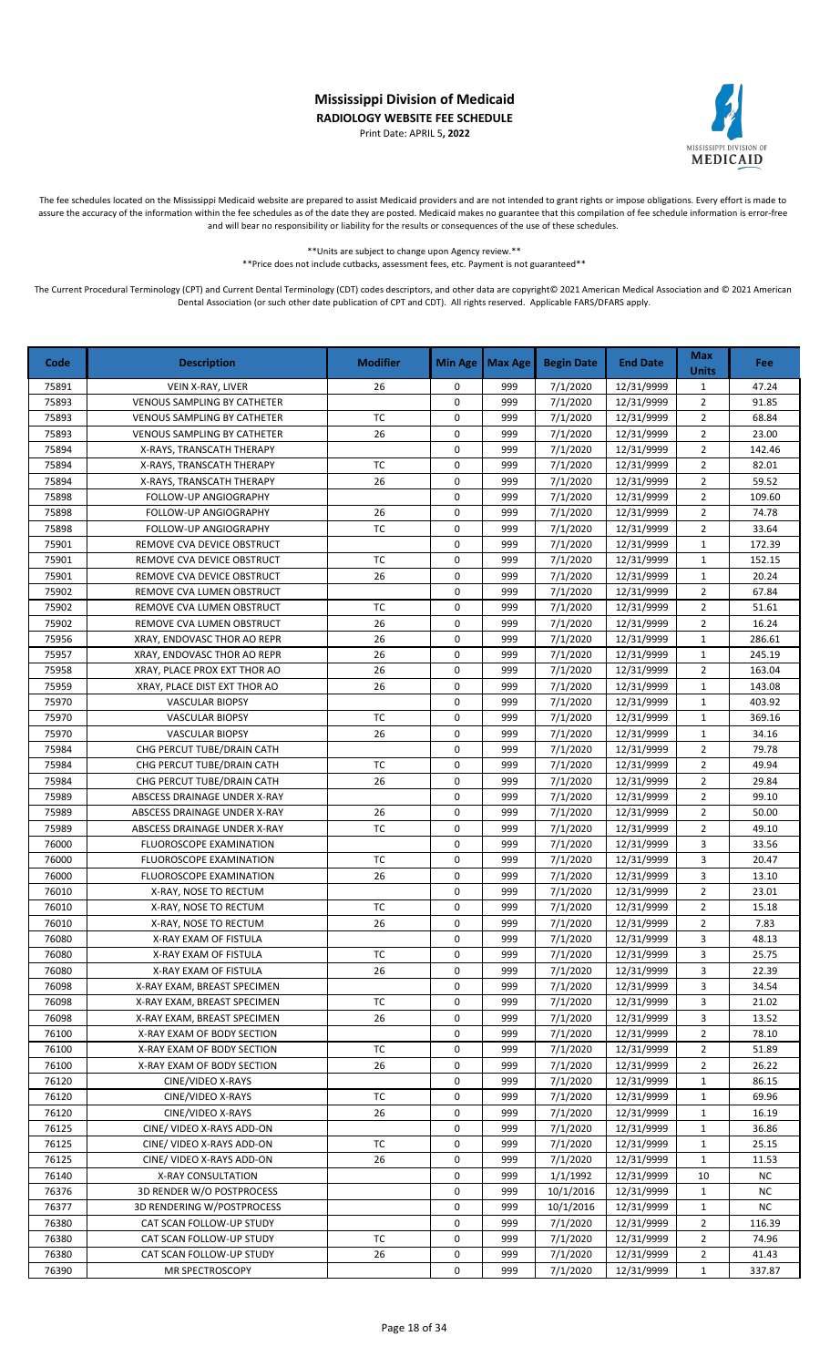Print Date: APRIL 5**, 2022**



The fee schedules located on the Mississippi Medicaid website are prepared to assist Medicaid providers and are not intended to grant rights or impose obligations. Every effort is made to assure the accuracy of the information within the fee schedules as of the date they are posted. Medicaid makes no guarantee that this compilation of fee schedule information is error-free and will bear no responsibility or liability for the results or consequences of the use of these schedules.

> \*\*Units are subject to change upon Agency review.\*\* \*\*Price does not include cutbacks, assessment fees, etc. Payment is not guaranteed\*\*

| Code           | <b>Description</b>                                         | <b>Modifier</b> | <b>Min Age</b> | <b>Max Age</b> | <b>Begin Date</b>    | <b>End Date</b>          | <b>Max</b><br><b>Units</b> | <b>Fee</b>     |
|----------------|------------------------------------------------------------|-----------------|----------------|----------------|----------------------|--------------------------|----------------------------|----------------|
| 75891          | VEIN X-RAY, LIVER                                          | 26              | 0              | 999            | 7/1/2020             | 12/31/9999               | $\mathbf{1}$               | 47.24          |
| 75893          | <b>VENOUS SAMPLING BY CATHETER</b>                         |                 | 0              | 999            | 7/1/2020             | 12/31/9999               | $\overline{2}$             | 91.85          |
| 75893          | <b>VENOUS SAMPLING BY CATHETER</b>                         | TC              | 0              | 999            | 7/1/2020             | 12/31/9999               | $\overline{2}$             | 68.84          |
| 75893          | <b>VENOUS SAMPLING BY CATHETER</b>                         | 26              | 0              | 999            | 7/1/2020             | 12/31/9999               | $\overline{2}$             | 23.00          |
| 75894          | X-RAYS, TRANSCATH THERAPY                                  |                 | 0              | 999            | 7/1/2020             | 12/31/9999               | $\overline{2}$             | 142.46         |
| 75894          | X-RAYS, TRANSCATH THERAPY                                  | TC              | 0              | 999            | 7/1/2020             | 12/31/9999               | $\overline{2}$             | 82.01          |
| 75894          | X-RAYS, TRANSCATH THERAPY                                  | 26              | 0              | 999            | 7/1/2020             | 12/31/9999               | $\overline{2}$             | 59.52          |
| 75898          | FOLLOW-UP ANGIOGRAPHY                                      |                 | 0              | 999            | 7/1/2020             | 12/31/9999               | $\overline{2}$             | 109.60         |
| 75898          | FOLLOW-UP ANGIOGRAPHY                                      | 26              | 0              | 999            | 7/1/2020             | 12/31/9999               | $\overline{2}$             | 74.78          |
| 75898          | FOLLOW-UP ANGIOGRAPHY                                      | TC              | 0              | 999            | 7/1/2020             | 12/31/9999               | $\overline{2}$             | 33.64          |
| 75901          | REMOVE CVA DEVICE OBSTRUCT                                 |                 | $\mathbf 0$    | 999            | 7/1/2020             | 12/31/9999               | $\mathbf{1}$               | 172.39         |
| 75901          | REMOVE CVA DEVICE OBSTRUCT                                 | <b>TC</b>       | 0              | 999            | 7/1/2020             | 12/31/9999               | $\mathbf{1}$               | 152.15         |
| 75901          | REMOVE CVA DEVICE OBSTRUCT                                 | 26              | 0              | 999            | 7/1/2020             | 12/31/9999               | $\mathbf{1}$               | 20.24          |
| 75902          | REMOVE CVA LUMEN OBSTRUCT                                  |                 | 0              | 999            | 7/1/2020             | 12/31/9999               | $\overline{2}$             | 67.84          |
| 75902          | REMOVE CVA LUMEN OBSTRUCT                                  | TC              | 0              | 999            | 7/1/2020             | 12/31/9999               | $\overline{2}$             | 51.61          |
| 75902          | REMOVE CVA LUMEN OBSTRUCT                                  | 26              | 0              | 999            | 7/1/2020             | 12/31/9999               | $\overline{2}$             | 16.24          |
| 75956          | XRAY, ENDOVASC THOR AO REPR                                | 26              | 0              | 999            | 7/1/2020             | 12/31/9999               | $\mathbf{1}$               | 286.61         |
| 75957          | XRAY, ENDOVASC THOR AO REPR                                | 26              | 0              | 999            | 7/1/2020             | 12/31/9999               | $\mathbf{1}$               | 245.19         |
| 75958          | XRAY, PLACE PROX EXT THOR AO                               | 26              | 0              | 999            | 7/1/2020             | 12/31/9999               | $\overline{2}$             | 163.04         |
| 75959          | XRAY, PLACE DIST EXT THOR AO                               | 26              | 0              | 999            | 7/1/2020             | 12/31/9999               | $\mathbf{1}$               | 143.08         |
| 75970          | <b>VASCULAR BIOPSY</b>                                     |                 | 0              | 999            | 7/1/2020             | 12/31/9999               | 1                          | 403.92         |
| 75970          | <b>VASCULAR BIOPSY</b>                                     | TC              | 0              | 999            | 7/1/2020             | 12/31/9999               | $\mathbf{1}$               | 369.16         |
| 75970          | <b>VASCULAR BIOPSY</b>                                     | 26              | 0              | 999            | 7/1/2020             | 12/31/9999               | $\mathbf{1}$               | 34.16          |
| 75984          | CHG PERCUT TUBE/DRAIN CATH                                 |                 | 0              | 999            | 7/1/2020             | 12/31/9999               | $\overline{2}$             | 79.78          |
| 75984          | CHG PERCUT TUBE/DRAIN CATH                                 | <b>TC</b>       | 0              | 999            | 7/1/2020             | 12/31/9999               | $\overline{2}$             | 49.94          |
| 75984          | CHG PERCUT TUBE/DRAIN CATH                                 | 26              | 0              | 999            | 7/1/2020             | 12/31/9999               | $\overline{2}$             | 29.84          |
| 75989          | ABSCESS DRAINAGE UNDER X-RAY                               |                 | 0              | 999            | 7/1/2020             | 12/31/9999               | $\overline{2}$             | 99.10          |
| 75989          | ABSCESS DRAINAGE UNDER X-RAY                               | 26              | 0              | 999            | 7/1/2020             | 12/31/9999               | $\overline{2}$             | 50.00          |
| 75989          | ABSCESS DRAINAGE UNDER X-RAY                               | <b>TC</b>       | 0              | 999            | 7/1/2020             | 12/31/9999               | $\overline{2}$             | 49.10          |
| 76000          | FLUOROSCOPE EXAMINATION                                    |                 | 0              | 999            | 7/1/2020             | 12/31/9999               | 3                          | 33.56          |
| 76000          | FLUOROSCOPE EXAMINATION                                    | TC              | 0              | 999            | 7/1/2020             | 12/31/9999               | 3                          | 20.47          |
| 76000          | FLUOROSCOPE EXAMINATION                                    | 26              | $\mathbf 0$    | 999            | 7/1/2020             | 12/31/9999               | 3                          | 13.10          |
| 76010          | X-RAY, NOSE TO RECTUM                                      |                 | $\mathbf 0$    | 999            | 7/1/2020             | 12/31/9999               | $\overline{2}$             | 23.01          |
| 76010          | X-RAY, NOSE TO RECTUM                                      | TC              | 0              | 999            | 7/1/2020             | 12/31/9999               | $\overline{2}$             | 15.18          |
| 76010          | X-RAY, NOSE TO RECTUM                                      | 26              | 0              | 999            | 7/1/2020             | 12/31/9999               | $\overline{2}$             | 7.83           |
| 76080          | X-RAY EXAM OF FISTULA                                      |                 | $\mathbf 0$    | 999            | 7/1/2020             | 12/31/9999               | 3                          | 48.13          |
| 76080          | X-RAY EXAM OF FISTULA                                      | ТC              | 0              | 999            | 7/1/2020             | 12/31/9999               | 3                          | 25.75          |
| 76080<br>76098 | X-RAY EXAM OF FISTULA                                      | 26              | 0<br>0         | 999<br>999     | 7/1/2020             | 12/31/9999               | 3                          | 22.39          |
| 76098          | X-RAY EXAM, BREAST SPECIMEN                                | ТC              | 0              | 999            | 7/1/2020<br>7/1/2020 | 12/31/9999<br>12/31/9999 | 3<br>3                     | 34.54<br>21.02 |
| 76098          | X-RAY EXAM, BREAST SPECIMEN<br>X-RAY EXAM, BREAST SPECIMEN | 26              | 0              | 999            | 7/1/2020             | 12/31/9999               | 3                          | 13.52          |
| 76100          | X-RAY EXAM OF BODY SECTION                                 |                 | 0              | 999            | 7/1/2020             | 12/31/9999               | $\overline{2}$             | 78.10          |
| 76100          | X-RAY EXAM OF BODY SECTION                                 | ТC              | 0              | 999            | 7/1/2020             | 12/31/9999               | $\overline{2}$             | 51.89          |
| 76100          | X-RAY EXAM OF BODY SECTION                                 | 26              | 0              | 999            | 7/1/2020             | 12/31/9999               | $\overline{2}$             | 26.22          |
| 76120          | CINE/VIDEO X-RAYS                                          |                 | 0              | 999            | 7/1/2020             | 12/31/9999               | 1                          | 86.15          |
| 76120          | CINE/VIDEO X-RAYS                                          | ТC              | 0              | 999            | 7/1/2020             | 12/31/9999               | 1                          | 69.96          |
| 76120          | CINE/VIDEO X-RAYS                                          | 26              | 0              | 999            | 7/1/2020             | 12/31/9999               | $\mathbf{1}$               | 16.19          |
| 76125          | CINE/ VIDEO X-RAYS ADD-ON                                  |                 | 0              | 999            | 7/1/2020             | 12/31/9999               | $\mathbf{1}$               | 36.86          |
| 76125          | CINE/ VIDEO X-RAYS ADD-ON                                  | ТC              | 0              | 999            | 7/1/2020             | 12/31/9999               | 1                          | 25.15          |
| 76125          | CINE/ VIDEO X-RAYS ADD-ON                                  | 26              | 0              | 999            | 7/1/2020             | 12/31/9999               | $\mathbf{1}$               | 11.53          |
| 76140          | X-RAY CONSULTATION                                         |                 | 0              | 999            | 1/1/1992             | 12/31/9999               | 10                         | NC             |
| 76376          | 3D RENDER W/O POSTPROCESS                                  |                 | 0              | 999            | 10/1/2016            | 12/31/9999               | $\mathbf{1}$               | NC             |
| 76377          | 3D RENDERING W/POSTPROCESS                                 |                 | 0              | 999            | 10/1/2016            | 12/31/9999               | 1                          | NC             |
| 76380          | CAT SCAN FOLLOW-UP STUDY                                   |                 | 0              | 999            | 7/1/2020             | 12/31/9999               | $\overline{2}$             | 116.39         |
| 76380          | CAT SCAN FOLLOW-UP STUDY                                   | ТC              | 0              | 999            | 7/1/2020             | 12/31/9999               | 2                          | 74.96          |
| 76380          | CAT SCAN FOLLOW-UP STUDY                                   | 26              | 0              | 999            | 7/1/2020             | 12/31/9999               | $\overline{2}$             | 41.43          |
| 76390          | MR SPECTROSCOPY                                            |                 | 0              | 999            | 7/1/2020             | 12/31/9999               | $\mathbf{1}$               | 337.87         |
|                |                                                            |                 |                |                |                      |                          |                            |                |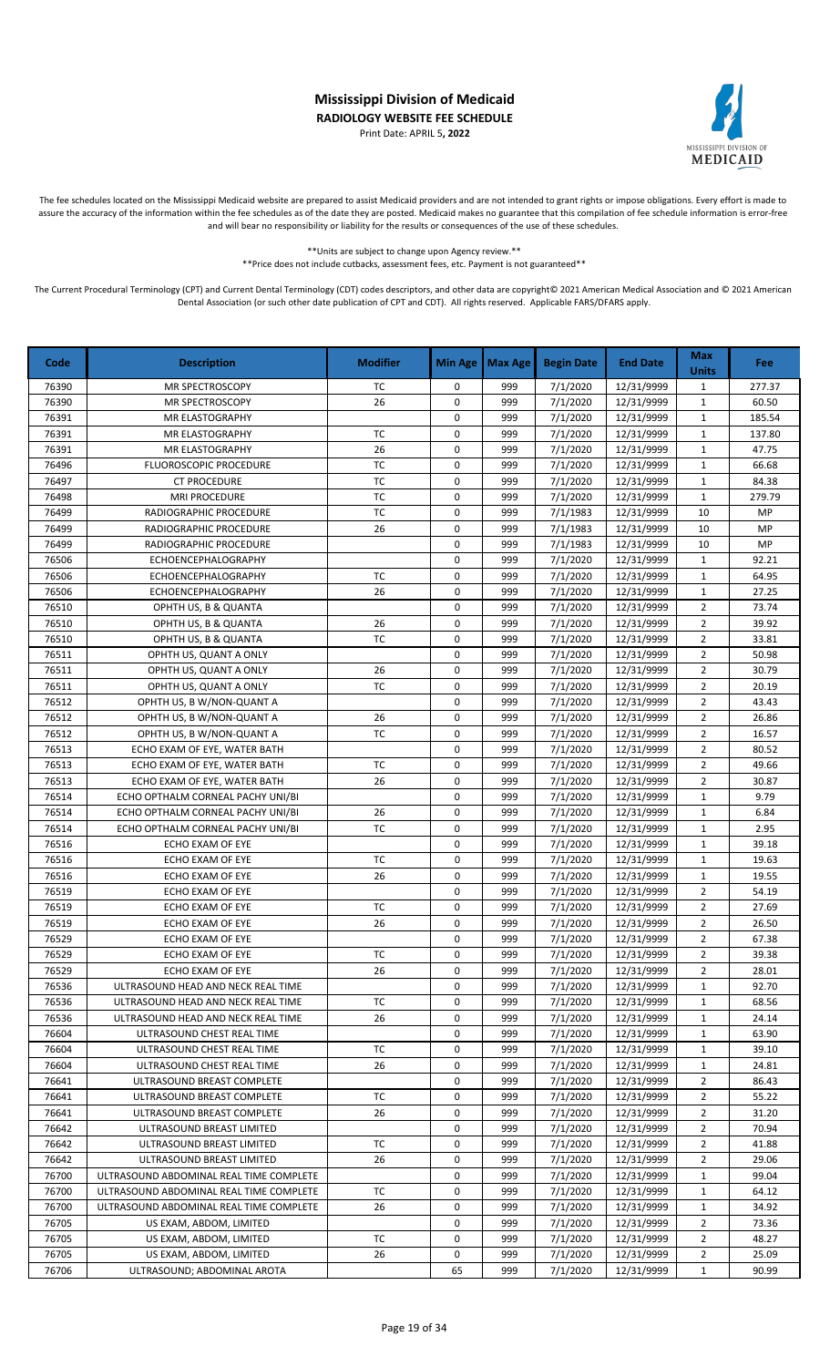Print Date: APRIL 5**, 2022**



The fee schedules located on the Mississippi Medicaid website are prepared to assist Medicaid providers and are not intended to grant rights or impose obligations. Every effort is made to assure the accuracy of the information within the fee schedules as of the date they are posted. Medicaid makes no guarantee that this compilation of fee schedule information is error-free and will bear no responsibility or liability for the results or consequences of the use of these schedules.

> \*\*Units are subject to change upon Agency review.\*\* \*\*Price does not include cutbacks, assessment fees, etc. Payment is not guaranteed\*\*

| Code  | <b>Description</b>                      | <b>Modifier</b> | <b>Min Age</b> | <b>Max Age</b> | <b>Begin Date</b> | <b>End Date</b> | <b>Max</b><br><b>Units</b> | <b>Fee</b> |
|-------|-----------------------------------------|-----------------|----------------|----------------|-------------------|-----------------|----------------------------|------------|
| 76390 | <b>MR SPECTROSCOPY</b>                  | TC              | 0              | 999            | 7/1/2020          | 12/31/9999      | $\mathbf{1}$               | 277.37     |
| 76390 | <b>MR SPECTROSCOPY</b>                  | 26              | 0              | 999            | 7/1/2020          | 12/31/9999      | $\mathbf{1}$               | 60.50      |
| 76391 | MR ELASTOGRAPHY                         |                 | 0              | 999            | 7/1/2020          | 12/31/9999      | $\mathbf{1}$               | 185.54     |
| 76391 | MR ELASTOGRAPHY                         | TC              | 0              | 999            | 7/1/2020          | 12/31/9999      | 1                          | 137.80     |
| 76391 | MR ELASTOGRAPHY                         | 26              | 0              | 999            | 7/1/2020          | 12/31/9999      | 1                          | 47.75      |
| 76496 | FLUOROSCOPIC PROCEDURE                  | <b>TC</b>       | 0              | 999            | 7/1/2020          | 12/31/9999      | 1                          | 66.68      |
| 76497 | <b>CT PROCEDURE</b>                     | <b>TC</b>       | 0              | 999            | 7/1/2020          | 12/31/9999      | $\mathbf{1}$               | 84.38      |
| 76498 | <b>MRI PROCEDURE</b>                    | TC              | 0              | 999            | 7/1/2020          | 12/31/9999      | $\mathbf{1}$               | 279.79     |
| 76499 | RADIOGRAPHIC PROCEDURE                  | TC              | 0              | 999            | 7/1/1983          | 12/31/9999      | 10                         | MP         |
| 76499 | RADIOGRAPHIC PROCEDURE                  | 26              | 0              | 999            | 7/1/1983          | 12/31/9999      | 10                         | MP         |
| 76499 | RADIOGRAPHIC PROCEDURE                  |                 | $\mathbf 0$    | 999            | 7/1/1983          | 12/31/9999      | 10                         | MP         |
| 76506 | <b>ECHOENCEPHALOGRAPHY</b>              |                 | 0              | 999            | 7/1/2020          | 12/31/9999      | $\mathbf{1}$               | 92.21      |
| 76506 | <b>ECHOENCEPHALOGRAPHY</b>              | <b>TC</b>       | $\mathsf 0$    | 999            | 7/1/2020          | 12/31/9999      | $\mathbf{1}$               | 64.95      |
| 76506 | ECHOENCEPHALOGRAPHY                     | 26              | 0              | 999            | 7/1/2020          | 12/31/9999      | $\mathbf{1}$               | 27.25      |
| 76510 | OPHTH US, B & QUANTA                    |                 | 0              | 999            | 7/1/2020          | 12/31/9999      | $\overline{2}$             | 73.74      |
| 76510 | OPHTH US, B & QUANTA                    | 26              | 0              | 999            | 7/1/2020          | 12/31/9999      | $\overline{2}$             | 39.92      |
| 76510 | OPHTH US, B & QUANTA                    | <b>TC</b>       | 0              | 999            | 7/1/2020          | 12/31/9999      | $\overline{2}$             | 33.81      |
| 76511 | OPHTH US, QUANT A ONLY                  |                 | 0              | 999            | 7/1/2020          | 12/31/9999      | $\overline{2}$             | 50.98      |
| 76511 | OPHTH US, QUANT A ONLY                  | 26              | $\mathbf 0$    | 999            | 7/1/2020          | 12/31/9999      | $\overline{2}$             | 30.79      |
| 76511 | OPHTH US, QUANT A ONLY                  | TC              | 0              | 999            | 7/1/2020          | 12/31/9999      | $\overline{2}$             | 20.19      |
| 76512 | OPHTH US, B W/NON-QUANT A               |                 | 0              | 999            | 7/1/2020          | 12/31/9999      | $\overline{2}$             | 43.43      |
| 76512 | OPHTH US, B W/NON-QUANT A               | 26              | 0              | 999            | 7/1/2020          | 12/31/9999      | $\overline{2}$             | 26.86      |
| 76512 | OPHTH US, B W/NON-QUANT A               | TC              | 0              | 999            | 7/1/2020          | 12/31/9999      | $\overline{2}$             | 16.57      |
| 76513 | ECHO EXAM OF EYE, WATER BATH            |                 | 0              | 999            | 7/1/2020          | 12/31/9999      | $\overline{2}$             | 80.52      |
| 76513 | ECHO EXAM OF EYE, WATER BATH            | TC              | 0              | 999            | 7/1/2020          | 12/31/9999      | $\overline{2}$             | 49.66      |
| 76513 | ECHO EXAM OF EYE, WATER BATH            | 26              | $\mathbf 0$    | 999            | 7/1/2020          | 12/31/9999      | $\overline{2}$             | 30.87      |
| 76514 | ECHO OPTHALM CORNEAL PACHY UNI/BI       |                 | 0              | 999            | 7/1/2020          | 12/31/9999      | $\mathbf{1}$               | 9.79       |
| 76514 | ECHO OPTHALM CORNEAL PACHY UNI/BI       | 26              | $\mathbf 0$    | 999            | 7/1/2020          | 12/31/9999      | $\mathbf{1}$               | 6.84       |
| 76514 | ECHO OPTHALM CORNEAL PACHY UNI/BI       | TC              | $\mathbf 0$    | 999            | 7/1/2020          | 12/31/9999      | $\mathbf{1}$               | 2.95       |
| 76516 | ECHO EXAM OF EYE                        |                 | $\mathbf 0$    | 999            | 7/1/2020          | 12/31/9999      | $\mathbf{1}$               | 39.18      |
| 76516 | ECHO EXAM OF EYE                        | TC              | 0              | 999            | 7/1/2020          | 12/31/9999      | $\mathbf{1}$               | 19.63      |
| 76516 | ECHO EXAM OF EYE                        | 26              | 0              | 999            | 7/1/2020          | 12/31/9999      | $\mathbf{1}$               | 19.55      |
| 76519 | ECHO EXAM OF EYE                        |                 | 0              | 999            | 7/1/2020          | 12/31/9999      | 2                          | 54.19      |
| 76519 | ECHO EXAM OF EYE                        | TC              | 0              | 999            | 7/1/2020          | 12/31/9999      | $\overline{2}$             | 27.69      |
| 76519 | ECHO EXAM OF EYE                        | 26              | 0              | 999            | 7/1/2020          | 12/31/9999      | $\overline{2}$             | 26.50      |
| 76529 | ECHO EXAM OF EYE                        |                 | 0              | 999            | 7/1/2020          | 12/31/9999      | $\overline{2}$             | 67.38      |
| 76529 | ECHO EXAM OF EYE                        | ТC              | 0              | 999            | 7/1/2020          | 12/31/9999      | $\overline{2}$             | 39.38      |
| 76529 | ECHO EXAM OF EYE                        | 26              | 0              | 999            | 7/1/2020          | 12/31/9999      | 2                          | 28.01      |
| 76536 | ULTRASOUND HEAD AND NECK REAL TIME      |                 | 0              | 999            | 7/1/2020          | 12/31/9999      | 1                          | 92.70      |
| 76536 | ULTRASOUND HEAD AND NECK REAL TIME      | TC              | 0              | 999            | 7/1/2020          | 12/31/9999      | 1                          | 68.56      |
| 76536 | ULTRASOUND HEAD AND NECK REAL TIME      | 26              | 0              | 999            | 7/1/2020          | 12/31/9999      | 1                          | 24.14      |
| 76604 | ULTRASOUND CHEST REAL TIME              |                 | 0              | 999            | 7/1/2020          | 12/31/9999      | 1                          | 63.90      |
| 76604 | ULTRASOUND CHEST REAL TIME              | ТC              | 0              | 999            | 7/1/2020          | 12/31/9999      | 1                          | 39.10      |
| 76604 | ULTRASOUND CHEST REAL TIME              | 26              | 0              | 999            | 7/1/2020          | 12/31/9999      | $\mathbf{1}$               | 24.81      |
| 76641 | ULTRASOUND BREAST COMPLETE              |                 | 0              | 999            | 7/1/2020          | 12/31/9999      | 2                          | 86.43      |
| 76641 | ULTRASOUND BREAST COMPLETE              | TC              | 0              | 999            | 7/1/2020          | 12/31/9999      | 2                          | 55.22      |
| 76641 | ULTRASOUND BREAST COMPLETE              | 26              | 0              | 999            | 7/1/2020          | 12/31/9999      | $\overline{2}$             | 31.20      |
| 76642 | ULTRASOUND BREAST LIMITED               |                 | 0              | 999            | 7/1/2020          | 12/31/9999      | $\overline{2}$             | 70.94      |
| 76642 | ULTRASOUND BREAST LIMITED               | TC              | 0              | 999            | 7/1/2020          | 12/31/9999      | $\overline{2}$             | 41.88      |
| 76642 | ULTRASOUND BREAST LIMITED               | 26              | 0              | 999            | 7/1/2020          | 12/31/9999      | $\overline{2}$             | 29.06      |
| 76700 | ULTRASOUND ABDOMINAL REAL TIME COMPLETE |                 | 0              | 999            | 7/1/2020          | 12/31/9999      | 1                          | 99.04      |
| 76700 | ULTRASOUND ABDOMINAL REAL TIME COMPLETE | ТC              | 0              | 999            | 7/1/2020          | 12/31/9999      | 1                          | 64.12      |
| 76700 | ULTRASOUND ABDOMINAL REAL TIME COMPLETE | 26              | 0              | 999            | 7/1/2020          | 12/31/9999      | $\mathbf{1}$               | 34.92      |
| 76705 | US EXAM, ABDOM, LIMITED                 |                 | 0              | 999            | 7/1/2020          | 12/31/9999      | 2                          | 73.36      |
| 76705 | US EXAM, ABDOM, LIMITED                 | TC              | 0              | 999            | 7/1/2020          | 12/31/9999      | 2                          | 48.27      |
| 76705 | US EXAM, ABDOM, LIMITED                 | 26              | 0              | 999            | 7/1/2020          | 12/31/9999      | 2                          | 25.09      |
| 76706 | ULTRASOUND; ABDOMINAL AROTA             |                 |                | 999            | 7/1/2020          |                 | $\mathbf{1}$               | 90.99      |
|       |                                         |                 | 65             |                |                   | 12/31/9999      |                            |            |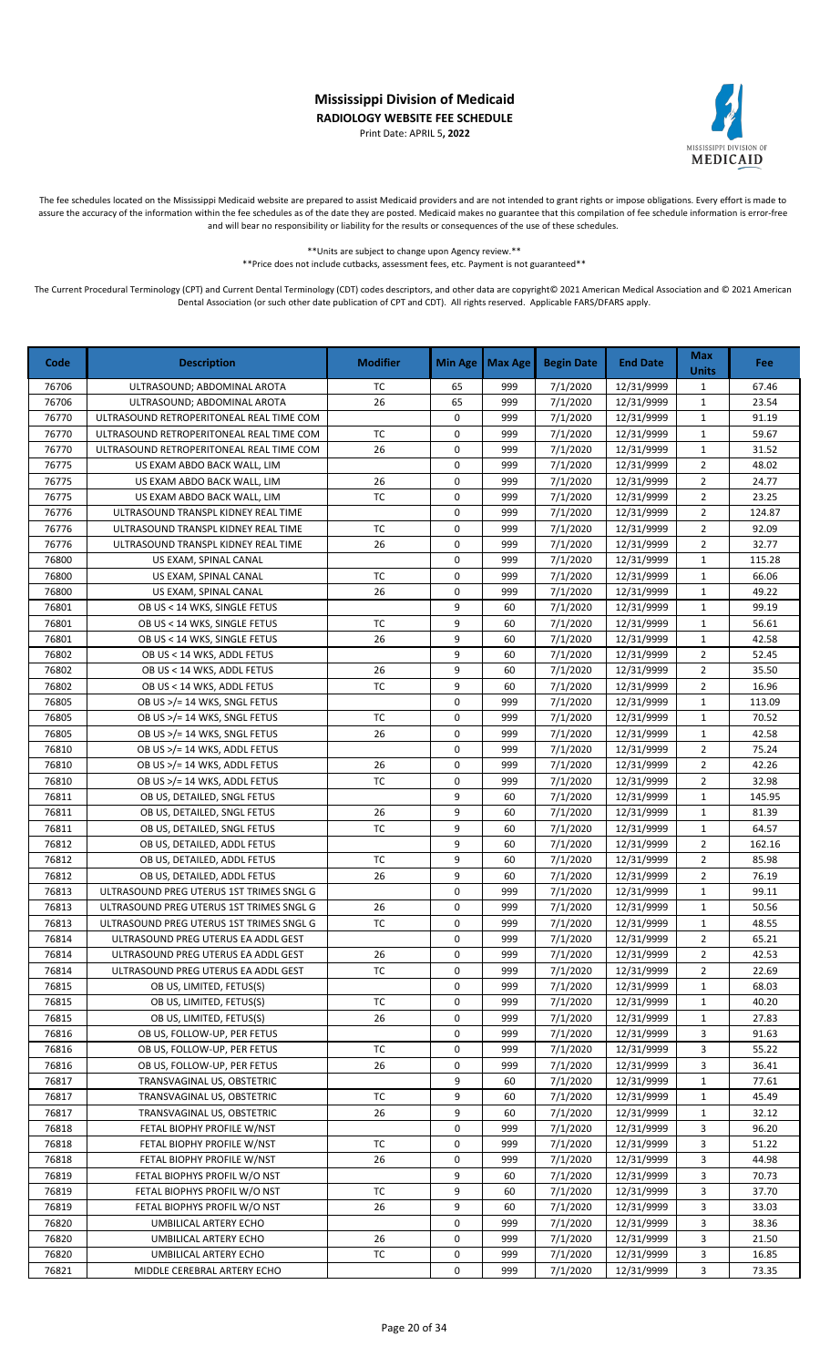Print Date: APRIL 5**, 2022**



The fee schedules located on the Mississippi Medicaid website are prepared to assist Medicaid providers and are not intended to grant rights or impose obligations. Every effort is made to assure the accuracy of the information within the fee schedules as of the date they are posted. Medicaid makes no guarantee that this compilation of fee schedule information is error-free and will bear no responsibility or liability for the results or consequences of the use of these schedules.

> \*\*Units are subject to change upon Agency review.\*\* \*\*Price does not include cutbacks, assessment fees, etc. Payment is not guaranteed\*\*

| Code  | <b>Description</b>                       | <b>Modifier</b> | Min Age     | <b>Max Age</b> | <b>Begin Date</b> | <b>End Date</b> | <b>Max</b><br><b>Units</b> | <b>Fee</b> |
|-------|------------------------------------------|-----------------|-------------|----------------|-------------------|-----------------|----------------------------|------------|
| 76706 | ULTRASOUND; ABDOMINAL AROTA              | ТC              | 65          | 999            | 7/1/2020          | 12/31/9999      | $\mathbf{1}$               | 67.46      |
| 76706 | ULTRASOUND; ABDOMINAL AROTA              | 26              | 65          | 999            | 7/1/2020          | 12/31/9999      | $\mathbf{1}$               | 23.54      |
| 76770 | ULTRASOUND RETROPERITONEAL REAL TIME COM |                 | 0           | 999            | 7/1/2020          | 12/31/9999      | $\mathbf 1$                | 91.19      |
| 76770 | ULTRASOUND RETROPERITONEAL REAL TIME COM | TC              | 0           | 999            | 7/1/2020          | 12/31/9999      | $\mathbf{1}$               | 59.67      |
| 76770 | ULTRASOUND RETROPERITONEAL REAL TIME COM | 26              | 0           | 999            | 7/1/2020          | 12/31/9999      | $\mathbf{1}$               | 31.52      |
| 76775 | US EXAM ABDO BACK WALL, LIM              |                 | 0           | 999            | 7/1/2020          | 12/31/9999      | $\overline{2}$             | 48.02      |
| 76775 | US EXAM ABDO BACK WALL, LIM              | 26              | 0           | 999            | 7/1/2020          | 12/31/9999      | $\overline{2}$             | 24.77      |
| 76775 | US EXAM ABDO BACK WALL, LIM              | TC              | 0           | 999            | 7/1/2020          | 12/31/9999      | $\overline{2}$             | 23.25      |
| 76776 | ULTRASOUND TRANSPL KIDNEY REAL TIME      |                 | 0           | 999            | 7/1/2020          | 12/31/9999      | $\overline{2}$             | 124.87     |
| 76776 | ULTRASOUND TRANSPL KIDNEY REAL TIME      | TC              | 0           | 999            | 7/1/2020          | 12/31/9999      | $\overline{2}$             | 92.09      |
| 76776 | ULTRASOUND TRANSPL KIDNEY REAL TIME      | 26              | $\mathbf 0$ | 999            | 7/1/2020          | 12/31/9999      | $\overline{2}$             | 32.77      |
| 76800 | US EXAM, SPINAL CANAL                    |                 | 0           | 999            | 7/1/2020          | 12/31/9999      | $\mathbf{1}$               | 115.28     |
| 76800 | US EXAM, SPINAL CANAL                    | <b>TC</b>       | $\mathbf 0$ | 999            | 7/1/2020          | 12/31/9999      | $\mathbf 1$                | 66.06      |
| 76800 | US EXAM, SPINAL CANAL                    | 26              | 0           | 999            | 7/1/2020          | 12/31/9999      | $\mathbf{1}$               | 49.22      |
| 76801 | OB US < 14 WKS, SINGLE FETUS             |                 | 9           | 60             | 7/1/2020          | 12/31/9999      | $\mathbf{1}$               | 99.19      |
| 76801 | OB US < 14 WKS, SINGLE FETUS             | TC              | 9           | 60             | 7/1/2020          | 12/31/9999      | $\mathbf{1}$               | 56.61      |
| 76801 | OB US < 14 WKS, SINGLE FETUS             | 26              | 9           | 60             | 7/1/2020          | 12/31/9999      | $\mathbf{1}$               | 42.58      |
| 76802 | OB US < 14 WKS, ADDL FETUS               |                 | 9           | 60             | 7/1/2020          | 12/31/9999      | $\overline{2}$             | 52.45      |
| 76802 | OB US < 14 WKS, ADDL FETUS               | 26              | 9           | 60             | 7/1/2020          | 12/31/9999      | $\overline{2}$             | 35.50      |
| 76802 | OB US < 14 WKS, ADDL FETUS               | ТC              | 9           | 60             | 7/1/2020          | 12/31/9999      | $\overline{2}$             | 16.96      |
| 76805 | OB US >/= 14 WKS, SNGL FETUS             |                 | 0           | 999            | 7/1/2020          | 12/31/9999      | $\mathbf{1}$               | 113.09     |
| 76805 | OB US >/= 14 WKS, SNGL FETUS             | ТC              | 0           | 999            | 7/1/2020          | 12/31/9999      | $\mathbf{1}$               | 70.52      |
| 76805 | OB US >/= 14 WKS, SNGL FETUS             | 26              | 0           | 999            | 7/1/2020          | 12/31/9999      | $\mathbf{1}$               | 42.58      |
| 76810 | OB US >/= 14 WKS, ADDL FETUS             |                 | 0           | 999            | 7/1/2020          | 12/31/9999      | $\overline{2}$             | 75.24      |
| 76810 | OB US >/= 14 WKS, ADDL FETUS             | 26              | 0           | 999            | 7/1/2020          | 12/31/9999      | $\overline{2}$             | 42.26      |
| 76810 | OB US >/= 14 WKS, ADDL FETUS             | TC              | 0           | 999            | 7/1/2020          | 12/31/9999      | $\overline{2}$             | 32.98      |
| 76811 | OB US, DETAILED, SNGL FETUS              |                 | 9           | 60             | 7/1/2020          | 12/31/9999      | $\mathbf{1}$               | 145.95     |
| 76811 | OB US, DETAILED, SNGL FETUS              | 26              | 9           | 60             | 7/1/2020          | 12/31/9999      | $\mathbf{1}$               | 81.39      |
| 76811 | OB US, DETAILED, SNGL FETUS              | TC              | 9           | 60             | 7/1/2020          | 12/31/9999      | 1                          | 64.57      |
| 76812 | OB US, DETAILED, ADDL FETUS              |                 | 9           | 60             | 7/1/2020          | 12/31/9999      | $\overline{2}$             | 162.16     |
| 76812 | OB US, DETAILED, ADDL FETUS              | ТC              | 9           | 60             | 7/1/2020          | 12/31/9999      | $\overline{2}$             | 85.98      |
| 76812 | OB US, DETAILED, ADDL FETUS              | 26              | 9           | 60             | 7/1/2020          | 12/31/9999      | $\overline{2}$             | 76.19      |
| 76813 | ULTRASOUND PREG UTERUS 1ST TRIMES SNGL G |                 | 0           | 999            | 7/1/2020          | 12/31/9999      | $\mathbf{1}$               | 99.11      |
| 76813 | ULTRASOUND PREG UTERUS 1ST TRIMES SNGL G | 26              | 0           | 999            | 7/1/2020          | 12/31/9999      | $\mathbf{1}$               | 50.56      |
| 76813 | ULTRASOUND PREG UTERUS 1ST TRIMES SNGL G | TC              | 0           | 999            | 7/1/2020          | 12/31/9999      | $\mathbf{1}$               | 48.55      |
| 76814 | ULTRASOUND PREG UTERUS EA ADDL GEST      |                 | 0           | 999            | 7/1/2020          | 12/31/9999      | $\overline{2}$             | 65.21      |
| 76814 | ULTRASOUND PREG UTERUS EA ADDL GEST      | 26              | 0           | 999            | 7/1/2020          | 12/31/9999      | 2                          | 42.53      |
| 76814 | ULTRASOUND PREG UTERUS EA ADDL GEST      | TC              | 0           | 999            | 7/1/2020          | 12/31/9999      | $\overline{2}$             | 22.69      |
| 76815 | OB US, LIMITED, FETUS(S)                 |                 | 0           | 999            | 7/1/2020          | 12/31/9999      | $\mathbf{1}$               | 68.03      |
| 76815 | OB US, LIMITED, FETUS(S)                 | TC              | 0           | 999            | 7/1/2020          | 12/31/9999      | $\mathbf{1}$               | 40.20      |
| 76815 | OB US, LIMITED, FETUS(S)                 | 26              | 0           | 999            | 7/1/2020          | 12/31/9999      | 1                          | 27.83      |
| 76816 | OB US, FOLLOW-UP, PER FETUS              |                 | 0           | 999            | 7/1/2020          | 12/31/9999      | 3                          | 91.63      |
| 76816 | OB US, FOLLOW-UP, PER FETUS              | ТC              | 0           | 999            | 7/1/2020          | 12/31/9999      | 3                          | 55.22      |
| 76816 | OB US, FOLLOW-UP, PER FETUS              | 26              | 0           | 999            | 7/1/2020          | 12/31/9999      | 3                          | 36.41      |
| 76817 | TRANSVAGINAL US, OBSTETRIC               |                 | 9           | 60             | 7/1/2020          | 12/31/9999      | 1                          | 77.61      |
| 76817 | TRANSVAGINAL US, OBSTETRIC               | TC              | 9           | 60             | 7/1/2020          | 12/31/9999      | $\mathbf{1}$               | 45.49      |
| 76817 | TRANSVAGINAL US, OBSTETRIC               | 26              | 9           | 60             | 7/1/2020          | 12/31/9999      | 1                          | 32.12      |
| 76818 | FETAL BIOPHY PROFILE W/NST               |                 | 0           | 999            | 7/1/2020          | 12/31/9999      | 3                          | 96.20      |
| 76818 | FETAL BIOPHY PROFILE W/NST               | TC              | 0           | 999            | 7/1/2020          | 12/31/9999      | 3                          | 51.22      |
| 76818 | FETAL BIOPHY PROFILE W/NST               | 26              | 0           | 999            | 7/1/2020          | 12/31/9999      | 3                          | 44.98      |
| 76819 | FETAL BIOPHYS PROFIL W/O NST             |                 | 9           | 60             | 7/1/2020          | 12/31/9999      | 3                          | 70.73      |
| 76819 | FETAL BIOPHYS PROFIL W/O NST             | ТC              | 9           | 60             | 7/1/2020          | 12/31/9999      | 3                          | 37.70      |
| 76819 | FETAL BIOPHYS PROFIL W/O NST             | 26              | 9           | 60             | 7/1/2020          | 12/31/9999      | 3                          | 33.03      |
| 76820 | UMBILICAL ARTERY ECHO                    |                 | 0           | 999            | 7/1/2020          | 12/31/9999      | 3                          | 38.36      |
| 76820 | UMBILICAL ARTERY ECHO                    | 26              | 0           | 999            | 7/1/2020          | 12/31/9999      | 3                          | 21.50      |
| 76820 | UMBILICAL ARTERY ECHO                    | ТC              | 0           | 999            | 7/1/2020          | 12/31/9999      | 3                          | 16.85      |
| 76821 | MIDDLE CEREBRAL ARTERY ECHO              |                 | 0           | 999            | 7/1/2020          | 12/31/9999      | 3                          | 73.35      |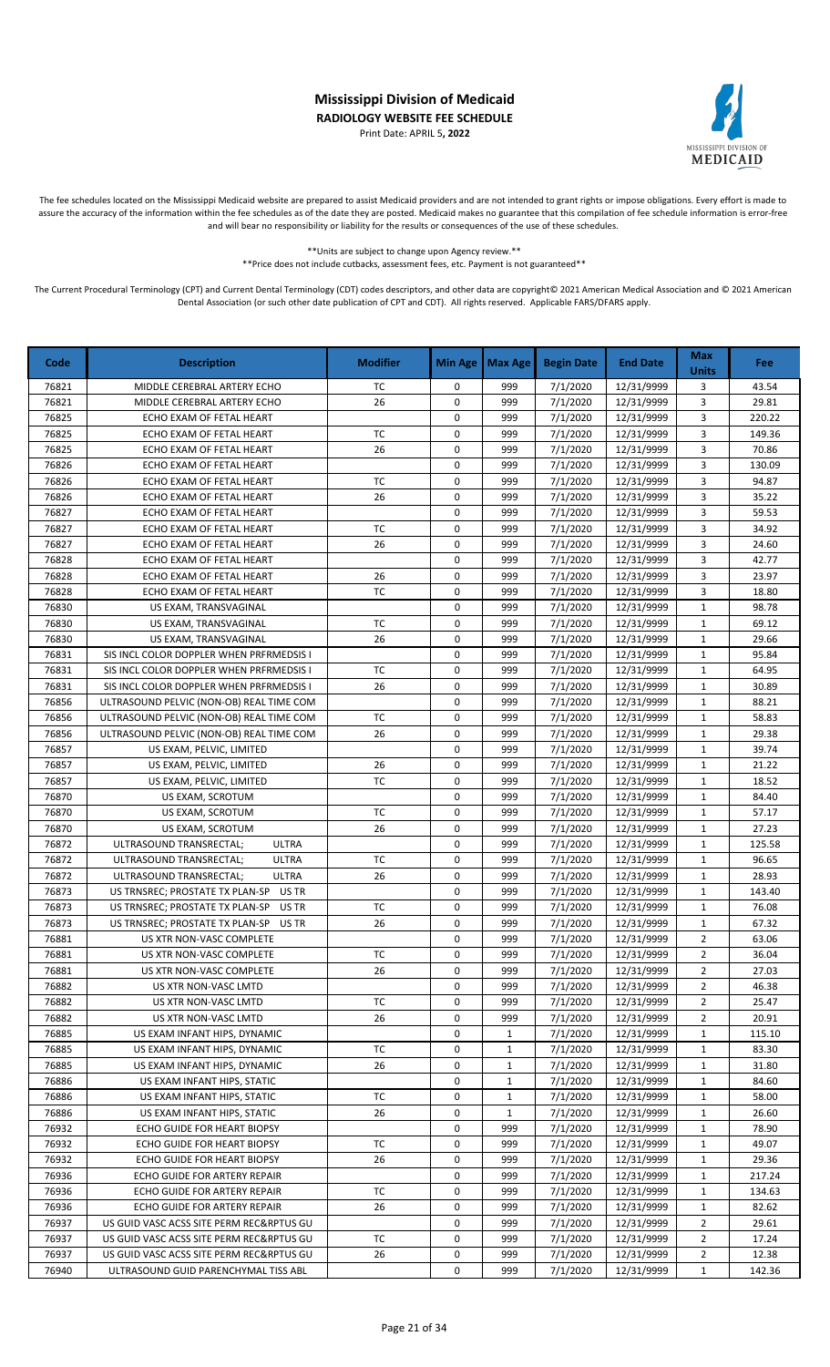Print Date: APRIL 5**, 2022**



The fee schedules located on the Mississippi Medicaid website are prepared to assist Medicaid providers and are not intended to grant rights or impose obligations. Every effort is made to assure the accuracy of the information within the fee schedules as of the date they are posted. Medicaid makes no guarantee that this compilation of fee schedule information is error-free and will bear no responsibility or liability for the results or consequences of the use of these schedules.

\*\*Units are subject to change upon Agency review.\*\*

\*\*Price does not include cutbacks, assessment fees, etc. Payment is not guaranteed\*\*

| Code  | <b>Description</b>                       | <b>Modifier</b> | <b>Min Age</b> | <b>Max Age</b> | <b>Begin Date</b> | <b>End Date</b> | <b>Max</b><br><b>Units</b> | Fee:   |
|-------|------------------------------------------|-----------------|----------------|----------------|-------------------|-----------------|----------------------------|--------|
| 76821 | MIDDLE CEREBRAL ARTERY ECHO              | TC              | 0              | 999            | 7/1/2020          | 12/31/9999      | 3                          | 43.54  |
| 76821 | MIDDLE CEREBRAL ARTERY ECHO              | 26              | 0              | 999            | 7/1/2020          | 12/31/9999      | 3                          | 29.81  |
| 76825 | ECHO EXAM OF FETAL HEART                 |                 | 0              | 999            | 7/1/2020          | 12/31/9999      | 3                          | 220.22 |
| 76825 | ECHO EXAM OF FETAL HEART                 | TC              | 0              | 999            | 7/1/2020          | 12/31/9999      | 3                          | 149.36 |
| 76825 | ECHO EXAM OF FETAL HEART                 | 26              | 0              | 999            | 7/1/2020          | 12/31/9999      | 3                          | 70.86  |
| 76826 | ECHO EXAM OF FETAL HEART                 |                 | $\mathbf 0$    | 999            | 7/1/2020          | 12/31/9999      | 3                          | 130.09 |
| 76826 | ECHO EXAM OF FETAL HEART                 | ТC              | 0              | 999            | 7/1/2020          | 12/31/9999      | 3                          | 94.87  |
| 76826 | ECHO EXAM OF FETAL HEART                 | 26              | 0              | 999            | 7/1/2020          | 12/31/9999      | 3                          | 35.22  |
| 76827 | ECHO EXAM OF FETAL HEART                 |                 | 0              | 999            | 7/1/2020          | 12/31/9999      | 3                          | 59.53  |
| 76827 | ECHO EXAM OF FETAL HEART                 | <b>TC</b>       | 0              | 999            | 7/1/2020          | 12/31/9999      | 3                          | 34.92  |
| 76827 | ECHO EXAM OF FETAL HEART                 | 26              | $\mathbf 0$    | 999            | 7/1/2020          | 12/31/9999      | 3                          | 24.60  |
| 76828 | ECHO EXAM OF FETAL HEART                 |                 | 0              | 999            | 7/1/2020          | 12/31/9999      | 3                          | 42.77  |
| 76828 | ECHO EXAM OF FETAL HEART                 | 26              | 0              | 999            | 7/1/2020          | 12/31/9999      | 3                          | 23.97  |
| 76828 | ECHO EXAM OF FETAL HEART                 | <b>TC</b>       | $\mathbf 0$    | 999            | 7/1/2020          | 12/31/9999      | 3                          | 18.80  |
| 76830 | US EXAM, TRANSVAGINAL                    |                 | $\mathbf 0$    | 999            | 7/1/2020          | 12/31/9999      | $\mathbf{1}$               | 98.78  |
| 76830 | US EXAM, TRANSVAGINAL                    | <b>TC</b>       | 0              | 999            | 7/1/2020          | 12/31/9999      | $\mathbf{1}$               | 69.12  |
| 76830 | US EXAM, TRANSVAGINAL                    | 26              | 0              | 999            | 7/1/2020          | 12/31/9999      | $\mathbf{1}$               | 29.66  |
| 76831 | SIS INCL COLOR DOPPLER WHEN PRFRMEDSIS I |                 | 0              | 999            | 7/1/2020          | 12/31/9999      | $\mathbf{1}$               | 95.84  |
| 76831 | SIS INCL COLOR DOPPLER WHEN PRFRMEDSIS I | TC              | 0              | 999            | 7/1/2020          | 12/31/9999      | $\mathbf{1}$               | 64.95  |
| 76831 | SIS INCL COLOR DOPPLER WHEN PRFRMEDSIS I | 26              | 0              | 999            | 7/1/2020          | 12/31/9999      | $\mathbf{1}$               | 30.89  |
| 76856 | ULTRASOUND PELVIC (NON-OB) REAL TIME COM |                 | 0              | 999            | 7/1/2020          | 12/31/9999      | $\mathbf{1}$               | 88.21  |
| 76856 | ULTRASOUND PELVIC (NON-OB) REAL TIME COM | TC              | $\mathbf 0$    | 999            | 7/1/2020          | 12/31/9999      | $\mathbf{1}$               | 58.83  |
| 76856 | ULTRASOUND PELVIC (NON-OB) REAL TIME COM | 26              | 0              | 999            | 7/1/2020          | 12/31/9999      | $\mathbf{1}$               | 29.38  |
| 76857 | US EXAM, PELVIC, LIMITED                 |                 | 0              | 999            | 7/1/2020          | 12/31/9999      | $\mathbf{1}$               | 39.74  |
| 76857 | US EXAM, PELVIC, LIMITED                 | 26              | 0              | 999            | 7/1/2020          | 12/31/9999      | $\mathbf{1}$               | 21.22  |
| 76857 | US EXAM, PELVIC, LIMITED                 | TC              | 0              | 999            | 7/1/2020          | 12/31/9999      | $\mathbf{1}$               | 18.52  |
| 76870 | US EXAM, SCROTUM                         |                 | 0              | 999            | 7/1/2020          | 12/31/9999      | $\mathbf{1}$               | 84.40  |
| 76870 | US EXAM, SCROTUM                         | TC              | $\mathbf 0$    | 999            | 7/1/2020          | 12/31/9999      | $\mathbf{1}$               | 57.17  |
| 76870 | US EXAM, SCROTUM                         | 26              | $\mathsf 0$    | 999            | 7/1/2020          | 12/31/9999      | $\mathbf{1}$               | 27.23  |
| 76872 | ULTRASOUND TRANSRECTAL;<br><b>ULTRA</b>  |                 | 0              | 999            | 7/1/2020          | 12/31/9999      | $\mathbf{1}$               | 125.58 |
| 76872 | <b>ULTRA</b><br>ULTRASOUND TRANSRECTAL;  | <b>TC</b>       | $\mathbf 0$    | 999            | 7/1/2020          | 12/31/9999      | $\mathbf{1}$               | 96.65  |
| 76872 | <b>ULTRA</b><br>ULTRASOUND TRANSRECTAL;  | 26              | $\mathbf 0$    | 999            | 7/1/2020          | 12/31/9999      | $\mathbf{1}$               | 28.93  |
| 76873 | US TR<br>US TRNSREC; PROSTATE TX PLAN-SP |                 | 0              | 999            | 7/1/2020          | 12/31/9999      | $\mathbf{1}$               | 143.40 |
| 76873 | US TR<br>US TRNSREC; PROSTATE TX PLAN-SP | TC              | 0              | 999            | 7/1/2020          | 12/31/9999      | $\mathbf{1}$               | 76.08  |
| 76873 | US TRNSREC; PROSTATE TX PLAN-SP<br>US TR | 26              | 0              | 999            | 7/1/2020          | 12/31/9999      | $\mathbf{1}$               | 67.32  |
| 76881 | US XTR NON-VASC COMPLETE                 |                 | 0              | 999            | 7/1/2020          | 12/31/9999      | $\overline{2}$             | 63.06  |
| 76881 | US XTR NON-VASC COMPLETE                 | тс              | 0              | 999            | 7/1/2020          | 12/31/9999      | 2                          | 36.04  |
| 76881 | US XTR NON-VASC COMPLETE                 | 26              | 0              | 999            | 7/1/2020          | 12/31/9999      | 2                          | 27.03  |
| 76882 | US XTR NON-VASC LMTD                     |                 | 0              | 999            | 7/1/2020          | 12/31/9999      | $\overline{2}$             | 46.38  |
| 76882 | US XTR NON-VASC LMTD                     | ТC              | 0              | 999            | 7/1/2020          | 12/31/9999      | 2                          | 25.47  |
| 76882 | US XTR NON-VASC LMTD                     | 26              | 0              | 999            | 7/1/2020          | 12/31/9999      | 2                          | 20.91  |
| 76885 | US EXAM INFANT HIPS, DYNAMIC             |                 | 0              | 1              | 7/1/2020          | 12/31/9999      | $\mathbf{1}$               | 115.10 |
| 76885 | US EXAM INFANT HIPS, DYNAMIC             | ТC              | 0              | 1              | 7/1/2020          | 12/31/9999      | $\mathbf{1}$               | 83.30  |
| 76885 | US EXAM INFANT HIPS, DYNAMIC             | 26              | 0              | 1              | 7/1/2020          | 12/31/9999      | $\mathbf{1}$               | 31.80  |
| 76886 | US EXAM INFANT HIPS, STATIC              |                 | 0              | $\mathbf{1}$   | 7/1/2020          | 12/31/9999      | $\mathbf{1}$               | 84.60  |
| 76886 | US EXAM INFANT HIPS, STATIC              | тс              | 0              | 1              | 7/1/2020          | 12/31/9999      | 1                          | 58.00  |
| 76886 | US EXAM INFANT HIPS, STATIC              | 26              | 0              | $\mathbf{1}$   | 7/1/2020          | 12/31/9999      | $\mathbf{1}$               | 26.60  |
| 76932 | ECHO GUIDE FOR HEART BIOPSY              |                 | 0              | 999            | 7/1/2020          | 12/31/9999      | 1                          | 78.90  |
| 76932 | ECHO GUIDE FOR HEART BIOPSY              | ТC              | 0              | 999            | 7/1/2020          | 12/31/9999      | $\mathbf{1}$               | 49.07  |
| 76932 | ECHO GUIDE FOR HEART BIOPSY              | 26              | 0              | 999            | 7/1/2020          | 12/31/9999      | $\mathbf{1}$               | 29.36  |
| 76936 | ECHO GUIDE FOR ARTERY REPAIR             |                 | 0              | 999            | 7/1/2020          | 12/31/9999      | $\mathbf{1}$               | 217.24 |
| 76936 | ECHO GUIDE FOR ARTERY REPAIR             | TC              | 0              | 999            | 7/1/2020          | 12/31/9999      | $\mathbf{1}$               | 134.63 |
| 76936 | ECHO GUIDE FOR ARTERY REPAIR             | 26              | 0              | 999            | 7/1/2020          | 12/31/9999      | $\mathbf{1}$               | 82.62  |
| 76937 | US GUID VASC ACSS SITE PERM REC&RPTUS GU |                 | 0              | 999            | 7/1/2020          | 12/31/9999      | $\overline{2}$             | 29.61  |
| 76937 | US GUID VASC ACSS SITE PERM REC&RPTUS GU | ТC              | 0              | 999            | 7/1/2020          | 12/31/9999      | 2                          | 17.24  |
| 76937 | US GUID VASC ACSS SITE PERM REC&RPTUS GU | 26              | 0              | 999            | 7/1/2020          | 12/31/9999      | $\overline{2}$             | 12.38  |
| 76940 | ULTRASOUND GUID PARENCHYMAL TISS ABL     |                 | 0              | 999            | 7/1/2020          | 12/31/9999      | $\mathbf{1}$               | 142.36 |
|       |                                          |                 |                |                |                   |                 |                            |        |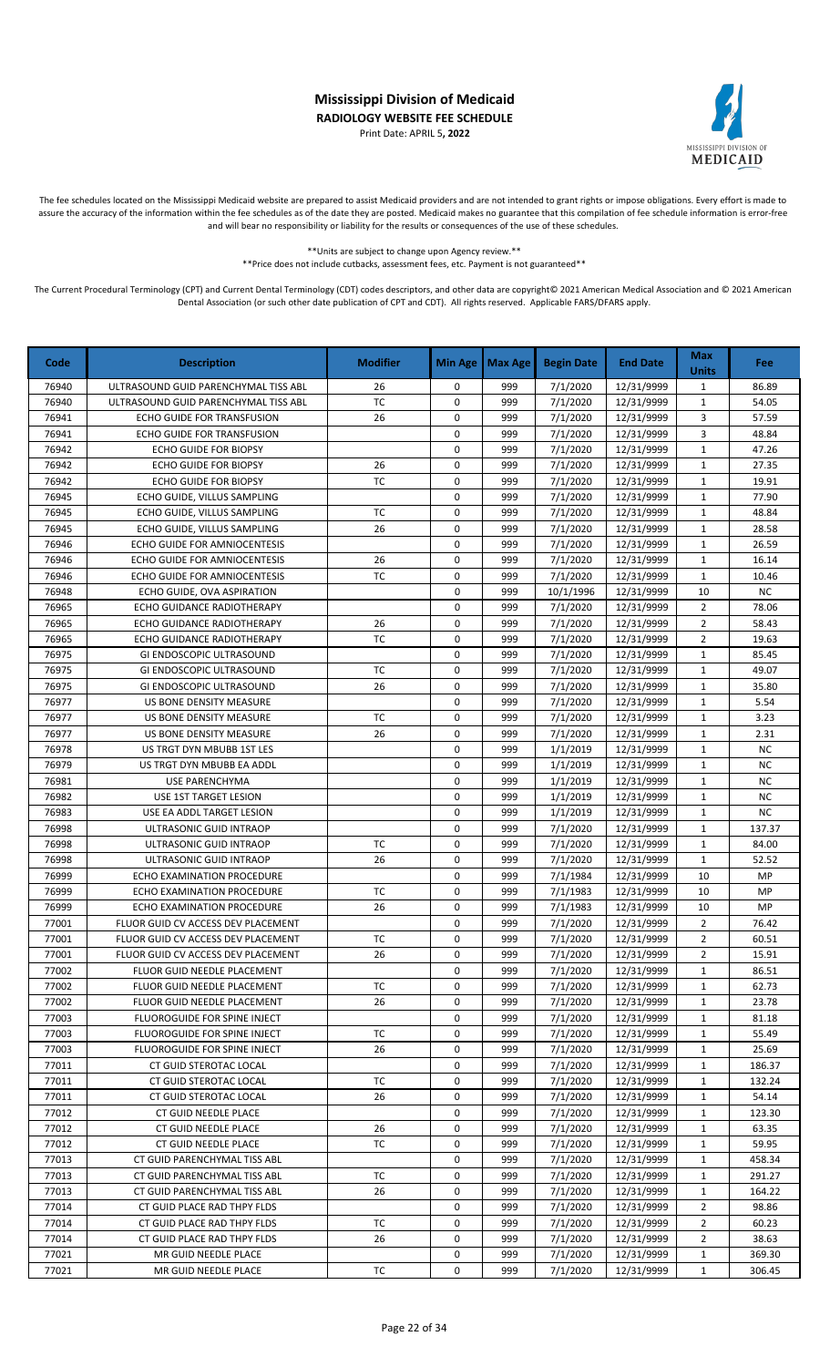Print Date: APRIL 5**, 2022**



The fee schedules located on the Mississippi Medicaid website are prepared to assist Medicaid providers and are not intended to grant rights or impose obligations. Every effort is made to assure the accuracy of the information within the fee schedules as of the date they are posted. Medicaid makes no guarantee that this compilation of fee schedule information is error-free and will bear no responsibility or liability for the results or consequences of the use of these schedules.

> \*\*Units are subject to change upon Agency review.\*\* \*\*Price does not include cutbacks, assessment fees, etc. Payment is not guaranteed\*\*

| Code           | <b>Description</b>                                                       | <b>Modifier</b> | <b>Min Age</b> | Max Age    | <b>Begin Date</b>    | <b>End Date</b>          | <b>Max</b><br><b>Units</b>       | <b>Fee</b>     |
|----------------|--------------------------------------------------------------------------|-----------------|----------------|------------|----------------------|--------------------------|----------------------------------|----------------|
| 76940          | ULTRASOUND GUID PARENCHYMAL TISS ABL                                     | 26              | 0              | 999        | 7/1/2020             | 12/31/9999               | $\mathbf{1}$                     | 86.89          |
| 76940          | ULTRASOUND GUID PARENCHYMAL TISS ABL                                     | <b>TC</b>       | 0              | 999        | 7/1/2020             | 12/31/9999               | $\mathbf{1}$                     | 54.05          |
| 76941          | <b>ECHO GUIDE FOR TRANSFUSION</b>                                        | 26              | 0              | 999        | 7/1/2020             | 12/31/9999               | 3                                | 57.59          |
| 76941          | ECHO GUIDE FOR TRANSFUSION                                               |                 | 0              | 999        | 7/1/2020             | 12/31/9999               | 3                                | 48.84          |
| 76942          | <b>ECHO GUIDE FOR BIOPSY</b>                                             |                 | 0              | 999        | 7/1/2020             | 12/31/9999               | $\mathbf 1$                      | 47.26          |
| 76942          | ECHO GUIDE FOR BIOPSY                                                    | 26              | 0              | 999        | 7/1/2020             | 12/31/9999               | $\mathbf{1}$                     | 27.35          |
| 76942          | ECHO GUIDE FOR BIOPSY                                                    | <b>TC</b>       | 0              | 999        | 7/1/2020             | 12/31/9999               | $\mathbf{1}$                     | 19.91          |
| 76945          | ECHO GUIDE, VILLUS SAMPLING                                              |                 | 0              | 999        | 7/1/2020             | 12/31/9999               | $\mathbf{1}$                     | 77.90          |
| 76945          | ECHO GUIDE, VILLUS SAMPLING                                              | <b>TC</b>       | 0              | 999        | 7/1/2020             | 12/31/9999               | $\mathbf{1}$                     | 48.84          |
| 76945          | ECHO GUIDE, VILLUS SAMPLING                                              | 26              | 0              | 999        | 7/1/2020             | 12/31/9999               | $\mathbf{1}$                     | 28.58          |
| 76946          | ECHO GUIDE FOR AMNIOCENTESIS                                             |                 | 0              | 999        | 7/1/2020             | 12/31/9999               | $\mathbf{1}$                     | 26.59          |
| 76946          | ECHO GUIDE FOR AMNIOCENTESIS                                             | 26              | 0              | 999        | 7/1/2020             | 12/31/9999               | $\mathbf{1}$                     | 16.14          |
| 76946          | ECHO GUIDE FOR AMNIOCENTESIS                                             | <b>TC</b>       | $\mathbf 0$    | 999        | 7/1/2020             | 12/31/9999               | $\mathbf 1$                      | 10.46          |
| 76948          | ECHO GUIDE, OVA ASPIRATION                                               |                 | 0              | 999        | 10/1/1996            | 12/31/9999               | 10                               | NC             |
| 76965          | ECHO GUIDANCE RADIOTHERAPY                                               |                 | 0              | 999        | 7/1/2020             | 12/31/9999               | $\overline{2}$                   | 78.06          |
| 76965          | ECHO GUIDANCE RADIOTHERAPY                                               | 26              | 0              | 999        | 7/1/2020             | 12/31/9999               | $\overline{2}$                   | 58.43          |
| 76965          | ECHO GUIDANCE RADIOTHERAPY                                               | <b>TC</b>       | 0              | 999        | 7/1/2020             | 12/31/9999               | $\overline{2}$                   | 19.63          |
| 76975          | GI ENDOSCOPIC ULTRASOUND                                                 |                 | 0              | 999        | 7/1/2020             | 12/31/9999               | $\mathbf{1}$                     | 85.45          |
| 76975          | GI ENDOSCOPIC ULTRASOUND                                                 | <b>TC</b>       | 0              | 999        | 7/1/2020             | 12/31/9999               | $\mathbf{1}$                     | 49.07          |
| 76975          | GI ENDOSCOPIC ULTRASOUND                                                 | 26              | 0              | 999        | 7/1/2020             | 12/31/9999               | $\mathbf{1}$                     | 35.80          |
| 76977          | US BONE DENSITY MEASURE                                                  |                 | 0              | 999        | 7/1/2020             | 12/31/9999               | $\mathbf{1}$                     | 5.54           |
| 76977          | US BONE DENSITY MEASURE                                                  | TC              | 0              | 999        | 7/1/2020             | 12/31/9999               | $\mathbf{1}$                     | 3.23           |
| 76977          | US BONE DENSITY MEASURE                                                  | 26              | 0              | 999        | 7/1/2020             | 12/31/9999               | $\mathbf{1}$                     | 2.31           |
| 76978          | US TRGT DYN MBUBB 1ST LES                                                |                 | 0              | 999        | 1/1/2019             | 12/31/9999               | $\mathbf{1}$                     | <b>NC</b>      |
| 76979          | US TRGT DYN MBUBB EA ADDL                                                |                 | 0              | 999        | 1/1/2019             | 12/31/9999               | $\mathbf{1}$                     | <b>NC</b>      |
| 76981          | USE PARENCHYMA                                                           |                 | 0              | 999        | 1/1/2019             | 12/31/9999               | $\mathbf{1}$                     | <b>NC</b>      |
| 76982          | USE 1ST TARGET LESION                                                    |                 | 0              | 999        | 1/1/2019             | 12/31/9999               | $\mathbf{1}$                     | <b>NC</b>      |
| 76983          | USE EA ADDL TARGET LESION                                                |                 | 0              | 999        | 1/1/2019             | 12/31/9999               | $\mathbf{1}$                     | NC             |
| 76998          | ULTRASONIC GUID INTRAOP                                                  |                 | 0              | 999        | 7/1/2020             | 12/31/9999               | $\mathbf{1}$                     | 137.37         |
| 76998          | ULTRASONIC GUID INTRAOP                                                  | <b>TC</b>       | 0              | 999        | 7/1/2020             | 12/31/9999               | $\mathbf 1$                      | 84.00          |
| 76998          | ULTRASONIC GUID INTRAOP                                                  | 26              | 0              | 999        | 7/1/2020             | 12/31/9999               | $\mathbf{1}$                     | 52.52          |
| 76999          | ECHO EXAMINATION PROCEDURE                                               |                 | 0              | 999        | 7/1/1984             | 12/31/9999               | 10                               | MP             |
| 76999          | ECHO EXAMINATION PROCEDURE                                               | <b>TC</b>       | 0              | 999        | 7/1/1983             | 12/31/9999               | 10                               | MP             |
| 76999          | ECHO EXAMINATION PROCEDURE<br>FLUOR GUID CV ACCESS DEV PLACEMENT         | 26              | 0<br>0         | 999        | 7/1/1983<br>7/1/2020 | 12/31/9999               | 10                               | MP             |
| 77001          |                                                                          |                 | 0              | 999        |                      | 12/31/9999               | $\overline{2}$<br>$\overline{2}$ | 76.42          |
| 77001          | FLUOR GUID CV ACCESS DEV PLACEMENT                                       | TC              |                | 999        | 7/1/2020             | 12/31/9999               |                                  | 60.51          |
| 77001          | FLUOR GUID CV ACCESS DEV PLACEMENT<br><b>FLUOR GUID NEEDLE PLACEMENT</b> | 26              | 0<br>0         | 999<br>999 | 7/1/2020             | 12/31/9999               | 2                                | 15.91<br>86.51 |
| 77002          |                                                                          | ТC              |                | 999        | 7/1/2020             | 12/31/9999<br>12/31/9999 | $\mathbf{1}$                     | 62.73          |
| 77002          | FLUOR GUID NEEDLE PLACEMENT<br>FLUOR GUID NEEDLE PLACEMENT               | 26              | 0<br>0         |            | 7/1/2020<br>7/1/2020 |                          | $\mathbf{1}$                     |                |
| 77002<br>77003 | FLUOROGUIDE FOR SPINE INJECT                                             |                 | 0              | 999<br>999 | 7/1/2020             | 12/31/9999               | 1<br>1                           | 23.78<br>81.18 |
| 77003          | FLUOROGUIDE FOR SPINE INJECT                                             | ТC              | 0              | 999        | 7/1/2020             | 12/31/9999<br>12/31/9999 | $\mathbf{1}$                     | 55.49          |
| 77003          | FLUOROGUIDE FOR SPINE INJECT                                             | 26              | 0              | 999        | 7/1/2020             | 12/31/9999               | $\mathbf{1}$                     | 25.69          |
| 77011          | CT GUID STEROTAC LOCAL                                                   |                 | 0              | 999        | 7/1/2020             | 12/31/9999               | $\mathbf{1}$                     | 186.37         |
| 77011          | CT GUID STEROTAC LOCAL                                                   | тс              | 0              | 999        | 7/1/2020             | 12/31/9999               | 1                                | 132.24         |
| 77011          | CT GUID STEROTAC LOCAL                                                   | 26              | 0              | 999        | 7/1/2020             | 12/31/9999               | $\mathbf{1}$                     | 54.14          |
| 77012          | CT GUID NEEDLE PLACE                                                     |                 | 0              | 999        | 7/1/2020             | 12/31/9999               | $\mathbf{1}$                     | 123.30         |
| 77012          | CT GUID NEEDLE PLACE                                                     | 26              | 0              | 999        | 7/1/2020             | 12/31/9999               | $\mathbf{1}$                     | 63.35          |
| 77012          | CT GUID NEEDLE PLACE                                                     | TC              | 0              | 999        | 7/1/2020             | 12/31/9999               | 1                                | 59.95          |
| 77013          | CT GUID PARENCHYMAL TISS ABL                                             |                 | 0              | 999        | 7/1/2020             | 12/31/9999               | $\mathbf{1}$                     | 458.34         |
| 77013          | CT GUID PARENCHYMAL TISS ABL                                             | <b>TC</b>       | 0              | 999        | 7/1/2020             | 12/31/9999               | $\mathbf{1}$                     | 291.27         |
| 77013          | CT GUID PARENCHYMAL TISS ABL                                             | 26              | 0              | 999        | 7/1/2020             | 12/31/9999               | $\mathbf{1}$                     | 164.22         |
| 77014          | CT GUID PLACE RAD THPY FLDS                                              |                 | 0              | 999        | 7/1/2020             | 12/31/9999               | $\overline{2}$                   | 98.86          |
| 77014          | CT GUID PLACE RAD THPY FLDS                                              | тс              | 0              | 999        | 7/1/2020             | 12/31/9999               | 2                                | 60.23          |
| 77014          | CT GUID PLACE RAD THPY FLDS                                              | 26              | 0              | 999        | 7/1/2020             | 12/31/9999               | $\overline{2}$                   | 38.63          |
| 77021          | MR GUID NEEDLE PLACE                                                     |                 | 0              | 999        | 7/1/2020             | 12/31/9999               |                                  | 369.30         |
|                |                                                                          |                 | 0              |            |                      |                          | $\mathbf{1}$                     |                |
| 77021          | MR GUID NEEDLE PLACE                                                     | TC              |                | 999        | 7/1/2020             | 12/31/9999               | $\mathbf{1}$                     | 306.45         |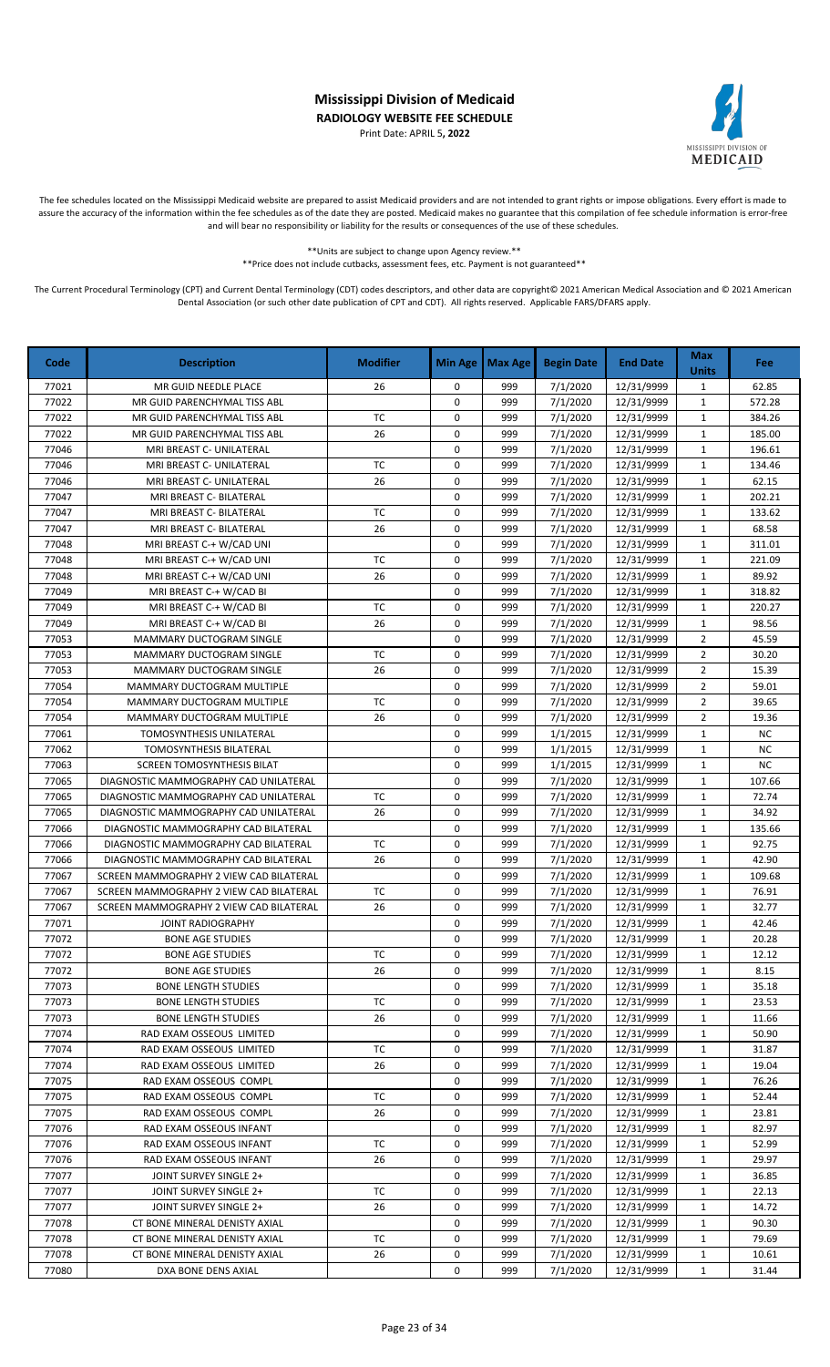Print Date: APRIL 5**, 2022**



The fee schedules located on the Mississippi Medicaid website are prepared to assist Medicaid providers and are not intended to grant rights or impose obligations. Every effort is made to assure the accuracy of the information within the fee schedules as of the date they are posted. Medicaid makes no guarantee that this compilation of fee schedule information is error-free and will bear no responsibility or liability for the results or consequences of the use of these schedules.

> \*\*Units are subject to change upon Agency review.\*\* \*\*Price does not include cutbacks, assessment fees, etc. Payment is not guaranteed\*\*

| 999<br>7/1/2020<br>12/31/9999<br>77021<br>MR GUID NEEDLE PLACE<br>26<br>0<br>$\mathbf{1}$<br>62.85<br>7/1/2020<br>77022<br>0<br>999<br>12/31/9999<br>$\mathbf{1}$<br>572.28<br>MR GUID PARENCHYMAL TISS ABL<br>TC<br>77022<br>0<br>999<br>7/1/2020<br>12/31/9999<br>384.26<br>MR GUID PARENCHYMAL TISS ABL<br>$\mathbf{1}$<br>77022<br>999<br>7/1/2020<br>MR GUID PARENCHYMAL TISS ABL<br>26<br>0<br>12/31/9999<br>$\mathbf{1}$<br>185.00<br>77046<br>0<br>999<br>7/1/2020<br>196.61<br>MRI BREAST C- UNILATERAL<br>12/31/9999<br>$\mathbf{1}$<br><b>TC</b><br>77046<br>MRI BREAST C- UNILATERAL<br>0<br>999<br>7/1/2020<br>12/31/9999<br>$\mathbf{1}$<br>134.46<br>0<br>77046<br>26<br>999<br>7/1/2020<br>12/31/9999<br>$\mathbf{1}$<br>62.15<br>MRI BREAST C- UNILATERAL<br>77047<br>0<br>7/1/2020<br>202.21<br>999<br>12/31/9999<br>$\mathbf{1}$<br>MRI BREAST C- BILATERAL<br><b>TC</b><br>77047<br>0<br>999<br>7/1/2020<br>133.62<br>12/31/9999<br>$\mathbf{1}$<br>MRI BREAST C- BILATERAL<br>0<br>77047<br>26<br>999<br>7/1/2020<br>68.58<br>MRI BREAST C- BILATERAL<br>12/31/9999<br>$\mathbf{1}$<br>0<br>7/1/2020<br>77048<br>999<br>12/31/9999<br>$\mathbf{1}$<br>311.01<br>MRI BREAST C-+ W/CAD UNI<br><b>TC</b><br>77048<br>0<br>999<br>7/1/2020<br>MRI BREAST C-+ W/CAD UNI<br>12/31/9999<br>$\mathbf{1}$<br>221.09<br>26<br>77048<br>$\mathbf 0$<br>999<br>7/1/2020<br>12/31/9999<br>$\mathbf 1$<br>89.92<br>MRI BREAST C-+ W/CAD UNI<br>0<br>999<br>7/1/2020<br>318.82<br>77049<br>MRI BREAST C-+ W/CAD BI<br>12/31/9999<br>$\mathbf{1}$<br><b>TC</b><br>0<br>7/1/2020<br>77049<br>MRI BREAST C-+ W/CAD BI<br>999<br>12/31/9999<br>$\mathbf{1}$<br>220.27<br>77049<br>26<br>0<br>999<br>7/1/2020<br>12/31/9999<br>98.56<br>MRI BREAST C-+ W/CAD BI<br>$\mathbf{1}$<br>77053<br>0<br>999<br>7/1/2020<br>12/31/9999<br>$\overline{2}$<br>45.59<br>MAMMARY DUCTOGRAM SINGLE<br>77053<br><b>TC</b><br>0<br>999<br>7/1/2020<br>12/31/9999<br>$\overline{2}$<br>30.20<br><b>MAMMARY DUCTOGRAM SINGLE</b><br>77053<br>0<br>26<br>999<br>7/1/2020<br>12/31/9999<br>$\overline{2}$<br>15.39<br>MAMMARY DUCTOGRAM SINGLE<br>77054<br>0<br>7/1/2020<br>59.01<br>MAMMARY DUCTOGRAM MULTIPLE<br>999<br>12/31/9999<br>$\overline{2}$<br>77054<br><b>TC</b><br>0<br>999<br>7/1/2020<br>$\overline{2}$<br>39.65<br>MAMMARY DUCTOGRAM MULTIPLE<br>12/31/9999<br>26<br>0<br>77054<br>MAMMARY DUCTOGRAM MULTIPLE<br>999<br>7/1/2020<br>12/31/9999<br>$\overline{2}$<br>19.36<br>0<br>NC<br>77061<br>999<br>1/1/2015<br>12/31/9999<br>$\mathbf{1}$<br>TOMOSYNTHESIS UNILATERAL<br>0<br>77062<br>1/1/2015<br>NC<br>TOMOSYNTHESIS BILATERAL<br>999<br>12/31/9999<br>$\mathbf{1}$<br><b>NC</b><br>77063<br>0<br>999<br>1/1/2015<br><b>SCREEN TOMOSYNTHESIS BILAT</b><br>12/31/9999<br>$\mathbf{1}$<br>77065<br>0<br>7/1/2020<br>DIAGNOSTIC MAMMOGRAPHY CAD UNILATERAL<br>999<br>12/31/9999<br>$\mathbf{1}$<br>107.66<br>77065<br><b>TC</b><br>0<br>999<br>7/1/2020<br>$\mathbf{1}$<br>72.74<br>12/31/9999<br>DIAGNOSTIC MAMMOGRAPHY CAD UNILATERAL<br>26<br>0<br>7/1/2020<br>77065<br>999<br>12/31/9999<br>$\mathbf{1}$<br>34.92<br>DIAGNOSTIC MAMMOGRAPHY CAD UNILATERAL<br>77066<br>0<br>999<br>7/1/2020<br>135.66<br>12/31/9999<br>$\mathbf{1}$<br>DIAGNOSTIC MAMMOGRAPHY CAD BILATERAL<br>77066<br><b>TC</b><br>$\mathbf 0$<br>999<br>7/1/2020<br>$\mathbf 1$<br>92.75<br>DIAGNOSTIC MAMMOGRAPHY CAD BILATERAL<br>12/31/9999<br>26<br>0<br>77066<br>999<br>7/1/2020<br>12/31/9999<br>$\mathbf{1}$<br>42.90<br>DIAGNOSTIC MAMMOGRAPHY CAD BILATERAL<br>0<br>7/1/2020<br>77067<br>999<br>12/31/9999<br>$\mathbf{1}$<br>109.68<br>SCREEN MAMMOGRAPHY 2 VIEW CAD BILATERAL<br>77067<br><b>TC</b><br>0<br>7/1/2020<br>999<br>12/31/9999<br>$\mathbf{1}$<br>76.91<br>SCREEN MAMMOGRAPHY 2 VIEW CAD BILATERAL<br>77067<br>26<br>0<br>999<br>7/1/2020<br>32.77<br>SCREEN MAMMOGRAPHY 2 VIEW CAD BILATERAL<br>12/31/9999<br>$\mathbf{1}$<br>77071<br>0<br>999<br>7/1/2020<br>42.46<br><b>JOINT RADIOGRAPHY</b><br>12/31/9999<br>$\mathbf{1}$<br>0<br>77072<br>999<br>7/1/2020<br>$\mathbf{1}$<br>20.28<br><b>BONE AGE STUDIES</b><br>12/31/9999<br>0<br>999<br>7/1/2020<br>12/31/9999<br>12.12<br>77072<br><b>BONE AGE STUDIES</b><br>ТC<br>1<br>77072<br>26<br>0<br>999<br>7/1/2020<br>12/31/9999<br>8.15<br><b>BONE AGE STUDIES</b><br>$\mathbf{1}$<br>77073<br>0<br>999<br>7/1/2020<br>35.18<br><b>BONE LENGTH STUDIES</b><br>12/31/9999<br>$\mathbf{1}$<br>ТC<br>0<br>7/1/2020<br>77073<br><b>BONE LENGTH STUDIES</b><br>999<br>12/31/9999<br>$\mathbf{1}$<br>23.53<br>77073<br>26<br>0<br>7/1/2020<br><b>BONE LENGTH STUDIES</b><br>999<br>12/31/9999<br>$\mathbf{1}$<br>11.66<br>77074<br>RAD EXAM OSSEOUS LIMITED<br>0<br>999<br>7/1/2020<br>12/31/9999<br>50.90<br>$\mathbf{1}$<br>77074<br>RAD EXAM OSSEOUS LIMITED<br>ТC<br>0<br>999<br>7/1/2020<br>12/31/9999<br>31.87<br>$\mathbf{1}$<br>0<br>77074<br>26<br>999<br>7/1/2020<br>$\mathbf{1}$<br>19.04<br>RAD EXAM OSSEOUS LIMITED<br>12/31/9999<br>0<br>76.26<br>77075<br>RAD EXAM OSSEOUS COMPL<br>999<br>7/1/2020<br>12/31/9999<br>1<br>0<br>77075<br>RAD EXAM OSSEOUS COMPL<br>ТC<br>999<br>7/1/2020<br>$\mathbf{1}$<br>52.44<br>12/31/9999<br>77075<br>26<br>0<br>999<br>7/1/2020<br>RAD EXAM OSSEOUS COMPL<br>12/31/9999<br>$\mathbf{1}$<br>23.81<br>0<br>7/1/2020<br>82.97<br>77076<br>RAD EXAM OSSEOUS INFANT<br>999<br>12/31/9999<br>1<br><b>TC</b><br>77076<br>RAD EXAM OSSEOUS INFANT<br>0<br>7/1/2020<br>12/31/9999<br>52.99<br>999<br>$\mathbf{1}$<br>77076<br>RAD EXAM OSSEOUS INFANT<br>0<br>999<br>7/1/2020<br>12/31/9999<br>$\mathbf{1}$<br>29.97<br>26<br>77077<br>JOINT SURVEY SINGLE 2+<br>0<br>999<br>7/1/2020<br>12/31/9999<br>36.85<br>$\mathbf{1}$<br>77077<br>JOINT SURVEY SINGLE 2+<br>TC<br>0<br>999<br>7/1/2020<br>12/31/9999<br>22.13<br>1<br>77077<br>JOINT SURVEY SINGLE 2+<br>26<br>0<br>999<br>7/1/2020<br>12/31/9999<br>14.72<br>$\mathbf{1}$<br>77078<br>999<br>7/1/2020<br>90.30<br>CT BONE MINERAL DENISTY AXIAL<br>0<br>12/31/9999<br>$\mathbf{1}$<br>77078<br>CT BONE MINERAL DENISTY AXIAL<br>TC<br>0<br>999<br>7/1/2020<br>$\mathbf{1}$<br>79.69<br>12/31/9999<br>77078<br>26<br>0<br>999<br>7/1/2020<br>10.61<br>CT BONE MINERAL DENISTY AXIAL<br>12/31/9999<br>$\mathbf{1}$<br>0<br>77080<br>DXA BONE DENS AXIAL<br>999<br>7/1/2020<br>12/31/9999<br>$\mathbf{1}$<br>31.44 | Code | <b>Description</b> | <b>Modifier</b> | <b>Min Age</b> | Max Age | <b>Begin Date</b> | <b>End Date</b> | <b>Max</b><br><b>Units</b> | <b>Fee</b> |
|--------------------------------------------------------------------------------------------------------------------------------------------------------------------------------------------------------------------------------------------------------------------------------------------------------------------------------------------------------------------------------------------------------------------------------------------------------------------------------------------------------------------------------------------------------------------------------------------------------------------------------------------------------------------------------------------------------------------------------------------------------------------------------------------------------------------------------------------------------------------------------------------------------------------------------------------------------------------------------------------------------------------------------------------------------------------------------------------------------------------------------------------------------------------------------------------------------------------------------------------------------------------------------------------------------------------------------------------------------------------------------------------------------------------------------------------------------------------------------------------------------------------------------------------------------------------------------------------------------------------------------------------------------------------------------------------------------------------------------------------------------------------------------------------------------------------------------------------------------------------------------------------------------------------------------------------------------------------------------------------------------------------------------------------------------------------------------------------------------------------------------------------------------------------------------------------------------------------------------------------------------------------------------------------------------------------------------------------------------------------------------------------------------------------------------------------------------------------------------------------------------------------------------------------------------------------------------------------------------------------------------------------------------------------------------------------------------------------------------------------------------------------------------------------------------------------------------------------------------------------------------------------------------------------------------------------------------------------------------------------------------------------------------------------------------------------------------------------------------------------------------------------------------------------------------------------------------------------------------------------------------------------------------------------------------------------------------------------------------------------------------------------------------------------------------------------------------------------------------------------------------------------------------------------------------------------------------------------------------------------------------------------------------------------------------------------------------------------------------------------------------------------------------------------------------------------------------------------------------------------------------------------------------------------------------------------------------------------------------------------------------------------------------------------------------------------------------------------------------------------------------------------------------------------------------------------------------------------------------------------------------------------------------------------------------------------------------------------------------------------------------------------------------------------------------------------------------------------------------------------------------------------------------------------------------------------------------------------------------------------------------------------------------------------------------------------------------------------------------------------------------------------------------------------------------------------------------------------------------------------------------------------------------------------------------------------------------------------------------------------------------------------------------------------------------------------------------------------------------------------------------------------------------------------------------------------------------------------------------------------------------------------------------------------------------------------------------------------------------------------------------------------------------------------------------------------------------------------------------------------------------------------------------------------------------------------------------------------------------------------------------------------------------------------------------------------------------------------------------------------------------------------------------------------------------------------------------------------------------------------------------------------------------------------------------------------------------------------------------------------------------------------------------------------------------------------------------------------------------------------------------------------------------------------------------------------------------------------------------------------------------------------------------------------------------------------------------------------------------------------|------|--------------------|-----------------|----------------|---------|-------------------|-----------------|----------------------------|------------|
|                                                                                                                                                                                                                                                                                                                                                                                                                                                                                                                                                                                                                                                                                                                                                                                                                                                                                                                                                                                                                                                                                                                                                                                                                                                                                                                                                                                                                                                                                                                                                                                                                                                                                                                                                                                                                                                                                                                                                                                                                                                                                                                                                                                                                                                                                                                                                                                                                                                                                                                                                                                                                                                                                                                                                                                                                                                                                                                                                                                                                                                                                                                                                                                                                                                                                                                                                                                                                                                                                                                                                                                                                                                                                                                                                                                                                                                                                                                                                                                                                                                                                                                                                                                                                                                                                                                                                                                                                                                                                                                                                                                                                                                                                                                                                                                                                                                                                                                                                                                                                                                                                                                                                                                                                                                                                                                                                                                                                                                                                                                                                                                                                                                                                                                                                                                                                                                                                                                                                                                                                                                                                                                                                                                                                                                                                                                                                                    |      |                    |                 |                |         |                   |                 |                            |            |
|                                                                                                                                                                                                                                                                                                                                                                                                                                                                                                                                                                                                                                                                                                                                                                                                                                                                                                                                                                                                                                                                                                                                                                                                                                                                                                                                                                                                                                                                                                                                                                                                                                                                                                                                                                                                                                                                                                                                                                                                                                                                                                                                                                                                                                                                                                                                                                                                                                                                                                                                                                                                                                                                                                                                                                                                                                                                                                                                                                                                                                                                                                                                                                                                                                                                                                                                                                                                                                                                                                                                                                                                                                                                                                                                                                                                                                                                                                                                                                                                                                                                                                                                                                                                                                                                                                                                                                                                                                                                                                                                                                                                                                                                                                                                                                                                                                                                                                                                                                                                                                                                                                                                                                                                                                                                                                                                                                                                                                                                                                                                                                                                                                                                                                                                                                                                                                                                                                                                                                                                                                                                                                                                                                                                                                                                                                                                                                    |      |                    |                 |                |         |                   |                 |                            |            |
|                                                                                                                                                                                                                                                                                                                                                                                                                                                                                                                                                                                                                                                                                                                                                                                                                                                                                                                                                                                                                                                                                                                                                                                                                                                                                                                                                                                                                                                                                                                                                                                                                                                                                                                                                                                                                                                                                                                                                                                                                                                                                                                                                                                                                                                                                                                                                                                                                                                                                                                                                                                                                                                                                                                                                                                                                                                                                                                                                                                                                                                                                                                                                                                                                                                                                                                                                                                                                                                                                                                                                                                                                                                                                                                                                                                                                                                                                                                                                                                                                                                                                                                                                                                                                                                                                                                                                                                                                                                                                                                                                                                                                                                                                                                                                                                                                                                                                                                                                                                                                                                                                                                                                                                                                                                                                                                                                                                                                                                                                                                                                                                                                                                                                                                                                                                                                                                                                                                                                                                                                                                                                                                                                                                                                                                                                                                                                                    |      |                    |                 |                |         |                   |                 |                            |            |
|                                                                                                                                                                                                                                                                                                                                                                                                                                                                                                                                                                                                                                                                                                                                                                                                                                                                                                                                                                                                                                                                                                                                                                                                                                                                                                                                                                                                                                                                                                                                                                                                                                                                                                                                                                                                                                                                                                                                                                                                                                                                                                                                                                                                                                                                                                                                                                                                                                                                                                                                                                                                                                                                                                                                                                                                                                                                                                                                                                                                                                                                                                                                                                                                                                                                                                                                                                                                                                                                                                                                                                                                                                                                                                                                                                                                                                                                                                                                                                                                                                                                                                                                                                                                                                                                                                                                                                                                                                                                                                                                                                                                                                                                                                                                                                                                                                                                                                                                                                                                                                                                                                                                                                                                                                                                                                                                                                                                                                                                                                                                                                                                                                                                                                                                                                                                                                                                                                                                                                                                                                                                                                                                                                                                                                                                                                                                                                    |      |                    |                 |                |         |                   |                 |                            |            |
|                                                                                                                                                                                                                                                                                                                                                                                                                                                                                                                                                                                                                                                                                                                                                                                                                                                                                                                                                                                                                                                                                                                                                                                                                                                                                                                                                                                                                                                                                                                                                                                                                                                                                                                                                                                                                                                                                                                                                                                                                                                                                                                                                                                                                                                                                                                                                                                                                                                                                                                                                                                                                                                                                                                                                                                                                                                                                                                                                                                                                                                                                                                                                                                                                                                                                                                                                                                                                                                                                                                                                                                                                                                                                                                                                                                                                                                                                                                                                                                                                                                                                                                                                                                                                                                                                                                                                                                                                                                                                                                                                                                                                                                                                                                                                                                                                                                                                                                                                                                                                                                                                                                                                                                                                                                                                                                                                                                                                                                                                                                                                                                                                                                                                                                                                                                                                                                                                                                                                                                                                                                                                                                                                                                                                                                                                                                                                                    |      |                    |                 |                |         |                   |                 |                            |            |
|                                                                                                                                                                                                                                                                                                                                                                                                                                                                                                                                                                                                                                                                                                                                                                                                                                                                                                                                                                                                                                                                                                                                                                                                                                                                                                                                                                                                                                                                                                                                                                                                                                                                                                                                                                                                                                                                                                                                                                                                                                                                                                                                                                                                                                                                                                                                                                                                                                                                                                                                                                                                                                                                                                                                                                                                                                                                                                                                                                                                                                                                                                                                                                                                                                                                                                                                                                                                                                                                                                                                                                                                                                                                                                                                                                                                                                                                                                                                                                                                                                                                                                                                                                                                                                                                                                                                                                                                                                                                                                                                                                                                                                                                                                                                                                                                                                                                                                                                                                                                                                                                                                                                                                                                                                                                                                                                                                                                                                                                                                                                                                                                                                                                                                                                                                                                                                                                                                                                                                                                                                                                                                                                                                                                                                                                                                                                                                    |      |                    |                 |                |         |                   |                 |                            |            |
|                                                                                                                                                                                                                                                                                                                                                                                                                                                                                                                                                                                                                                                                                                                                                                                                                                                                                                                                                                                                                                                                                                                                                                                                                                                                                                                                                                                                                                                                                                                                                                                                                                                                                                                                                                                                                                                                                                                                                                                                                                                                                                                                                                                                                                                                                                                                                                                                                                                                                                                                                                                                                                                                                                                                                                                                                                                                                                                                                                                                                                                                                                                                                                                                                                                                                                                                                                                                                                                                                                                                                                                                                                                                                                                                                                                                                                                                                                                                                                                                                                                                                                                                                                                                                                                                                                                                                                                                                                                                                                                                                                                                                                                                                                                                                                                                                                                                                                                                                                                                                                                                                                                                                                                                                                                                                                                                                                                                                                                                                                                                                                                                                                                                                                                                                                                                                                                                                                                                                                                                                                                                                                                                                                                                                                                                                                                                                                    |      |                    |                 |                |         |                   |                 |                            |            |
|                                                                                                                                                                                                                                                                                                                                                                                                                                                                                                                                                                                                                                                                                                                                                                                                                                                                                                                                                                                                                                                                                                                                                                                                                                                                                                                                                                                                                                                                                                                                                                                                                                                                                                                                                                                                                                                                                                                                                                                                                                                                                                                                                                                                                                                                                                                                                                                                                                                                                                                                                                                                                                                                                                                                                                                                                                                                                                                                                                                                                                                                                                                                                                                                                                                                                                                                                                                                                                                                                                                                                                                                                                                                                                                                                                                                                                                                                                                                                                                                                                                                                                                                                                                                                                                                                                                                                                                                                                                                                                                                                                                                                                                                                                                                                                                                                                                                                                                                                                                                                                                                                                                                                                                                                                                                                                                                                                                                                                                                                                                                                                                                                                                                                                                                                                                                                                                                                                                                                                                                                                                                                                                                                                                                                                                                                                                                                                    |      |                    |                 |                |         |                   |                 |                            |            |
|                                                                                                                                                                                                                                                                                                                                                                                                                                                                                                                                                                                                                                                                                                                                                                                                                                                                                                                                                                                                                                                                                                                                                                                                                                                                                                                                                                                                                                                                                                                                                                                                                                                                                                                                                                                                                                                                                                                                                                                                                                                                                                                                                                                                                                                                                                                                                                                                                                                                                                                                                                                                                                                                                                                                                                                                                                                                                                                                                                                                                                                                                                                                                                                                                                                                                                                                                                                                                                                                                                                                                                                                                                                                                                                                                                                                                                                                                                                                                                                                                                                                                                                                                                                                                                                                                                                                                                                                                                                                                                                                                                                                                                                                                                                                                                                                                                                                                                                                                                                                                                                                                                                                                                                                                                                                                                                                                                                                                                                                                                                                                                                                                                                                                                                                                                                                                                                                                                                                                                                                                                                                                                                                                                                                                                                                                                                                                                    |      |                    |                 |                |         |                   |                 |                            |            |
|                                                                                                                                                                                                                                                                                                                                                                                                                                                                                                                                                                                                                                                                                                                                                                                                                                                                                                                                                                                                                                                                                                                                                                                                                                                                                                                                                                                                                                                                                                                                                                                                                                                                                                                                                                                                                                                                                                                                                                                                                                                                                                                                                                                                                                                                                                                                                                                                                                                                                                                                                                                                                                                                                                                                                                                                                                                                                                                                                                                                                                                                                                                                                                                                                                                                                                                                                                                                                                                                                                                                                                                                                                                                                                                                                                                                                                                                                                                                                                                                                                                                                                                                                                                                                                                                                                                                                                                                                                                                                                                                                                                                                                                                                                                                                                                                                                                                                                                                                                                                                                                                                                                                                                                                                                                                                                                                                                                                                                                                                                                                                                                                                                                                                                                                                                                                                                                                                                                                                                                                                                                                                                                                                                                                                                                                                                                                                                    |      |                    |                 |                |         |                   |                 |                            |            |
|                                                                                                                                                                                                                                                                                                                                                                                                                                                                                                                                                                                                                                                                                                                                                                                                                                                                                                                                                                                                                                                                                                                                                                                                                                                                                                                                                                                                                                                                                                                                                                                                                                                                                                                                                                                                                                                                                                                                                                                                                                                                                                                                                                                                                                                                                                                                                                                                                                                                                                                                                                                                                                                                                                                                                                                                                                                                                                                                                                                                                                                                                                                                                                                                                                                                                                                                                                                                                                                                                                                                                                                                                                                                                                                                                                                                                                                                                                                                                                                                                                                                                                                                                                                                                                                                                                                                                                                                                                                                                                                                                                                                                                                                                                                                                                                                                                                                                                                                                                                                                                                                                                                                                                                                                                                                                                                                                                                                                                                                                                                                                                                                                                                                                                                                                                                                                                                                                                                                                                                                                                                                                                                                                                                                                                                                                                                                                                    |      |                    |                 |                |         |                   |                 |                            |            |
|                                                                                                                                                                                                                                                                                                                                                                                                                                                                                                                                                                                                                                                                                                                                                                                                                                                                                                                                                                                                                                                                                                                                                                                                                                                                                                                                                                                                                                                                                                                                                                                                                                                                                                                                                                                                                                                                                                                                                                                                                                                                                                                                                                                                                                                                                                                                                                                                                                                                                                                                                                                                                                                                                                                                                                                                                                                                                                                                                                                                                                                                                                                                                                                                                                                                                                                                                                                                                                                                                                                                                                                                                                                                                                                                                                                                                                                                                                                                                                                                                                                                                                                                                                                                                                                                                                                                                                                                                                                                                                                                                                                                                                                                                                                                                                                                                                                                                                                                                                                                                                                                                                                                                                                                                                                                                                                                                                                                                                                                                                                                                                                                                                                                                                                                                                                                                                                                                                                                                                                                                                                                                                                                                                                                                                                                                                                                                                    |      |                    |                 |                |         |                   |                 |                            |            |
|                                                                                                                                                                                                                                                                                                                                                                                                                                                                                                                                                                                                                                                                                                                                                                                                                                                                                                                                                                                                                                                                                                                                                                                                                                                                                                                                                                                                                                                                                                                                                                                                                                                                                                                                                                                                                                                                                                                                                                                                                                                                                                                                                                                                                                                                                                                                                                                                                                                                                                                                                                                                                                                                                                                                                                                                                                                                                                                                                                                                                                                                                                                                                                                                                                                                                                                                                                                                                                                                                                                                                                                                                                                                                                                                                                                                                                                                                                                                                                                                                                                                                                                                                                                                                                                                                                                                                                                                                                                                                                                                                                                                                                                                                                                                                                                                                                                                                                                                                                                                                                                                                                                                                                                                                                                                                                                                                                                                                                                                                                                                                                                                                                                                                                                                                                                                                                                                                                                                                                                                                                                                                                                                                                                                                                                                                                                                                                    |      |                    |                 |                |         |                   |                 |                            |            |
|                                                                                                                                                                                                                                                                                                                                                                                                                                                                                                                                                                                                                                                                                                                                                                                                                                                                                                                                                                                                                                                                                                                                                                                                                                                                                                                                                                                                                                                                                                                                                                                                                                                                                                                                                                                                                                                                                                                                                                                                                                                                                                                                                                                                                                                                                                                                                                                                                                                                                                                                                                                                                                                                                                                                                                                                                                                                                                                                                                                                                                                                                                                                                                                                                                                                                                                                                                                                                                                                                                                                                                                                                                                                                                                                                                                                                                                                                                                                                                                                                                                                                                                                                                                                                                                                                                                                                                                                                                                                                                                                                                                                                                                                                                                                                                                                                                                                                                                                                                                                                                                                                                                                                                                                                                                                                                                                                                                                                                                                                                                                                                                                                                                                                                                                                                                                                                                                                                                                                                                                                                                                                                                                                                                                                                                                                                                                                                    |      |                    |                 |                |         |                   |                 |                            |            |
|                                                                                                                                                                                                                                                                                                                                                                                                                                                                                                                                                                                                                                                                                                                                                                                                                                                                                                                                                                                                                                                                                                                                                                                                                                                                                                                                                                                                                                                                                                                                                                                                                                                                                                                                                                                                                                                                                                                                                                                                                                                                                                                                                                                                                                                                                                                                                                                                                                                                                                                                                                                                                                                                                                                                                                                                                                                                                                                                                                                                                                                                                                                                                                                                                                                                                                                                                                                                                                                                                                                                                                                                                                                                                                                                                                                                                                                                                                                                                                                                                                                                                                                                                                                                                                                                                                                                                                                                                                                                                                                                                                                                                                                                                                                                                                                                                                                                                                                                                                                                                                                                                                                                                                                                                                                                                                                                                                                                                                                                                                                                                                                                                                                                                                                                                                                                                                                                                                                                                                                                                                                                                                                                                                                                                                                                                                                                                                    |      |                    |                 |                |         |                   |                 |                            |            |
|                                                                                                                                                                                                                                                                                                                                                                                                                                                                                                                                                                                                                                                                                                                                                                                                                                                                                                                                                                                                                                                                                                                                                                                                                                                                                                                                                                                                                                                                                                                                                                                                                                                                                                                                                                                                                                                                                                                                                                                                                                                                                                                                                                                                                                                                                                                                                                                                                                                                                                                                                                                                                                                                                                                                                                                                                                                                                                                                                                                                                                                                                                                                                                                                                                                                                                                                                                                                                                                                                                                                                                                                                                                                                                                                                                                                                                                                                                                                                                                                                                                                                                                                                                                                                                                                                                                                                                                                                                                                                                                                                                                                                                                                                                                                                                                                                                                                                                                                                                                                                                                                                                                                                                                                                                                                                                                                                                                                                                                                                                                                                                                                                                                                                                                                                                                                                                                                                                                                                                                                                                                                                                                                                                                                                                                                                                                                                                    |      |                    |                 |                |         |                   |                 |                            |            |
|                                                                                                                                                                                                                                                                                                                                                                                                                                                                                                                                                                                                                                                                                                                                                                                                                                                                                                                                                                                                                                                                                                                                                                                                                                                                                                                                                                                                                                                                                                                                                                                                                                                                                                                                                                                                                                                                                                                                                                                                                                                                                                                                                                                                                                                                                                                                                                                                                                                                                                                                                                                                                                                                                                                                                                                                                                                                                                                                                                                                                                                                                                                                                                                                                                                                                                                                                                                                                                                                                                                                                                                                                                                                                                                                                                                                                                                                                                                                                                                                                                                                                                                                                                                                                                                                                                                                                                                                                                                                                                                                                                                                                                                                                                                                                                                                                                                                                                                                                                                                                                                                                                                                                                                                                                                                                                                                                                                                                                                                                                                                                                                                                                                                                                                                                                                                                                                                                                                                                                                                                                                                                                                                                                                                                                                                                                                                                                    |      |                    |                 |                |         |                   |                 |                            |            |
|                                                                                                                                                                                                                                                                                                                                                                                                                                                                                                                                                                                                                                                                                                                                                                                                                                                                                                                                                                                                                                                                                                                                                                                                                                                                                                                                                                                                                                                                                                                                                                                                                                                                                                                                                                                                                                                                                                                                                                                                                                                                                                                                                                                                                                                                                                                                                                                                                                                                                                                                                                                                                                                                                                                                                                                                                                                                                                                                                                                                                                                                                                                                                                                                                                                                                                                                                                                                                                                                                                                                                                                                                                                                                                                                                                                                                                                                                                                                                                                                                                                                                                                                                                                                                                                                                                                                                                                                                                                                                                                                                                                                                                                                                                                                                                                                                                                                                                                                                                                                                                                                                                                                                                                                                                                                                                                                                                                                                                                                                                                                                                                                                                                                                                                                                                                                                                                                                                                                                                                                                                                                                                                                                                                                                                                                                                                                                                    |      |                    |                 |                |         |                   |                 |                            |            |
|                                                                                                                                                                                                                                                                                                                                                                                                                                                                                                                                                                                                                                                                                                                                                                                                                                                                                                                                                                                                                                                                                                                                                                                                                                                                                                                                                                                                                                                                                                                                                                                                                                                                                                                                                                                                                                                                                                                                                                                                                                                                                                                                                                                                                                                                                                                                                                                                                                                                                                                                                                                                                                                                                                                                                                                                                                                                                                                                                                                                                                                                                                                                                                                                                                                                                                                                                                                                                                                                                                                                                                                                                                                                                                                                                                                                                                                                                                                                                                                                                                                                                                                                                                                                                                                                                                                                                                                                                                                                                                                                                                                                                                                                                                                                                                                                                                                                                                                                                                                                                                                                                                                                                                                                                                                                                                                                                                                                                                                                                                                                                                                                                                                                                                                                                                                                                                                                                                                                                                                                                                                                                                                                                                                                                                                                                                                                                                    |      |                    |                 |                |         |                   |                 |                            |            |
|                                                                                                                                                                                                                                                                                                                                                                                                                                                                                                                                                                                                                                                                                                                                                                                                                                                                                                                                                                                                                                                                                                                                                                                                                                                                                                                                                                                                                                                                                                                                                                                                                                                                                                                                                                                                                                                                                                                                                                                                                                                                                                                                                                                                                                                                                                                                                                                                                                                                                                                                                                                                                                                                                                                                                                                                                                                                                                                                                                                                                                                                                                                                                                                                                                                                                                                                                                                                                                                                                                                                                                                                                                                                                                                                                                                                                                                                                                                                                                                                                                                                                                                                                                                                                                                                                                                                                                                                                                                                                                                                                                                                                                                                                                                                                                                                                                                                                                                                                                                                                                                                                                                                                                                                                                                                                                                                                                                                                                                                                                                                                                                                                                                                                                                                                                                                                                                                                                                                                                                                                                                                                                                                                                                                                                                                                                                                                                    |      |                    |                 |                |         |                   |                 |                            |            |
|                                                                                                                                                                                                                                                                                                                                                                                                                                                                                                                                                                                                                                                                                                                                                                                                                                                                                                                                                                                                                                                                                                                                                                                                                                                                                                                                                                                                                                                                                                                                                                                                                                                                                                                                                                                                                                                                                                                                                                                                                                                                                                                                                                                                                                                                                                                                                                                                                                                                                                                                                                                                                                                                                                                                                                                                                                                                                                                                                                                                                                                                                                                                                                                                                                                                                                                                                                                                                                                                                                                                                                                                                                                                                                                                                                                                                                                                                                                                                                                                                                                                                                                                                                                                                                                                                                                                                                                                                                                                                                                                                                                                                                                                                                                                                                                                                                                                                                                                                                                                                                                                                                                                                                                                                                                                                                                                                                                                                                                                                                                                                                                                                                                                                                                                                                                                                                                                                                                                                                                                                                                                                                                                                                                                                                                                                                                                                                    |      |                    |                 |                |         |                   |                 |                            |            |
|                                                                                                                                                                                                                                                                                                                                                                                                                                                                                                                                                                                                                                                                                                                                                                                                                                                                                                                                                                                                                                                                                                                                                                                                                                                                                                                                                                                                                                                                                                                                                                                                                                                                                                                                                                                                                                                                                                                                                                                                                                                                                                                                                                                                                                                                                                                                                                                                                                                                                                                                                                                                                                                                                                                                                                                                                                                                                                                                                                                                                                                                                                                                                                                                                                                                                                                                                                                                                                                                                                                                                                                                                                                                                                                                                                                                                                                                                                                                                                                                                                                                                                                                                                                                                                                                                                                                                                                                                                                                                                                                                                                                                                                                                                                                                                                                                                                                                                                                                                                                                                                                                                                                                                                                                                                                                                                                                                                                                                                                                                                                                                                                                                                                                                                                                                                                                                                                                                                                                                                                                                                                                                                                                                                                                                                                                                                                                                    |      |                    |                 |                |         |                   |                 |                            |            |
|                                                                                                                                                                                                                                                                                                                                                                                                                                                                                                                                                                                                                                                                                                                                                                                                                                                                                                                                                                                                                                                                                                                                                                                                                                                                                                                                                                                                                                                                                                                                                                                                                                                                                                                                                                                                                                                                                                                                                                                                                                                                                                                                                                                                                                                                                                                                                                                                                                                                                                                                                                                                                                                                                                                                                                                                                                                                                                                                                                                                                                                                                                                                                                                                                                                                                                                                                                                                                                                                                                                                                                                                                                                                                                                                                                                                                                                                                                                                                                                                                                                                                                                                                                                                                                                                                                                                                                                                                                                                                                                                                                                                                                                                                                                                                                                                                                                                                                                                                                                                                                                                                                                                                                                                                                                                                                                                                                                                                                                                                                                                                                                                                                                                                                                                                                                                                                                                                                                                                                                                                                                                                                                                                                                                                                                                                                                                                                    |      |                    |                 |                |         |                   |                 |                            |            |
|                                                                                                                                                                                                                                                                                                                                                                                                                                                                                                                                                                                                                                                                                                                                                                                                                                                                                                                                                                                                                                                                                                                                                                                                                                                                                                                                                                                                                                                                                                                                                                                                                                                                                                                                                                                                                                                                                                                                                                                                                                                                                                                                                                                                                                                                                                                                                                                                                                                                                                                                                                                                                                                                                                                                                                                                                                                                                                                                                                                                                                                                                                                                                                                                                                                                                                                                                                                                                                                                                                                                                                                                                                                                                                                                                                                                                                                                                                                                                                                                                                                                                                                                                                                                                                                                                                                                                                                                                                                                                                                                                                                                                                                                                                                                                                                                                                                                                                                                                                                                                                                                                                                                                                                                                                                                                                                                                                                                                                                                                                                                                                                                                                                                                                                                                                                                                                                                                                                                                                                                                                                                                                                                                                                                                                                                                                                                                                    |      |                    |                 |                |         |                   |                 |                            |            |
|                                                                                                                                                                                                                                                                                                                                                                                                                                                                                                                                                                                                                                                                                                                                                                                                                                                                                                                                                                                                                                                                                                                                                                                                                                                                                                                                                                                                                                                                                                                                                                                                                                                                                                                                                                                                                                                                                                                                                                                                                                                                                                                                                                                                                                                                                                                                                                                                                                                                                                                                                                                                                                                                                                                                                                                                                                                                                                                                                                                                                                                                                                                                                                                                                                                                                                                                                                                                                                                                                                                                                                                                                                                                                                                                                                                                                                                                                                                                                                                                                                                                                                                                                                                                                                                                                                                                                                                                                                                                                                                                                                                                                                                                                                                                                                                                                                                                                                                                                                                                                                                                                                                                                                                                                                                                                                                                                                                                                                                                                                                                                                                                                                                                                                                                                                                                                                                                                                                                                                                                                                                                                                                                                                                                                                                                                                                                                                    |      |                    |                 |                |         |                   |                 |                            |            |
|                                                                                                                                                                                                                                                                                                                                                                                                                                                                                                                                                                                                                                                                                                                                                                                                                                                                                                                                                                                                                                                                                                                                                                                                                                                                                                                                                                                                                                                                                                                                                                                                                                                                                                                                                                                                                                                                                                                                                                                                                                                                                                                                                                                                                                                                                                                                                                                                                                                                                                                                                                                                                                                                                                                                                                                                                                                                                                                                                                                                                                                                                                                                                                                                                                                                                                                                                                                                                                                                                                                                                                                                                                                                                                                                                                                                                                                                                                                                                                                                                                                                                                                                                                                                                                                                                                                                                                                                                                                                                                                                                                                                                                                                                                                                                                                                                                                                                                                                                                                                                                                                                                                                                                                                                                                                                                                                                                                                                                                                                                                                                                                                                                                                                                                                                                                                                                                                                                                                                                                                                                                                                                                                                                                                                                                                                                                                                                    |      |                    |                 |                |         |                   |                 |                            |            |
|                                                                                                                                                                                                                                                                                                                                                                                                                                                                                                                                                                                                                                                                                                                                                                                                                                                                                                                                                                                                                                                                                                                                                                                                                                                                                                                                                                                                                                                                                                                                                                                                                                                                                                                                                                                                                                                                                                                                                                                                                                                                                                                                                                                                                                                                                                                                                                                                                                                                                                                                                                                                                                                                                                                                                                                                                                                                                                                                                                                                                                                                                                                                                                                                                                                                                                                                                                                                                                                                                                                                                                                                                                                                                                                                                                                                                                                                                                                                                                                                                                                                                                                                                                                                                                                                                                                                                                                                                                                                                                                                                                                                                                                                                                                                                                                                                                                                                                                                                                                                                                                                                                                                                                                                                                                                                                                                                                                                                                                                                                                                                                                                                                                                                                                                                                                                                                                                                                                                                                                                                                                                                                                                                                                                                                                                                                                                                                    |      |                    |                 |                |         |                   |                 |                            |            |
|                                                                                                                                                                                                                                                                                                                                                                                                                                                                                                                                                                                                                                                                                                                                                                                                                                                                                                                                                                                                                                                                                                                                                                                                                                                                                                                                                                                                                                                                                                                                                                                                                                                                                                                                                                                                                                                                                                                                                                                                                                                                                                                                                                                                                                                                                                                                                                                                                                                                                                                                                                                                                                                                                                                                                                                                                                                                                                                                                                                                                                                                                                                                                                                                                                                                                                                                                                                                                                                                                                                                                                                                                                                                                                                                                                                                                                                                                                                                                                                                                                                                                                                                                                                                                                                                                                                                                                                                                                                                                                                                                                                                                                                                                                                                                                                                                                                                                                                                                                                                                                                                                                                                                                                                                                                                                                                                                                                                                                                                                                                                                                                                                                                                                                                                                                                                                                                                                                                                                                                                                                                                                                                                                                                                                                                                                                                                                                    |      |                    |                 |                |         |                   |                 |                            |            |
|                                                                                                                                                                                                                                                                                                                                                                                                                                                                                                                                                                                                                                                                                                                                                                                                                                                                                                                                                                                                                                                                                                                                                                                                                                                                                                                                                                                                                                                                                                                                                                                                                                                                                                                                                                                                                                                                                                                                                                                                                                                                                                                                                                                                                                                                                                                                                                                                                                                                                                                                                                                                                                                                                                                                                                                                                                                                                                                                                                                                                                                                                                                                                                                                                                                                                                                                                                                                                                                                                                                                                                                                                                                                                                                                                                                                                                                                                                                                                                                                                                                                                                                                                                                                                                                                                                                                                                                                                                                                                                                                                                                                                                                                                                                                                                                                                                                                                                                                                                                                                                                                                                                                                                                                                                                                                                                                                                                                                                                                                                                                                                                                                                                                                                                                                                                                                                                                                                                                                                                                                                                                                                                                                                                                                                                                                                                                                                    |      |                    |                 |                |         |                   |                 |                            |            |
|                                                                                                                                                                                                                                                                                                                                                                                                                                                                                                                                                                                                                                                                                                                                                                                                                                                                                                                                                                                                                                                                                                                                                                                                                                                                                                                                                                                                                                                                                                                                                                                                                                                                                                                                                                                                                                                                                                                                                                                                                                                                                                                                                                                                                                                                                                                                                                                                                                                                                                                                                                                                                                                                                                                                                                                                                                                                                                                                                                                                                                                                                                                                                                                                                                                                                                                                                                                                                                                                                                                                                                                                                                                                                                                                                                                                                                                                                                                                                                                                                                                                                                                                                                                                                                                                                                                                                                                                                                                                                                                                                                                                                                                                                                                                                                                                                                                                                                                                                                                                                                                                                                                                                                                                                                                                                                                                                                                                                                                                                                                                                                                                                                                                                                                                                                                                                                                                                                                                                                                                                                                                                                                                                                                                                                                                                                                                                                    |      |                    |                 |                |         |                   |                 |                            |            |
|                                                                                                                                                                                                                                                                                                                                                                                                                                                                                                                                                                                                                                                                                                                                                                                                                                                                                                                                                                                                                                                                                                                                                                                                                                                                                                                                                                                                                                                                                                                                                                                                                                                                                                                                                                                                                                                                                                                                                                                                                                                                                                                                                                                                                                                                                                                                                                                                                                                                                                                                                                                                                                                                                                                                                                                                                                                                                                                                                                                                                                                                                                                                                                                                                                                                                                                                                                                                                                                                                                                                                                                                                                                                                                                                                                                                                                                                                                                                                                                                                                                                                                                                                                                                                                                                                                                                                                                                                                                                                                                                                                                                                                                                                                                                                                                                                                                                                                                                                                                                                                                                                                                                                                                                                                                                                                                                                                                                                                                                                                                                                                                                                                                                                                                                                                                                                                                                                                                                                                                                                                                                                                                                                                                                                                                                                                                                                                    |      |                    |                 |                |         |                   |                 |                            |            |
|                                                                                                                                                                                                                                                                                                                                                                                                                                                                                                                                                                                                                                                                                                                                                                                                                                                                                                                                                                                                                                                                                                                                                                                                                                                                                                                                                                                                                                                                                                                                                                                                                                                                                                                                                                                                                                                                                                                                                                                                                                                                                                                                                                                                                                                                                                                                                                                                                                                                                                                                                                                                                                                                                                                                                                                                                                                                                                                                                                                                                                                                                                                                                                                                                                                                                                                                                                                                                                                                                                                                                                                                                                                                                                                                                                                                                                                                                                                                                                                                                                                                                                                                                                                                                                                                                                                                                                                                                                                                                                                                                                                                                                                                                                                                                                                                                                                                                                                                                                                                                                                                                                                                                                                                                                                                                                                                                                                                                                                                                                                                                                                                                                                                                                                                                                                                                                                                                                                                                                                                                                                                                                                                                                                                                                                                                                                                                                    |      |                    |                 |                |         |                   |                 |                            |            |
|                                                                                                                                                                                                                                                                                                                                                                                                                                                                                                                                                                                                                                                                                                                                                                                                                                                                                                                                                                                                                                                                                                                                                                                                                                                                                                                                                                                                                                                                                                                                                                                                                                                                                                                                                                                                                                                                                                                                                                                                                                                                                                                                                                                                                                                                                                                                                                                                                                                                                                                                                                                                                                                                                                                                                                                                                                                                                                                                                                                                                                                                                                                                                                                                                                                                                                                                                                                                                                                                                                                                                                                                                                                                                                                                                                                                                                                                                                                                                                                                                                                                                                                                                                                                                                                                                                                                                                                                                                                                                                                                                                                                                                                                                                                                                                                                                                                                                                                                                                                                                                                                                                                                                                                                                                                                                                                                                                                                                                                                                                                                                                                                                                                                                                                                                                                                                                                                                                                                                                                                                                                                                                                                                                                                                                                                                                                                                                    |      |                    |                 |                |         |                   |                 |                            |            |
|                                                                                                                                                                                                                                                                                                                                                                                                                                                                                                                                                                                                                                                                                                                                                                                                                                                                                                                                                                                                                                                                                                                                                                                                                                                                                                                                                                                                                                                                                                                                                                                                                                                                                                                                                                                                                                                                                                                                                                                                                                                                                                                                                                                                                                                                                                                                                                                                                                                                                                                                                                                                                                                                                                                                                                                                                                                                                                                                                                                                                                                                                                                                                                                                                                                                                                                                                                                                                                                                                                                                                                                                                                                                                                                                                                                                                                                                                                                                                                                                                                                                                                                                                                                                                                                                                                                                                                                                                                                                                                                                                                                                                                                                                                                                                                                                                                                                                                                                                                                                                                                                                                                                                                                                                                                                                                                                                                                                                                                                                                                                                                                                                                                                                                                                                                                                                                                                                                                                                                                                                                                                                                                                                                                                                                                                                                                                                                    |      |                    |                 |                |         |                   |                 |                            |            |
|                                                                                                                                                                                                                                                                                                                                                                                                                                                                                                                                                                                                                                                                                                                                                                                                                                                                                                                                                                                                                                                                                                                                                                                                                                                                                                                                                                                                                                                                                                                                                                                                                                                                                                                                                                                                                                                                                                                                                                                                                                                                                                                                                                                                                                                                                                                                                                                                                                                                                                                                                                                                                                                                                                                                                                                                                                                                                                                                                                                                                                                                                                                                                                                                                                                                                                                                                                                                                                                                                                                                                                                                                                                                                                                                                                                                                                                                                                                                                                                                                                                                                                                                                                                                                                                                                                                                                                                                                                                                                                                                                                                                                                                                                                                                                                                                                                                                                                                                                                                                                                                                                                                                                                                                                                                                                                                                                                                                                                                                                                                                                                                                                                                                                                                                                                                                                                                                                                                                                                                                                                                                                                                                                                                                                                                                                                                                                                    |      |                    |                 |                |         |                   |                 |                            |            |
|                                                                                                                                                                                                                                                                                                                                                                                                                                                                                                                                                                                                                                                                                                                                                                                                                                                                                                                                                                                                                                                                                                                                                                                                                                                                                                                                                                                                                                                                                                                                                                                                                                                                                                                                                                                                                                                                                                                                                                                                                                                                                                                                                                                                                                                                                                                                                                                                                                                                                                                                                                                                                                                                                                                                                                                                                                                                                                                                                                                                                                                                                                                                                                                                                                                                                                                                                                                                                                                                                                                                                                                                                                                                                                                                                                                                                                                                                                                                                                                                                                                                                                                                                                                                                                                                                                                                                                                                                                                                                                                                                                                                                                                                                                                                                                                                                                                                                                                                                                                                                                                                                                                                                                                                                                                                                                                                                                                                                                                                                                                                                                                                                                                                                                                                                                                                                                                                                                                                                                                                                                                                                                                                                                                                                                                                                                                                                                    |      |                    |                 |                |         |                   |                 |                            |            |
|                                                                                                                                                                                                                                                                                                                                                                                                                                                                                                                                                                                                                                                                                                                                                                                                                                                                                                                                                                                                                                                                                                                                                                                                                                                                                                                                                                                                                                                                                                                                                                                                                                                                                                                                                                                                                                                                                                                                                                                                                                                                                                                                                                                                                                                                                                                                                                                                                                                                                                                                                                                                                                                                                                                                                                                                                                                                                                                                                                                                                                                                                                                                                                                                                                                                                                                                                                                                                                                                                                                                                                                                                                                                                                                                                                                                                                                                                                                                                                                                                                                                                                                                                                                                                                                                                                                                                                                                                                                                                                                                                                                                                                                                                                                                                                                                                                                                                                                                                                                                                                                                                                                                                                                                                                                                                                                                                                                                                                                                                                                                                                                                                                                                                                                                                                                                                                                                                                                                                                                                                                                                                                                                                                                                                                                                                                                                                                    |      |                    |                 |                |         |                   |                 |                            |            |
|                                                                                                                                                                                                                                                                                                                                                                                                                                                                                                                                                                                                                                                                                                                                                                                                                                                                                                                                                                                                                                                                                                                                                                                                                                                                                                                                                                                                                                                                                                                                                                                                                                                                                                                                                                                                                                                                                                                                                                                                                                                                                                                                                                                                                                                                                                                                                                                                                                                                                                                                                                                                                                                                                                                                                                                                                                                                                                                                                                                                                                                                                                                                                                                                                                                                                                                                                                                                                                                                                                                                                                                                                                                                                                                                                                                                                                                                                                                                                                                                                                                                                                                                                                                                                                                                                                                                                                                                                                                                                                                                                                                                                                                                                                                                                                                                                                                                                                                                                                                                                                                                                                                                                                                                                                                                                                                                                                                                                                                                                                                                                                                                                                                                                                                                                                                                                                                                                                                                                                                                                                                                                                                                                                                                                                                                                                                                                                    |      |                    |                 |                |         |                   |                 |                            |            |
|                                                                                                                                                                                                                                                                                                                                                                                                                                                                                                                                                                                                                                                                                                                                                                                                                                                                                                                                                                                                                                                                                                                                                                                                                                                                                                                                                                                                                                                                                                                                                                                                                                                                                                                                                                                                                                                                                                                                                                                                                                                                                                                                                                                                                                                                                                                                                                                                                                                                                                                                                                                                                                                                                                                                                                                                                                                                                                                                                                                                                                                                                                                                                                                                                                                                                                                                                                                                                                                                                                                                                                                                                                                                                                                                                                                                                                                                                                                                                                                                                                                                                                                                                                                                                                                                                                                                                                                                                                                                                                                                                                                                                                                                                                                                                                                                                                                                                                                                                                                                                                                                                                                                                                                                                                                                                                                                                                                                                                                                                                                                                                                                                                                                                                                                                                                                                                                                                                                                                                                                                                                                                                                                                                                                                                                                                                                                                                    |      |                    |                 |                |         |                   |                 |                            |            |
|                                                                                                                                                                                                                                                                                                                                                                                                                                                                                                                                                                                                                                                                                                                                                                                                                                                                                                                                                                                                                                                                                                                                                                                                                                                                                                                                                                                                                                                                                                                                                                                                                                                                                                                                                                                                                                                                                                                                                                                                                                                                                                                                                                                                                                                                                                                                                                                                                                                                                                                                                                                                                                                                                                                                                                                                                                                                                                                                                                                                                                                                                                                                                                                                                                                                                                                                                                                                                                                                                                                                                                                                                                                                                                                                                                                                                                                                                                                                                                                                                                                                                                                                                                                                                                                                                                                                                                                                                                                                                                                                                                                                                                                                                                                                                                                                                                                                                                                                                                                                                                                                                                                                                                                                                                                                                                                                                                                                                                                                                                                                                                                                                                                                                                                                                                                                                                                                                                                                                                                                                                                                                                                                                                                                                                                                                                                                                                    |      |                    |                 |                |         |                   |                 |                            |            |
|                                                                                                                                                                                                                                                                                                                                                                                                                                                                                                                                                                                                                                                                                                                                                                                                                                                                                                                                                                                                                                                                                                                                                                                                                                                                                                                                                                                                                                                                                                                                                                                                                                                                                                                                                                                                                                                                                                                                                                                                                                                                                                                                                                                                                                                                                                                                                                                                                                                                                                                                                                                                                                                                                                                                                                                                                                                                                                                                                                                                                                                                                                                                                                                                                                                                                                                                                                                                                                                                                                                                                                                                                                                                                                                                                                                                                                                                                                                                                                                                                                                                                                                                                                                                                                                                                                                                                                                                                                                                                                                                                                                                                                                                                                                                                                                                                                                                                                                                                                                                                                                                                                                                                                                                                                                                                                                                                                                                                                                                                                                                                                                                                                                                                                                                                                                                                                                                                                                                                                                                                                                                                                                                                                                                                                                                                                                                                                    |      |                    |                 |                |         |                   |                 |                            |            |
|                                                                                                                                                                                                                                                                                                                                                                                                                                                                                                                                                                                                                                                                                                                                                                                                                                                                                                                                                                                                                                                                                                                                                                                                                                                                                                                                                                                                                                                                                                                                                                                                                                                                                                                                                                                                                                                                                                                                                                                                                                                                                                                                                                                                                                                                                                                                                                                                                                                                                                                                                                                                                                                                                                                                                                                                                                                                                                                                                                                                                                                                                                                                                                                                                                                                                                                                                                                                                                                                                                                                                                                                                                                                                                                                                                                                                                                                                                                                                                                                                                                                                                                                                                                                                                                                                                                                                                                                                                                                                                                                                                                                                                                                                                                                                                                                                                                                                                                                                                                                                                                                                                                                                                                                                                                                                                                                                                                                                                                                                                                                                                                                                                                                                                                                                                                                                                                                                                                                                                                                                                                                                                                                                                                                                                                                                                                                                                    |      |                    |                 |                |         |                   |                 |                            |            |
|                                                                                                                                                                                                                                                                                                                                                                                                                                                                                                                                                                                                                                                                                                                                                                                                                                                                                                                                                                                                                                                                                                                                                                                                                                                                                                                                                                                                                                                                                                                                                                                                                                                                                                                                                                                                                                                                                                                                                                                                                                                                                                                                                                                                                                                                                                                                                                                                                                                                                                                                                                                                                                                                                                                                                                                                                                                                                                                                                                                                                                                                                                                                                                                                                                                                                                                                                                                                                                                                                                                                                                                                                                                                                                                                                                                                                                                                                                                                                                                                                                                                                                                                                                                                                                                                                                                                                                                                                                                                                                                                                                                                                                                                                                                                                                                                                                                                                                                                                                                                                                                                                                                                                                                                                                                                                                                                                                                                                                                                                                                                                                                                                                                                                                                                                                                                                                                                                                                                                                                                                                                                                                                                                                                                                                                                                                                                                                    |      |                    |                 |                |         |                   |                 |                            |            |
|                                                                                                                                                                                                                                                                                                                                                                                                                                                                                                                                                                                                                                                                                                                                                                                                                                                                                                                                                                                                                                                                                                                                                                                                                                                                                                                                                                                                                                                                                                                                                                                                                                                                                                                                                                                                                                                                                                                                                                                                                                                                                                                                                                                                                                                                                                                                                                                                                                                                                                                                                                                                                                                                                                                                                                                                                                                                                                                                                                                                                                                                                                                                                                                                                                                                                                                                                                                                                                                                                                                                                                                                                                                                                                                                                                                                                                                                                                                                                                                                                                                                                                                                                                                                                                                                                                                                                                                                                                                                                                                                                                                                                                                                                                                                                                                                                                                                                                                                                                                                                                                                                                                                                                                                                                                                                                                                                                                                                                                                                                                                                                                                                                                                                                                                                                                                                                                                                                                                                                                                                                                                                                                                                                                                                                                                                                                                                                    |      |                    |                 |                |         |                   |                 |                            |            |
|                                                                                                                                                                                                                                                                                                                                                                                                                                                                                                                                                                                                                                                                                                                                                                                                                                                                                                                                                                                                                                                                                                                                                                                                                                                                                                                                                                                                                                                                                                                                                                                                                                                                                                                                                                                                                                                                                                                                                                                                                                                                                                                                                                                                                                                                                                                                                                                                                                                                                                                                                                                                                                                                                                                                                                                                                                                                                                                                                                                                                                                                                                                                                                                                                                                                                                                                                                                                                                                                                                                                                                                                                                                                                                                                                                                                                                                                                                                                                                                                                                                                                                                                                                                                                                                                                                                                                                                                                                                                                                                                                                                                                                                                                                                                                                                                                                                                                                                                                                                                                                                                                                                                                                                                                                                                                                                                                                                                                                                                                                                                                                                                                                                                                                                                                                                                                                                                                                                                                                                                                                                                                                                                                                                                                                                                                                                                                                    |      |                    |                 |                |         |                   |                 |                            |            |
|                                                                                                                                                                                                                                                                                                                                                                                                                                                                                                                                                                                                                                                                                                                                                                                                                                                                                                                                                                                                                                                                                                                                                                                                                                                                                                                                                                                                                                                                                                                                                                                                                                                                                                                                                                                                                                                                                                                                                                                                                                                                                                                                                                                                                                                                                                                                                                                                                                                                                                                                                                                                                                                                                                                                                                                                                                                                                                                                                                                                                                                                                                                                                                                                                                                                                                                                                                                                                                                                                                                                                                                                                                                                                                                                                                                                                                                                                                                                                                                                                                                                                                                                                                                                                                                                                                                                                                                                                                                                                                                                                                                                                                                                                                                                                                                                                                                                                                                                                                                                                                                                                                                                                                                                                                                                                                                                                                                                                                                                                                                                                                                                                                                                                                                                                                                                                                                                                                                                                                                                                                                                                                                                                                                                                                                                                                                                                                    |      |                    |                 |                |         |                   |                 |                            |            |
|                                                                                                                                                                                                                                                                                                                                                                                                                                                                                                                                                                                                                                                                                                                                                                                                                                                                                                                                                                                                                                                                                                                                                                                                                                                                                                                                                                                                                                                                                                                                                                                                                                                                                                                                                                                                                                                                                                                                                                                                                                                                                                                                                                                                                                                                                                                                                                                                                                                                                                                                                                                                                                                                                                                                                                                                                                                                                                                                                                                                                                                                                                                                                                                                                                                                                                                                                                                                                                                                                                                                                                                                                                                                                                                                                                                                                                                                                                                                                                                                                                                                                                                                                                                                                                                                                                                                                                                                                                                                                                                                                                                                                                                                                                                                                                                                                                                                                                                                                                                                                                                                                                                                                                                                                                                                                                                                                                                                                                                                                                                                                                                                                                                                                                                                                                                                                                                                                                                                                                                                                                                                                                                                                                                                                                                                                                                                                                    |      |                    |                 |                |         |                   |                 |                            |            |
|                                                                                                                                                                                                                                                                                                                                                                                                                                                                                                                                                                                                                                                                                                                                                                                                                                                                                                                                                                                                                                                                                                                                                                                                                                                                                                                                                                                                                                                                                                                                                                                                                                                                                                                                                                                                                                                                                                                                                                                                                                                                                                                                                                                                                                                                                                                                                                                                                                                                                                                                                                                                                                                                                                                                                                                                                                                                                                                                                                                                                                                                                                                                                                                                                                                                                                                                                                                                                                                                                                                                                                                                                                                                                                                                                                                                                                                                                                                                                                                                                                                                                                                                                                                                                                                                                                                                                                                                                                                                                                                                                                                                                                                                                                                                                                                                                                                                                                                                                                                                                                                                                                                                                                                                                                                                                                                                                                                                                                                                                                                                                                                                                                                                                                                                                                                                                                                                                                                                                                                                                                                                                                                                                                                                                                                                                                                                                                    |      |                    |                 |                |         |                   |                 |                            |            |
|                                                                                                                                                                                                                                                                                                                                                                                                                                                                                                                                                                                                                                                                                                                                                                                                                                                                                                                                                                                                                                                                                                                                                                                                                                                                                                                                                                                                                                                                                                                                                                                                                                                                                                                                                                                                                                                                                                                                                                                                                                                                                                                                                                                                                                                                                                                                                                                                                                                                                                                                                                                                                                                                                                                                                                                                                                                                                                                                                                                                                                                                                                                                                                                                                                                                                                                                                                                                                                                                                                                                                                                                                                                                                                                                                                                                                                                                                                                                                                                                                                                                                                                                                                                                                                                                                                                                                                                                                                                                                                                                                                                                                                                                                                                                                                                                                                                                                                                                                                                                                                                                                                                                                                                                                                                                                                                                                                                                                                                                                                                                                                                                                                                                                                                                                                                                                                                                                                                                                                                                                                                                                                                                                                                                                                                                                                                                                                    |      |                    |                 |                |         |                   |                 |                            |            |
|                                                                                                                                                                                                                                                                                                                                                                                                                                                                                                                                                                                                                                                                                                                                                                                                                                                                                                                                                                                                                                                                                                                                                                                                                                                                                                                                                                                                                                                                                                                                                                                                                                                                                                                                                                                                                                                                                                                                                                                                                                                                                                                                                                                                                                                                                                                                                                                                                                                                                                                                                                                                                                                                                                                                                                                                                                                                                                                                                                                                                                                                                                                                                                                                                                                                                                                                                                                                                                                                                                                                                                                                                                                                                                                                                                                                                                                                                                                                                                                                                                                                                                                                                                                                                                                                                                                                                                                                                                                                                                                                                                                                                                                                                                                                                                                                                                                                                                                                                                                                                                                                                                                                                                                                                                                                                                                                                                                                                                                                                                                                                                                                                                                                                                                                                                                                                                                                                                                                                                                                                                                                                                                                                                                                                                                                                                                                                                    |      |                    |                 |                |         |                   |                 |                            |            |
|                                                                                                                                                                                                                                                                                                                                                                                                                                                                                                                                                                                                                                                                                                                                                                                                                                                                                                                                                                                                                                                                                                                                                                                                                                                                                                                                                                                                                                                                                                                                                                                                                                                                                                                                                                                                                                                                                                                                                                                                                                                                                                                                                                                                                                                                                                                                                                                                                                                                                                                                                                                                                                                                                                                                                                                                                                                                                                                                                                                                                                                                                                                                                                                                                                                                                                                                                                                                                                                                                                                                                                                                                                                                                                                                                                                                                                                                                                                                                                                                                                                                                                                                                                                                                                                                                                                                                                                                                                                                                                                                                                                                                                                                                                                                                                                                                                                                                                                                                                                                                                                                                                                                                                                                                                                                                                                                                                                                                                                                                                                                                                                                                                                                                                                                                                                                                                                                                                                                                                                                                                                                                                                                                                                                                                                                                                                                                                    |      |                    |                 |                |         |                   |                 |                            |            |
|                                                                                                                                                                                                                                                                                                                                                                                                                                                                                                                                                                                                                                                                                                                                                                                                                                                                                                                                                                                                                                                                                                                                                                                                                                                                                                                                                                                                                                                                                                                                                                                                                                                                                                                                                                                                                                                                                                                                                                                                                                                                                                                                                                                                                                                                                                                                                                                                                                                                                                                                                                                                                                                                                                                                                                                                                                                                                                                                                                                                                                                                                                                                                                                                                                                                                                                                                                                                                                                                                                                                                                                                                                                                                                                                                                                                                                                                                                                                                                                                                                                                                                                                                                                                                                                                                                                                                                                                                                                                                                                                                                                                                                                                                                                                                                                                                                                                                                                                                                                                                                                                                                                                                                                                                                                                                                                                                                                                                                                                                                                                                                                                                                                                                                                                                                                                                                                                                                                                                                                                                                                                                                                                                                                                                                                                                                                                                                    |      |                    |                 |                |         |                   |                 |                            |            |
|                                                                                                                                                                                                                                                                                                                                                                                                                                                                                                                                                                                                                                                                                                                                                                                                                                                                                                                                                                                                                                                                                                                                                                                                                                                                                                                                                                                                                                                                                                                                                                                                                                                                                                                                                                                                                                                                                                                                                                                                                                                                                                                                                                                                                                                                                                                                                                                                                                                                                                                                                                                                                                                                                                                                                                                                                                                                                                                                                                                                                                                                                                                                                                                                                                                                                                                                                                                                                                                                                                                                                                                                                                                                                                                                                                                                                                                                                                                                                                                                                                                                                                                                                                                                                                                                                                                                                                                                                                                                                                                                                                                                                                                                                                                                                                                                                                                                                                                                                                                                                                                                                                                                                                                                                                                                                                                                                                                                                                                                                                                                                                                                                                                                                                                                                                                                                                                                                                                                                                                                                                                                                                                                                                                                                                                                                                                                                                    |      |                    |                 |                |         |                   |                 |                            |            |
|                                                                                                                                                                                                                                                                                                                                                                                                                                                                                                                                                                                                                                                                                                                                                                                                                                                                                                                                                                                                                                                                                                                                                                                                                                                                                                                                                                                                                                                                                                                                                                                                                                                                                                                                                                                                                                                                                                                                                                                                                                                                                                                                                                                                                                                                                                                                                                                                                                                                                                                                                                                                                                                                                                                                                                                                                                                                                                                                                                                                                                                                                                                                                                                                                                                                                                                                                                                                                                                                                                                                                                                                                                                                                                                                                                                                                                                                                                                                                                                                                                                                                                                                                                                                                                                                                                                                                                                                                                                                                                                                                                                                                                                                                                                                                                                                                                                                                                                                                                                                                                                                                                                                                                                                                                                                                                                                                                                                                                                                                                                                                                                                                                                                                                                                                                                                                                                                                                                                                                                                                                                                                                                                                                                                                                                                                                                                                                    |      |                    |                 |                |         |                   |                 |                            |            |
|                                                                                                                                                                                                                                                                                                                                                                                                                                                                                                                                                                                                                                                                                                                                                                                                                                                                                                                                                                                                                                                                                                                                                                                                                                                                                                                                                                                                                                                                                                                                                                                                                                                                                                                                                                                                                                                                                                                                                                                                                                                                                                                                                                                                                                                                                                                                                                                                                                                                                                                                                                                                                                                                                                                                                                                                                                                                                                                                                                                                                                                                                                                                                                                                                                                                                                                                                                                                                                                                                                                                                                                                                                                                                                                                                                                                                                                                                                                                                                                                                                                                                                                                                                                                                                                                                                                                                                                                                                                                                                                                                                                                                                                                                                                                                                                                                                                                                                                                                                                                                                                                                                                                                                                                                                                                                                                                                                                                                                                                                                                                                                                                                                                                                                                                                                                                                                                                                                                                                                                                                                                                                                                                                                                                                                                                                                                                                                    |      |                    |                 |                |         |                   |                 |                            |            |
|                                                                                                                                                                                                                                                                                                                                                                                                                                                                                                                                                                                                                                                                                                                                                                                                                                                                                                                                                                                                                                                                                                                                                                                                                                                                                                                                                                                                                                                                                                                                                                                                                                                                                                                                                                                                                                                                                                                                                                                                                                                                                                                                                                                                                                                                                                                                                                                                                                                                                                                                                                                                                                                                                                                                                                                                                                                                                                                                                                                                                                                                                                                                                                                                                                                                                                                                                                                                                                                                                                                                                                                                                                                                                                                                                                                                                                                                                                                                                                                                                                                                                                                                                                                                                                                                                                                                                                                                                                                                                                                                                                                                                                                                                                                                                                                                                                                                                                                                                                                                                                                                                                                                                                                                                                                                                                                                                                                                                                                                                                                                                                                                                                                                                                                                                                                                                                                                                                                                                                                                                                                                                                                                                                                                                                                                                                                                                                    |      |                    |                 |                |         |                   |                 |                            |            |
|                                                                                                                                                                                                                                                                                                                                                                                                                                                                                                                                                                                                                                                                                                                                                                                                                                                                                                                                                                                                                                                                                                                                                                                                                                                                                                                                                                                                                                                                                                                                                                                                                                                                                                                                                                                                                                                                                                                                                                                                                                                                                                                                                                                                                                                                                                                                                                                                                                                                                                                                                                                                                                                                                                                                                                                                                                                                                                                                                                                                                                                                                                                                                                                                                                                                                                                                                                                                                                                                                                                                                                                                                                                                                                                                                                                                                                                                                                                                                                                                                                                                                                                                                                                                                                                                                                                                                                                                                                                                                                                                                                                                                                                                                                                                                                                                                                                                                                                                                                                                                                                                                                                                                                                                                                                                                                                                                                                                                                                                                                                                                                                                                                                                                                                                                                                                                                                                                                                                                                                                                                                                                                                                                                                                                                                                                                                                                                    |      |                    |                 |                |         |                   |                 |                            |            |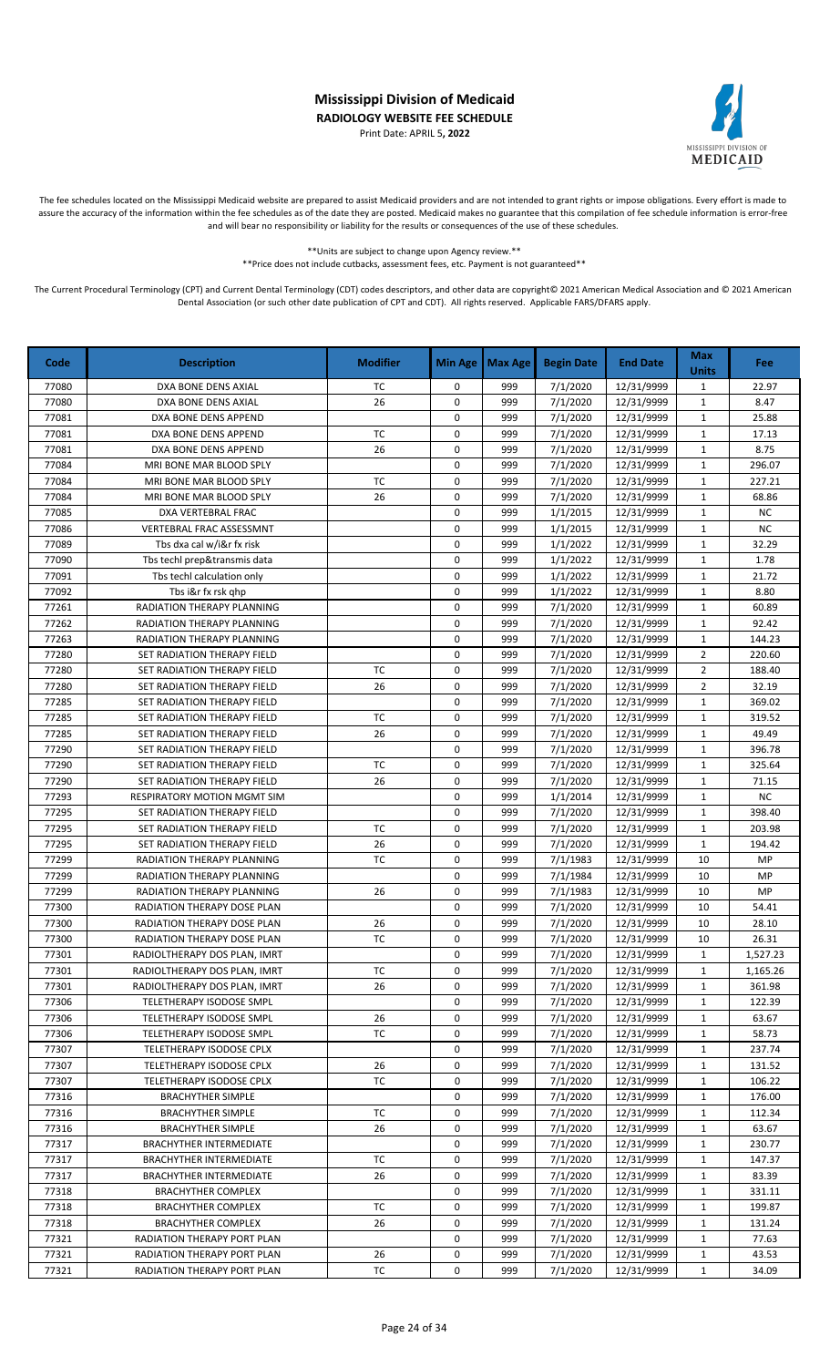Print Date: APRIL 5**, 2022**



The fee schedules located on the Mississippi Medicaid website are prepared to assist Medicaid providers and are not intended to grant rights or impose obligations. Every effort is made to assure the accuracy of the information within the fee schedules as of the date they are posted. Medicaid makes no guarantee that this compilation of fee schedule information is error-free and will bear no responsibility or liability for the results or consequences of the use of these schedules.

> \*\*Units are subject to change upon Agency review.\*\* \*\*Price does not include cutbacks, assessment fees, etc. Payment is not guaranteed\*\*

| Code  | <b>Description</b>             | <b>Modifier</b> | <b>Min Age</b> | <b>Max Age</b> | <b>Begin Date</b>     | <b>End Date</b> | <b>Max</b><br><b>Units</b> | <b>Fee</b> |
|-------|--------------------------------|-----------------|----------------|----------------|-----------------------|-----------------|----------------------------|------------|
| 77080 | DXA BONE DENS AXIAL            | TC              | 0              | 999            | $\frac{1}{7}$ /1/2020 | 12/31/9999      | $\mathbf{1}$               | 22.97      |
| 77080 | DXA BONE DENS AXIAL            | 26              | 0              | 999            | 7/1/2020              | 12/31/9999      | $\mathbf 1$                | 8.47       |
| 77081 | DXA BONE DENS APPEND           |                 | 0              | 999            | 7/1/2020              | 12/31/9999      | 1                          | 25.88      |
| 77081 | DXA BONE DENS APPEND           | TC              | $\mathbf 0$    | 999            | 7/1/2020              | 12/31/9999      | $\mathbf{1}$               | 17.13      |
| 77081 | DXA BONE DENS APPEND           | 26              | 0              | 999            | 7/1/2020              | 12/31/9999      | $\mathbf{1}$               | 8.75       |
| 77084 | MRI BONE MAR BLOOD SPLY        |                 | 0              | 999            | 7/1/2020              | 12/31/9999      | $\mathbf{1}$               | 296.07     |
| 77084 | MRI BONE MAR BLOOD SPLY        | TC              | 0              | 999            | 7/1/2020              | 12/31/9999      | $\mathbf{1}$               | 227.21     |
| 77084 | MRI BONE MAR BLOOD SPLY        | 26              | 0              | 999            | 7/1/2020              | 12/31/9999      | $\mathbf{1}$               | 68.86      |
| 77085 | DXA VERTEBRAL FRAC             |                 | 0              | 999            | 1/1/2015              | 12/31/9999      | $\mathbf{1}$               | <b>NC</b>  |
| 77086 | VERTEBRAL FRAC ASSESSMNT       |                 | 0              | 999            | 1/1/2015              | 12/31/9999      | $\mathbf{1}$               | <b>NC</b>  |
| 77089 | Tbs dxa cal w/i&r fx risk      |                 | 0              | 999            | 1/1/2022              | 12/31/9999      | $\mathbf{1}$               | 32.29      |
| 77090 | Tbs techl prep&transmis data   |                 | 0              | 999            | 1/1/2022              | 12/31/9999      | $\mathbf 1$                | 1.78       |
| 77091 | Tbs techl calculation only     |                 | $\mathbf 0$    | 999            | 1/1/2022              | 12/31/9999      | $\mathbf{1}$               | 21.72      |
| 77092 | Tbs i&r fx rsk ghp             |                 | $\mathbf 0$    | 999            | 1/1/2022              | 12/31/9999      | $\mathbf{1}$               | 8.80       |
| 77261 | RADIATION THERAPY PLANNING     |                 | 0              | 999            | 7/1/2020              | 12/31/9999      | $\mathbf{1}$               | 60.89      |
| 77262 | RADIATION THERAPY PLANNING     |                 | 0              | 999            | 7/1/2020              | 12/31/9999      | $\mathbf{1}$               | 92.42      |
| 77263 | RADIATION THERAPY PLANNING     |                 | 0              | 999            | 7/1/2020              | 12/31/9999      | $\mathbf{1}$               | 144.23     |
| 77280 | SET RADIATION THERAPY FIELD    |                 | 0              | 999            | 7/1/2020              | 12/31/9999      | $\overline{2}$             | 220.60     |
| 77280 | SET RADIATION THERAPY FIELD    | ТC              | 0              | 999            | 7/1/2020              | 12/31/9999      | $\overline{2}$             | 188.40     |
| 77280 | SET RADIATION THERAPY FIELD    | 26              | 0              | 999            | 7/1/2020              | 12/31/9999      | $\overline{2}$             | 32.19      |
| 77285 | SET RADIATION THERAPY FIELD    |                 | 0              | 999            | 7/1/2020              | 12/31/9999      | $\mathbf{1}$               | 369.02     |
| 77285 | SET RADIATION THERAPY FIELD    | TC              | 0              | 999            | 7/1/2020              | 12/31/9999      | $\mathbf{1}$               | 319.52     |
| 77285 | SET RADIATION THERAPY FIELD    | 26              | 0              | 999            | 7/1/2020              | 12/31/9999      | $\mathbf{1}$               | 49.49      |
| 77290 | SET RADIATION THERAPY FIELD    |                 | $\mathbf 0$    | 999            | 7/1/2020              | 12/31/9999      | $\mathbf{1}$               | 396.78     |
| 77290 | SET RADIATION THERAPY FIELD    | <b>TC</b>       | 0              | 999            | 7/1/2020              | 12/31/9999      | $\mathbf{1}$               | 325.64     |
| 77290 | SET RADIATION THERAPY FIELD    | 26              | 0              | 999            | 7/1/2020              | 12/31/9999      | $\mathbf{1}$               | 71.15      |
| 77293 | RESPIRATORY MOTION MGMT SIM    |                 | $\mathbf 0$    | 999            | 1/1/2014              | 12/31/9999      | $\mathbf{1}$               | <b>NC</b>  |
| 77295 | SET RADIATION THERAPY FIELD    |                 | 0              | 999            | 7/1/2020              | 12/31/9999      | $\mathbf{1}$               | 398.40     |
| 77295 | SET RADIATION THERAPY FIELD    | <b>TC</b>       | $\mathbf 0$    | 999            | 7/1/2020              | 12/31/9999      | $\mathbf{1}$               | 203.98     |
| 77295 | SET RADIATION THERAPY FIELD    | 26              | 0              | 999            | 7/1/2020              | 12/31/9999      | $\mathbf{1}$               | 194.42     |
| 77299 | RADIATION THERAPY PLANNING     | TC              | 0              | 999            | 7/1/1983              | 12/31/9999      | 10                         | MP         |
| 77299 | RADIATION THERAPY PLANNING     |                 | 0              | 999            | 7/1/1984              | 12/31/9999      | 10                         | MP         |
| 77299 | RADIATION THERAPY PLANNING     | 26              | 0              | 999            | 7/1/1983              | 12/31/9999      | 10                         | MP         |
| 77300 | RADIATION THERAPY DOSE PLAN    |                 | 0              | 999            | 7/1/2020              | 12/31/9999      | 10                         | 54.41      |
| 77300 | RADIATION THERAPY DOSE PLAN    | 26              | 0              | 999            | 7/1/2020              | 12/31/9999      | 10                         | 28.10      |
| 77300 | RADIATION THERAPY DOSE PLAN    | TC              | 0              | 999            | 7/1/2020              | 12/31/9999      | 10                         | 26.31      |
| 77301 | RADIOLTHERAPY DOS PLAN, IMRT   |                 | 0              | 999            | 7/1/2020              | 12/31/9999      | 1                          | 1,527.23   |
| 77301 | RADIOLTHERAPY DOS PLAN, IMRT   | ТC              | 0              | 999            | 7/1/2020              | 12/31/9999      | $\mathbf{1}$               | 1,165.26   |
| 77301 | RADIOLTHERAPY DOS PLAN, IMRT   | 26              | 0              | 999            | 7/1/2020              | 12/31/9999      | 1                          | 361.98     |
| 77306 | TELETHERAPY ISODOSE SMPL       |                 | 0              | 999            | 7/1/2020              | 12/31/9999      | 1                          | 122.39     |
| 77306 | TELETHERAPY ISODOSE SMPL       | 26              | 0              | 999            | 7/1/2020              | 12/31/9999      | 1                          | 63.67      |
| 77306 | TELETHERAPY ISODOSE SMPL       | TC              | 0              | 999            | 7/1/2020              | 12/31/9999      | 1                          | 58.73      |
| 77307 | TELETHERAPY ISODOSE CPLX       |                 | 0              | 999            | 7/1/2020              | 12/31/9999      | 1                          | 237.74     |
| 77307 | TELETHERAPY ISODOSE CPLX       | 26              | 0              | 999            | 7/1/2020              | 12/31/9999      | 1                          | 131.52     |
| 77307 | TELETHERAPY ISODOSE CPLX       | TC              | 0              | 999            | 7/1/2020              | 12/31/9999      | $\mathbf{1}$               | 106.22     |
| 77316 | <b>BRACHYTHER SIMPLE</b>       |                 | 0              | 999            | 7/1/2020              | 12/31/9999      | 1                          | 176.00     |
| 77316 | <b>BRACHYTHER SIMPLE</b>       | ТC              | 0              | 999            | 7/1/2020              | 12/31/9999      | 1                          | 112.34     |
| 77316 | <b>BRACHYTHER SIMPLE</b>       | 26              | 0              | 999            | 7/1/2020              | 12/31/9999      | 1                          | 63.67      |
| 77317 | <b>BRACHYTHER INTERMEDIATE</b> |                 | 0              | 999            | 7/1/2020              | 12/31/9999      | $\mathbf{1}$               | 230.77     |
| 77317 | <b>BRACHYTHER INTERMEDIATE</b> | TC              | 0              | 999            | 7/1/2020              | 12/31/9999      | $\mathbf{1}$               | 147.37     |
| 77317 | <b>BRACHYTHER INTERMEDIATE</b> | 26              | 0              | 999            | 7/1/2020              | 12/31/9999      | 1                          | 83.39      |
| 77318 | <b>BRACHYTHER COMPLEX</b>      |                 | 0              | 999            | 7/1/2020              | 12/31/9999      | 1                          | 331.11     |
| 77318 | <b>BRACHYTHER COMPLEX</b>      | ТC              | 0              | 999            | 7/1/2020              | 12/31/9999      | 1                          | 199.87     |
| 77318 | <b>BRACHYTHER COMPLEX</b>      | 26              | 0              | 999            | 7/1/2020              | 12/31/9999      | $\mathbf{1}$               | 131.24     |
| 77321 | RADIATION THERAPY PORT PLAN    |                 | 0              | 999            | 7/1/2020              | 12/31/9999      | $\mathbf{1}$               | 77.63      |
| 77321 | RADIATION THERAPY PORT PLAN    | 26              | 0              | 999            | 7/1/2020              | 12/31/9999      | 1                          | 43.53      |
| 77321 | RADIATION THERAPY PORT PLAN    | ТC              | 0              | 999            | 7/1/2020              | 12/31/9999      | 1                          | 34.09      |
|       |                                |                 |                |                |                       |                 |                            |            |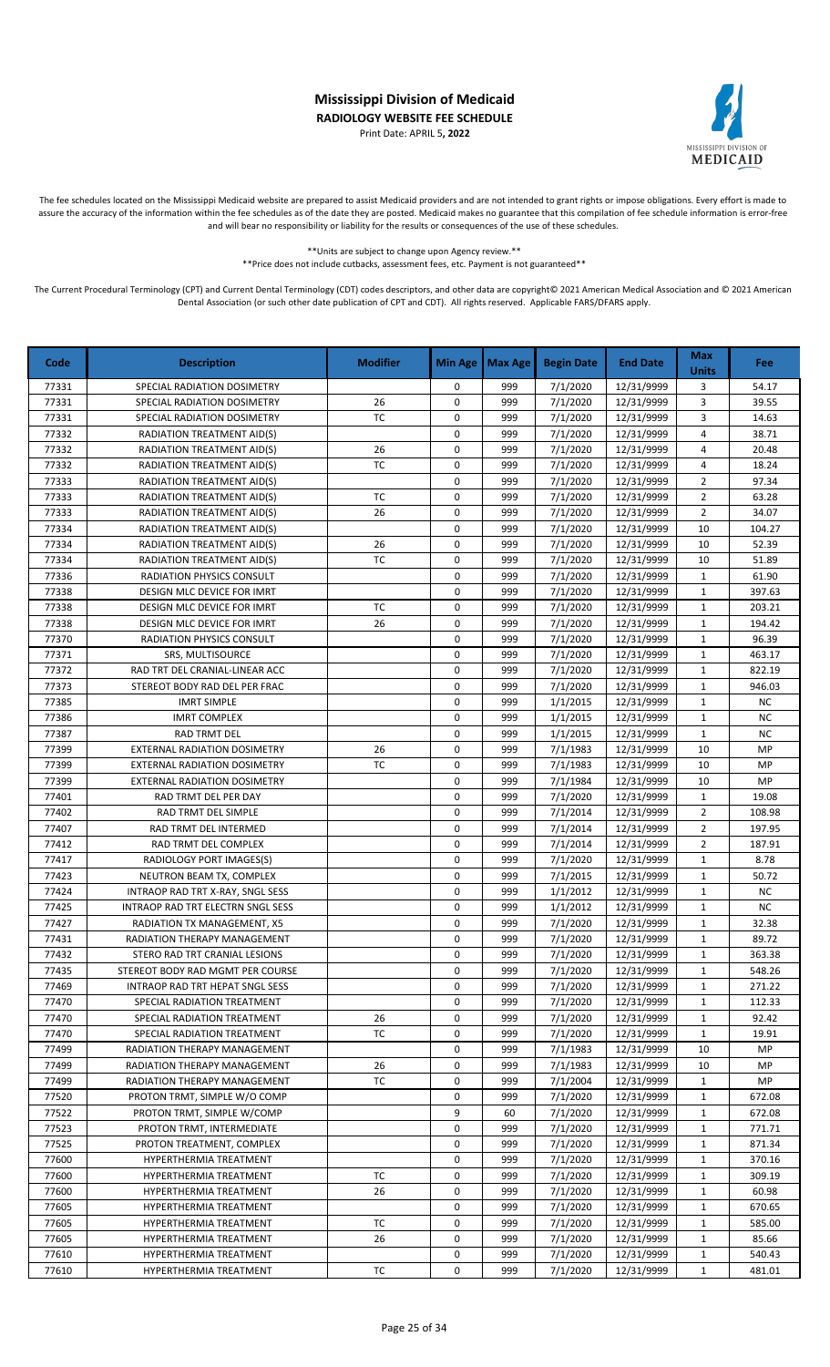Print Date: APRIL 5**, 2022**



The fee schedules located on the Mississippi Medicaid website are prepared to assist Medicaid providers and are not intended to grant rights or impose obligations. Every effort is made to assure the accuracy of the information within the fee schedules as of the date they are posted. Medicaid makes no guarantee that this compilation of fee schedule information is error-free and will bear no responsibility or liability for the results or consequences of the use of these schedules.

\*\*Units are subject to change upon Agency review.\*\*

\*\*Price does not include cutbacks, assessment fees, etc. Payment is not guaranteed\*\*

| Code  | <b>Description</b>                | <b>Modifier</b> | <b>Min Age</b> | <b>Max Age</b> | <b>Begin Date</b> | <b>End Date</b> | <b>Max</b><br><b>Units</b> | <b>Fee</b> |
|-------|-----------------------------------|-----------------|----------------|----------------|-------------------|-----------------|----------------------------|------------|
| 77331 | SPECIAL RADIATION DOSIMETRY       |                 | 0              | 999            | 7/1/2020          | 12/31/9999      | 3                          | 54.17      |
| 77331 | SPECIAL RADIATION DOSIMETRY       | 26              | 0              | 999            | 7/1/2020          | 12/31/9999      | 3                          | 39.55      |
| 77331 | SPECIAL RADIATION DOSIMETRY       | TC              | 0              | 999            | 7/1/2020          | 12/31/9999      | 3                          | 14.63      |
| 77332 | RADIATION TREATMENT AID(S)        |                 | 0              | 999            | 7/1/2020          | 12/31/9999      | $\overline{4}$             | 38.71      |
| 77332 | RADIATION TREATMENT AID(S)        | 26              | 0              | 999            | 7/1/2020          | 12/31/9999      | 4                          | 20.48      |
| 77332 | RADIATION TREATMENT AID(S)        | TC              | $\mathbf 0$    | 999            | 7/1/2020          | 12/31/9999      | 4                          | 18.24      |
| 77333 | RADIATION TREATMENT AID(S)        |                 | 0              | 999            | 7/1/2020          | 12/31/9999      | $\overline{2}$             | 97.34      |
| 77333 | <b>RADIATION TREATMENT AID(S)</b> | <b>TC</b>       | 0              | 999            | 7/1/2020          | 12/31/9999      | $\overline{2}$             | 63.28      |
| 77333 | RADIATION TREATMENT AID(S)        | 26              | 0              | 999            | 7/1/2020          | 12/31/9999      | $\overline{2}$             | 34.07      |
| 77334 | <b>RADIATION TREATMENT AID(S)</b> |                 | 0              | 999            | 7/1/2020          | 12/31/9999      | 10                         | 104.27     |
| 77334 | RADIATION TREATMENT AID(S)        | 26              | $\mathsf 0$    | 999            | 7/1/2020          | 12/31/9999      | 10                         | 52.39      |
| 77334 | RADIATION TREATMENT AID(S)        | <b>TC</b>       | $\pmb{0}$      | 999            | 7/1/2020          | 12/31/9999      | 10                         | 51.89      |
| 77336 | RADIATION PHYSICS CONSULT         |                 | 0              | 999            | 7/1/2020          | 12/31/9999      | 1                          | 61.90      |
| 77338 | DESIGN MLC DEVICE FOR IMRT        |                 | $\mathbf 0$    | 999            | 7/1/2020          | 12/31/9999      | $\mathbf{1}$               | 397.63     |
| 77338 | <b>DESIGN MLC DEVICE FOR IMRT</b> | ТC              | 0              | 999            | 7/1/2020          | 12/31/9999      | $\mathbf{1}$               | 203.21     |
| 77338 | DESIGN MLC DEVICE FOR IMRT        | 26              | $\pmb{0}$      | 999            | 7/1/2020          | 12/31/9999      | $\mathbf{1}$               | 194.42     |
| 77370 | RADIATION PHYSICS CONSULT         |                 | 0              | 999            | 7/1/2020          | 12/31/9999      | $\mathbf 1$                | 96.39      |
| 77371 | SRS, MULTISOURCE                  |                 | 0              | 999            | 7/1/2020          | 12/31/9999      | $\mathbf 1$                | 463.17     |
| 77372 | RAD TRT DEL CRANIAL-LINEAR ACC    |                 | 0              | 999            | 7/1/2020          | 12/31/9999      | $\mathbf{1}$               | 822.19     |
| 77373 | STEREOT BODY RAD DEL PER FRAC     |                 | 0              | 999            | 7/1/2020          | 12/31/9999      | $\mathbf{1}$               | 946.03     |
| 77385 | <b>IMRT SIMPLE</b>                |                 | 0              | 999            | 1/1/2015          | 12/31/9999      | $\mathbf{1}$               | NC         |
| 77386 | <b>IMRT COMPLEX</b>               |                 | 0              | 999            | 1/1/2015          | 12/31/9999      | $\mathbf{1}$               | <b>NC</b>  |
| 77387 | <b>RAD TRMT DEL</b>               |                 | 0              | 999            | 1/1/2015          | 12/31/9999      | $\mathbf{1}$               | <b>NC</b>  |
| 77399 | EXTERNAL RADIATION DOSIMETRY      | 26              | 0              | 999            | 7/1/1983          | 12/31/9999      | 10                         | MP         |
| 77399 | EXTERNAL RADIATION DOSIMETRY      | TC              | 0              | 999            | 7/1/1983          | 12/31/9999      | 10                         | MP         |
| 77399 | EXTERNAL RADIATION DOSIMETRY      |                 | 0              | 999            | 7/1/1984          | 12/31/9999      | 10                         | MP         |
| 77401 | RAD TRMT DEL PER DAY              |                 | 0              | 999            | 7/1/2020          | 12/31/9999      | $\mathbf{1}$               | 19.08      |
| 77402 | RAD TRMT DEL SIMPLE               |                 | $\mathbf 0$    | 999            | 7/1/2014          | 12/31/9999      | $\overline{2}$             | 108.98     |
| 77407 | RAD TRMT DEL INTERMED             |                 | 0              | 999            | 7/1/2014          | 12/31/9999      | $\overline{2}$             | 197.95     |
| 77412 | RAD TRMT DEL COMPLEX              |                 | 0              | 999            | 7/1/2014          | 12/31/9999      | $\overline{2}$             | 187.91     |
| 77417 | RADIOLOGY PORT IMAGES(S)          |                 | $\mathbf 0$    | 999            | 7/1/2020          | 12/31/9999      | $\mathbf{1}$               | 8.78       |
| 77423 | NEUTRON BEAM TX, COMPLEX          |                 | $\mathbf 0$    | 999            | 7/1/2015          | 12/31/9999      | $\mathbf{1}$               | 50.72      |
| 77424 | INTRAOP RAD TRT X-RAY, SNGL SESS  |                 | 0              | 999            | 1/1/2012          | 12/31/9999      | $\mathbf{1}$               | <b>NC</b>  |
| 77425 | INTRAOP RAD TRT ELECTRN SNGL SESS |                 | 0              | 999            | 1/1/2012          | 12/31/9999      | $\mathbf{1}$               | <b>NC</b>  |
| 77427 | RADIATION TX MANAGEMENT, X5       |                 | 0              | 999            | 7/1/2020          | 12/31/9999      | $\mathbf{1}$               | 32.38      |
| 77431 | RADIATION THERAPY MANAGEMENT      |                 | 0              | 999            | 7/1/2020          | 12/31/9999      | $\mathbf{1}$               | 89.72      |
| 77432 | STERO RAD TRT CRANIAL LESIONS     |                 | 0              | 999            | 7/1/2020          | 12/31/9999      | 1                          | 363.38     |
| 77435 | STEREOT BODY RAD MGMT PER COURSE  |                 | 0              | 999            | 7/1/2020          | 12/31/9999      | 1                          | 548.26     |
| 77469 | INTRAOP RAD TRT HEPAT SNGL SESS   |                 | 0              | 999            | 7/1/2020          | 12/31/9999      | 1                          | 271.22     |
| 77470 | SPECIAL RADIATION TREATMENT       |                 | 0              | 999            | 7/1/2020          | 12/31/9999      | $\mathbf{1}$               | 112.33     |
| 77470 | SPECIAL RADIATION TREATMENT       | 26              | 0              | 999            | 7/1/2020          | 12/31/9999      | 1                          | 92.42      |
| 77470 | SPECIAL RADIATION TREATMENT       | ТC              | 0              | 999            | 7/1/2020          | 12/31/9999      | 1                          | 19.91      |
| 77499 | RADIATION THERAPY MANAGEMENT      |                 | 0              | 999            | 7/1/1983          | 12/31/9999      | 10                         | MP         |
| 77499 | RADIATION THERAPY MANAGEMENT      | 26              | 0              | 999            | 7/1/1983          | 12/31/9999      | 10                         | MP         |
| 77499 | RADIATION THERAPY MANAGEMENT      | TC              | 0              | 999            | 7/1/2004          | 12/31/9999      | 1                          | MP         |
| 77520 | PROTON TRMT, SIMPLE W/O COMP      |                 | 0              | 999            | 7/1/2020          | 12/31/9999      | 1                          | 672.08     |
| 77522 | PROTON TRMT, SIMPLE W/COMP        |                 | 9              | 60             | 7/1/2020          | 12/31/9999      | $\mathbf{1}$               | 672.08     |
| 77523 | PROTON TRMT, INTERMEDIATE         |                 | 0              | 999            | 7/1/2020          | 12/31/9999      | 1                          | 771.71     |
| 77525 | PROTON TREATMENT, COMPLEX         |                 | 0              | 999            | 7/1/2020          | 12/31/9999      | 1                          | 871.34     |
| 77600 | HYPERTHERMIA TREATMENT            |                 | 0              | 999            | 7/1/2020          | 12/31/9999      | $\mathbf{1}$               | 370.16     |
| 77600 | HYPERTHERMIA TREATMENT            | ТC              | 0              | 999            | 7/1/2020          | 12/31/9999      | $\mathbf{1}$               | 309.19     |
| 77600 | HYPERTHERMIA TREATMENT            | 26              | 0              | 999            | 7/1/2020          | 12/31/9999      | $\mathbf{1}$               | 60.98      |
| 77605 | HYPERTHERMIA TREATMENT            |                 | 0              | 999            | 7/1/2020          | 12/31/9999      | 1                          | 670.65     |
| 77605 | HYPERTHERMIA TREATMENT            | ТC              | 0              | 999            | 7/1/2020          | 12/31/9999      | 1                          | 585.00     |
| 77605 | HYPERTHERMIA TREATMENT            | 26              | 0              | 999            | 7/1/2020          | 12/31/9999      | 1                          | 85.66      |
| 77610 | HYPERTHERMIA TREATMENT            |                 | 0              | 999            | 7/1/2020          | 12/31/9999      | $\mathbf{1}$               | 540.43     |
| 77610 | HYPERTHERMIA TREATMENT            | ТC              | 0              | 999            | 7/1/2020          | 12/31/9999      | 1                          | 481.01     |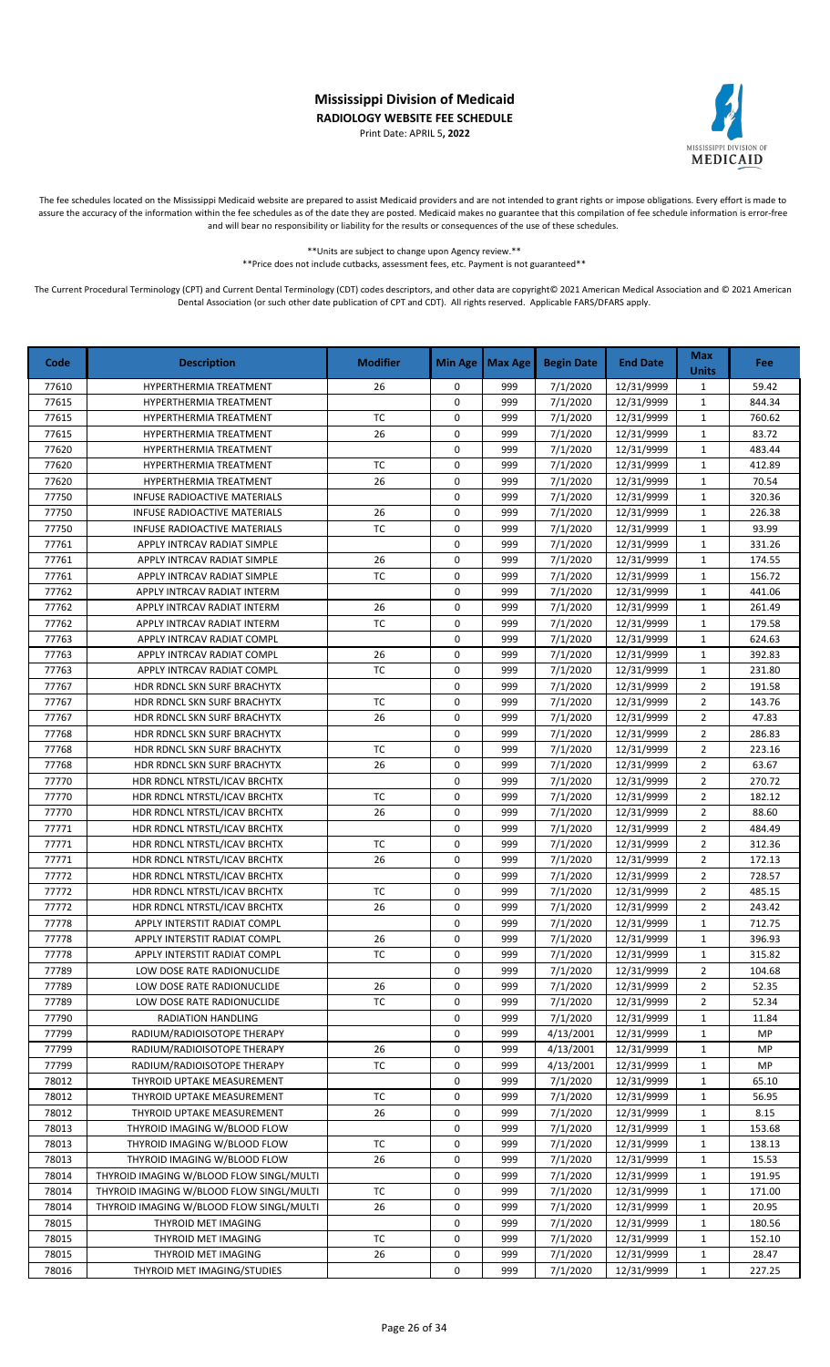Print Date: APRIL 5**, 2022**



The fee schedules located on the Mississippi Medicaid website are prepared to assist Medicaid providers and are not intended to grant rights or impose obligations. Every effort is made to assure the accuracy of the information within the fee schedules as of the date they are posted. Medicaid makes no guarantee that this compilation of fee schedule information is error-free and will bear no responsibility or liability for the results or consequences of the use of these schedules.

> \*\*Units are subject to change upon Agency review.\*\* \*\*Price does not include cutbacks, assessment fees, etc. Payment is not guaranteed\*\*

| Code           | <b>Description</b>                                         | <b>Modifier</b> | <b>Min Age</b> | <b>Max Age</b> | <b>Begin Date</b>      | <b>End Date</b>          | <b>Max</b><br><b>Units</b>   | Fee:     |
|----------------|------------------------------------------------------------|-----------------|----------------|----------------|------------------------|--------------------------|------------------------------|----------|
| 77610          | <b>HYPERTHERMIA TREATMENT</b>                              | 26              | 0              | 999            | 7/1/2020               | 12/31/9999               | $\mathbf{1}$                 | 59.42    |
| 77615          | HYPERTHERMIA TREATMENT                                     |                 | 0              | 999            | 7/1/2020               | 12/31/9999               | $\mathbf{1}$                 | 844.34   |
| 77615          | HYPERTHERMIA TREATMENT                                     | <b>TC</b>       | 0              | 999            | 7/1/2020               | 12/31/9999               | $\mathbf{1}$                 | 760.62   |
| 77615          | HYPERTHERMIA TREATMENT                                     | 26              | 0              | 999            | 7/1/2020               | 12/31/9999               | $\mathbf{1}$                 | 83.72    |
| 77620          | HYPERTHERMIA TREATMENT                                     |                 | 0              | 999            | 7/1/2020               | 12/31/9999               | $\mathbf{1}$                 | 483.44   |
| 77620          | HYPERTHERMIA TREATMENT                                     | <b>TC</b>       | 0              | 999            | 7/1/2020               | 12/31/9999               | $\mathbf{1}$                 | 412.89   |
| 77620          | <b>HYPERTHERMIA TREATMENT</b>                              | 26              | 0              | 999            | 7/1/2020               | 12/31/9999               | $\mathbf{1}$                 | 70.54    |
| 77750          | INFUSE RADIOACTIVE MATERIALS                               |                 | 0              | 999            | 7/1/2020               | 12/31/9999               | $\mathbf{1}$                 | 320.36   |
| 77750          | INFUSE RADIOACTIVE MATERIALS                               | 26              | 0              | 999            | 7/1/2020               | 12/31/9999               | $\mathbf{1}$                 | 226.38   |
| 77750          | INFUSE RADIOACTIVE MATERIALS                               | <b>TC</b>       | 0              | 999            | 7/1/2020               | 12/31/9999               | $\mathbf{1}$                 | 93.99    |
| 77761          | APPLY INTRCAV RADIAT SIMPLE                                |                 | 0              | 999            | 7/1/2020               | 12/31/9999               | $\mathbf{1}$                 | 331.26   |
| 77761          | APPLY INTRCAV RADIAT SIMPLE                                | 26              | 0              | 999            | 7/1/2020               | 12/31/9999               | $\mathbf{1}$                 | 174.55   |
| 77761          | APPLY INTRCAV RADIAT SIMPLE                                | TC              | 0              | 999            | 7/1/2020               | 12/31/9999               | $\mathbf{1}$                 | 156.72   |
| 77762          | APPLY INTRCAV RADIAT INTERM                                |                 | $\mathbf 0$    | 999            | 7/1/2020               | 12/31/9999               | $\mathbf 1$                  | 441.06   |
| 77762          | APPLY INTRCAV RADIAT INTERM                                | 26              | 0              | 999            | 7/1/2020               | 12/31/9999               | $\mathbf{1}$                 | 261.49   |
| 77762          | APPLY INTRCAV RADIAT INTERM                                | <b>TC</b>       | 0              | 999            | 7/1/2020               | 12/31/9999               | $\mathbf{1}$                 | 179.58   |
| 77763          | APPLY INTRCAV RADIAT COMPL                                 |                 | 0              | 999            | 7/1/2020               | 12/31/9999               | $\mathbf{1}$                 | 624.63   |
| 77763          | APPLY INTRCAV RADIAT COMPL                                 | 26              | 0              | 999            | 7/1/2020               | 12/31/9999               | $\mathbf{1}$                 | 392.83   |
| 77763          | APPLY INTRCAV RADIAT COMPL                                 | <b>TC</b>       | 0              | 999            | 7/1/2020               | 12/31/9999               | $\mathbf{1}$                 | 231.80   |
| 77767          | HDR RDNCL SKN SURF BRACHYTX                                |                 | 0              | 999            | 7/1/2020               | 12/31/9999               | $\overline{2}$               | 191.58   |
| 77767          | HDR RDNCL SKN SURF BRACHYTX                                | TC              | 0              | 999            | 7/1/2020               | 12/31/9999               | $\overline{2}$               | 143.76   |
| 77767          | HDR RDNCL SKN SURF BRACHYTX                                | 26              | 0              | 999            | 7/1/2020               | 12/31/9999               | $\overline{2}$               | 47.83    |
| 77768          | HDR RDNCL SKN SURF BRACHYTX                                |                 | 0              | 999            | 7/1/2020               | 12/31/9999               | $\overline{2}$               | 286.83   |
| 77768          | HDR RDNCL SKN SURF BRACHYTX                                | <b>TC</b>       | 0              | 999            | 7/1/2020               | 12/31/9999               | $\overline{2}$               | 223.16   |
| 77768          | HDR RDNCL SKN SURF BRACHYTX                                | 26              | 0              | 999            | 7/1/2020               | 12/31/9999               | $\overline{2}$               | 63.67    |
| 77770          | HDR RDNCL NTRSTL/ICAV BRCHTX                               |                 | 0              | 999            | 7/1/2020               | 12/31/9999               | $\overline{2}$               | 270.72   |
| 77770          | HDR RDNCL NTRSTL/ICAV BRCHTX                               | <b>TC</b>       | 0              | 999            | 7/1/2020               | 12/31/9999               | $\overline{2}$               | 182.12   |
| 77770          | HDR RDNCL NTRSTL/ICAV BRCHTX                               | 26              | 0              | 999            | 7/1/2020               | 12/31/9999               | $\overline{2}$               | 88.60    |
| 77771          | HDR RDNCL NTRSTL/ICAV BRCHTX                               |                 | 0              | 999            | 7/1/2020               | 12/31/9999               | $\overline{2}$               | 484.49   |
| 77771          | HDR RDNCL NTRSTL/ICAV BRCHTX                               | TC              | 0              | 999            | 7/1/2020               | 12/31/9999               | $\overline{2}$               | 312.36   |
| 77771          | HDR RDNCL NTRSTL/ICAV BRCHTX                               | 26              | 0              | 999            | 7/1/2020               | 12/31/9999               | $\overline{2}$               | 172.13   |
| 77772          | HDR RDNCL NTRSTL/ICAV BRCHTX                               |                 | 0              | 999            | 7/1/2020               | 12/31/9999               | $\overline{2}$               | 728.57   |
| 77772          | HDR RDNCL NTRSTL/ICAV BRCHTX                               | ТC              | 0              | 999            | 7/1/2020               | 12/31/9999               | $\overline{2}$               | 485.15   |
| 77772          | HDR RDNCL NTRSTL/ICAV BRCHTX                               | 26              | 0              | 999            | 7/1/2020               | 12/31/9999               | $\overline{2}$               | 243.42   |
| 77778          | APPLY INTERSTIT RADIAT COMPL                               |                 | 0              | 999            | 7/1/2020               | 12/31/9999               | $\mathbf{1}$                 | 712.75   |
| 77778          | APPLY INTERSTIT RADIAT COMPL                               | 26              | 0              | 999            | 7/1/2020               | 12/31/9999               | $\mathbf{1}$                 | 396.93   |
| 77778          | APPLY INTERSTIT RADIAT COMPL                               | ТC              | 0              | 999            | 7/1/2020               | 12/31/9999               | 1                            | 315.82   |
| 77789          | LOW DOSE RATE RADIONUCLIDE                                 |                 | 0              | 999            | 7/1/2020               | 12/31/9999               | 2                            | 104.68   |
| 77789          | LOW DOSE RATE RADIONUCLIDE                                 | 26              | 0              | 999            | 7/1/2020               | 12/31/9999               | $\overline{2}$               | 52.35    |
| 77789          | LOW DOSE RATE RADIONUCLIDE                                 | TC              | 0              | 999            | 7/1/2020               | 12/31/9999               | 2                            | 52.34    |
| 77790          | RADIATION HANDLING                                         |                 | 0              | 999            | 7/1/2020               | 12/31/9999               | $\mathbf{1}$                 | 11.84    |
| 77799<br>77799 | RADIUM/RADIOISOTOPE THERAPY<br>RADIUM/RADIOISOTOPE THERAPY | 26              | 0<br>0         | 999<br>999     | 4/13/2001<br>4/13/2001 | 12/31/9999<br>12/31/9999 | $\mathbf{1}$                 | MP<br>MP |
| 77799          | RADIUM/RADIOISOTOPE THERAPY                                | ТC              | 0              | 999            | 4/13/2001              | 12/31/9999               | $\mathbf{1}$                 | MP       |
| 78012          |                                                            |                 | 0              | 999            | 7/1/2020               | 12/31/9999               | $\mathbf{1}$<br>$\mathbf{1}$ | 65.10    |
| 78012          | THYROID UPTAKE MEASUREMENT<br>THYROID UPTAKE MEASUREMENT   | ТC              | 0              | 999            | 7/1/2020               |                          |                              | 56.95    |
| 78012          | THYROID UPTAKE MEASUREMENT                                 | 26              | 0              | 999            | 7/1/2020               | 12/31/9999<br>12/31/9999 | 1<br>$\mathbf{1}$            | 8.15     |
| 78013          | THYROID IMAGING W/BLOOD FLOW                               |                 | 0              | 999            | 7/1/2020               | 12/31/9999               | $\mathbf{1}$                 | 153.68   |
| 78013          | THYROID IMAGING W/BLOOD FLOW                               | TC              | 0              | 999            | 7/1/2020               | 12/31/9999               | 1                            | 138.13   |
| 78013          | THYROID IMAGING W/BLOOD FLOW                               | 26              | 0              | 999            | 7/1/2020               | 12/31/9999               | $\mathbf{1}$                 | 15.53    |
| 78014          | THYROID IMAGING W/BLOOD FLOW SINGL/MULTI                   |                 | 0              | 999            | 7/1/2020               | 12/31/9999               | $\mathbf{1}$                 | 191.95   |
| 78014          | THYROID IMAGING W/BLOOD FLOW SINGL/MULTI                   | <b>TC</b>       | 0              | 999            | 7/1/2020               | 12/31/9999               | $\mathbf{1}$                 | 171.00   |
| 78014          | THYROID IMAGING W/BLOOD FLOW SINGL/MULTI                   | 26              | 0              | 999            | 7/1/2020               | 12/31/9999               | $\mathbf{1}$                 | 20.95    |
| 78015          | THYROID MET IMAGING                                        |                 | 0              | 999            | 7/1/2020               | 12/31/9999               | $\mathbf{1}$                 | 180.56   |
| 78015          | THYROID MET IMAGING                                        | ТC              | 0              | 999            | 7/1/2020               | 12/31/9999               | 1                            | 152.10   |
| 78015          | THYROID MET IMAGING                                        | 26              | 0              | 999            | 7/1/2020               | 12/31/9999               | $\mathbf{1}$                 | 28.47    |
|                |                                                            |                 | 0              |                |                        |                          |                              |          |
| 78016          | THYROID MET IMAGING/STUDIES                                |                 |                | 999            | 7/1/2020               | 12/31/9999               | $\mathbf{1}$                 | 227.25   |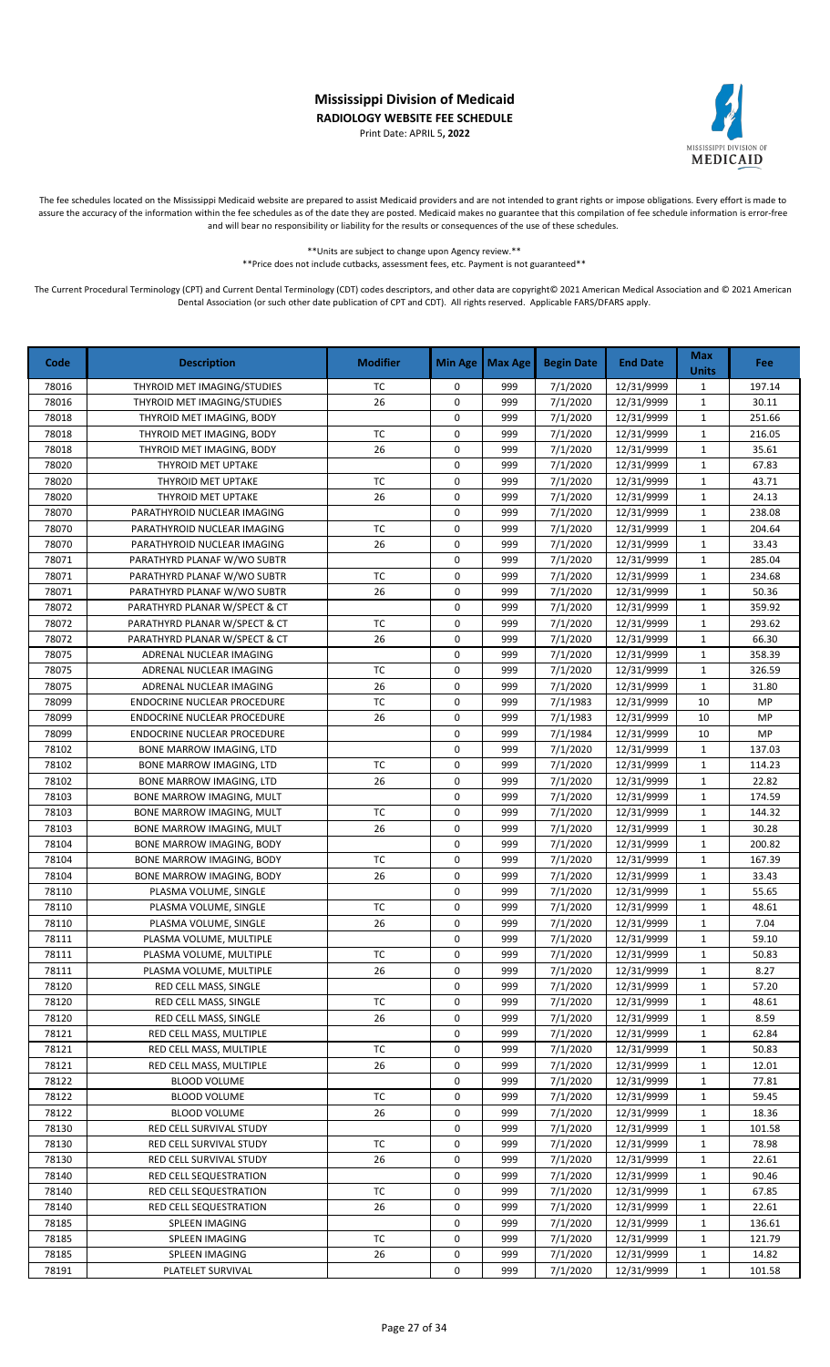Print Date: APRIL 5**, 2022**



The fee schedules located on the Mississippi Medicaid website are prepared to assist Medicaid providers and are not intended to grant rights or impose obligations. Every effort is made to assure the accuracy of the information within the fee schedules as of the date they are posted. Medicaid makes no guarantee that this compilation of fee schedule information is error-free and will bear no responsibility or liability for the results or consequences of the use of these schedules.

> \*\*Units are subject to change upon Agency review.\*\* \*\*Price does not include cutbacks, assessment fees, etc. Payment is not guaranteed\*\*

| THYROID MET IMAGING/STUDIES<br>7/1/2020<br>12/31/9999<br>78016<br>TC<br>0<br>999<br>$\mathbf{1}$<br>197.14<br>7/1/2020<br>78016<br>THYROID MET IMAGING/STUDIES<br>26<br>0<br>999<br>12/31/9999<br>$\mathbf 1$<br>30.11<br>251.66<br>78018<br>0<br>999<br>7/1/2020<br>12/31/9999<br>THYROID MET IMAGING, BODY<br>$\mathbf{1}$<br>78018<br>TC<br>999<br>216.05<br>THYROID MET IMAGING, BODY<br>0<br>7/1/2020<br>12/31/9999<br>1<br>78018<br>26<br>0<br>999<br>12/31/9999<br>35.61<br>THYROID MET IMAGING, BODY<br>7/1/2020<br>$\mathbf{1}$<br>67.83<br>78020<br>THYROID MET UPTAKE<br>0<br>999<br>7/1/2020<br>12/31/9999<br>$\mathbf{1}$<br><b>TC</b><br>0<br>78020<br>999<br>7/1/2020<br>12/31/9999<br>43.71<br>THYROID MET UPTAKE<br>1<br>78020<br>26<br>0<br>24.13<br>999<br>7/1/2020<br>12/31/9999<br>$\mathbf{1}$<br>THYROID MET UPTAKE<br>78070<br>0<br>999<br>7/1/2020<br>12/31/9999<br>238.08<br>$\mathbf{1}$<br>PARATHYROID NUCLEAR IMAGING<br>$\pmb{0}$<br>78070<br>TC<br>999<br>7/1/2020<br>12/31/9999<br>204.64<br>PARATHYROID NUCLEAR IMAGING<br>$\mathbf{1}$<br>26<br>$\pmb{0}$<br>78070<br>999<br>7/1/2020<br>12/31/9999<br>$\mathbf{1}$<br>33.43<br>PARATHYROID NUCLEAR IMAGING<br>0<br>999<br>7/1/2020<br>285.04<br>78071<br>12/31/9999<br>$\mathbf{1}$<br>PARATHYRD PLANAF W/WO SUBTR<br>78071<br>TC<br>0<br>999<br>7/1/2020<br>12/31/9999<br>$\mathbf 1$<br>PARATHYRD PLANAF W/WO SUBTR<br>234.68<br>$\pmb{0}$<br>26<br>999<br>78071<br>PARATHYRD PLANAF W/WO SUBTR<br>7/1/2020<br>12/31/9999<br>$\mathbf{1}$<br>50.36<br>$\pmb{0}$<br>78072<br>7/1/2020<br>12/31/9999<br>359.92<br>PARATHYRD PLANAR W/SPECT & CT<br>999<br>$\mathbf{1}$<br>78072<br>TC<br>0<br>999<br>7/1/2020<br>12/31/9999<br>293.62<br>PARATHYRD PLANAR W/SPECT & CT<br>$\mathbf{1}$<br>0<br>78072<br>PARATHYRD PLANAR W/SPECT & CT<br>26<br>999<br>7/1/2020<br>12/31/9999<br>$\mathbf 1$<br>66.30<br>78075<br>0<br>999<br>7/1/2020<br>12/31/9999<br>358.39<br>ADRENAL NUCLEAR IMAGING<br>$\mathbf{1}$<br>78075<br>0<br>326.59<br>TC<br>999<br>7/1/2020<br>12/31/9999<br>$\mathbf{1}$<br>ADRENAL NUCLEAR IMAGING<br>78075<br>26<br>0<br>999<br>31.80<br>ADRENAL NUCLEAR IMAGING<br>7/1/2020<br>12/31/9999<br>$\mathbf{1}$<br>78099<br>TC<br>0<br>999<br>10<br>MP<br>ENDOCRINE NUCLEAR PROCEDURE<br>7/1/1983<br>12/31/9999<br>26<br>0<br>78099<br>999<br>7/1/1983<br>12/31/9999<br>10<br>MP<br><b>ENDOCRINE NUCLEAR PROCEDURE</b><br>0<br>MP<br>78099<br>999<br>7/1/1984<br>12/31/9999<br>10<br><b>ENDOCRINE NUCLEAR PROCEDURE</b><br>78102<br>0<br>7/1/2020<br>999<br>12/31/9999<br>$\mathbf{1}$<br>137.03<br>BONE MARROW IMAGING, LTD<br>78102<br><b>TC</b><br>0<br>999<br>7/1/2020<br>12/31/9999<br>$\mathbf{1}$<br>114.23<br>BONE MARROW IMAGING, LTD<br>78102<br>26<br>0<br>22.82<br>999<br>7/1/2020<br>12/31/9999<br>$\mathbf{1}$<br>BONE MARROW IMAGING, LTD<br>78103<br>0<br>7/1/2020<br>BONE MARROW IMAGING, MULT<br>999<br>12/31/9999<br>$\mathbf{1}$<br>174.59<br><b>TC</b><br>$\pmb{0}$<br>78103<br>999<br>7/1/2020<br>12/31/9999<br>$\mathbf{1}$<br>144.32<br>BONE MARROW IMAGING, MULT<br>78103<br>26<br>0<br>999<br>7/1/2020<br>30.28<br>12/31/9999<br>$\mathbf{1}$<br>BONE MARROW IMAGING, MULT<br>78104<br>$\mathbf 0$<br>999<br>7/1/2020<br>12/31/9999<br>$\mathbf 1$<br>200.82<br>BONE MARROW IMAGING, BODY<br>0<br>78104<br>BONE MARROW IMAGING, BODY<br>ТC<br>999<br>7/1/2020<br>12/31/9999<br>$\mathbf{1}$<br>167.39<br>26<br>$\pmb{0}$<br>7/1/2020<br>78104<br>999<br>12/31/9999<br>$\mathbf{1}$<br>33.43<br>BONE MARROW IMAGING, BODY<br>0<br>7/1/2020<br>55.65<br>78110<br>999<br>12/31/9999<br>$\mathbf{1}$<br>PLASMA VOLUME, SINGLE<br>78110<br><b>TC</b><br>0<br>999<br>7/1/2020<br>48.61<br>PLASMA VOLUME, SINGLE<br>12/31/9999<br>$\mathbf{1}$<br>78110<br>26<br>0<br>999<br>7/1/2020<br>12/31/9999<br>7.04<br>PLASMA VOLUME, SINGLE<br>$\mathbf{1}$<br>0<br>78111<br>999<br>7/1/2020<br>12/31/9999<br>$\mathbf{1}$<br>59.10<br>PLASMA VOLUME, MULTIPLE<br>PLASMA VOLUME, MULTIPLE<br>TC<br>0<br>999<br>7/1/2020<br>12/31/9999<br>50.83<br>78111<br>1<br>78111<br>PLASMA VOLUME, MULTIPLE<br>26<br>0<br>999<br>7/1/2020<br>12/31/9999<br>8.27<br>1<br>78120<br>RED CELL MASS, SINGLE<br>0<br>999<br>7/1/2020<br>12/31/9999<br>57.20<br>$\mathbf{1}$<br>RED CELL MASS, SINGLE<br>ТC<br>0<br>7/1/2020<br>78120<br>999<br>12/31/9999<br>48.61<br>1<br>26<br>78120<br>RED CELL MASS, SINGLE<br>0<br>7/1/2020<br>12/31/9999<br>8.59<br>999<br>1<br>78121<br>RED CELL MASS, MULTIPLE<br>0<br>999<br>7/1/2020<br>12/31/9999<br>62.84<br>1<br>78121<br>RED CELL MASS, MULTIPLE<br>ТC<br>0<br>999<br>7/1/2020<br>12/31/9999<br>50.83<br>1<br>0<br>78121<br>RED CELL MASS, MULTIPLE<br>26<br>999<br>7/1/2020<br>12/31/9999<br>12.01<br>1<br>78122<br>0<br>999<br>7/1/2020<br>77.81<br>BLOOD VOLUME<br>12/31/9999<br>1<br>TC<br>78122<br><b>BLOOD VOLUME</b><br>0<br>999<br>7/1/2020<br>12/31/9999<br>$\mathbf{1}$<br>59.45<br>78122<br><b>BLOOD VOLUME</b><br>26<br>0<br>999<br>7/1/2020<br>12/31/9999<br>18.36<br>1<br>0<br>7/1/2020<br>78130<br>RED CELL SURVIVAL STUDY<br>999<br>12/31/9999<br>1<br>101.58<br>TC<br>0<br>7/1/2020<br>78130<br>RED CELL SURVIVAL STUDY<br>999<br>12/31/9999<br>$\mathbf{1}$<br>78.98<br>7/1/2020<br>78130<br>RED CELL SURVIVAL STUDY<br>26<br>0<br>999<br>12/31/9999<br>22.61<br>1<br>0<br>78140<br>RED CELL SEQUESTRATION<br>999<br>7/1/2020<br>12/31/9999<br>$\mathbf{1}$<br>90.46<br>78140<br>RED CELL SEQUESTRATION<br>ТC<br>0<br>999<br>7/1/2020<br>12/31/9999<br>67.85<br>1<br>26<br>22.61<br>78140<br>RED CELL SEQUESTRATION<br>0<br>999<br>7/1/2020<br>12/31/9999<br>1<br>78185<br>SPLEEN IMAGING<br>999<br>7/1/2020<br>12/31/9999<br>136.61<br>0<br>1<br>78185<br>SPLEEN IMAGING<br>ТC<br>0<br>999<br>7/1/2020<br>12/31/9999<br>121.79<br>1<br>78185<br>SPLEEN IMAGING<br>26<br>999<br>7/1/2020<br>12/31/9999<br>14.82<br>0<br>$\mathbf{1}$<br>0<br>7/1/2020<br>78191<br>PLATELET SURVIVAL<br>999<br>12/31/9999<br>1<br>101.58 | Code | <b>Description</b> | <b>Modifier</b> | <b>Min Age</b> | <b>Max Age</b> | <b>Begin Date</b> | <b>End Date</b> | <b>Max</b><br><b>Units</b> | <b>Fee</b> |
|-----------------------------------------------------------------------------------------------------------------------------------------------------------------------------------------------------------------------------------------------------------------------------------------------------------------------------------------------------------------------------------------------------------------------------------------------------------------------------------------------------------------------------------------------------------------------------------------------------------------------------------------------------------------------------------------------------------------------------------------------------------------------------------------------------------------------------------------------------------------------------------------------------------------------------------------------------------------------------------------------------------------------------------------------------------------------------------------------------------------------------------------------------------------------------------------------------------------------------------------------------------------------------------------------------------------------------------------------------------------------------------------------------------------------------------------------------------------------------------------------------------------------------------------------------------------------------------------------------------------------------------------------------------------------------------------------------------------------------------------------------------------------------------------------------------------------------------------------------------------------------------------------------------------------------------------------------------------------------------------------------------------------------------------------------------------------------------------------------------------------------------------------------------------------------------------------------------------------------------------------------------------------------------------------------------------------------------------------------------------------------------------------------------------------------------------------------------------------------------------------------------------------------------------------------------------------------------------------------------------------------------------------------------------------------------------------------------------------------------------------------------------------------------------------------------------------------------------------------------------------------------------------------------------------------------------------------------------------------------------------------------------------------------------------------------------------------------------------------------------------------------------------------------------------------------------------------------------------------------------------------------------------------------------------------------------------------------------------------------------------------------------------------------------------------------------------------------------------------------------------------------------------------------------------------------------------------------------------------------------------------------------------------------------------------------------------------------------------------------------------------------------------------------------------------------------------------------------------------------------------------------------------------------------------------------------------------------------------------------------------------------------------------------------------------------------------------------------------------------------------------------------------------------------------------------------------------------------------------------------------------------------------------------------------------------------------------------------------------------------------------------------------------------------------------------------------------------------------------------------------------------------------------------------------------------------------------------------------------------------------------------------------------------------------------------------------------------------------------------------------------------------------------------------------------------------------------------------------------------------------------------------------------------------------------------------------------------------------------------------------------------------------------------------------------------------------------------------------------------------------------------------------------------------------------------------------------------------------------------------------------------------------------------------------------------------------------------------------------------------------------------------------------------------------------------------------------------------------------------------------------------------------------------------------------------------------------------------------------------------------------------------------------------------------------------------------------------------------------------------------------------------------------------------------------------------------------------------------------------------------------------------------------------------------------------------------------------------------------------|------|--------------------|-----------------|----------------|----------------|-------------------|-----------------|----------------------------|------------|
|                                                                                                                                                                                                                                                                                                                                                                                                                                                                                                                                                                                                                                                                                                                                                                                                                                                                                                                                                                                                                                                                                                                                                                                                                                                                                                                                                                                                                                                                                                                                                                                                                                                                                                                                                                                                                                                                                                                                                                                                                                                                                                                                                                                                                                                                                                                                                                                                                                                                                                                                                                                                                                                                                                                                                                                                                                                                                                                                                                                                                                                                                                                                                                                                                                                                                                                                                                                                                                                                                                                                                                                                                                                                                                                                                                                                                                                                                                                                                                                                                                                                                                                                                                                                                                                                                                                                                                                                                                                                                                                                                                                                                                                                                                                                                                                                                                                                                                                                                                                                                                                                                                                                                                                                                                                                                                                                                                                                                                                                                                                                                                                                                                                                                                                                                                                                                                                                                                                                                                                   |      |                    |                 |                |                |                   |                 |                            |            |
|                                                                                                                                                                                                                                                                                                                                                                                                                                                                                                                                                                                                                                                                                                                                                                                                                                                                                                                                                                                                                                                                                                                                                                                                                                                                                                                                                                                                                                                                                                                                                                                                                                                                                                                                                                                                                                                                                                                                                                                                                                                                                                                                                                                                                                                                                                                                                                                                                                                                                                                                                                                                                                                                                                                                                                                                                                                                                                                                                                                                                                                                                                                                                                                                                                                                                                                                                                                                                                                                                                                                                                                                                                                                                                                                                                                                                                                                                                                                                                                                                                                                                                                                                                                                                                                                                                                                                                                                                                                                                                                                                                                                                                                                                                                                                                                                                                                                                                                                                                                                                                                                                                                                                                                                                                                                                                                                                                                                                                                                                                                                                                                                                                                                                                                                                                                                                                                                                                                                                                                   |      |                    |                 |                |                |                   |                 |                            |            |
|                                                                                                                                                                                                                                                                                                                                                                                                                                                                                                                                                                                                                                                                                                                                                                                                                                                                                                                                                                                                                                                                                                                                                                                                                                                                                                                                                                                                                                                                                                                                                                                                                                                                                                                                                                                                                                                                                                                                                                                                                                                                                                                                                                                                                                                                                                                                                                                                                                                                                                                                                                                                                                                                                                                                                                                                                                                                                                                                                                                                                                                                                                                                                                                                                                                                                                                                                                                                                                                                                                                                                                                                                                                                                                                                                                                                                                                                                                                                                                                                                                                                                                                                                                                                                                                                                                                                                                                                                                                                                                                                                                                                                                                                                                                                                                                                                                                                                                                                                                                                                                                                                                                                                                                                                                                                                                                                                                                                                                                                                                                                                                                                                                                                                                                                                                                                                                                                                                                                                                                   |      |                    |                 |                |                |                   |                 |                            |            |
|                                                                                                                                                                                                                                                                                                                                                                                                                                                                                                                                                                                                                                                                                                                                                                                                                                                                                                                                                                                                                                                                                                                                                                                                                                                                                                                                                                                                                                                                                                                                                                                                                                                                                                                                                                                                                                                                                                                                                                                                                                                                                                                                                                                                                                                                                                                                                                                                                                                                                                                                                                                                                                                                                                                                                                                                                                                                                                                                                                                                                                                                                                                                                                                                                                                                                                                                                                                                                                                                                                                                                                                                                                                                                                                                                                                                                                                                                                                                                                                                                                                                                                                                                                                                                                                                                                                                                                                                                                                                                                                                                                                                                                                                                                                                                                                                                                                                                                                                                                                                                                                                                                                                                                                                                                                                                                                                                                                                                                                                                                                                                                                                                                                                                                                                                                                                                                                                                                                                                                                   |      |                    |                 |                |                |                   |                 |                            |            |
|                                                                                                                                                                                                                                                                                                                                                                                                                                                                                                                                                                                                                                                                                                                                                                                                                                                                                                                                                                                                                                                                                                                                                                                                                                                                                                                                                                                                                                                                                                                                                                                                                                                                                                                                                                                                                                                                                                                                                                                                                                                                                                                                                                                                                                                                                                                                                                                                                                                                                                                                                                                                                                                                                                                                                                                                                                                                                                                                                                                                                                                                                                                                                                                                                                                                                                                                                                                                                                                                                                                                                                                                                                                                                                                                                                                                                                                                                                                                                                                                                                                                                                                                                                                                                                                                                                                                                                                                                                                                                                                                                                                                                                                                                                                                                                                                                                                                                                                                                                                                                                                                                                                                                                                                                                                                                                                                                                                                                                                                                                                                                                                                                                                                                                                                                                                                                                                                                                                                                                                   |      |                    |                 |                |                |                   |                 |                            |            |
|                                                                                                                                                                                                                                                                                                                                                                                                                                                                                                                                                                                                                                                                                                                                                                                                                                                                                                                                                                                                                                                                                                                                                                                                                                                                                                                                                                                                                                                                                                                                                                                                                                                                                                                                                                                                                                                                                                                                                                                                                                                                                                                                                                                                                                                                                                                                                                                                                                                                                                                                                                                                                                                                                                                                                                                                                                                                                                                                                                                                                                                                                                                                                                                                                                                                                                                                                                                                                                                                                                                                                                                                                                                                                                                                                                                                                                                                                                                                                                                                                                                                                                                                                                                                                                                                                                                                                                                                                                                                                                                                                                                                                                                                                                                                                                                                                                                                                                                                                                                                                                                                                                                                                                                                                                                                                                                                                                                                                                                                                                                                                                                                                                                                                                                                                                                                                                                                                                                                                                                   |      |                    |                 |                |                |                   |                 |                            |            |
|                                                                                                                                                                                                                                                                                                                                                                                                                                                                                                                                                                                                                                                                                                                                                                                                                                                                                                                                                                                                                                                                                                                                                                                                                                                                                                                                                                                                                                                                                                                                                                                                                                                                                                                                                                                                                                                                                                                                                                                                                                                                                                                                                                                                                                                                                                                                                                                                                                                                                                                                                                                                                                                                                                                                                                                                                                                                                                                                                                                                                                                                                                                                                                                                                                                                                                                                                                                                                                                                                                                                                                                                                                                                                                                                                                                                                                                                                                                                                                                                                                                                                                                                                                                                                                                                                                                                                                                                                                                                                                                                                                                                                                                                                                                                                                                                                                                                                                                                                                                                                                                                                                                                                                                                                                                                                                                                                                                                                                                                                                                                                                                                                                                                                                                                                                                                                                                                                                                                                                                   |      |                    |                 |                |                |                   |                 |                            |            |
|                                                                                                                                                                                                                                                                                                                                                                                                                                                                                                                                                                                                                                                                                                                                                                                                                                                                                                                                                                                                                                                                                                                                                                                                                                                                                                                                                                                                                                                                                                                                                                                                                                                                                                                                                                                                                                                                                                                                                                                                                                                                                                                                                                                                                                                                                                                                                                                                                                                                                                                                                                                                                                                                                                                                                                                                                                                                                                                                                                                                                                                                                                                                                                                                                                                                                                                                                                                                                                                                                                                                                                                                                                                                                                                                                                                                                                                                                                                                                                                                                                                                                                                                                                                                                                                                                                                                                                                                                                                                                                                                                                                                                                                                                                                                                                                                                                                                                                                                                                                                                                                                                                                                                                                                                                                                                                                                                                                                                                                                                                                                                                                                                                                                                                                                                                                                                                                                                                                                                                                   |      |                    |                 |                |                |                   |                 |                            |            |
|                                                                                                                                                                                                                                                                                                                                                                                                                                                                                                                                                                                                                                                                                                                                                                                                                                                                                                                                                                                                                                                                                                                                                                                                                                                                                                                                                                                                                                                                                                                                                                                                                                                                                                                                                                                                                                                                                                                                                                                                                                                                                                                                                                                                                                                                                                                                                                                                                                                                                                                                                                                                                                                                                                                                                                                                                                                                                                                                                                                                                                                                                                                                                                                                                                                                                                                                                                                                                                                                                                                                                                                                                                                                                                                                                                                                                                                                                                                                                                                                                                                                                                                                                                                                                                                                                                                                                                                                                                                                                                                                                                                                                                                                                                                                                                                                                                                                                                                                                                                                                                                                                                                                                                                                                                                                                                                                                                                                                                                                                                                                                                                                                                                                                                                                                                                                                                                                                                                                                                                   |      |                    |                 |                |                |                   |                 |                            |            |
|                                                                                                                                                                                                                                                                                                                                                                                                                                                                                                                                                                                                                                                                                                                                                                                                                                                                                                                                                                                                                                                                                                                                                                                                                                                                                                                                                                                                                                                                                                                                                                                                                                                                                                                                                                                                                                                                                                                                                                                                                                                                                                                                                                                                                                                                                                                                                                                                                                                                                                                                                                                                                                                                                                                                                                                                                                                                                                                                                                                                                                                                                                                                                                                                                                                                                                                                                                                                                                                                                                                                                                                                                                                                                                                                                                                                                                                                                                                                                                                                                                                                                                                                                                                                                                                                                                                                                                                                                                                                                                                                                                                                                                                                                                                                                                                                                                                                                                                                                                                                                                                                                                                                                                                                                                                                                                                                                                                                                                                                                                                                                                                                                                                                                                                                                                                                                                                                                                                                                                                   |      |                    |                 |                |                |                   |                 |                            |            |
|                                                                                                                                                                                                                                                                                                                                                                                                                                                                                                                                                                                                                                                                                                                                                                                                                                                                                                                                                                                                                                                                                                                                                                                                                                                                                                                                                                                                                                                                                                                                                                                                                                                                                                                                                                                                                                                                                                                                                                                                                                                                                                                                                                                                                                                                                                                                                                                                                                                                                                                                                                                                                                                                                                                                                                                                                                                                                                                                                                                                                                                                                                                                                                                                                                                                                                                                                                                                                                                                                                                                                                                                                                                                                                                                                                                                                                                                                                                                                                                                                                                                                                                                                                                                                                                                                                                                                                                                                                                                                                                                                                                                                                                                                                                                                                                                                                                                                                                                                                                                                                                                                                                                                                                                                                                                                                                                                                                                                                                                                                                                                                                                                                                                                                                                                                                                                                                                                                                                                                                   |      |                    |                 |                |                |                   |                 |                            |            |
|                                                                                                                                                                                                                                                                                                                                                                                                                                                                                                                                                                                                                                                                                                                                                                                                                                                                                                                                                                                                                                                                                                                                                                                                                                                                                                                                                                                                                                                                                                                                                                                                                                                                                                                                                                                                                                                                                                                                                                                                                                                                                                                                                                                                                                                                                                                                                                                                                                                                                                                                                                                                                                                                                                                                                                                                                                                                                                                                                                                                                                                                                                                                                                                                                                                                                                                                                                                                                                                                                                                                                                                                                                                                                                                                                                                                                                                                                                                                                                                                                                                                                                                                                                                                                                                                                                                                                                                                                                                                                                                                                                                                                                                                                                                                                                                                                                                                                                                                                                                                                                                                                                                                                                                                                                                                                                                                                                                                                                                                                                                                                                                                                                                                                                                                                                                                                                                                                                                                                                                   |      |                    |                 |                |                |                   |                 |                            |            |
|                                                                                                                                                                                                                                                                                                                                                                                                                                                                                                                                                                                                                                                                                                                                                                                                                                                                                                                                                                                                                                                                                                                                                                                                                                                                                                                                                                                                                                                                                                                                                                                                                                                                                                                                                                                                                                                                                                                                                                                                                                                                                                                                                                                                                                                                                                                                                                                                                                                                                                                                                                                                                                                                                                                                                                                                                                                                                                                                                                                                                                                                                                                                                                                                                                                                                                                                                                                                                                                                                                                                                                                                                                                                                                                                                                                                                                                                                                                                                                                                                                                                                                                                                                                                                                                                                                                                                                                                                                                                                                                                                                                                                                                                                                                                                                                                                                                                                                                                                                                                                                                                                                                                                                                                                                                                                                                                                                                                                                                                                                                                                                                                                                                                                                                                                                                                                                                                                                                                                                                   |      |                    |                 |                |                |                   |                 |                            |            |
|                                                                                                                                                                                                                                                                                                                                                                                                                                                                                                                                                                                                                                                                                                                                                                                                                                                                                                                                                                                                                                                                                                                                                                                                                                                                                                                                                                                                                                                                                                                                                                                                                                                                                                                                                                                                                                                                                                                                                                                                                                                                                                                                                                                                                                                                                                                                                                                                                                                                                                                                                                                                                                                                                                                                                                                                                                                                                                                                                                                                                                                                                                                                                                                                                                                                                                                                                                                                                                                                                                                                                                                                                                                                                                                                                                                                                                                                                                                                                                                                                                                                                                                                                                                                                                                                                                                                                                                                                                                                                                                                                                                                                                                                                                                                                                                                                                                                                                                                                                                                                                                                                                                                                                                                                                                                                                                                                                                                                                                                                                                                                                                                                                                                                                                                                                                                                                                                                                                                                                                   |      |                    |                 |                |                |                   |                 |                            |            |
|                                                                                                                                                                                                                                                                                                                                                                                                                                                                                                                                                                                                                                                                                                                                                                                                                                                                                                                                                                                                                                                                                                                                                                                                                                                                                                                                                                                                                                                                                                                                                                                                                                                                                                                                                                                                                                                                                                                                                                                                                                                                                                                                                                                                                                                                                                                                                                                                                                                                                                                                                                                                                                                                                                                                                                                                                                                                                                                                                                                                                                                                                                                                                                                                                                                                                                                                                                                                                                                                                                                                                                                                                                                                                                                                                                                                                                                                                                                                                                                                                                                                                                                                                                                                                                                                                                                                                                                                                                                                                                                                                                                                                                                                                                                                                                                                                                                                                                                                                                                                                                                                                                                                                                                                                                                                                                                                                                                                                                                                                                                                                                                                                                                                                                                                                                                                                                                                                                                                                                                   |      |                    |                 |                |                |                   |                 |                            |            |
|                                                                                                                                                                                                                                                                                                                                                                                                                                                                                                                                                                                                                                                                                                                                                                                                                                                                                                                                                                                                                                                                                                                                                                                                                                                                                                                                                                                                                                                                                                                                                                                                                                                                                                                                                                                                                                                                                                                                                                                                                                                                                                                                                                                                                                                                                                                                                                                                                                                                                                                                                                                                                                                                                                                                                                                                                                                                                                                                                                                                                                                                                                                                                                                                                                                                                                                                                                                                                                                                                                                                                                                                                                                                                                                                                                                                                                                                                                                                                                                                                                                                                                                                                                                                                                                                                                                                                                                                                                                                                                                                                                                                                                                                                                                                                                                                                                                                                                                                                                                                                                                                                                                                                                                                                                                                                                                                                                                                                                                                                                                                                                                                                                                                                                                                                                                                                                                                                                                                                                                   |      |                    |                 |                |                |                   |                 |                            |            |
|                                                                                                                                                                                                                                                                                                                                                                                                                                                                                                                                                                                                                                                                                                                                                                                                                                                                                                                                                                                                                                                                                                                                                                                                                                                                                                                                                                                                                                                                                                                                                                                                                                                                                                                                                                                                                                                                                                                                                                                                                                                                                                                                                                                                                                                                                                                                                                                                                                                                                                                                                                                                                                                                                                                                                                                                                                                                                                                                                                                                                                                                                                                                                                                                                                                                                                                                                                                                                                                                                                                                                                                                                                                                                                                                                                                                                                                                                                                                                                                                                                                                                                                                                                                                                                                                                                                                                                                                                                                                                                                                                                                                                                                                                                                                                                                                                                                                                                                                                                                                                                                                                                                                                                                                                                                                                                                                                                                                                                                                                                                                                                                                                                                                                                                                                                                                                                                                                                                                                                                   |      |                    |                 |                |                |                   |                 |                            |            |
|                                                                                                                                                                                                                                                                                                                                                                                                                                                                                                                                                                                                                                                                                                                                                                                                                                                                                                                                                                                                                                                                                                                                                                                                                                                                                                                                                                                                                                                                                                                                                                                                                                                                                                                                                                                                                                                                                                                                                                                                                                                                                                                                                                                                                                                                                                                                                                                                                                                                                                                                                                                                                                                                                                                                                                                                                                                                                                                                                                                                                                                                                                                                                                                                                                                                                                                                                                                                                                                                                                                                                                                                                                                                                                                                                                                                                                                                                                                                                                                                                                                                                                                                                                                                                                                                                                                                                                                                                                                                                                                                                                                                                                                                                                                                                                                                                                                                                                                                                                                                                                                                                                                                                                                                                                                                                                                                                                                                                                                                                                                                                                                                                                                                                                                                                                                                                                                                                                                                                                                   |      |                    |                 |                |                |                   |                 |                            |            |
|                                                                                                                                                                                                                                                                                                                                                                                                                                                                                                                                                                                                                                                                                                                                                                                                                                                                                                                                                                                                                                                                                                                                                                                                                                                                                                                                                                                                                                                                                                                                                                                                                                                                                                                                                                                                                                                                                                                                                                                                                                                                                                                                                                                                                                                                                                                                                                                                                                                                                                                                                                                                                                                                                                                                                                                                                                                                                                                                                                                                                                                                                                                                                                                                                                                                                                                                                                                                                                                                                                                                                                                                                                                                                                                                                                                                                                                                                                                                                                                                                                                                                                                                                                                                                                                                                                                                                                                                                                                                                                                                                                                                                                                                                                                                                                                                                                                                                                                                                                                                                                                                                                                                                                                                                                                                                                                                                                                                                                                                                                                                                                                                                                                                                                                                                                                                                                                                                                                                                                                   |      |                    |                 |                |                |                   |                 |                            |            |
|                                                                                                                                                                                                                                                                                                                                                                                                                                                                                                                                                                                                                                                                                                                                                                                                                                                                                                                                                                                                                                                                                                                                                                                                                                                                                                                                                                                                                                                                                                                                                                                                                                                                                                                                                                                                                                                                                                                                                                                                                                                                                                                                                                                                                                                                                                                                                                                                                                                                                                                                                                                                                                                                                                                                                                                                                                                                                                                                                                                                                                                                                                                                                                                                                                                                                                                                                                                                                                                                                                                                                                                                                                                                                                                                                                                                                                                                                                                                                                                                                                                                                                                                                                                                                                                                                                                                                                                                                                                                                                                                                                                                                                                                                                                                                                                                                                                                                                                                                                                                                                                                                                                                                                                                                                                                                                                                                                                                                                                                                                                                                                                                                                                                                                                                                                                                                                                                                                                                                                                   |      |                    |                 |                |                |                   |                 |                            |            |
|                                                                                                                                                                                                                                                                                                                                                                                                                                                                                                                                                                                                                                                                                                                                                                                                                                                                                                                                                                                                                                                                                                                                                                                                                                                                                                                                                                                                                                                                                                                                                                                                                                                                                                                                                                                                                                                                                                                                                                                                                                                                                                                                                                                                                                                                                                                                                                                                                                                                                                                                                                                                                                                                                                                                                                                                                                                                                                                                                                                                                                                                                                                                                                                                                                                                                                                                                                                                                                                                                                                                                                                                                                                                                                                                                                                                                                                                                                                                                                                                                                                                                                                                                                                                                                                                                                                                                                                                                                                                                                                                                                                                                                                                                                                                                                                                                                                                                                                                                                                                                                                                                                                                                                                                                                                                                                                                                                                                                                                                                                                                                                                                                                                                                                                                                                                                                                                                                                                                                                                   |      |                    |                 |                |                |                   |                 |                            |            |
|                                                                                                                                                                                                                                                                                                                                                                                                                                                                                                                                                                                                                                                                                                                                                                                                                                                                                                                                                                                                                                                                                                                                                                                                                                                                                                                                                                                                                                                                                                                                                                                                                                                                                                                                                                                                                                                                                                                                                                                                                                                                                                                                                                                                                                                                                                                                                                                                                                                                                                                                                                                                                                                                                                                                                                                                                                                                                                                                                                                                                                                                                                                                                                                                                                                                                                                                                                                                                                                                                                                                                                                                                                                                                                                                                                                                                                                                                                                                                                                                                                                                                                                                                                                                                                                                                                                                                                                                                                                                                                                                                                                                                                                                                                                                                                                                                                                                                                                                                                                                                                                                                                                                                                                                                                                                                                                                                                                                                                                                                                                                                                                                                                                                                                                                                                                                                                                                                                                                                                                   |      |                    |                 |                |                |                   |                 |                            |            |
|                                                                                                                                                                                                                                                                                                                                                                                                                                                                                                                                                                                                                                                                                                                                                                                                                                                                                                                                                                                                                                                                                                                                                                                                                                                                                                                                                                                                                                                                                                                                                                                                                                                                                                                                                                                                                                                                                                                                                                                                                                                                                                                                                                                                                                                                                                                                                                                                                                                                                                                                                                                                                                                                                                                                                                                                                                                                                                                                                                                                                                                                                                                                                                                                                                                                                                                                                                                                                                                                                                                                                                                                                                                                                                                                                                                                                                                                                                                                                                                                                                                                                                                                                                                                                                                                                                                                                                                                                                                                                                                                                                                                                                                                                                                                                                                                                                                                                                                                                                                                                                                                                                                                                                                                                                                                                                                                                                                                                                                                                                                                                                                                                                                                                                                                                                                                                                                                                                                                                                                   |      |                    |                 |                |                |                   |                 |                            |            |
|                                                                                                                                                                                                                                                                                                                                                                                                                                                                                                                                                                                                                                                                                                                                                                                                                                                                                                                                                                                                                                                                                                                                                                                                                                                                                                                                                                                                                                                                                                                                                                                                                                                                                                                                                                                                                                                                                                                                                                                                                                                                                                                                                                                                                                                                                                                                                                                                                                                                                                                                                                                                                                                                                                                                                                                                                                                                                                                                                                                                                                                                                                                                                                                                                                                                                                                                                                                                                                                                                                                                                                                                                                                                                                                                                                                                                                                                                                                                                                                                                                                                                                                                                                                                                                                                                                                                                                                                                                                                                                                                                                                                                                                                                                                                                                                                                                                                                                                                                                                                                                                                                                                                                                                                                                                                                                                                                                                                                                                                                                                                                                                                                                                                                                                                                                                                                                                                                                                                                                                   |      |                    |                 |                |                |                   |                 |                            |            |
|                                                                                                                                                                                                                                                                                                                                                                                                                                                                                                                                                                                                                                                                                                                                                                                                                                                                                                                                                                                                                                                                                                                                                                                                                                                                                                                                                                                                                                                                                                                                                                                                                                                                                                                                                                                                                                                                                                                                                                                                                                                                                                                                                                                                                                                                                                                                                                                                                                                                                                                                                                                                                                                                                                                                                                                                                                                                                                                                                                                                                                                                                                                                                                                                                                                                                                                                                                                                                                                                                                                                                                                                                                                                                                                                                                                                                                                                                                                                                                                                                                                                                                                                                                                                                                                                                                                                                                                                                                                                                                                                                                                                                                                                                                                                                                                                                                                                                                                                                                                                                                                                                                                                                                                                                                                                                                                                                                                                                                                                                                                                                                                                                                                                                                                                                                                                                                                                                                                                                                                   |      |                    |                 |                |                |                   |                 |                            |            |
|                                                                                                                                                                                                                                                                                                                                                                                                                                                                                                                                                                                                                                                                                                                                                                                                                                                                                                                                                                                                                                                                                                                                                                                                                                                                                                                                                                                                                                                                                                                                                                                                                                                                                                                                                                                                                                                                                                                                                                                                                                                                                                                                                                                                                                                                                                                                                                                                                                                                                                                                                                                                                                                                                                                                                                                                                                                                                                                                                                                                                                                                                                                                                                                                                                                                                                                                                                                                                                                                                                                                                                                                                                                                                                                                                                                                                                                                                                                                                                                                                                                                                                                                                                                                                                                                                                                                                                                                                                                                                                                                                                                                                                                                                                                                                                                                                                                                                                                                                                                                                                                                                                                                                                                                                                                                                                                                                                                                                                                                                                                                                                                                                                                                                                                                                                                                                                                                                                                                                                                   |      |                    |                 |                |                |                   |                 |                            |            |
|                                                                                                                                                                                                                                                                                                                                                                                                                                                                                                                                                                                                                                                                                                                                                                                                                                                                                                                                                                                                                                                                                                                                                                                                                                                                                                                                                                                                                                                                                                                                                                                                                                                                                                                                                                                                                                                                                                                                                                                                                                                                                                                                                                                                                                                                                                                                                                                                                                                                                                                                                                                                                                                                                                                                                                                                                                                                                                                                                                                                                                                                                                                                                                                                                                                                                                                                                                                                                                                                                                                                                                                                                                                                                                                                                                                                                                                                                                                                                                                                                                                                                                                                                                                                                                                                                                                                                                                                                                                                                                                                                                                                                                                                                                                                                                                                                                                                                                                                                                                                                                                                                                                                                                                                                                                                                                                                                                                                                                                                                                                                                                                                                                                                                                                                                                                                                                                                                                                                                                                   |      |                    |                 |                |                |                   |                 |                            |            |
|                                                                                                                                                                                                                                                                                                                                                                                                                                                                                                                                                                                                                                                                                                                                                                                                                                                                                                                                                                                                                                                                                                                                                                                                                                                                                                                                                                                                                                                                                                                                                                                                                                                                                                                                                                                                                                                                                                                                                                                                                                                                                                                                                                                                                                                                                                                                                                                                                                                                                                                                                                                                                                                                                                                                                                                                                                                                                                                                                                                                                                                                                                                                                                                                                                                                                                                                                                                                                                                                                                                                                                                                                                                                                                                                                                                                                                                                                                                                                                                                                                                                                                                                                                                                                                                                                                                                                                                                                                                                                                                                                                                                                                                                                                                                                                                                                                                                                                                                                                                                                                                                                                                                                                                                                                                                                                                                                                                                                                                                                                                                                                                                                                                                                                                                                                                                                                                                                                                                                                                   |      |                    |                 |                |                |                   |                 |                            |            |
|                                                                                                                                                                                                                                                                                                                                                                                                                                                                                                                                                                                                                                                                                                                                                                                                                                                                                                                                                                                                                                                                                                                                                                                                                                                                                                                                                                                                                                                                                                                                                                                                                                                                                                                                                                                                                                                                                                                                                                                                                                                                                                                                                                                                                                                                                                                                                                                                                                                                                                                                                                                                                                                                                                                                                                                                                                                                                                                                                                                                                                                                                                                                                                                                                                                                                                                                                                                                                                                                                                                                                                                                                                                                                                                                                                                                                                                                                                                                                                                                                                                                                                                                                                                                                                                                                                                                                                                                                                                                                                                                                                                                                                                                                                                                                                                                                                                                                                                                                                                                                                                                                                                                                                                                                                                                                                                                                                                                                                                                                                                                                                                                                                                                                                                                                                                                                                                                                                                                                                                   |      |                    |                 |                |                |                   |                 |                            |            |
|                                                                                                                                                                                                                                                                                                                                                                                                                                                                                                                                                                                                                                                                                                                                                                                                                                                                                                                                                                                                                                                                                                                                                                                                                                                                                                                                                                                                                                                                                                                                                                                                                                                                                                                                                                                                                                                                                                                                                                                                                                                                                                                                                                                                                                                                                                                                                                                                                                                                                                                                                                                                                                                                                                                                                                                                                                                                                                                                                                                                                                                                                                                                                                                                                                                                                                                                                                                                                                                                                                                                                                                                                                                                                                                                                                                                                                                                                                                                                                                                                                                                                                                                                                                                                                                                                                                                                                                                                                                                                                                                                                                                                                                                                                                                                                                                                                                                                                                                                                                                                                                                                                                                                                                                                                                                                                                                                                                                                                                                                                                                                                                                                                                                                                                                                                                                                                                                                                                                                                                   |      |                    |                 |                |                |                   |                 |                            |            |
|                                                                                                                                                                                                                                                                                                                                                                                                                                                                                                                                                                                                                                                                                                                                                                                                                                                                                                                                                                                                                                                                                                                                                                                                                                                                                                                                                                                                                                                                                                                                                                                                                                                                                                                                                                                                                                                                                                                                                                                                                                                                                                                                                                                                                                                                                                                                                                                                                                                                                                                                                                                                                                                                                                                                                                                                                                                                                                                                                                                                                                                                                                                                                                                                                                                                                                                                                                                                                                                                                                                                                                                                                                                                                                                                                                                                                                                                                                                                                                                                                                                                                                                                                                                                                                                                                                                                                                                                                                                                                                                                                                                                                                                                                                                                                                                                                                                                                                                                                                                                                                                                                                                                                                                                                                                                                                                                                                                                                                                                                                                                                                                                                                                                                                                                                                                                                                                                                                                                                                                   |      |                    |                 |                |                |                   |                 |                            |            |
|                                                                                                                                                                                                                                                                                                                                                                                                                                                                                                                                                                                                                                                                                                                                                                                                                                                                                                                                                                                                                                                                                                                                                                                                                                                                                                                                                                                                                                                                                                                                                                                                                                                                                                                                                                                                                                                                                                                                                                                                                                                                                                                                                                                                                                                                                                                                                                                                                                                                                                                                                                                                                                                                                                                                                                                                                                                                                                                                                                                                                                                                                                                                                                                                                                                                                                                                                                                                                                                                                                                                                                                                                                                                                                                                                                                                                                                                                                                                                                                                                                                                                                                                                                                                                                                                                                                                                                                                                                                                                                                                                                                                                                                                                                                                                                                                                                                                                                                                                                                                                                                                                                                                                                                                                                                                                                                                                                                                                                                                                                                                                                                                                                                                                                                                                                                                                                                                                                                                                                                   |      |                    |                 |                |                |                   |                 |                            |            |
|                                                                                                                                                                                                                                                                                                                                                                                                                                                                                                                                                                                                                                                                                                                                                                                                                                                                                                                                                                                                                                                                                                                                                                                                                                                                                                                                                                                                                                                                                                                                                                                                                                                                                                                                                                                                                                                                                                                                                                                                                                                                                                                                                                                                                                                                                                                                                                                                                                                                                                                                                                                                                                                                                                                                                                                                                                                                                                                                                                                                                                                                                                                                                                                                                                                                                                                                                                                                                                                                                                                                                                                                                                                                                                                                                                                                                                                                                                                                                                                                                                                                                                                                                                                                                                                                                                                                                                                                                                                                                                                                                                                                                                                                                                                                                                                                                                                                                                                                                                                                                                                                                                                                                                                                                                                                                                                                                                                                                                                                                                                                                                                                                                                                                                                                                                                                                                                                                                                                                                                   |      |                    |                 |                |                |                   |                 |                            |            |
|                                                                                                                                                                                                                                                                                                                                                                                                                                                                                                                                                                                                                                                                                                                                                                                                                                                                                                                                                                                                                                                                                                                                                                                                                                                                                                                                                                                                                                                                                                                                                                                                                                                                                                                                                                                                                                                                                                                                                                                                                                                                                                                                                                                                                                                                                                                                                                                                                                                                                                                                                                                                                                                                                                                                                                                                                                                                                                                                                                                                                                                                                                                                                                                                                                                                                                                                                                                                                                                                                                                                                                                                                                                                                                                                                                                                                                                                                                                                                                                                                                                                                                                                                                                                                                                                                                                                                                                                                                                                                                                                                                                                                                                                                                                                                                                                                                                                                                                                                                                                                                                                                                                                                                                                                                                                                                                                                                                                                                                                                                                                                                                                                                                                                                                                                                                                                                                                                                                                                                                   |      |                    |                 |                |                |                   |                 |                            |            |
|                                                                                                                                                                                                                                                                                                                                                                                                                                                                                                                                                                                                                                                                                                                                                                                                                                                                                                                                                                                                                                                                                                                                                                                                                                                                                                                                                                                                                                                                                                                                                                                                                                                                                                                                                                                                                                                                                                                                                                                                                                                                                                                                                                                                                                                                                                                                                                                                                                                                                                                                                                                                                                                                                                                                                                                                                                                                                                                                                                                                                                                                                                                                                                                                                                                                                                                                                                                                                                                                                                                                                                                                                                                                                                                                                                                                                                                                                                                                                                                                                                                                                                                                                                                                                                                                                                                                                                                                                                                                                                                                                                                                                                                                                                                                                                                                                                                                                                                                                                                                                                                                                                                                                                                                                                                                                                                                                                                                                                                                                                                                                                                                                                                                                                                                                                                                                                                                                                                                                                                   |      |                    |                 |                |                |                   |                 |                            |            |
|                                                                                                                                                                                                                                                                                                                                                                                                                                                                                                                                                                                                                                                                                                                                                                                                                                                                                                                                                                                                                                                                                                                                                                                                                                                                                                                                                                                                                                                                                                                                                                                                                                                                                                                                                                                                                                                                                                                                                                                                                                                                                                                                                                                                                                                                                                                                                                                                                                                                                                                                                                                                                                                                                                                                                                                                                                                                                                                                                                                                                                                                                                                                                                                                                                                                                                                                                                                                                                                                                                                                                                                                                                                                                                                                                                                                                                                                                                                                                                                                                                                                                                                                                                                                                                                                                                                                                                                                                                                                                                                                                                                                                                                                                                                                                                                                                                                                                                                                                                                                                                                                                                                                                                                                                                                                                                                                                                                                                                                                                                                                                                                                                                                                                                                                                                                                                                                                                                                                                                                   |      |                    |                 |                |                |                   |                 |                            |            |
|                                                                                                                                                                                                                                                                                                                                                                                                                                                                                                                                                                                                                                                                                                                                                                                                                                                                                                                                                                                                                                                                                                                                                                                                                                                                                                                                                                                                                                                                                                                                                                                                                                                                                                                                                                                                                                                                                                                                                                                                                                                                                                                                                                                                                                                                                                                                                                                                                                                                                                                                                                                                                                                                                                                                                                                                                                                                                                                                                                                                                                                                                                                                                                                                                                                                                                                                                                                                                                                                                                                                                                                                                                                                                                                                                                                                                                                                                                                                                                                                                                                                                                                                                                                                                                                                                                                                                                                                                                                                                                                                                                                                                                                                                                                                                                                                                                                                                                                                                                                                                                                                                                                                                                                                                                                                                                                                                                                                                                                                                                                                                                                                                                                                                                                                                                                                                                                                                                                                                                                   |      |                    |                 |                |                |                   |                 |                            |            |
|                                                                                                                                                                                                                                                                                                                                                                                                                                                                                                                                                                                                                                                                                                                                                                                                                                                                                                                                                                                                                                                                                                                                                                                                                                                                                                                                                                                                                                                                                                                                                                                                                                                                                                                                                                                                                                                                                                                                                                                                                                                                                                                                                                                                                                                                                                                                                                                                                                                                                                                                                                                                                                                                                                                                                                                                                                                                                                                                                                                                                                                                                                                                                                                                                                                                                                                                                                                                                                                                                                                                                                                                                                                                                                                                                                                                                                                                                                                                                                                                                                                                                                                                                                                                                                                                                                                                                                                                                                                                                                                                                                                                                                                                                                                                                                                                                                                                                                                                                                                                                                                                                                                                                                                                                                                                                                                                                                                                                                                                                                                                                                                                                                                                                                                                                                                                                                                                                                                                                                                   |      |                    |                 |                |                |                   |                 |                            |            |
|                                                                                                                                                                                                                                                                                                                                                                                                                                                                                                                                                                                                                                                                                                                                                                                                                                                                                                                                                                                                                                                                                                                                                                                                                                                                                                                                                                                                                                                                                                                                                                                                                                                                                                                                                                                                                                                                                                                                                                                                                                                                                                                                                                                                                                                                                                                                                                                                                                                                                                                                                                                                                                                                                                                                                                                                                                                                                                                                                                                                                                                                                                                                                                                                                                                                                                                                                                                                                                                                                                                                                                                                                                                                                                                                                                                                                                                                                                                                                                                                                                                                                                                                                                                                                                                                                                                                                                                                                                                                                                                                                                                                                                                                                                                                                                                                                                                                                                                                                                                                                                                                                                                                                                                                                                                                                                                                                                                                                                                                                                                                                                                                                                                                                                                                                                                                                                                                                                                                                                                   |      |                    |                 |                |                |                   |                 |                            |            |
|                                                                                                                                                                                                                                                                                                                                                                                                                                                                                                                                                                                                                                                                                                                                                                                                                                                                                                                                                                                                                                                                                                                                                                                                                                                                                                                                                                                                                                                                                                                                                                                                                                                                                                                                                                                                                                                                                                                                                                                                                                                                                                                                                                                                                                                                                                                                                                                                                                                                                                                                                                                                                                                                                                                                                                                                                                                                                                                                                                                                                                                                                                                                                                                                                                                                                                                                                                                                                                                                                                                                                                                                                                                                                                                                                                                                                                                                                                                                                                                                                                                                                                                                                                                                                                                                                                                                                                                                                                                                                                                                                                                                                                                                                                                                                                                                                                                                                                                                                                                                                                                                                                                                                                                                                                                                                                                                                                                                                                                                                                                                                                                                                                                                                                                                                                                                                                                                                                                                                                                   |      |                    |                 |                |                |                   |                 |                            |            |
|                                                                                                                                                                                                                                                                                                                                                                                                                                                                                                                                                                                                                                                                                                                                                                                                                                                                                                                                                                                                                                                                                                                                                                                                                                                                                                                                                                                                                                                                                                                                                                                                                                                                                                                                                                                                                                                                                                                                                                                                                                                                                                                                                                                                                                                                                                                                                                                                                                                                                                                                                                                                                                                                                                                                                                                                                                                                                                                                                                                                                                                                                                                                                                                                                                                                                                                                                                                                                                                                                                                                                                                                                                                                                                                                                                                                                                                                                                                                                                                                                                                                                                                                                                                                                                                                                                                                                                                                                                                                                                                                                                                                                                                                                                                                                                                                                                                                                                                                                                                                                                                                                                                                                                                                                                                                                                                                                                                                                                                                                                                                                                                                                                                                                                                                                                                                                                                                                                                                                                                   |      |                    |                 |                |                |                   |                 |                            |            |
|                                                                                                                                                                                                                                                                                                                                                                                                                                                                                                                                                                                                                                                                                                                                                                                                                                                                                                                                                                                                                                                                                                                                                                                                                                                                                                                                                                                                                                                                                                                                                                                                                                                                                                                                                                                                                                                                                                                                                                                                                                                                                                                                                                                                                                                                                                                                                                                                                                                                                                                                                                                                                                                                                                                                                                                                                                                                                                                                                                                                                                                                                                                                                                                                                                                                                                                                                                                                                                                                                                                                                                                                                                                                                                                                                                                                                                                                                                                                                                                                                                                                                                                                                                                                                                                                                                                                                                                                                                                                                                                                                                                                                                                                                                                                                                                                                                                                                                                                                                                                                                                                                                                                                                                                                                                                                                                                                                                                                                                                                                                                                                                                                                                                                                                                                                                                                                                                                                                                                                                   |      |                    |                 |                |                |                   |                 |                            |            |
|                                                                                                                                                                                                                                                                                                                                                                                                                                                                                                                                                                                                                                                                                                                                                                                                                                                                                                                                                                                                                                                                                                                                                                                                                                                                                                                                                                                                                                                                                                                                                                                                                                                                                                                                                                                                                                                                                                                                                                                                                                                                                                                                                                                                                                                                                                                                                                                                                                                                                                                                                                                                                                                                                                                                                                                                                                                                                                                                                                                                                                                                                                                                                                                                                                                                                                                                                                                                                                                                                                                                                                                                                                                                                                                                                                                                                                                                                                                                                                                                                                                                                                                                                                                                                                                                                                                                                                                                                                                                                                                                                                                                                                                                                                                                                                                                                                                                                                                                                                                                                                                                                                                                                                                                                                                                                                                                                                                                                                                                                                                                                                                                                                                                                                                                                                                                                                                                                                                                                                                   |      |                    |                 |                |                |                   |                 |                            |            |
|                                                                                                                                                                                                                                                                                                                                                                                                                                                                                                                                                                                                                                                                                                                                                                                                                                                                                                                                                                                                                                                                                                                                                                                                                                                                                                                                                                                                                                                                                                                                                                                                                                                                                                                                                                                                                                                                                                                                                                                                                                                                                                                                                                                                                                                                                                                                                                                                                                                                                                                                                                                                                                                                                                                                                                                                                                                                                                                                                                                                                                                                                                                                                                                                                                                                                                                                                                                                                                                                                                                                                                                                                                                                                                                                                                                                                                                                                                                                                                                                                                                                                                                                                                                                                                                                                                                                                                                                                                                                                                                                                                                                                                                                                                                                                                                                                                                                                                                                                                                                                                                                                                                                                                                                                                                                                                                                                                                                                                                                                                                                                                                                                                                                                                                                                                                                                                                                                                                                                                                   |      |                    |                 |                |                |                   |                 |                            |            |
|                                                                                                                                                                                                                                                                                                                                                                                                                                                                                                                                                                                                                                                                                                                                                                                                                                                                                                                                                                                                                                                                                                                                                                                                                                                                                                                                                                                                                                                                                                                                                                                                                                                                                                                                                                                                                                                                                                                                                                                                                                                                                                                                                                                                                                                                                                                                                                                                                                                                                                                                                                                                                                                                                                                                                                                                                                                                                                                                                                                                                                                                                                                                                                                                                                                                                                                                                                                                                                                                                                                                                                                                                                                                                                                                                                                                                                                                                                                                                                                                                                                                                                                                                                                                                                                                                                                                                                                                                                                                                                                                                                                                                                                                                                                                                                                                                                                                                                                                                                                                                                                                                                                                                                                                                                                                                                                                                                                                                                                                                                                                                                                                                                                                                                                                                                                                                                                                                                                                                                                   |      |                    |                 |                |                |                   |                 |                            |            |
|                                                                                                                                                                                                                                                                                                                                                                                                                                                                                                                                                                                                                                                                                                                                                                                                                                                                                                                                                                                                                                                                                                                                                                                                                                                                                                                                                                                                                                                                                                                                                                                                                                                                                                                                                                                                                                                                                                                                                                                                                                                                                                                                                                                                                                                                                                                                                                                                                                                                                                                                                                                                                                                                                                                                                                                                                                                                                                                                                                                                                                                                                                                                                                                                                                                                                                                                                                                                                                                                                                                                                                                                                                                                                                                                                                                                                                                                                                                                                                                                                                                                                                                                                                                                                                                                                                                                                                                                                                                                                                                                                                                                                                                                                                                                                                                                                                                                                                                                                                                                                                                                                                                                                                                                                                                                                                                                                                                                                                                                                                                                                                                                                                                                                                                                                                                                                                                                                                                                                                                   |      |                    |                 |                |                |                   |                 |                            |            |
|                                                                                                                                                                                                                                                                                                                                                                                                                                                                                                                                                                                                                                                                                                                                                                                                                                                                                                                                                                                                                                                                                                                                                                                                                                                                                                                                                                                                                                                                                                                                                                                                                                                                                                                                                                                                                                                                                                                                                                                                                                                                                                                                                                                                                                                                                                                                                                                                                                                                                                                                                                                                                                                                                                                                                                                                                                                                                                                                                                                                                                                                                                                                                                                                                                                                                                                                                                                                                                                                                                                                                                                                                                                                                                                                                                                                                                                                                                                                                                                                                                                                                                                                                                                                                                                                                                                                                                                                                                                                                                                                                                                                                                                                                                                                                                                                                                                                                                                                                                                                                                                                                                                                                                                                                                                                                                                                                                                                                                                                                                                                                                                                                                                                                                                                                                                                                                                                                                                                                                                   |      |                    |                 |                |                |                   |                 |                            |            |
|                                                                                                                                                                                                                                                                                                                                                                                                                                                                                                                                                                                                                                                                                                                                                                                                                                                                                                                                                                                                                                                                                                                                                                                                                                                                                                                                                                                                                                                                                                                                                                                                                                                                                                                                                                                                                                                                                                                                                                                                                                                                                                                                                                                                                                                                                                                                                                                                                                                                                                                                                                                                                                                                                                                                                                                                                                                                                                                                                                                                                                                                                                                                                                                                                                                                                                                                                                                                                                                                                                                                                                                                                                                                                                                                                                                                                                                                                                                                                                                                                                                                                                                                                                                                                                                                                                                                                                                                                                                                                                                                                                                                                                                                                                                                                                                                                                                                                                                                                                                                                                                                                                                                                                                                                                                                                                                                                                                                                                                                                                                                                                                                                                                                                                                                                                                                                                                                                                                                                                                   |      |                    |                 |                |                |                   |                 |                            |            |
|                                                                                                                                                                                                                                                                                                                                                                                                                                                                                                                                                                                                                                                                                                                                                                                                                                                                                                                                                                                                                                                                                                                                                                                                                                                                                                                                                                                                                                                                                                                                                                                                                                                                                                                                                                                                                                                                                                                                                                                                                                                                                                                                                                                                                                                                                                                                                                                                                                                                                                                                                                                                                                                                                                                                                                                                                                                                                                                                                                                                                                                                                                                                                                                                                                                                                                                                                                                                                                                                                                                                                                                                                                                                                                                                                                                                                                                                                                                                                                                                                                                                                                                                                                                                                                                                                                                                                                                                                                                                                                                                                                                                                                                                                                                                                                                                                                                                                                                                                                                                                                                                                                                                                                                                                                                                                                                                                                                                                                                                                                                                                                                                                                                                                                                                                                                                                                                                                                                                                                                   |      |                    |                 |                |                |                   |                 |                            |            |
|                                                                                                                                                                                                                                                                                                                                                                                                                                                                                                                                                                                                                                                                                                                                                                                                                                                                                                                                                                                                                                                                                                                                                                                                                                                                                                                                                                                                                                                                                                                                                                                                                                                                                                                                                                                                                                                                                                                                                                                                                                                                                                                                                                                                                                                                                                                                                                                                                                                                                                                                                                                                                                                                                                                                                                                                                                                                                                                                                                                                                                                                                                                                                                                                                                                                                                                                                                                                                                                                                                                                                                                                                                                                                                                                                                                                                                                                                                                                                                                                                                                                                                                                                                                                                                                                                                                                                                                                                                                                                                                                                                                                                                                                                                                                                                                                                                                                                                                                                                                                                                                                                                                                                                                                                                                                                                                                                                                                                                                                                                                                                                                                                                                                                                                                                                                                                                                                                                                                                                                   |      |                    |                 |                |                |                   |                 |                            |            |
|                                                                                                                                                                                                                                                                                                                                                                                                                                                                                                                                                                                                                                                                                                                                                                                                                                                                                                                                                                                                                                                                                                                                                                                                                                                                                                                                                                                                                                                                                                                                                                                                                                                                                                                                                                                                                                                                                                                                                                                                                                                                                                                                                                                                                                                                                                                                                                                                                                                                                                                                                                                                                                                                                                                                                                                                                                                                                                                                                                                                                                                                                                                                                                                                                                                                                                                                                                                                                                                                                                                                                                                                                                                                                                                                                                                                                                                                                                                                                                                                                                                                                                                                                                                                                                                                                                                                                                                                                                                                                                                                                                                                                                                                                                                                                                                                                                                                                                                                                                                                                                                                                                                                                                                                                                                                                                                                                                                                                                                                                                                                                                                                                                                                                                                                                                                                                                                                                                                                                                                   |      |                    |                 |                |                |                   |                 |                            |            |
|                                                                                                                                                                                                                                                                                                                                                                                                                                                                                                                                                                                                                                                                                                                                                                                                                                                                                                                                                                                                                                                                                                                                                                                                                                                                                                                                                                                                                                                                                                                                                                                                                                                                                                                                                                                                                                                                                                                                                                                                                                                                                                                                                                                                                                                                                                                                                                                                                                                                                                                                                                                                                                                                                                                                                                                                                                                                                                                                                                                                                                                                                                                                                                                                                                                                                                                                                                                                                                                                                                                                                                                                                                                                                                                                                                                                                                                                                                                                                                                                                                                                                                                                                                                                                                                                                                                                                                                                                                                                                                                                                                                                                                                                                                                                                                                                                                                                                                                                                                                                                                                                                                                                                                                                                                                                                                                                                                                                                                                                                                                                                                                                                                                                                                                                                                                                                                                                                                                                                                                   |      |                    |                 |                |                |                   |                 |                            |            |
|                                                                                                                                                                                                                                                                                                                                                                                                                                                                                                                                                                                                                                                                                                                                                                                                                                                                                                                                                                                                                                                                                                                                                                                                                                                                                                                                                                                                                                                                                                                                                                                                                                                                                                                                                                                                                                                                                                                                                                                                                                                                                                                                                                                                                                                                                                                                                                                                                                                                                                                                                                                                                                                                                                                                                                                                                                                                                                                                                                                                                                                                                                                                                                                                                                                                                                                                                                                                                                                                                                                                                                                                                                                                                                                                                                                                                                                                                                                                                                                                                                                                                                                                                                                                                                                                                                                                                                                                                                                                                                                                                                                                                                                                                                                                                                                                                                                                                                                                                                                                                                                                                                                                                                                                                                                                                                                                                                                                                                                                                                                                                                                                                                                                                                                                                                                                                                                                                                                                                                                   |      |                    |                 |                |                |                   |                 |                            |            |
|                                                                                                                                                                                                                                                                                                                                                                                                                                                                                                                                                                                                                                                                                                                                                                                                                                                                                                                                                                                                                                                                                                                                                                                                                                                                                                                                                                                                                                                                                                                                                                                                                                                                                                                                                                                                                                                                                                                                                                                                                                                                                                                                                                                                                                                                                                                                                                                                                                                                                                                                                                                                                                                                                                                                                                                                                                                                                                                                                                                                                                                                                                                                                                                                                                                                                                                                                                                                                                                                                                                                                                                                                                                                                                                                                                                                                                                                                                                                                                                                                                                                                                                                                                                                                                                                                                                                                                                                                                                                                                                                                                                                                                                                                                                                                                                                                                                                                                                                                                                                                                                                                                                                                                                                                                                                                                                                                                                                                                                                                                                                                                                                                                                                                                                                                                                                                                                                                                                                                                                   |      |                    |                 |                |                |                   |                 |                            |            |
|                                                                                                                                                                                                                                                                                                                                                                                                                                                                                                                                                                                                                                                                                                                                                                                                                                                                                                                                                                                                                                                                                                                                                                                                                                                                                                                                                                                                                                                                                                                                                                                                                                                                                                                                                                                                                                                                                                                                                                                                                                                                                                                                                                                                                                                                                                                                                                                                                                                                                                                                                                                                                                                                                                                                                                                                                                                                                                                                                                                                                                                                                                                                                                                                                                                                                                                                                                                                                                                                                                                                                                                                                                                                                                                                                                                                                                                                                                                                                                                                                                                                                                                                                                                                                                                                                                                                                                                                                                                                                                                                                                                                                                                                                                                                                                                                                                                                                                                                                                                                                                                                                                                                                                                                                                                                                                                                                                                                                                                                                                                                                                                                                                                                                                                                                                                                                                                                                                                                                                                   |      |                    |                 |                |                |                   |                 |                            |            |
|                                                                                                                                                                                                                                                                                                                                                                                                                                                                                                                                                                                                                                                                                                                                                                                                                                                                                                                                                                                                                                                                                                                                                                                                                                                                                                                                                                                                                                                                                                                                                                                                                                                                                                                                                                                                                                                                                                                                                                                                                                                                                                                                                                                                                                                                                                                                                                                                                                                                                                                                                                                                                                                                                                                                                                                                                                                                                                                                                                                                                                                                                                                                                                                                                                                                                                                                                                                                                                                                                                                                                                                                                                                                                                                                                                                                                                                                                                                                                                                                                                                                                                                                                                                                                                                                                                                                                                                                                                                                                                                                                                                                                                                                                                                                                                                                                                                                                                                                                                                                                                                                                                                                                                                                                                                                                                                                                                                                                                                                                                                                                                                                                                                                                                                                                                                                                                                                                                                                                                                   |      |                    |                 |                |                |                   |                 |                            |            |
|                                                                                                                                                                                                                                                                                                                                                                                                                                                                                                                                                                                                                                                                                                                                                                                                                                                                                                                                                                                                                                                                                                                                                                                                                                                                                                                                                                                                                                                                                                                                                                                                                                                                                                                                                                                                                                                                                                                                                                                                                                                                                                                                                                                                                                                                                                                                                                                                                                                                                                                                                                                                                                                                                                                                                                                                                                                                                                                                                                                                                                                                                                                                                                                                                                                                                                                                                                                                                                                                                                                                                                                                                                                                                                                                                                                                                                                                                                                                                                                                                                                                                                                                                                                                                                                                                                                                                                                                                                                                                                                                                                                                                                                                                                                                                                                                                                                                                                                                                                                                                                                                                                                                                                                                                                                                                                                                                                                                                                                                                                                                                                                                                                                                                                                                                                                                                                                                                                                                                                                   |      |                    |                 |                |                |                   |                 |                            |            |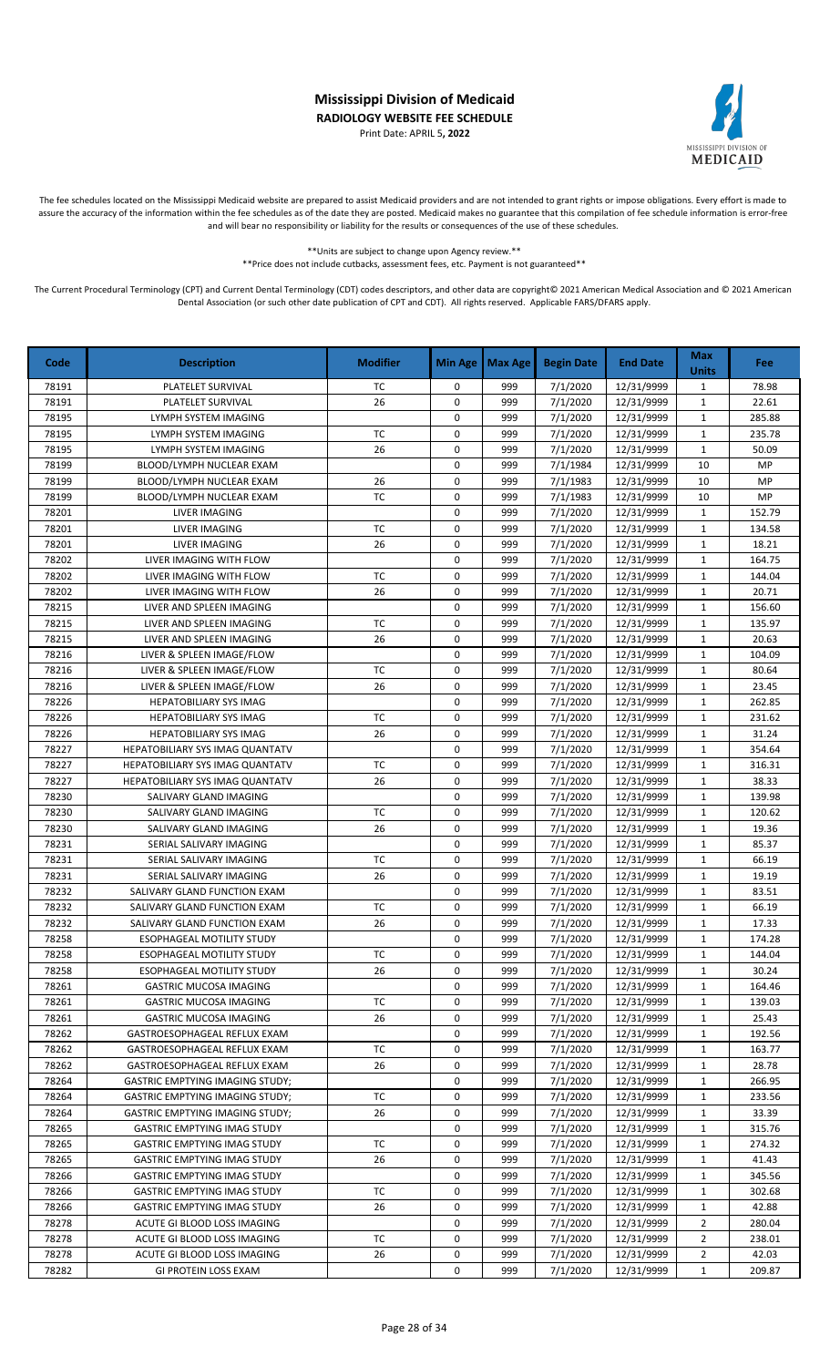Print Date: APRIL 5**, 2022**



The fee schedules located on the Mississippi Medicaid website are prepared to assist Medicaid providers and are not intended to grant rights or impose obligations. Every effort is made to assure the accuracy of the information within the fee schedules as of the date they are posted. Medicaid makes no guarantee that this compilation of fee schedule information is error-free and will bear no responsibility or liability for the results or consequences of the use of these schedules.

\*\*Units are subject to change upon Agency review.\*\*

\*\*Price does not include cutbacks, assessment fees, etc. Payment is not guaranteed\*\*

| Code  | <b>Description</b>                     | <b>Modifier</b> | <b>Min Age</b> | <b>Max Age</b> | <b>Begin Date</b> | <b>End Date</b> | <b>Max</b><br><b>Units</b> | Fee    |
|-------|----------------------------------------|-----------------|----------------|----------------|-------------------|-----------------|----------------------------|--------|
| 78191 | PLATELET SURVIVAL                      | TC              | $\mathbf 0$    | 999            | 7/1/2020          | 12/31/9999      | $\mathbf{1}$               | 78.98  |
| 78191 | PLATELET SURVIVAL                      | 26              | 0              | 999            | 7/1/2020          | 12/31/9999      | $\mathbf 1$                | 22.61  |
| 78195 | <b>LYMPH SYSTEM IMAGING</b>            |                 | 0              | 999            | 7/1/2020          | 12/31/9999      | $\mathbf{1}$               | 285.88 |
| 78195 | LYMPH SYSTEM IMAGING                   | <b>TC</b>       | $\mathbf 0$    | 999            | 7/1/2020          | 12/31/9999      | $\mathbf{1}$               | 235.78 |
| 78195 | LYMPH SYSTEM IMAGING                   | 26              | 0              | 999            | 7/1/2020          | 12/31/9999      | $\mathbf{1}$               | 50.09  |
| 78199 | BLOOD/LYMPH NUCLEAR EXAM               |                 | 0              | 999            | 7/1/1984          | 12/31/9999      | 10                         | MP     |
| 78199 | BLOOD/LYMPH NUCLEAR EXAM               | 26              | 0              | 999            | 7/1/1983          | 12/31/9999      | 10                         | MP     |
| 78199 | BLOOD/LYMPH NUCLEAR EXAM               | TC              | 0              | 999            | 7/1/1983          | 12/31/9999      | 10                         | MP     |
| 78201 | LIVER IMAGING                          |                 | $\mathbf 0$    | 999            | 7/1/2020          | 12/31/9999      | $\mathbf{1}$               | 152.79 |
| 78201 | LIVER IMAGING                          | <b>TC</b>       | 0              | 999            | 7/1/2020          | 12/31/9999      | $\mathbf{1}$               | 134.58 |
| 78201 | <b>LIVER IMAGING</b>                   | 26              | 0              | 999            | 7/1/2020          | 12/31/9999      | $\mathbf{1}$               | 18.21  |
| 78202 | LIVER IMAGING WITH FLOW                |                 | $\mathbf 0$    | 999            | 7/1/2020          | 12/31/9999      | $\mathbf 1$                | 164.75 |
| 78202 | LIVER IMAGING WITH FLOW                | ТC              | 0              | 999            | 7/1/2020          | 12/31/9999      | $\mathbf{1}$               | 144.04 |
| 78202 | LIVER IMAGING WITH FLOW                | 26              | $\pmb{0}$      | 999            | 7/1/2020          | 12/31/9999      | $\mathbf{1}$               | 20.71  |
| 78215 | LIVER AND SPLEEN IMAGING               |                 | 0              | 999            | 7/1/2020          | 12/31/9999      | $\mathbf{1}$               | 156.60 |
| 78215 | LIVER AND SPLEEN IMAGING               | TC              | 0              | 999            | 7/1/2020          | 12/31/9999      | $\mathbf{1}$               | 135.97 |
| 78215 | LIVER AND SPLEEN IMAGING               | 26              | 0              | 999            | 7/1/2020          | 12/31/9999      | $\mathbf{1}$               | 20.63  |
| 78216 | LIVER & SPLEEN IMAGE/FLOW              |                 | 0              | 999            | 7/1/2020          | 12/31/9999      | $\mathbf{1}$               | 104.09 |
| 78216 | LIVER & SPLEEN IMAGE/FLOW              | TC              | 0              | 999            | 7/1/2020          | 12/31/9999      | $\mathbf{1}$               | 80.64  |
| 78216 | LIVER & SPLEEN IMAGE/FLOW              | 26              | $\mathbf 0$    | 999            | 7/1/2020          | 12/31/9999      | $\mathbf{1}$               | 23.45  |
| 78226 | HEPATOBILIARY SYS IMAG                 |                 | 0              | 999            | 7/1/2020          | 12/31/9999      | $\mathbf{1}$               | 262.85 |
| 78226 | HEPATOBILIARY SYS IMAG                 | TC              | $\mathbf 0$    | 999            | 7/1/2020          | 12/31/9999      | $\mathbf{1}$               | 231.62 |
| 78226 | <b>HEPATOBILIARY SYS IMAG</b>          | 26              | 0              | 999            | 7/1/2020          | 12/31/9999      | $\mathbf{1}$               | 31.24  |
| 78227 | HEPATOBILIARY SYS IMAG QUANTATV        |                 | 0              | 999            | 7/1/2020          | 12/31/9999      | $\mathbf{1}$               | 354.64 |
| 78227 | HEPATOBILIARY SYS IMAG QUANTATV        | <b>TC</b>       | 0              | 999            | 7/1/2020          | 12/31/9999      | $\mathbf{1}$               | 316.31 |
| 78227 | HEPATOBILIARY SYS IMAG QUANTATV        | 26              | $\mathbf 0$    | 999            | 7/1/2020          | 12/31/9999      | $\mathbf{1}$               | 38.33  |
| 78230 | SALIVARY GLAND IMAGING                 |                 | $\pmb{0}$      | 999            | 7/1/2020          | 12/31/9999      | $\mathbf{1}$               | 139.98 |
| 78230 | SALIVARY GLAND IMAGING                 | TC              | 0              | 999            | 7/1/2020          | 12/31/9999      | $\mathbf{1}$               | 120.62 |
| 78230 | SALIVARY GLAND IMAGING                 | 26              | 0              | 999            | 7/1/2020          | 12/31/9999      | $\mathbf 1$                | 19.36  |
| 78231 | SERIAL SALIVARY IMAGING                |                 | $\mathbf 0$    | 999            | 7/1/2020          | 12/31/9999      | $\mathbf{1}$               | 85.37  |
| 78231 | SERIAL SALIVARY IMAGING                | <b>TC</b>       | $\pmb{0}$      | 999            | 7/1/2020          | 12/31/9999      | $\mathbf{1}$               | 66.19  |
| 78231 | SERIAL SALIVARY IMAGING                | 26              | 0              | 999            | 7/1/2020          | 12/31/9999      | $\mathbf{1}$               | 19.19  |
| 78232 | SALIVARY GLAND FUNCTION EXAM           |                 | 0              | 999            | 7/1/2020          | 12/31/9999      | $\mathbf{1}$               | 83.51  |
| 78232 | SALIVARY GLAND FUNCTION EXAM           | TC              | 0              | 999            | 7/1/2020          | 12/31/9999      | $\mathbf{1}$               | 66.19  |
| 78232 | SALIVARY GLAND FUNCTION EXAM           | 26              | 0              | 999            | 7/1/2020          | 12/31/9999      | $\mathbf{1}$               | 17.33  |
| 78258 | ESOPHAGEAL MOTILITY STUDY              |                 | 0              | 999            | 7/1/2020          | 12/31/9999      | $\mathbf{1}$               | 174.28 |
| 78258 | ESOPHAGEAL MOTILITY STUDY              | ТC              | 0              | 999            | 7/1/2020          | 12/31/9999      | 1                          | 144.04 |
| 78258 | ESOPHAGEAL MOTILITY STUDY              | 26              | 0              | 999            | 7/1/2020          | 12/31/9999      | $\mathbf{1}$               | 30.24  |
| 78261 | <b>GASTRIC MUCOSA IMAGING</b>          |                 | 0              | 999            | 7/1/2020          | 12/31/9999      | 1                          | 164.46 |
| 78261 | <b>GASTRIC MUCOSA IMAGING</b>          | ТC              | 0              | 999            | 7/1/2020          | 12/31/9999      | 1                          | 139.03 |
| 78261 | <b>GASTRIC MUCOSA IMAGING</b>          | 26              | 0              | 999            | 7/1/2020          | 12/31/9999      | $\mathbf{1}$               | 25.43  |
| 78262 | GASTROESOPHAGEAL REFLUX EXAM           |                 | 0              | 999            | 7/1/2020          | 12/31/9999      | $\mathbf{1}$               | 192.56 |
| 78262 | GASTROESOPHAGEAL REFLUX EXAM           | ТC              | 0              | 999            | 7/1/2020          | 12/31/9999      | $\mathbf{1}$               | 163.77 |
| 78262 | GASTROESOPHAGEAL REFLUX EXAM           | 26              | 0              | 999            | 7/1/2020          | 12/31/9999      | 1                          | 28.78  |
| 78264 | <b>GASTRIC EMPTYING IMAGING STUDY;</b> |                 | 0              | 999            | 7/1/2020          | 12/31/9999      | $\mathbf{1}$               | 266.95 |
| 78264 | <b>GASTRIC EMPTYING IMAGING STUDY;</b> | тс              | 0              | 999            | 7/1/2020          | 12/31/9999      | $\mathbf{1}$               | 233.56 |
| 78264 | <b>GASTRIC EMPTYING IMAGING STUDY;</b> | 26              | 0              | 999            | 7/1/2020          | 12/31/9999      | $\mathbf{1}$               | 33.39  |
| 78265 | <b>GASTRIC EMPTYING IMAG STUDY</b>     |                 | 0              | 999            | 7/1/2020          | 12/31/9999      | $\mathbf{1}$               | 315.76 |
| 78265 | <b>GASTRIC EMPTYING IMAG STUDY</b>     | ТC              | 0              | 999            | 7/1/2020          | 12/31/9999      | $\mathbf{1}$               | 274.32 |
| 78265 | <b>GASTRIC EMPTYING IMAG STUDY</b>     | 26              | 0              | 999            | 7/1/2020          | 12/31/9999      | $\mathbf{1}$               | 41.43  |
| 78266 | <b>GASTRIC EMPTYING IMAG STUDY</b>     |                 | 0              | 999            | 7/1/2020          | 12/31/9999      | $\mathbf{1}$               | 345.56 |
| 78266 | <b>GASTRIC EMPTYING IMAG STUDY</b>     | ТC              | 0              | 999            | 7/1/2020          | 12/31/9999      | $\mathbf{1}$               | 302.68 |
| 78266 | <b>GASTRIC EMPTYING IMAG STUDY</b>     | 26              | 0              | 999            | 7/1/2020          | 12/31/9999      | 1                          | 42.88  |
| 78278 | ACUTE GI BLOOD LOSS IMAGING            |                 | 0              | 999            | 7/1/2020          | 12/31/9999      | $\overline{2}$             | 280.04 |
| 78278 | ACUTE GI BLOOD LOSS IMAGING            | ТC              | 0              | 999            | 7/1/2020          | 12/31/9999      | 2                          | 238.01 |
| 78278 | ACUTE GI BLOOD LOSS IMAGING            | 26              | 0              | 999            | 7/1/2020          | 12/31/9999      | 2                          | 42.03  |
| 78282 | GI PROTEIN LOSS EXAM                   |                 | 0              | 999            | 7/1/2020          | 12/31/9999      | $\mathbf{1}$               | 209.87 |
|       |                                        |                 |                |                |                   |                 |                            |        |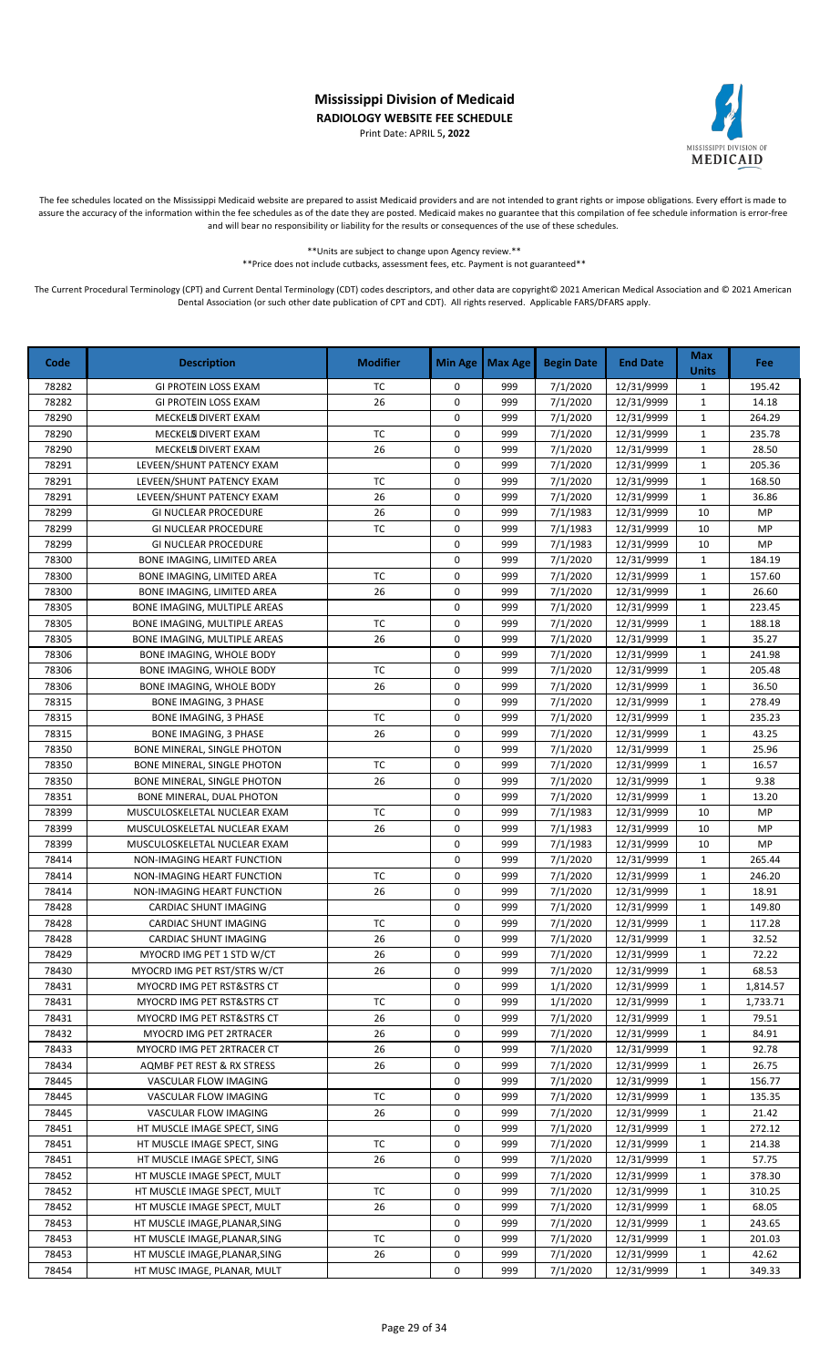Print Date: APRIL 5**, 2022**



The fee schedules located on the Mississippi Medicaid website are prepared to assist Medicaid providers and are not intended to grant rights or impose obligations. Every effort is made to assure the accuracy of the information within the fee schedules as of the date they are posted. Medicaid makes no guarantee that this compilation of fee schedule information is error-free and will bear no responsibility or liability for the results or consequences of the use of these schedules.

> \*\*Units are subject to change upon Agency review.\*\* \*\*Price does not include cutbacks, assessment fees, etc. Payment is not guaranteed\*\*

| Code  | <b>Description</b>            | <b>Modifier</b> | Min Age     | <b>Max Age</b> | <b>Begin Date</b> | <b>End Date</b> | <b>Max</b><br><b>Units</b> | Fee      |
|-------|-------------------------------|-----------------|-------------|----------------|-------------------|-----------------|----------------------------|----------|
| 78282 | <b>GI PROTEIN LOSS EXAM</b>   | TC              | 0           | 999            | 7/1/2020          | 12/31/9999      | $\mathbf{1}$               | 195.42   |
| 78282 | <b>GI PROTEIN LOSS EXAM</b>   | 26              | 0           | 999            | 7/1/2020          | 12/31/9999      | $\mathbf{1}$               | 14.18    |
| 78290 | MECKELS DIVERT EXAM           |                 | 0           | 999            | 7/1/2020          | 12/31/9999      | $\mathbf{1}$               | 264.29   |
| 78290 | MECKELS DIVERT EXAM           | ТC              | 0           | 999            | 7/1/2020          | 12/31/9999      | $\mathbf{1}$               | 235.78   |
| 78290 | MECKELS DIVERT EXAM           | 26              | $\mathbf 0$ | 999            | 7/1/2020          | 12/31/9999      | $\mathbf{1}$               | 28.50    |
| 78291 | LEVEEN/SHUNT PATENCY EXAM     |                 | 0           | 999            | 7/1/2020          | 12/31/9999      | $\mathbf{1}$               | 205.36   |
| 78291 | LEVEEN/SHUNT PATENCY EXAM     | TC              | 0           | 999            | 7/1/2020          | 12/31/9999      | 1                          | 168.50   |
| 78291 | LEVEEN/SHUNT PATENCY EXAM     | 26              | 0           | 999            | 7/1/2020          | 12/31/9999      | $\mathbf{1}$               | 36.86    |
| 78299 | <b>GI NUCLEAR PROCEDURE</b>   | 26              | 0           | 999            | 7/1/1983          | 12/31/9999      | 10                         | MP       |
| 78299 | GI NUCLEAR PROCEDURE          | TC              | 0           | 999            | 7/1/1983          | 12/31/9999      | 10                         | MP       |
| 78299 | <b>GI NUCLEAR PROCEDURE</b>   |                 | 0           | 999            | 7/1/1983          | 12/31/9999      | 10                         | MP       |
| 78300 | BONE IMAGING, LIMITED AREA    |                 | 0           | 999            | 7/1/2020          | 12/31/9999      | 1                          | 184.19   |
| 78300 | BONE IMAGING, LIMITED AREA    | <b>TC</b>       | 0           | 999            | 7/1/2020          | 12/31/9999      | $\mathbf{1}$               | 157.60   |
| 78300 | BONE IMAGING, LIMITED AREA    | 26              | 0           | 999            | 7/1/2020          | 12/31/9999      | $\mathbf{1}$               | 26.60    |
| 78305 | BONE IMAGING, MULTIPLE AREAS  |                 | $\mathsf 0$ | 999            | 7/1/2020          | 12/31/9999      | $\mathbf{1}$               | 223.45   |
| 78305 | BONE IMAGING, MULTIPLE AREAS  | TC              | 0           | 999            | 7/1/2020          | 12/31/9999      | $\mathbf{1}$               | 188.18   |
| 78305 | BONE IMAGING, MULTIPLE AREAS  | 26              | 0           | 999            | 7/1/2020          | 12/31/9999      | $\mathbf{1}$               | 35.27    |
| 78306 | BONE IMAGING, WHOLE BODY      |                 | 0           | 999            | 7/1/2020          | 12/31/9999      | $\mathbf{1}$               | 241.98   |
| 78306 | BONE IMAGING, WHOLE BODY      | TC              | 0           | 999            | 7/1/2020          | 12/31/9999      | $\mathbf{1}$               | 205.48   |
| 78306 | BONE IMAGING, WHOLE BODY      | 26              | 0           | 999            | 7/1/2020          | 12/31/9999      | 1                          | 36.50    |
| 78315 | <b>BONE IMAGING, 3 PHASE</b>  |                 | 0           | 999            | 7/1/2020          | 12/31/9999      | $\mathbf{1}$               | 278.49   |
| 78315 | <b>BONE IMAGING, 3 PHASE</b>  | ТC              | 0           | 999            | 7/1/2020          | 12/31/9999      | $\mathbf{1}$               | 235.23   |
| 78315 | <b>BONE IMAGING, 3 PHASE</b>  | 26              | 0           | 999            | 7/1/2020          | 12/31/9999      | $\mathbf{1}$               | 43.25    |
| 78350 | BONE MINERAL, SINGLE PHOTON   |                 | 0           | 999            | 7/1/2020          | 12/31/9999      | $\mathbf{1}$               | 25.96    |
| 78350 | BONE MINERAL, SINGLE PHOTON   | <b>TC</b>       | 0           | 999            | 7/1/2020          | 12/31/9999      | $\mathbf{1}$               | 16.57    |
| 78350 | BONE MINERAL, SINGLE PHOTON   | 26              | 0           | 999            | 7/1/2020          | 12/31/9999      | $\mathbf{1}$               | 9.38     |
| 78351 | BONE MINERAL, DUAL PHOTON     |                 | $\mathbf 0$ | 999            | 7/1/2020          | 12/31/9999      | $\mathbf{1}$               | 13.20    |
| 78399 | MUSCULOSKELETAL NUCLEAR EXAM  | TC              | $\mathbf 0$ | 999            | 7/1/1983          | 12/31/9999      | 10                         | MP       |
| 78399 | MUSCULOSKELETAL NUCLEAR EXAM  | 26              | 0           | 999            | 7/1/1983          | 12/31/9999      | 10                         | MP       |
| 78399 | MUSCULOSKELETAL NUCLEAR EXAM  |                 | $\mathbf 0$ | 999            | 7/1/1983          | 12/31/9999      | 10                         | MP       |
| 78414 | NON-IMAGING HEART FUNCTION    |                 | $\mathbf 0$ | 999            | 7/1/2020          | 12/31/9999      | $\mathbf{1}$               | 265.44   |
| 78414 | NON-IMAGING HEART FUNCTION    | <b>TC</b>       | 0           | 999            | 7/1/2020          | 12/31/9999      | $\mathbf{1}$               | 246.20   |
| 78414 | NON-IMAGING HEART FUNCTION    | 26              | 0           | 999            | 7/1/2020          | 12/31/9999      | $\mathbf{1}$               | 18.91    |
| 78428 | CARDIAC SHUNT IMAGING         |                 | 0           | 999            | 7/1/2020          | 12/31/9999      | $\mathbf{1}$               | 149.80   |
| 78428 | CARDIAC SHUNT IMAGING         | ТC              | 0           | 999            | 7/1/2020          | 12/31/9999      | $\mathbf{1}$               | 117.28   |
| 78428 | CARDIAC SHUNT IMAGING         | 26              | 0           | 999            | 7/1/2020          | 12/31/9999      | $\mathbf{1}$               | 32.52    |
| 78429 | MYOCRD IMG PET 1 STD W/CT     | 26              | 0           | 999            | 7/1/2020          | 12/31/9999      | 1                          | 72.22    |
| 78430 | MYOCRD IMG PET RST/STRS W/CT  | 26              | 0           | 999            | 7/1/2020          | 12/31/9999      | 1                          | 68.53    |
| 78431 | MYOCRD IMG PET RST&STRS CT    |                 | 0           | 999            | 1/1/2020          | 12/31/9999      | $\mathbf{1}$               | 1,814.57 |
| 78431 | MYOCRD IMG PET RST&STRS CT    | ТC              | 0           | 999            | 1/1/2020          | 12/31/9999      | $\mathbf{1}$               | 1,733.71 |
| 78431 | MYOCRD IMG PET RST&STRS CT    | 26              | 0           | 999            | 7/1/2020          | 12/31/9999      | 1                          | 79.51    |
| 78432 | MYOCRD IMG PET 2RTRACER       | 26              | 0           | 999            | 7/1/2020          | 12/31/9999      | 1                          | 84.91    |
| 78433 | MYOCRD IMG PET 2RTRACER CT    | 26              | 0           | 999            | 7/1/2020          | 12/31/9999      | 1                          | 92.78    |
| 78434 | AQMBF PET REST & RX STRESS    | 26              | 0           | 999            | 7/1/2020          | 12/31/9999      | 1                          | 26.75    |
| 78445 | VASCULAR FLOW IMAGING         |                 | 0           | 999            | 7/1/2020          | 12/31/9999      | 1                          | 156.77   |
| 78445 | VASCULAR FLOW IMAGING         | ТC              | 0           | 999            | 7/1/2020          | 12/31/9999      | $\mathbf{1}$               | 135.35   |
| 78445 | VASCULAR FLOW IMAGING         | 26              | 0           | 999            | 7/1/2020          | 12/31/9999      | 1                          | 21.42    |
| 78451 | HT MUSCLE IMAGE SPECT, SING   |                 | 0           | 999            | 7/1/2020          | 12/31/9999      | 1                          | 272.12   |
| 78451 | HT MUSCLE IMAGE SPECT, SING   | TC              | 0           | 999            | 7/1/2020          | 12/31/9999      | $\mathbf{1}$               | 214.38   |
| 78451 | HT MUSCLE IMAGE SPECT, SING   | 26              | 0           | 999            | 7/1/2020          | 12/31/9999      | 1                          | 57.75    |
| 78452 | HT MUSCLE IMAGE SPECT, MULT   |                 | 0           | 999            | 7/1/2020          | 12/31/9999      | $\mathbf{1}$               | 378.30   |
| 78452 | HT MUSCLE IMAGE SPECT, MULT   | ТC              | 0           | 999            | 7/1/2020          | 12/31/9999      | 1                          | 310.25   |
| 78452 | HT MUSCLE IMAGE SPECT, MULT   | 26              | 0           | 999            | 7/1/2020          | 12/31/9999      | 1                          | 68.05    |
| 78453 | HT MUSCLE IMAGE, PLANAR, SING |                 | 0           | 999            | 7/1/2020          | 12/31/9999      | 1                          | 243.65   |
| 78453 | HT MUSCLE IMAGE, PLANAR, SING | ТC              | 0           | 999            | 7/1/2020          | 12/31/9999      | $\mathbf{1}$               | 201.03   |
| 78453 | HT MUSCLE IMAGE, PLANAR, SING | 26              | 0           | 999            | 7/1/2020          | 12/31/9999      | $\mathbf{1}$               | 42.62    |
| 78454 | HT MUSC IMAGE, PLANAR, MULT   |                 | 0           | 999            | 7/1/2020          | 12/31/9999      | $\mathbf{1}$               | 349.33   |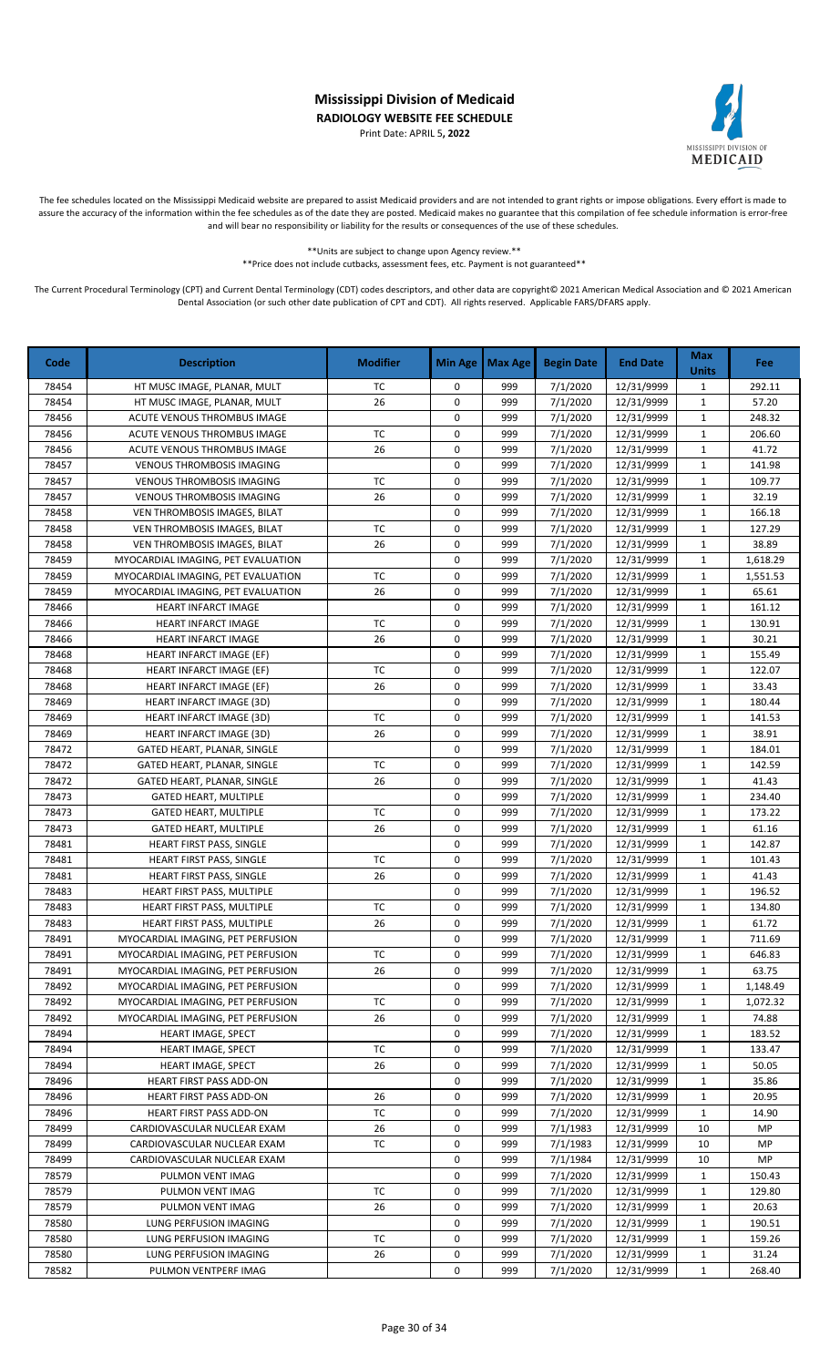Print Date: APRIL 5**, 2022**



The fee schedules located on the Mississippi Medicaid website are prepared to assist Medicaid providers and are not intended to grant rights or impose obligations. Every effort is made to assure the accuracy of the information within the fee schedules as of the date they are posted. Medicaid makes no guarantee that this compilation of fee schedule information is error-free and will bear no responsibility or liability for the results or consequences of the use of these schedules.

> \*\*Units are subject to change upon Agency review.\*\* \*\*Price does not include cutbacks, assessment fees, etc. Payment is not guaranteed\*\*

| Code  | <b>Description</b>                 | <b>Modifier</b> | Min Age     | Max Age | <b>Begin Date</b> | <b>End Date</b> | <b>Max</b><br><b>Units</b> | Fee      |
|-------|------------------------------------|-----------------|-------------|---------|-------------------|-----------------|----------------------------|----------|
| 78454 | HT MUSC IMAGE, PLANAR, MULT        | TC              | 0           | 999     | 7/1/2020          | 12/31/9999      | $\mathbf{1}$               | 292.11   |
| 78454 | HT MUSC IMAGE, PLANAR, MULT        | 26              | $\mathbf 0$ | 999     | 7/1/2020          | 12/31/9999      | $\mathbf{1}$               | 57.20    |
| 78456 | ACUTE VENOUS THROMBUS IMAGE        |                 | $\mathbf 0$ | 999     | 7/1/2020          | 12/31/9999      | $\mathbf{1}$               | 248.32   |
| 78456 | ACUTE VENOUS THROMBUS IMAGE        | <b>TC</b>       | 0           | 999     | 7/1/2020          | 12/31/9999      | $\mathbf{1}$               | 206.60   |
| 78456 | ACUTE VENOUS THROMBUS IMAGE        | 26              | $\mathbf 0$ | 999     | 7/1/2020          | 12/31/9999      | $\mathbf{1}$               | 41.72    |
| 78457 | <b>VENOUS THROMBOSIS IMAGING</b>   |                 | 0           | 999     | 7/1/2020          | 12/31/9999      | $\mathbf{1}$               | 141.98   |
| 78457 | <b>VENOUS THROMBOSIS IMAGING</b>   | <b>TC</b>       | $\mathbf 0$ | 999     | 7/1/2020          | 12/31/9999      | 1                          | 109.77   |
| 78457 | <b>VENOUS THROMBOSIS IMAGING</b>   | 26              | $\mathbf 0$ | 999     | 7/1/2020          | 12/31/9999      | 1                          | 32.19    |
| 78458 | VEN THROMBOSIS IMAGES, BILAT       |                 | $\mathbf 0$ | 999     | 7/1/2020          | 12/31/9999      | $\mathbf{1}$               | 166.18   |
| 78458 | VEN THROMBOSIS IMAGES, BILAT       | <b>TC</b>       | $\mathbf 0$ | 999     | 7/1/2020          | 12/31/9999      | $\mathbf{1}$               | 127.29   |
| 78458 | VEN THROMBOSIS IMAGES, BILAT       | 26              | $\pmb{0}$   | 999     | 7/1/2020          | 12/31/9999      | $\mathbf{1}$               | 38.89    |
| 78459 | MYOCARDIAL IMAGING, PET EVALUATION |                 | $\mathbf 0$ | 999     | 7/1/2020          | 12/31/9999      | $\mathbf{1}$               | 1,618.29 |
| 78459 | MYOCARDIAL IMAGING, PET EVALUATION | <b>TC</b>       | $\mathbf 0$ | 999     | 7/1/2020          | 12/31/9999      | $\mathbf 1$                | 1,551.53 |
| 78459 | MYOCARDIAL IMAGING, PET EVALUATION | 26              | $\mathbf 0$ | 999     | 7/1/2020          | 12/31/9999      | $\mathbf{1}$               | 65.61    |
| 78466 | HEART INFARCT IMAGE                |                 | $\mathbf 0$ | 999     | 7/1/2020          | 12/31/9999      | $\mathbf{1}$               | 161.12   |
| 78466 | <b>HEART INFARCT IMAGE</b>         | <b>TC</b>       | $\mathbf 0$ | 999     | 7/1/2020          | 12/31/9999      | $\mathbf{1}$               | 130.91   |
| 78466 | <b>HEART INFARCT IMAGE</b>         | 26              | $\mathbf 0$ | 999     | 7/1/2020          | 12/31/9999      | $\mathbf 1$                | 30.21    |
| 78468 | HEART INFARCT IMAGE (EF)           |                 | $\mathbf 0$ | 999     | 7/1/2020          | 12/31/9999      | $\mathbf{1}$               | 155.49   |
| 78468 | HEART INFARCT IMAGE (EF)           | <b>TC</b>       | $\mathbf 0$ | 999     | 7/1/2020          | 12/31/9999      | $\mathbf{1}$               | 122.07   |
| 78468 | HEART INFARCT IMAGE (EF)           | 26              | $\mathbf 0$ | 999     | 7/1/2020          | 12/31/9999      | 1                          | 33.43    |
| 78469 | <b>HEART INFARCT IMAGE (3D)</b>    |                 | $\mathbf 0$ | 999     | 7/1/2020          | 12/31/9999      | $\mathbf{1}$               | 180.44   |
| 78469 | <b>HEART INFARCT IMAGE (3D)</b>    | <b>TC</b>       | 0           | 999     | 7/1/2020          | 12/31/9999      | $\mathbf{1}$               | 141.53   |
| 78469 | <b>HEART INFARCT IMAGE (3D)</b>    | 26              | $\mathbf 0$ | 999     | 7/1/2020          | 12/31/9999      | $\mathbf{1}$               | 38.91    |
| 78472 | GATED HEART, PLANAR, SINGLE        |                 | $\mathbf 0$ | 999     | 7/1/2020          | 12/31/9999      | $\mathbf{1}$               | 184.01   |
| 78472 | GATED HEART, PLANAR, SINGLE        | <b>TC</b>       | $\mathbf 0$ | 999     | 7/1/2020          | 12/31/9999      | $\mathbf{1}$               | 142.59   |
| 78472 | GATED HEART, PLANAR, SINGLE        | 26              | $\mathbf 0$ | 999     | 7/1/2020          | 12/31/9999      | $\mathbf{1}$               | 41.43    |
| 78473 | <b>GATED HEART, MULTIPLE</b>       |                 | $\mathbf 0$ | 999     | 7/1/2020          | 12/31/9999      | $\mathbf{1}$               | 234.40   |
| 78473 | <b>GATED HEART, MULTIPLE</b>       | <b>TC</b>       | $\mathbf 0$ | 999     | 7/1/2020          | 12/31/9999      | $\mathbf 1$                | 173.22   |
| 78473 | <b>GATED HEART, MULTIPLE</b>       | 26              | 0           | 999     | 7/1/2020          | 12/31/9999      | $1\,$                      | 61.16    |
| 78481 | HEART FIRST PASS, SINGLE           |                 | $\mathbf 0$ | 999     | 7/1/2020          | 12/31/9999      | $\mathbf{1}$               | 142.87   |
| 78481 | HEART FIRST PASS, SINGLE           | ТC              | 0           | 999     | 7/1/2020          | 12/31/9999      | $\mathbf{1}$               | 101.43   |
| 78481 | HEART FIRST PASS, SINGLE           | 26              | $\mathbf 0$ | 999     | 7/1/2020          | 12/31/9999      | $\mathbf{1}$               | 41.43    |
| 78483 | HEART FIRST PASS, MULTIPLE         |                 | $\mathbf 0$ | 999     | 7/1/2020          | 12/31/9999      | $\mathbf{1}$               | 196.52   |
| 78483 | HEART FIRST PASS, MULTIPLE         | <b>TC</b>       | 0           | 999     | 7/1/2020          | 12/31/9999      | $\mathbf{1}$               | 134.80   |
| 78483 | HEART FIRST PASS, MULTIPLE         | 26              | $\mathbf 0$ | 999     | 7/1/2020          | 12/31/9999      | $\mathbf{1}$               | 61.72    |
| 78491 | MYOCARDIAL IMAGING, PET PERFUSION  |                 | $\mathbf 0$ | 999     | 7/1/2020          | 12/31/9999      | $\mathbf{1}$               | 711.69   |
| 78491 | MYOCARDIAL IMAGING, PET PERFUSION  | тc              | 0           | 999     | 7/1/2020          | 12/31/9999      | 1                          | 646.83   |
| 78491 | MYOCARDIAL IMAGING, PET PERFUSION  | 26              | 0           | 999     | 7/1/2020          | 12/31/9999      | $\mathbf{1}$               | 63.75    |
| 78492 | MYOCARDIAL IMAGING, PET PERFUSION  |                 | 0           | 999     | 7/1/2020          | 12/31/9999      | 1                          | 1,148.49 |
| 78492 | MYOCARDIAL IMAGING, PET PERFUSION  | TC              | 0           | 999     | 7/1/2020          | 12/31/9999      | $\mathbf{1}$               | 1,072.32 |
| 78492 | MYOCARDIAL IMAGING, PET PERFUSION  | 26              | 0           | 999     | 7/1/2020          | 12/31/9999      | 1                          | 74.88    |
| 78494 | HEART IMAGE, SPECT                 |                 | 0           | 999     | 7/1/2020          | 12/31/9999      | 1                          | 183.52   |
| 78494 | HEART IMAGE, SPECT                 | тс              | 0           | 999     | 7/1/2020          | 12/31/9999      | 1                          | 133.47   |
| 78494 | HEART IMAGE, SPECT                 | 26              | 0           | 999     | 7/1/2020          | 12/31/9999      | 1                          | 50.05    |
| 78496 | HEART FIRST PASS ADD-ON            |                 | 0           | 999     | 7/1/2020          | 12/31/9999      | 1                          | 35.86    |
| 78496 | <b>HEART FIRST PASS ADD-ON</b>     | 26              | 0           | 999     | 7/1/2020          | 12/31/9999      | $\mathbf{1}$               | 20.95    |
| 78496 | HEART FIRST PASS ADD-ON            | ТC              | 0           | 999     | 7/1/2020          | 12/31/9999      | 1                          | 14.90    |
| 78499 | CARDIOVASCULAR NUCLEAR EXAM        | 26              | 0           | 999     | 7/1/1983          | 12/31/9999      | 10                         | MP.      |
| 78499 | CARDIOVASCULAR NUCLEAR EXAM        | TC              | 0           | 999     | 7/1/1983          | 12/31/9999      | 10                         | MP       |
| 78499 | CARDIOVASCULAR NUCLEAR EXAM        |                 | 0           | 999     | 7/1/1984          | 12/31/9999      | 10                         | MP       |
| 78579 | PULMON VENT IMAG                   |                 | 0           | 999     | 7/1/2020          | 12/31/9999      | $\mathbf{1}$               | 150.43   |
| 78579 | PULMON VENT IMAG                   | ТC              | 0           | 999     | 7/1/2020          | 12/31/9999      | 1                          | 129.80   |
| 78579 | PULMON VENT IMAG                   | 26              | 0           | 999     | 7/1/2020          | 12/31/9999      | $\mathbf{1}$               | 20.63    |
| 78580 | LUNG PERFUSION IMAGING             |                 | 0           | 999     | 7/1/2020          | 12/31/9999      | 1                          | 190.51   |
| 78580 | LUNG PERFUSION IMAGING             | ТC              | 0           | 999     | 7/1/2020          | 12/31/9999      | $\mathbf{1}$               | 159.26   |
| 78580 | LUNG PERFUSION IMAGING             | 26              | 0           | 999     | 7/1/2020          | 12/31/9999      | 1                          | 31.24    |
| 78582 | PULMON VENTPERF IMAG               |                 | 0           | 999     | 7/1/2020          | 12/31/9999      | $\mathbf{1}$               | 268.40   |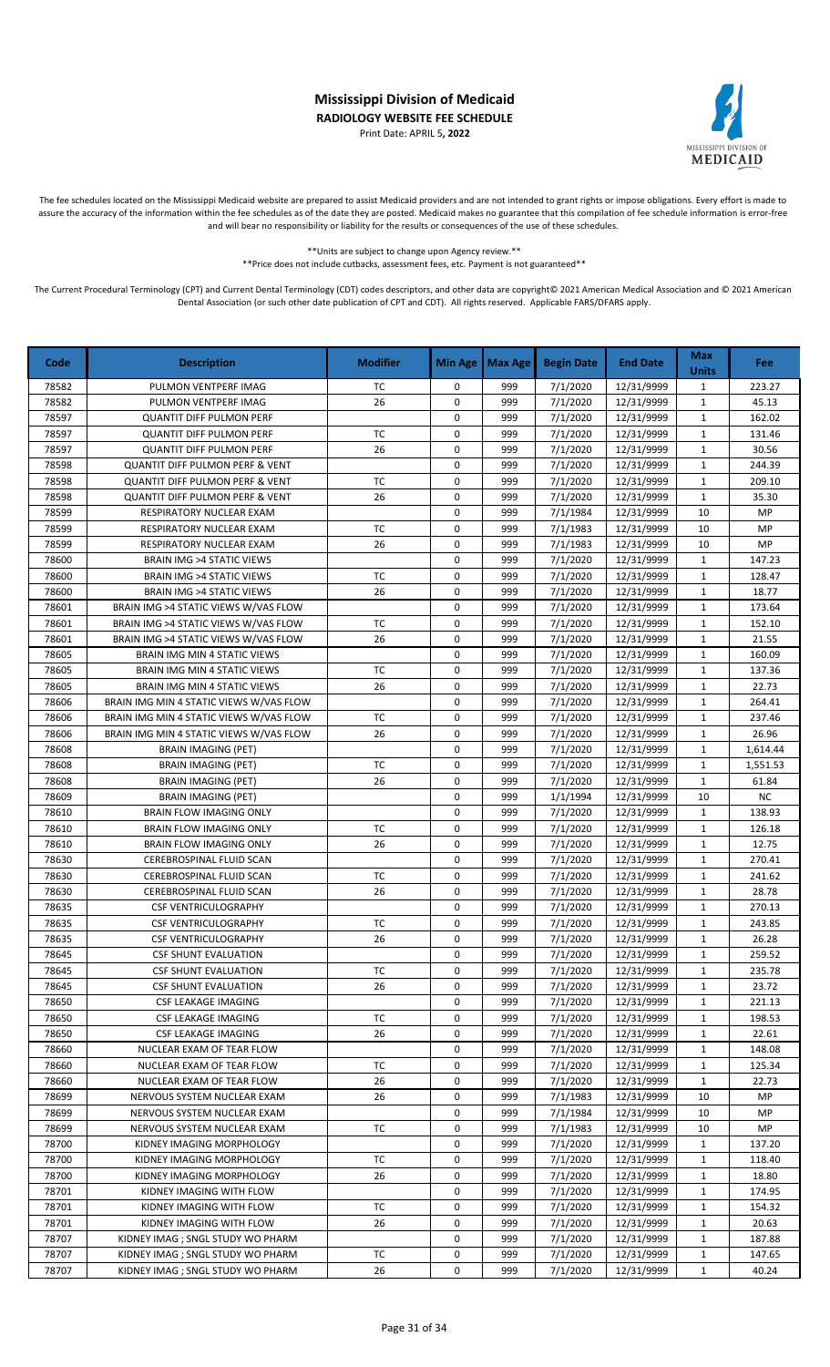Print Date: APRIL 5**, 2022**



The fee schedules located on the Mississippi Medicaid website are prepared to assist Medicaid providers and are not intended to grant rights or impose obligations. Every effort is made to assure the accuracy of the information within the fee schedules as of the date they are posted. Medicaid makes no guarantee that this compilation of fee schedule information is error-free and will bear no responsibility or liability for the results or consequences of the use of these schedules.

> \*\*Units are subject to change upon Agency review.\*\* \*\*Price does not include cutbacks, assessment fees, etc. Payment is not guaranteed\*\*

| Code  | <b>Description</b>                         | <b>Modifier</b> | Min Age     | <b>Max Age</b> | <b>Begin Date</b> | <b>End Date</b> | <b>Max</b><br><b>Units</b> | Fee       |
|-------|--------------------------------------------|-----------------|-------------|----------------|-------------------|-----------------|----------------------------|-----------|
| 78582 | PULMON VENTPERF IMAG                       | TC              | 0           | 999            | 7/1/2020          | 12/31/9999      | $\mathbf{1}$               | 223.27    |
| 78582 | PULMON VENTPERF IMAG                       | 26              | 0           | 999            | 7/1/2020          | 12/31/9999      | $\mathbf{1}$               | 45.13     |
| 78597 | <b>QUANTIT DIFF PULMON PERF</b>            |                 | 0           | 999            | 7/1/2020          | 12/31/9999      | $\mathbf{1}$               | 162.02    |
| 78597 | <b>QUANTIT DIFF PULMON PERF</b>            | <b>TC</b>       | 0           | 999            | 7/1/2020          | 12/31/9999      | 1                          | 131.46    |
| 78597 | <b>QUANTIT DIFF PULMON PERF</b>            | 26              | $\mathbf 0$ | 999            | 7/1/2020          | 12/31/9999      | $\mathbf{1}$               | 30.56     |
| 78598 | <b>QUANTIT DIFF PULMON PERF &amp; VENT</b> |                 | 0           | 999            | 7/1/2020          | 12/31/9999      | $\mathbf{1}$               | 244.39    |
| 78598 | <b>QUANTIT DIFF PULMON PERF &amp; VENT</b> | <b>TC</b>       | 0           | 999            | 7/1/2020          | 12/31/9999      | 1                          | 209.10    |
| 78598 | <b>QUANTIT DIFF PULMON PERF &amp; VENT</b> | 26              | 0           | 999            | 7/1/2020          | 12/31/9999      | $\mathbf{1}$               | 35.30     |
| 78599 | RESPIRATORY NUCLEAR EXAM                   |                 | 0           | 999            | 7/1/1984          | 12/31/9999      | 10                         | MP        |
| 78599 | RESPIRATORY NUCLEAR EXAM                   | TC              | 0           | 999            | 7/1/1983          | 12/31/9999      | 10                         | MP        |
| 78599 | RESPIRATORY NUCLEAR EXAM                   | 26              | 0           | 999            | 7/1/1983          | 12/31/9999      | 10                         | <b>MP</b> |
| 78600 | <b>BRAIN IMG &gt;4 STATIC VIEWS</b>        |                 | 0           | 999            | 7/1/2020          | 12/31/9999      | 1                          | 147.23    |
| 78600 | <b>BRAIN IMG &gt;4 STATIC VIEWS</b>        | <b>TC</b>       | 0           | 999            | 7/1/2020          | 12/31/9999      | $\mathbf{1}$               | 128.47    |
| 78600 | <b>BRAIN IMG &gt;4 STATIC VIEWS</b>        | 26              | 0           | 999            | 7/1/2020          | 12/31/9999      | $\mathbf{1}$               | 18.77     |
| 78601 | BRAIN IMG >4 STATIC VIEWS W/VAS FLOW       |                 | $\mathsf 0$ | 999            | 7/1/2020          | 12/31/9999      | $\mathbf{1}$               | 173.64    |
| 78601 | BRAIN IMG >4 STATIC VIEWS W/VAS FLOW       | TC              | 0           | 999            | 7/1/2020          | 12/31/9999      | $\mathbf{1}$               | 152.10    |
| 78601 | BRAIN IMG >4 STATIC VIEWS W/VAS FLOW       | 26              | 0           | 999            | 7/1/2020          | 12/31/9999      | $\mathbf{1}$               | 21.55     |
| 78605 | BRAIN IMG MIN 4 STATIC VIEWS               |                 | 0           | 999            | 7/1/2020          | 12/31/9999      | $\mathbf{1}$               | 160.09    |
| 78605 | BRAIN IMG MIN 4 STATIC VIEWS               | <b>TC</b>       | 0           | 999            | 7/1/2020          | 12/31/9999      | $\mathbf{1}$               | 137.36    |
| 78605 | <b>BRAIN IMG MIN 4 STATIC VIEWS</b>        | 26              | 0           | 999            | 7/1/2020          | 12/31/9999      | 1                          | 22.73     |
| 78606 | BRAIN IMG MIN 4 STATIC VIEWS W/VAS FLOW    |                 | 0           | 999            | 7/1/2020          | 12/31/9999      | $\mathbf{1}$               | 264.41    |
| 78606 | BRAIN IMG MIN 4 STATIC VIEWS W/VAS FLOW    | TC              | 0           | 999            | 7/1/2020          | 12/31/9999      | $\mathbf{1}$               | 237.46    |
| 78606 | BRAIN IMG MIN 4 STATIC VIEWS W/VAS FLOW    | 26              | 0           | 999            | 7/1/2020          | 12/31/9999      | $\mathbf{1}$               | 26.96     |
| 78608 | BRAIN IMAGING (PET)                        |                 | 0           | 999            | 7/1/2020          | 12/31/9999      | $\mathbf{1}$               | 1,614.44  |
| 78608 | <b>BRAIN IMAGING (PET)</b>                 | <b>TC</b>       | 0           | 999            | 7/1/2020          | 12/31/9999      | $\mathbf{1}$               | 1,551.53  |
| 78608 | <b>BRAIN IMAGING (PET)</b>                 | 26              | 0           | 999            | 7/1/2020          | 12/31/9999      | $\mathbf{1}$               | 61.84     |
| 78609 | <b>BRAIN IMAGING (PET)</b>                 |                 | $\mathbf 0$ | 999            | 1/1/1994          | 12/31/9999      | 10                         | <b>NC</b> |
| 78610 | <b>BRAIN FLOW IMAGING ONLY</b>             |                 | 0           | 999            | 7/1/2020          | 12/31/9999      | $\mathbf{1}$               | 138.93    |
| 78610 | <b>BRAIN FLOW IMAGING ONLY</b>             | TC              | 0           | 999            | 7/1/2020          | 12/31/9999      | $\mathbf{1}$               | 126.18    |
| 78610 | <b>BRAIN FLOW IMAGING ONLY</b>             | 26              | 0           | 999            | 7/1/2020          | 12/31/9999      | $\mathbf{1}$               | 12.75     |
| 78630 | CEREBROSPINAL FLUID SCAN                   |                 | 0           | 999            | 7/1/2020          | 12/31/9999      | $\mathbf{1}$               | 270.41    |
| 78630 | CEREBROSPINAL FLUID SCAN                   | <b>TC</b>       | 0           | 999            | 7/1/2020          | 12/31/9999      | $\mathbf{1}$               | 241.62    |
| 78630 | CEREBROSPINAL FLUID SCAN                   | 26              | 0           | 999            | 7/1/2020          | 12/31/9999      | $\mathbf{1}$               | 28.78     |
| 78635 | <b>CSF VENTRICULOGRAPHY</b>                |                 | 0           | 999            | 7/1/2020          | 12/31/9999      | $\mathbf{1}$               | 270.13    |
| 78635 | <b>CSF VENTRICULOGRAPHY</b>                | TC              | 0           | 999            | 7/1/2020          | 12/31/9999      | $\mathbf{1}$               | 243.85    |
| 78635 | <b>CSF VENTRICULOGRAPHY</b>                | 26              | 0           | 999            | 7/1/2020          | 12/31/9999      | $\mathbf{1}$               | 26.28     |
| 78645 | <b>CSF SHUNT EVALUATION</b>                |                 | 0           | 999            | 7/1/2020          | 12/31/9999      | 1                          | 259.52    |
| 78645 | <b>CSF SHUNT EVALUATION</b>                | ТC              | 0           | 999            | 7/1/2020          | 12/31/9999      | $\mathbf{1}$               | 235.78    |
| 78645 | <b>CSF SHUNT EVALUATION</b>                | 26              | 0           | 999            | 7/1/2020          | 12/31/9999      | $\mathbf{1}$               | 23.72     |
| 78650 | CSF LEAKAGE IMAGING                        |                 | 0           | 999            | 7/1/2020          | 12/31/9999      | 1                          | 221.13    |
| 78650 | CSF LEAKAGE IMAGING                        | ТC              | 0           | 999            | 7/1/2020          | 12/31/9999      | 1                          | 198.53    |
| 78650 | <b>CSF LEAKAGE IMAGING</b>                 | 26              | 0           | 999            | 7/1/2020          | 12/31/9999      | 1                          | 22.61     |
| 78660 | NUCLEAR EXAM OF TEAR FLOW                  |                 | 0           | 999            | 7/1/2020          | 12/31/9999      | 1                          | 148.08    |
| 78660 | NUCLEAR EXAM OF TEAR FLOW                  | TC              | 0           | 999            | 7/1/2020          | 12/31/9999      | 1                          | 125.34    |
| 78660 | NUCLEAR EXAM OF TEAR FLOW                  | 26              | 0           | 999            | 7/1/2020          | 12/31/9999      | 1                          | 22.73     |
| 78699 | NERVOUS SYSTEM NUCLEAR EXAM                | 26              | 0           | 999            | 7/1/1983          | 12/31/9999      | 10                         | MP        |
| 78699 | NERVOUS SYSTEM NUCLEAR EXAM                |                 | 0           | 999            | 7/1/1984          | 12/31/9999      | 10                         | MP        |
| 78699 | NERVOUS SYSTEM NUCLEAR EXAM                | ТC              | 0           | 999            | 7/1/1983          | 12/31/9999      | 10                         | MP        |
| 78700 | KIDNEY IMAGING MORPHOLOGY                  |                 | 0           | 999            | 7/1/2020          | 12/31/9999      | $\mathbf{1}$               | 137.20    |
| 78700 | KIDNEY IMAGING MORPHOLOGY                  | ТC              | 0           | 999            | 7/1/2020          | 12/31/9999      | 1                          | 118.40    |
| 78700 | KIDNEY IMAGING MORPHOLOGY                  | 26              | 0           | 999            | 7/1/2020          | 12/31/9999      | $\mathbf{1}$               | 18.80     |
| 78701 | KIDNEY IMAGING WITH FLOW                   |                 | 0           | 999            | 7/1/2020          | 12/31/9999      | 1                          | 174.95    |
| 78701 | KIDNEY IMAGING WITH FLOW                   | ТC              | 0           | 999            | 7/1/2020          | 12/31/9999      | $\mathbf{1}$               | 154.32    |
| 78701 | KIDNEY IMAGING WITH FLOW                   | 26              | 0           | 999            | 7/1/2020          | 12/31/9999      | 1                          | 20.63     |
| 78707 | KIDNEY IMAG ; SNGL STUDY WO PHARM          |                 | 0           | 999            | 7/1/2020          | 12/31/9999      | $\mathbf{1}$               | 187.88    |
| 78707 | KIDNEY IMAG ; SNGL STUDY WO PHARM          | ТC              | 0           | 999            | 7/1/2020          | 12/31/9999      | $\mathbf{1}$               | 147.65    |
| 78707 | KIDNEY IMAG ; SNGL STUDY WO PHARM          | 26              | 0           | 999            | 7/1/2020          | 12/31/9999      | $\mathbf{1}$               | 40.24     |
|       |                                            |                 |             |                |                   |                 |                            |           |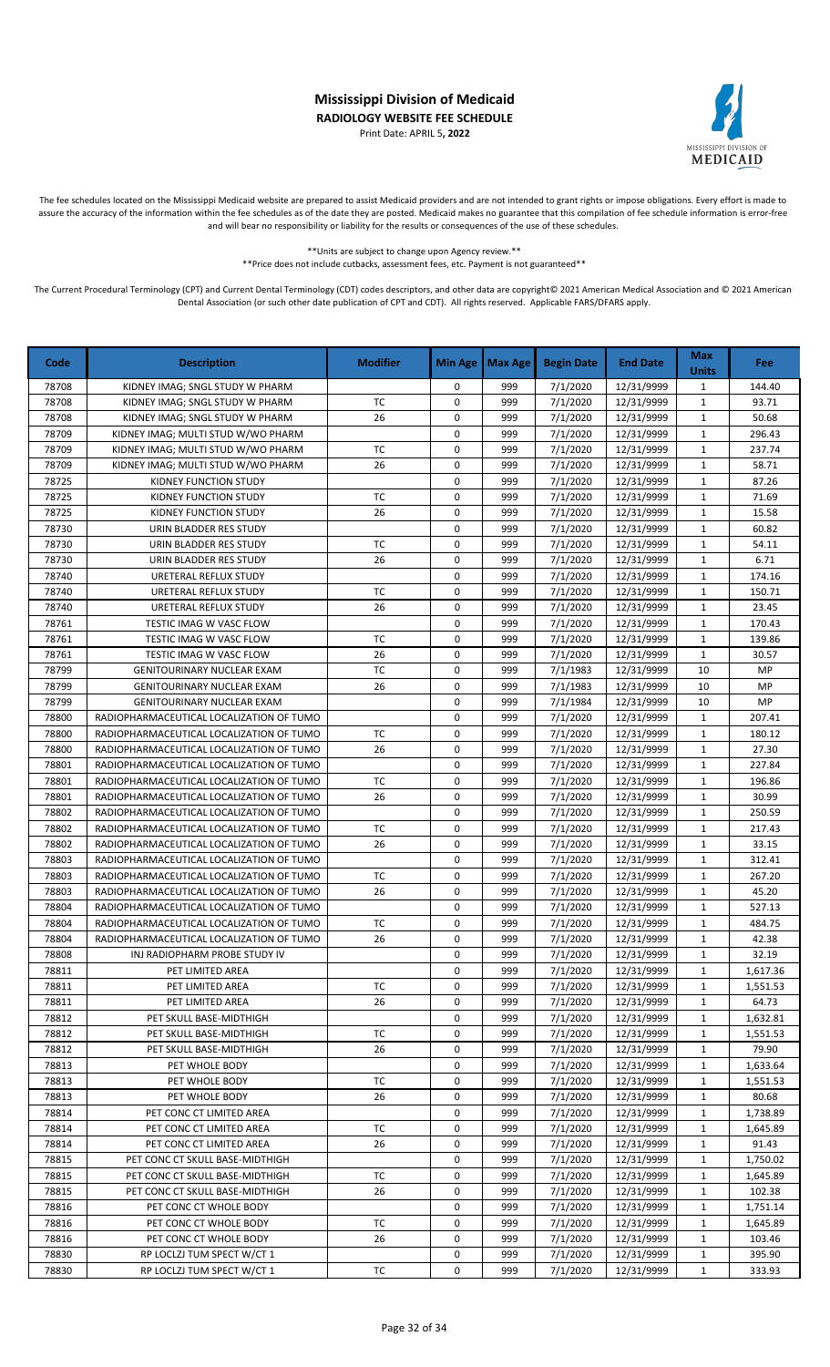Print Date: APRIL 5**, 2022**



The fee schedules located on the Mississippi Medicaid website are prepared to assist Medicaid providers and are not intended to grant rights or impose obligations. Every effort is made to assure the accuracy of the information within the fee schedules as of the date they are posted. Medicaid makes no guarantee that this compilation of fee schedule information is error-free and will bear no responsibility or liability for the results or consequences of the use of these schedules.

\*\*Units are subject to change upon Agency review.\*\*

\*\*Price does not include cutbacks, assessment fees, etc. Payment is not guaranteed\*\*

| Code  | <b>Description</b>                       | <b>Modifier</b> | <b>Min Age</b> | <b>Max Age</b> | <b>Begin Date</b> | <b>End Date</b> | <b>Max</b><br><b>Units</b> | Fee      |
|-------|------------------------------------------|-----------------|----------------|----------------|-------------------|-----------------|----------------------------|----------|
| 78708 | KIDNEY IMAG; SNGL STUDY W PHARM          |                 | 0              | 999            | 7/1/2020          | 12/31/9999      | $\mathbf{1}$               | 144.40   |
| 78708 | KIDNEY IMAG; SNGL STUDY W PHARM          | <b>TC</b>       | 0              | 999            | 7/1/2020          | 12/31/9999      | $\mathbf{1}$               | 93.71    |
| 78708 | KIDNEY IMAG; SNGL STUDY W PHARM          | 26              | 0              | 999            | 7/1/2020          | 12/31/9999      | $\mathbf{1}$               | 50.68    |
| 78709 | KIDNEY IMAG; MULTI STUD W/WO PHARM       |                 | 0              | 999            | 7/1/2020          | 12/31/9999      | 1                          | 296.43   |
| 78709 | KIDNEY IMAG; MULTI STUD W/WO PHARM       | TC              | $\mathbf 0$    | 999            | 7/1/2020          | 12/31/9999      | $\mathbf{1}$               | 237.74   |
| 78709 | KIDNEY IMAG; MULTI STUD W/WO PHARM       | 26              | 0              | 999            | 7/1/2020          | 12/31/9999      | $\mathbf{1}$               | 58.71    |
| 78725 | KIDNEY FUNCTION STUDY                    |                 | 0              | 999            | 7/1/2020          | 12/31/9999      | 1                          | 87.26    |
| 78725 | KIDNEY FUNCTION STUDY                    | TC              | 0              | 999            | 7/1/2020          | 12/31/9999      | $\mathbf{1}$               | 71.69    |
| 78725 | KIDNEY FUNCTION STUDY                    | 26              | 0              | 999            | 7/1/2020          | 12/31/9999      | $\mathbf{1}$               | 15.58    |
| 78730 | URIN BLADDER RES STUDY                   |                 | 0              | 999            | 7/1/2020          | 12/31/9999      | $\mathbf{1}$               | 60.82    |
| 78730 | URIN BLADDER RES STUDY                   | <b>TC</b>       | $\mathsf 0$    | 999            | 7/1/2020          | 12/31/9999      | $\mathbf{1}$               | 54.11    |
| 78730 | URIN BLADDER RES STUDY                   | 26              | 0              | 999            | 7/1/2020          | 12/31/9999      | $\mathbf{1}$               | 6.71     |
| 78740 | URETERAL REFLUX STUDY                    |                 | 0              | 999            | 7/1/2020          | 12/31/9999      | $\mathbf{1}$               | 174.16   |
| 78740 | URETERAL REFLUX STUDY                    | ТC              | 0              | 999            | 7/1/2020          | 12/31/9999      | $\mathbf{1}$               | 150.71   |
| 78740 | URETERAL REFLUX STUDY                    | 26              | $\mathsf 0$    | 999            | 7/1/2020          | 12/31/9999      | $\mathbf{1}$               | 23.45    |
| 78761 | TESTIC IMAG W VASC FLOW                  |                 | 0              | 999            | 7/1/2020          | 12/31/9999      | $\mathbf{1}$               | 170.43   |
| 78761 | TESTIC IMAG W VASC FLOW                  | TC              | 0              | 999            | 7/1/2020          | 12/31/9999      | $\mathbf 1$                | 139.86   |
| 78761 | TESTIC IMAG W VASC FLOW                  | 26              | 0              | 999            | 7/1/2020          | 12/31/9999      | $\mathbf{1}$               | 30.57    |
| 78799 | GENITOURINARY NUCLEAR EXAM               | <b>TC</b>       | 0              | 999            | 7/1/1983          | 12/31/9999      | 10                         | MP       |
| 78799 | <b>GENITOURINARY NUCLEAR EXAM</b>        | 26              | 0              | 999            | 7/1/1983          | 12/31/9999      | 10                         | MP       |
| 78799 | <b>GENITOURINARY NUCLEAR EXAM</b>        |                 | 0              | 999            | 7/1/1984          | 12/31/9999      | 10                         | MP       |
| 78800 | RADIOPHARMACEUTICAL LOCALIZATION OF TUMO |                 | 0              | 999            | 7/1/2020          | 12/31/9999      | $\mathbf{1}$               | 207.41   |
| 78800 | RADIOPHARMACEUTICAL LOCALIZATION OF TUMO | TC              | 0              | 999            | 7/1/2020          | 12/31/9999      | $\mathbf{1}$               | 180.12   |
| 78800 | RADIOPHARMACEUTICAL LOCALIZATION OF TUMO | 26              | 0              | 999            | 7/1/2020          | 12/31/9999      | $\mathbf{1}$               | 27.30    |
| 78801 | RADIOPHARMACEUTICAL LOCALIZATION OF TUMO |                 | 0              | 999            | 7/1/2020          | 12/31/9999      | $\mathbf{1}$               | 227.84   |
| 78801 | RADIOPHARMACEUTICAL LOCALIZATION OF TUMO | TC              | 0              | 999            | 7/1/2020          | 12/31/9999      | $\mathbf{1}$               | 196.86   |
| 78801 | RADIOPHARMACEUTICAL LOCALIZATION OF TUMO | 26              | 0              | 999            | 7/1/2020          | 12/31/9999      | $\mathbf{1}$               | 30.99    |
| 78802 | RADIOPHARMACEUTICAL LOCALIZATION OF TUMO |                 | 0              | 999            | 7/1/2020          | 12/31/9999      | $\mathbf{1}$               | 250.59   |
| 78802 | RADIOPHARMACEUTICAL LOCALIZATION OF TUMO | TC              | 0              | 999            | 7/1/2020          | 12/31/9999      | $\mathbf{1}$               | 217.43   |
| 78802 | RADIOPHARMACEUTICAL LOCALIZATION OF TUMO | 26              | $\mathbf 0$    | 999            | 7/1/2020          | 12/31/9999      | $\mathbf{1}$               | 33.15    |
| 78803 | RADIOPHARMACEUTICAL LOCALIZATION OF TUMO |                 | $\mathbf 0$    | 999            | 7/1/2020          | 12/31/9999      | $\mathbf{1}$               | 312.41   |
| 78803 | RADIOPHARMACEUTICAL LOCALIZATION OF TUMO | <b>TC</b>       | 0              | 999            | 7/1/2020          | 12/31/9999      | $\mathbf{1}$               | 267.20   |
| 78803 | RADIOPHARMACEUTICAL LOCALIZATION OF TUMO | 26              | 0              | 999            | 7/1/2020          | 12/31/9999      | $\mathbf{1}$               | 45.20    |
| 78804 | RADIOPHARMACEUTICAL LOCALIZATION OF TUMO |                 | 0              | 999            | 7/1/2020          | 12/31/9999      | $\mathbf{1}$               | 527.13   |
| 78804 | RADIOPHARMACEUTICAL LOCALIZATION OF TUMO | ТC              | 0              | 999            | 7/1/2020          | 12/31/9999      | $\mathbf{1}$               | 484.75   |
| 78804 | RADIOPHARMACEUTICAL LOCALIZATION OF TUMO | 26              | 0              | 999            | 7/1/2020          | 12/31/9999      | $\mathbf{1}$               | 42.38    |
| 78808 | INJ RADIOPHARM PROBE STUDY IV            |                 | 0              | 999            | 7/1/2020          | 12/31/9999      | 1                          | 32.19    |
| 78811 | PET LIMITED AREA                         |                 | 0              | 999            | 7/1/2020          | 12/31/9999      | $\mathbf{1}$               | 1,617.36 |
| 78811 | PET LIMITED AREA                         | ТC              | 0              | 999            | 7/1/2020          | 12/31/9999      | 1                          | 1,551.53 |
| 78811 | PET LIMITED AREA                         | 26              | 0              | 999            | 7/1/2020          | 12/31/9999      | 1                          | 64.73    |
| 78812 | PET SKULL BASE-MIDTHIGH                  |                 | 0              | 999            | 7/1/2020          | 12/31/9999      | 1                          | 1,632.81 |
| 78812 | PET SKULL BASE-MIDTHIGH                  | ТC              | 0              | 999            | 7/1/2020          | 12/31/9999      | 1                          | 1,551.53 |
| 78812 | PET SKULL BASE-MIDTHIGH                  | 26              | 0              | 999            | 7/1/2020          | 12/31/9999      | 1                          | 79.90    |
| 78813 | PET WHOLE BODY                           |                 | 0              | 999            | 7/1/2020          | 12/31/9999      | 1                          | 1,633.64 |
| 78813 | PET WHOLE BODY                           | тс              | 0              | 999            | 7/1/2020          | 12/31/9999      | 1                          | 1,551.53 |
| 78813 | PET WHOLE BODY                           | 26              | 0              | 999            | 7/1/2020          | 12/31/9999      | 1                          | 80.68    |
| 78814 | PET CONC CT LIMITED AREA                 |                 | 0              | 999            | 7/1/2020          | 12/31/9999      | 1                          | 1,738.89 |
| 78814 | PET CONC CT LIMITED AREA                 | ТC              | 0              | 999            | 7/1/2020          | 12/31/9999      | 1                          | 1,645.89 |
| 78814 | PET CONC CT LIMITED AREA                 | 26              | 0              | 999            | 7/1/2020          | 12/31/9999      | 1                          | 91.43    |
| 78815 | PET CONC CT SKULL BASE-MIDTHIGH          |                 | 0              | 999            | 7/1/2020          | 12/31/9999      | 1                          | 1,750.02 |
| 78815 | PET CONC CT SKULL BASE-MIDTHIGH          | ТC              | 0              | 999            | 7/1/2020          | 12/31/9999      | $\mathbf{1}$               | 1,645.89 |
| 78815 | PET CONC CT SKULL BASE-MIDTHIGH          | 26              | 0              | 999            | 7/1/2020          | 12/31/9999      | 1                          | 102.38   |
| 78816 | PET CONC CT WHOLE BODY                   |                 | 0              | 999            | 7/1/2020          | 12/31/9999      | $\mathbf{1}$               | 1,751.14 |
| 78816 | PET CONC CT WHOLE BODY                   | тс              | 0              | 999            | 7/1/2020          | 12/31/9999      | 1                          | 1,645.89 |
| 78816 | PET CONC CT WHOLE BODY                   | 26              | 0              | 999            | 7/1/2020          | 12/31/9999      | 1                          | 103.46   |
| 78830 | RP LOCLZJ TUM SPECT W/CT 1               |                 | 0              | 999            | 7/1/2020          | 12/31/9999      | 1                          | 395.90   |
| 78830 | RP LOCLZJ TUM SPECT W/CT 1               | ТC              | 0              | 999            | 7/1/2020          | 12/31/9999      | 1                          | 333.93   |
|       |                                          |                 |                |                |                   |                 |                            |          |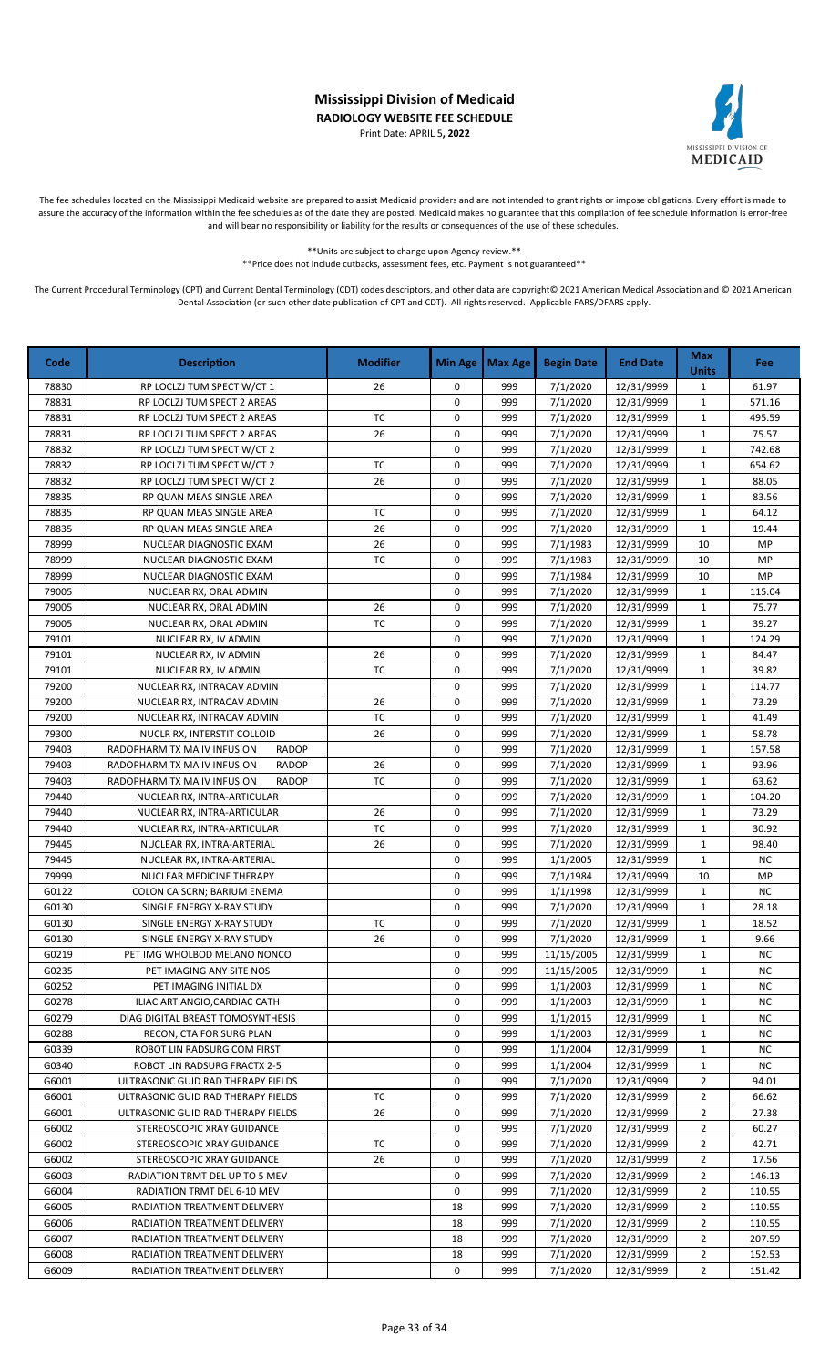Print Date: APRIL 5**, 2022**



The fee schedules located on the Mississippi Medicaid website are prepared to assist Medicaid providers and are not intended to grant rights or impose obligations. Every effort is made to assure the accuracy of the information within the fee schedules as of the date they are posted. Medicaid makes no guarantee that this compilation of fee schedule information is error-free and will bear no responsibility or liability for the results or consequences of the use of these schedules.

> \*\*Units are subject to change upon Agency review.\*\* \*\*Price does not include cutbacks, assessment fees, etc. Payment is not guaranteed\*\*

| Code           | <b>Description</b>                               | <b>Modifier</b> | Min Age                    | <b>Max Age</b> | <b>Begin Date</b>    | <b>End Date</b>          | <b>Max</b><br><b>Units</b>  | Fee            |
|----------------|--------------------------------------------------|-----------------|----------------------------|----------------|----------------------|--------------------------|-----------------------------|----------------|
| 78830          | RP LOCLZJ TUM SPECT W/CT 1                       | 26              | 0                          | 999            | 7/1/2020             | 12/31/9999               | $\mathbf{1}$                | 61.97          |
| 78831          | RP LOCLZJ TUM SPECT 2 AREAS                      |                 | $\mathbf 0$                | 999            | 7/1/2020             | 12/31/9999               | $\mathbf{1}$                | 571.16         |
| 78831          | RP LOCLZJ TUM SPECT 2 AREAS                      | <b>TC</b>       | $\mathbf 0$                | 999            | 7/1/2020             | 12/31/9999               | $\mathbf{1}$                | 495.59         |
| 78831          | RP LOCLZJ TUM SPECT 2 AREAS                      | 26              | $\mathbf 0$                | 999            | 7/1/2020             | 12/31/9999               | $\mathbf{1}$                | 75.57          |
| 78832          | RP LOCLZJ TUM SPECT W/CT 2                       |                 | $\mathbf 0$                | 999            | 7/1/2020             | 12/31/9999               | $\mathbf{1}$                | 742.68         |
| 78832          | RP LOCLZJ TUM SPECT W/CT 2                       | <b>TC</b>       | 0                          | 999            | 7/1/2020             | 12/31/9999               | 1                           | 654.62         |
| 78832          | RP LOCLZJ TUM SPECT W/CT 2                       | 26              | $\mathbf 0$                | 999            | 7/1/2020             | 12/31/9999               | $\mathbf{1}$                | 88.05          |
| 78835          | RP QUAN MEAS SINGLE AREA                         |                 | 0                          | 999            | 7/1/2020             | 12/31/9999               | $\mathbf{1}$                | 83.56          |
| 78835          | RP QUAN MEAS SINGLE AREA                         | <b>TC</b>       | $\mathbf 0$                | 999            | 7/1/2020             | 12/31/9999               | 1                           | 64.12          |
| 78835          | RP QUAN MEAS SINGLE AREA                         | 26              | $\mathbf 0$                | 999            | 7/1/2020             | 12/31/9999               | $\mathbf{1}$                | 19.44          |
| 78999          | NUCLEAR DIAGNOSTIC EXAM                          | 26              | $\mathbf 0$                | 999            | 7/1/1983             | 12/31/9999               | 10                          | MP             |
| 78999          | NUCLEAR DIAGNOSTIC EXAM                          | <b>TC</b>       | $\mathbf 0$<br>$\mathbf 0$ | 999            | 7/1/1983             | 12/31/9999               | 10                          | MP             |
| 78999          | NUCLEAR DIAGNOSTIC EXAM                          |                 |                            | 999            | 7/1/1984             | 12/31/9999               | 10                          | MP             |
| 79005<br>79005 | NUCLEAR RX, ORAL ADMIN                           | 26              | $\mathbf 0$<br>$\mathbf 0$ | 999<br>999     | 7/1/2020<br>7/1/2020 | 12/31/9999<br>12/31/9999 | 1                           | 115.04         |
| 79005          | NUCLEAR RX, ORAL ADMIN<br>NUCLEAR RX, ORAL ADMIN | <b>TC</b>       | $\mathbf 0$                | 999            |                      |                          | $\mathbf 1$<br>$\mathbf{1}$ | 75.77<br>39.27 |
| 79101          | NUCLEAR RX, IV ADMIN                             |                 | $\mathbf 0$                | 999            | 7/1/2020<br>7/1/2020 | 12/31/9999<br>12/31/9999 | $\mathbf{1}$                | 124.29         |
| 79101          | NUCLEAR RX, IV ADMIN                             | 26              | $\mathbf 0$                | 999            | 7/1/2020             | 12/31/9999               | $\mathbf{1}$                | 84.47          |
| 79101          | NUCLEAR RX, IV ADMIN                             | <b>TC</b>       | $\mathbf 0$                | 999            | 7/1/2020             | 12/31/9999               | $\mathbf{1}$                | 39.82          |
| 79200          | NUCLEAR RX, INTRACAV ADMIN                       |                 | $\mathbf 0$                | 999            | 7/1/2020             | 12/31/9999               | $\mathbf{1}$                | 114.77         |
| 79200          | NUCLEAR RX, INTRACAV ADMIN                       | 26              | $\mathbf 0$                | 999            | 7/1/2020             | 12/31/9999               | $\mathbf{1}$                | 73.29          |
| 79200          | NUCLEAR RX, INTRACAV ADMIN                       | <b>TC</b>       | 0                          | 999            | 7/1/2020             | 12/31/9999               | 1                           | 41.49          |
| 79300          | NUCLR RX, INTERSTIT COLLOID                      | 26              | $\mathbf 0$                | 999            | 7/1/2020             | 12/31/9999               | $\mathbf{1}$                | 58.78          |
| 79403          | RADOPHARM TX MA IV INFUSION<br><b>RADOP</b>      |                 | $\mathbf 0$                | 999            | 7/1/2020             | 12/31/9999               | $\mathbf{1}$                | 157.58         |
| 79403          | <b>RADOP</b><br>RADOPHARM TX MA IV INFUSION      | 26              | $\mathbf 0$                | 999            | 7/1/2020             | 12/31/9999               | $\mathbf{1}$                | 93.96          |
| 79403          | RADOPHARM TX MA IV INFUSION<br><b>RADOP</b>      | <b>TC</b>       | $\pmb{0}$                  | 999            | 7/1/2020             | 12/31/9999               | $\mathbf{1}$                | 63.62          |
| 79440          | NUCLEAR RX, INTRA-ARTICULAR                      |                 | $\mathbf 0$                | 999            | 7/1/2020             | 12/31/9999               | $\mathbf{1}$                | 104.20         |
| 79440          | NUCLEAR RX, INTRA-ARTICULAR                      | 26              | $\mathbf 0$                | 999            | 7/1/2020             | 12/31/9999               | $\mathbf{1}$                | 73.29          |
| 79440          | NUCLEAR RX, INTRA-ARTICULAR                      | <b>TC</b>       | $\mathbf 0$                | 999            | 7/1/2020             | 12/31/9999               | $\mathbf{1}$                | 30.92          |
| 79445          | NUCLEAR RX, INTRA-ARTERIAL                       | 26              | $\mathbf 0$                | 999            | 7/1/2020             | 12/31/9999               | $\mathbf{1}$                | 98.40          |
| 79445          | NUCLEAR RX, INTRA-ARTERIAL                       |                 | $\mathbf 0$                | 999            | 1/1/2005             | 12/31/9999               | $\mathbf{1}$                | <b>NC</b>      |
| 79999          | NUCLEAR MEDICINE THERAPY                         |                 | $\mathbf 0$                | 999            | 7/1/1984             | 12/31/9999               | 10                          | MP             |
| G0122          | COLON CA SCRN; BARIUM ENEMA                      |                 | 0                          | 999            | 1/1/1998             | 12/31/9999               | $\mathbf{1}$                | <b>NC</b>      |
| G0130          | SINGLE ENERGY X-RAY STUDY                        |                 | $\mathbf 0$                | 999            | 7/1/2020             | 12/31/9999               | $\mathbf{1}$                | 28.18          |
| G0130          | SINGLE ENERGY X-RAY STUDY                        | <b>TC</b>       | 0                          | 999            | 7/1/2020             | 12/31/9999               | $\mathbf{1}$                | 18.52          |
| G0130          | SINGLE ENERGY X-RAY STUDY                        | 26              | $\mathbf 0$                | 999            | 7/1/2020             | 12/31/9999               | $\mathbf{1}$                | 9.66           |
| G0219          | PET IMG WHOLBOD MELANO NONCO                     |                 | 0                          | 999            | 11/15/2005           | 12/31/9999               | 1                           | <b>NC</b>      |
| G0235          | PET IMAGING ANY SITE NOS                         |                 | $\mathbf 0$                | 999            | 11/15/2005           | 12/31/9999               | 1                           | <b>NC</b>      |
| G0252          | PET IMAGING INITIAL DX                           |                 | 0                          | 999            | 1/1/2003             | 12/31/9999               | 1                           | ΝC             |
| G0278          | ILIAC ART ANGIO, CARDIAC CATH                    |                 | 0                          | 999            | 1/1/2003             | 12/31/9999               | 1                           | <b>NC</b>      |
| G0279          | DIAG DIGITAL BREAST TOMOSYNTHESIS                |                 | 0                          | 999            | 1/1/2015             | 12/31/9999               | $\mathbf{1}$                | ΝC             |
| G0288          | RECON, CTA FOR SURG PLAN                         |                 | 0                          | 999            | 1/1/2003             | 12/31/9999               | 1                           | ΝC             |
| G0339          | ROBOT LIN RADSURG COM FIRST                      |                 | 0                          | 999            | 1/1/2004             | 12/31/9999               | 1                           | ΝC             |
| G0340          | ROBOT LIN RADSURG FRACTX 2-5                     |                 | 0                          | 999            | 1/1/2004             | 12/31/9999               | 1                           | NC             |
| G6001          | ULTRASONIC GUID RAD THERAPY FIELDS               |                 | 0                          | 999            | 7/1/2020             | 12/31/9999               | 2                           | 94.01          |
| G6001          | ULTRASONIC GUID RAD THERAPY FIELDS               | TC              | $\mathbf 0$                | 999            | 7/1/2020             | 12/31/9999               | 2                           | 66.62          |
| G6001          | ULTRASONIC GUID RAD THERAPY FIELDS               | 26              | 0                          | 999            | 7/1/2020             | 12/31/9999               | 2                           | 27.38          |
| G6002          | STEREOSCOPIC XRAY GUIDANCE                       |                 | 0                          | 999            | 7/1/2020             | 12/31/9999               | $\overline{2}$              | 60.27          |
| G6002          | STEREOSCOPIC XRAY GUIDANCE                       | TC              | 0                          | 999            | 7/1/2020             | 12/31/9999               | 2                           | 42.71          |
| G6002          | STEREOSCOPIC XRAY GUIDANCE                       | 26              | 0                          | 999            | 7/1/2020             | 12/31/9999               | $\overline{2}$              | 17.56          |
| G6003          | RADIATION TRMT DEL UP TO 5 MEV                   |                 | 0                          | 999            | 7/1/2020             | 12/31/9999               | $\overline{2}$              | 146.13         |
| G6004          | RADIATION TRMT DEL 6-10 MEV                      |                 | 0                          | 999            | 7/1/2020             | 12/31/9999               | $\overline{2}$              | 110.55         |
| G6005          | RADIATION TREATMENT DELIVERY                     |                 | 18                         | 999            | 7/1/2020             | 12/31/9999               | $\overline{2}$              | 110.55         |
| G6006          | RADIATION TREATMENT DELIVERY                     |                 | 18                         | 999            | 7/1/2020             | 12/31/9999               | $\overline{2}$              | 110.55         |
| G6007          | RADIATION TREATMENT DELIVERY                     |                 | 18                         | 999            | 7/1/2020             | 12/31/9999               | $\overline{2}$              | 207.59         |
| G6008          | RADIATION TREATMENT DELIVERY                     |                 | 18                         | 999            | 7/1/2020             | 12/31/9999               | 2                           | 152.53         |
| G6009          | RADIATION TREATMENT DELIVERY                     |                 | 0                          | 999            | 7/1/2020             | 12/31/9999               | $\overline{2}$              | 151.42         |